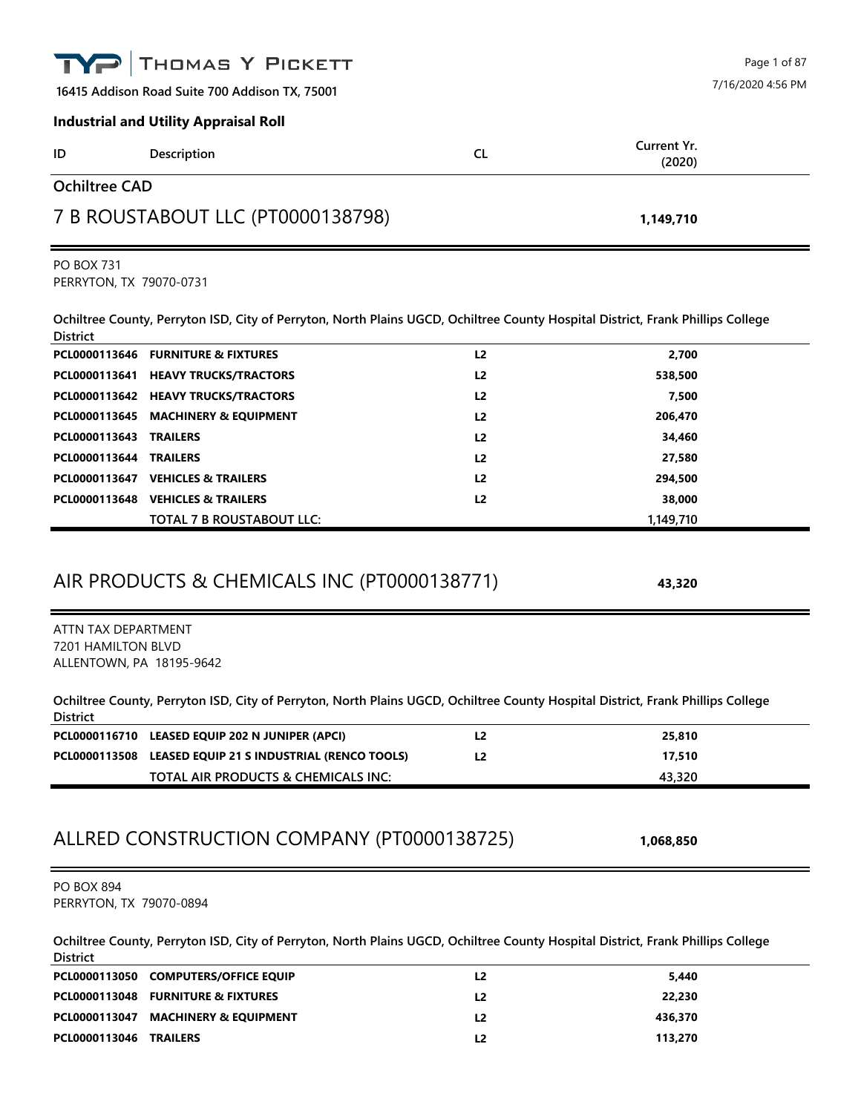|                                                | THOMAS Y PICKETT                                                                                                                |                      |                       | Page 1 of 87      |
|------------------------------------------------|---------------------------------------------------------------------------------------------------------------------------------|----------------------|-----------------------|-------------------|
|                                                | 16415 Addison Road Suite 700 Addison TX, 75001                                                                                  |                      |                       | 7/16/2020 4:56 PM |
|                                                | <b>Industrial and Utility Appraisal Roll</b>                                                                                    |                      |                       |                   |
| ID                                             | Description                                                                                                                     | <b>CL</b>            | Current Yr.<br>(2020) |                   |
| <b>Ochiltree CAD</b>                           |                                                                                                                                 |                      |                       |                   |
|                                                | 7 B ROUSTABOUT LLC (PT0000138798)                                                                                               |                      | 1,149,710             |                   |
| <b>PO BOX 731</b><br>PERRYTON, TX 79070-0731   |                                                                                                                                 |                      |                       |                   |
| <b>District</b>                                | Ochiltree County, Perryton ISD, City of Perryton, North Plains UGCD, Ochiltree County Hospital District, Frank Phillips College |                      |                       |                   |
|                                                | PCL0000113646 FURNITURE & FIXTURES                                                                                              | L <sub>2</sub>       | 2,700                 |                   |
|                                                | PCL0000113641 HEAVY TRUCKS/TRACTORS                                                                                             | L <sub>2</sub>       | 538,500               |                   |
|                                                | PCL0000113642 HEAVY TRUCKS/TRACTORS                                                                                             | L <sub>2</sub>       | 7,500                 |                   |
|                                                | PCL0000113645 MACHINERY & EQUIPMENT                                                                                             | L <sub>2</sub>       | 206,470               |                   |
| PCL0000113643                                  | <b>TRAILERS</b>                                                                                                                 | L <sub>2</sub>       | 34,460                |                   |
| PCL0000113644 TRAILERS                         | PCL0000113647 VEHICLES & TRAILERS                                                                                               | L2<br>L <sub>2</sub> | 27,580<br>294,500     |                   |
|                                                | PCL0000113648 VEHICLES & TRAILERS                                                                                               | L <sub>2</sub>       | 38,000                |                   |
|                                                | TOTAL 7 B ROUSTABOUT LLC:                                                                                                       |                      | 1,149,710             |                   |
| ATTN TAX DEPARTMENT                            | AIR PRODUCTS & CHEMICALS INC (PT0000138771)                                                                                     |                      | 43,320                |                   |
| 7201 HAMILTON BLVD<br>ALLENTOWN, PA 18195-9642 |                                                                                                                                 |                      |                       |                   |
| <b>District</b>                                | Ochiltree County, Perryton ISD, City of Perryton, North Plains UGCD, Ochiltree County Hospital District, Frank Phillips College |                      |                       |                   |
|                                                | PCL0000116710 LEASED EQUIP 202 N JUNIPER (APCI)                                                                                 | L <sub>2</sub>       | 25,810                |                   |
|                                                | PCL0000113508 LEASED EQUIP 21 S INDUSTRIAL (RENCO TOOLS)                                                                        | L <sub>2</sub>       | 17,510                |                   |
|                                                | TOTAL AIR PRODUCTS & CHEMICALS INC:                                                                                             |                      | 43,320                |                   |
|                                                | ALLRED CONSTRUCTION COMPANY (PT0000138725)                                                                                      |                      | 1,068,850             |                   |
| <b>PO BOX 894</b><br>PERRYTON, TX 79070-0894   |                                                                                                                                 |                      |                       |                   |
| <b>District</b>                                | Ochiltree County, Perryton ISD, City of Perryton, North Plains UGCD, Ochiltree County Hospital District, Frank Phillips College |                      |                       |                   |
|                                                | PCL0000113050 COMPUTERS/OFFICE EQUIP                                                                                            | L2                   | 5,440                 |                   |
|                                                | PCL0000113048 FURNITURE & FIXTURES                                                                                              | L2                   | 22,230                |                   |
|                                                | PCL0000113047 MACHINERY & EQUIPMENT                                                                                             | L2                   | 436,370               |                   |

**PCL0000113046 TRAILERS L2 113,270**

| ID                   | Description                       | <b>CL</b> | <b>Current Yr.</b><br>(2020) |  |
|----------------------|-----------------------------------|-----------|------------------------------|--|
| <b>Ochiltree CAD</b> |                                   |           |                              |  |
|                      | 7 B ROUSTABOUT LLC (PT0000138798) |           | 1,149,710                    |  |
| <b>PO BOX 731</b>    | LEDDVTON TV 70070 0721            |           |                              |  |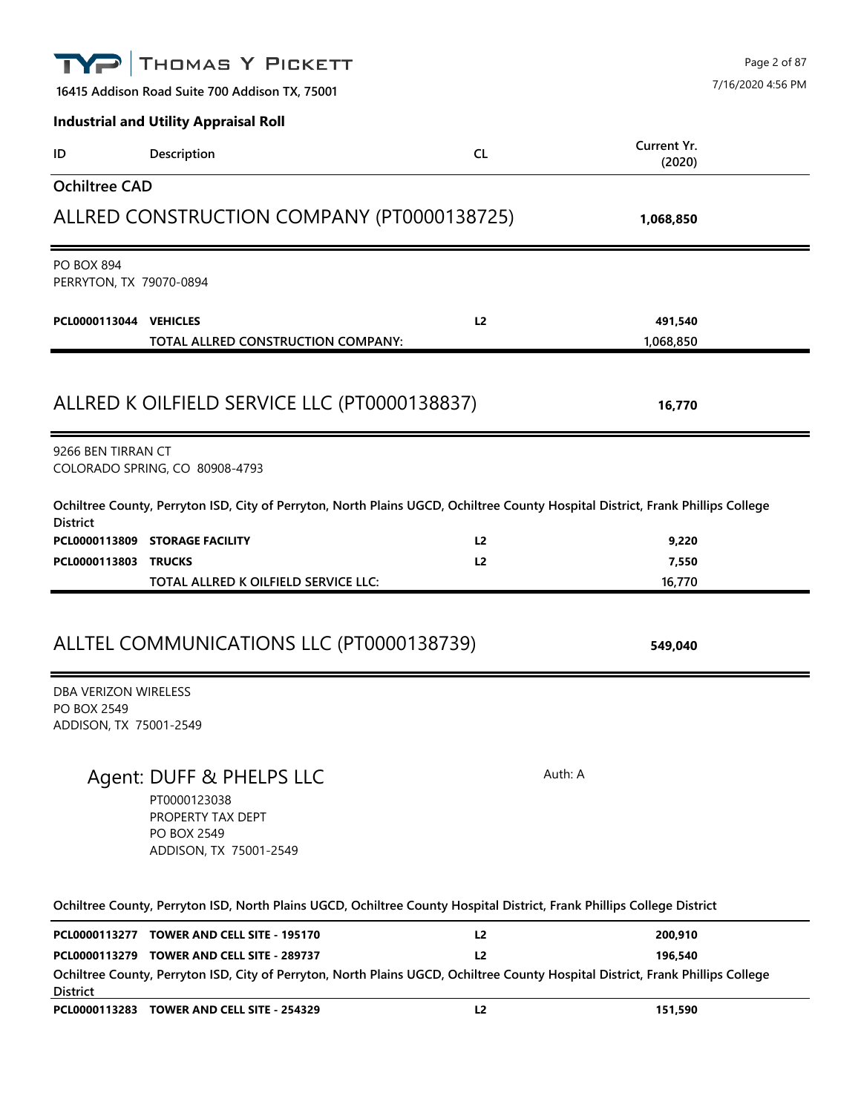| TYP                                                           | THOMAS Y PICKETT                                                                                                                                                              |                |                       | Page 2 of 87<br>7/16/2020 4:56 PM |
|---------------------------------------------------------------|-------------------------------------------------------------------------------------------------------------------------------------------------------------------------------|----------------|-----------------------|-----------------------------------|
|                                                               | 16415 Addison Road Suite 700 Addison TX, 75001                                                                                                                                |                |                       |                                   |
|                                                               | <b>Industrial and Utility Appraisal Roll</b>                                                                                                                                  |                |                       |                                   |
| ID                                                            | Description                                                                                                                                                                   | <b>CL</b>      | Current Yr.<br>(2020) |                                   |
| <b>Ochiltree CAD</b>                                          |                                                                                                                                                                               |                |                       |                                   |
|                                                               | ALLRED CONSTRUCTION COMPANY (PT0000138725)                                                                                                                                    |                | 1,068,850             |                                   |
| <b>PO BOX 894</b><br>PERRYTON, TX 79070-0894                  |                                                                                                                                                                               |                |                       |                                   |
| PCL0000113044 VEHICLES                                        |                                                                                                                                                                               | L <sub>2</sub> | 491,540               |                                   |
|                                                               | TOTAL ALLRED CONSTRUCTION COMPANY:                                                                                                                                            |                | 1,068,850             |                                   |
|                                                               |                                                                                                                                                                               |                |                       |                                   |
|                                                               | ALLRED K OILFIELD SERVICE LLC (PT0000138837)                                                                                                                                  |                | 16,770                |                                   |
| 9266 BEN TIRRAN CT                                            | COLORADO SPRING, CO 80908-4793                                                                                                                                                |                |                       |                                   |
| <b>District</b>                                               | Ochiltree County, Perryton ISD, City of Perryton, North Plains UGCD, Ochiltree County Hospital District, Frank Phillips College                                               |                |                       |                                   |
|                                                               | PCL0000113809 STORAGE FACILITY                                                                                                                                                | L <sub>2</sub> | 9,220                 |                                   |
| PCL0000113803 TRUCKS                                          |                                                                                                                                                                               | L <sub>2</sub> | 7,550                 |                                   |
|                                                               | TOTAL ALLRED K OILFIELD SERVICE LLC:                                                                                                                                          |                | 16,770                |                                   |
|                                                               | ALLTEL COMMUNICATIONS LLC (PT0000138739)                                                                                                                                      |                | 549,040               |                                   |
| DBA VERIZON WIRELESS<br>PO BOX 2549<br>ADDISON, TX 75001-2549 |                                                                                                                                                                               |                |                       |                                   |
|                                                               |                                                                                                                                                                               |                |                       |                                   |
|                                                               | Agent: DUFF & PHELPS LLC<br>PT0000123038<br>PROPERTY TAX DEPT<br>PO BOX 2549<br>ADDISON, TX 75001-2549                                                                        |                | Auth: A               |                                   |
|                                                               | Ochiltree County, Perryton ISD, North Plains UGCD, Ochiltree County Hospital District, Frank Phillips College District                                                        |                |                       |                                   |
|                                                               | PCL0000113277 TOWER AND CELL SITE - 195170                                                                                                                                    | L <sub>2</sub> | 200,910               |                                   |
|                                                               | PCL0000113279 TOWER AND CELL SITE - 289737<br>Ochiltree County, Perryton ISD, City of Perryton, North Plains UGCD, Ochiltree County Hospital District, Frank Phillips College | L2             | 196,540               |                                   |
| <b>District</b>                                               | PCL0000113283 TOWER AND CELL SITE - 254329                                                                                                                                    | L2             | 151,590               |                                   |
|                                                               |                                                                                                                                                                               |                |                       |                                   |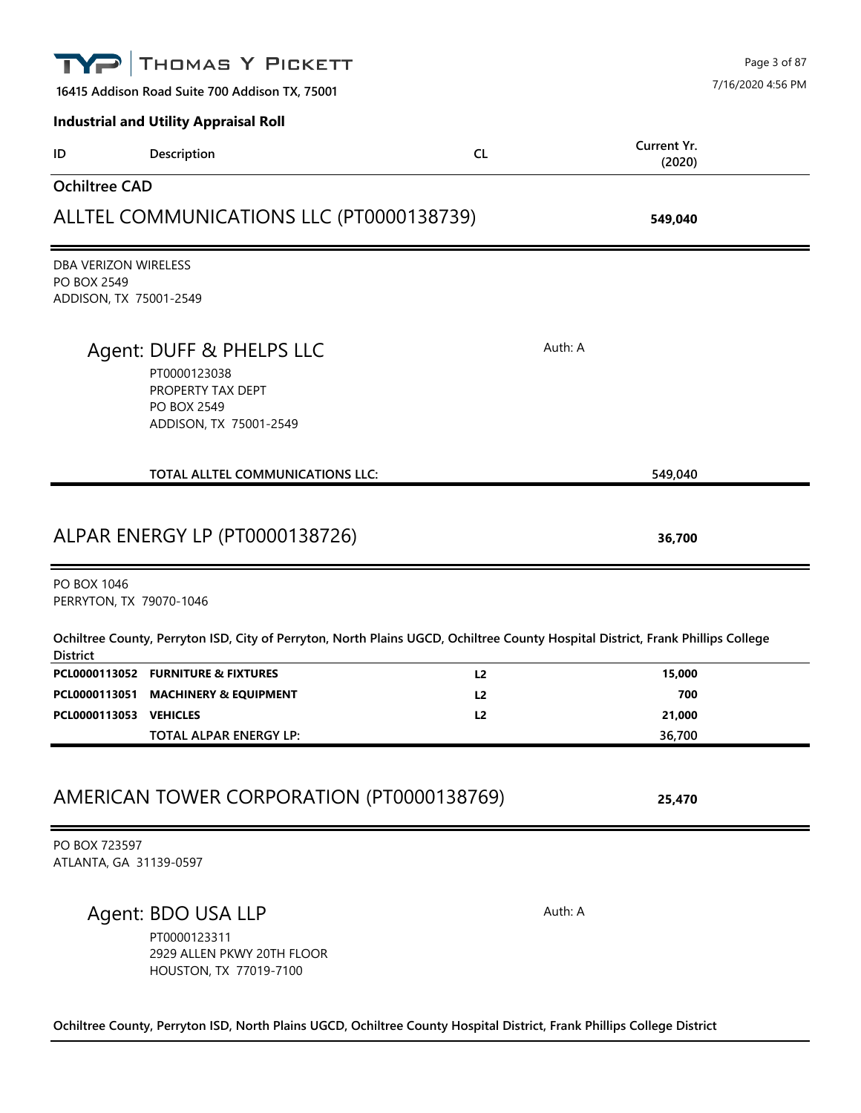|                                                                      | THOMAS Y PICKETT                                                                                                                |                |                       | Page 3 of 87<br>7/16/2020 4:56 PM |
|----------------------------------------------------------------------|---------------------------------------------------------------------------------------------------------------------------------|----------------|-----------------------|-----------------------------------|
|                                                                      | 16415 Addison Road Suite 700 Addison TX, 75001<br><b>Industrial and Utility Appraisal Roll</b>                                  |                |                       |                                   |
| ID                                                                   | Description                                                                                                                     | CL             | Current Yr.<br>(2020) |                                   |
| <b>Ochiltree CAD</b>                                                 |                                                                                                                                 |                |                       |                                   |
|                                                                      | ALLTEL COMMUNICATIONS LLC (PT0000138739)                                                                                        |                | 549,040               |                                   |
| DBA VERIZON WIRELESS<br><b>PO BOX 2549</b><br>ADDISON, TX 75001-2549 |                                                                                                                                 |                |                       |                                   |
|                                                                      | Agent: DUFF & PHELPS LLC<br>PT0000123038<br>PROPERTY TAX DEPT<br><b>PO BOX 2549</b><br>ADDISON, TX 75001-2549                   |                | Auth: A               |                                   |
|                                                                      | TOTAL ALLTEL COMMUNICATIONS LLC:                                                                                                |                | 549,040               |                                   |
|                                                                      | ALPAR ENERGY LP (PT0000138726)                                                                                                  |                | 36,700                |                                   |
| PO BOX 1046<br>PERRYTON, TX 79070-1046                               |                                                                                                                                 |                |                       |                                   |
| <b>District</b>                                                      | Ochiltree County, Perryton ISD, City of Perryton, North Plains UGCD, Ochiltree County Hospital District, Frank Phillips College |                |                       |                                   |
|                                                                      | PCL0000113052 FURNITURE & FIXTURES                                                                                              | L <sub>2</sub> | 15,000                |                                   |
| PCL0000113051                                                        | <b>MACHINERY &amp; EQUIPMENT</b>                                                                                                | L2             | 700                   |                                   |
| PCL0000113053 VEHICLES                                               | TOTAL ALPAR ENERGY LP:                                                                                                          | L2             | 21,000<br>36,700      |                                   |
|                                                                      | AMERICAN TOWER CORPORATION (PT0000138769)                                                                                       |                | 25,470                |                                   |
| PO BOX 723597<br>ATLANTA, GA 31139-0597                              |                                                                                                                                 |                |                       |                                   |
|                                                                      | Agent: BDO USA LLP<br>PT0000123311<br>2929 ALLEN PKWY 20TH FLOOR<br>HOUSTON, TX 77019-7100                                      |                | Auth: A               |                                   |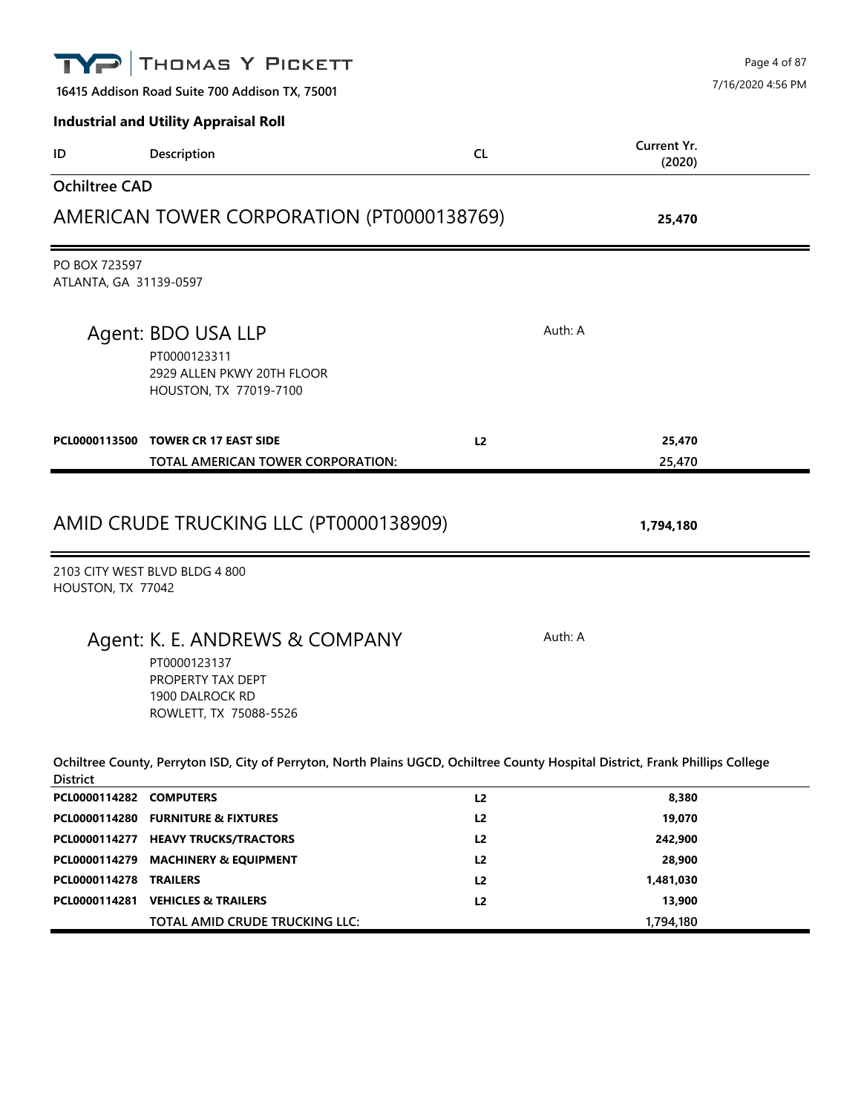|                                         | THOMAS Y PICKETT                                                                                                                |                |                       | Page 4 of 87      |
|-----------------------------------------|---------------------------------------------------------------------------------------------------------------------------------|----------------|-----------------------|-------------------|
|                                         | 16415 Addison Road Suite 700 Addison TX, 75001                                                                                  |                |                       | 7/16/2020 4:56 PM |
|                                         | <b>Industrial and Utility Appraisal Roll</b>                                                                                    |                |                       |                   |
| ID                                      | Description                                                                                                                     | <b>CL</b>      | Current Yr.<br>(2020) |                   |
| <b>Ochiltree CAD</b>                    |                                                                                                                                 |                |                       |                   |
|                                         | AMERICAN TOWER CORPORATION (PT0000138769)                                                                                       |                | 25,470                |                   |
| PO BOX 723597<br>ATLANTA, GA 31139-0597 |                                                                                                                                 |                |                       |                   |
|                                         | Agent: BDO USA LLP<br>PT0000123311<br>2929 ALLEN PKWY 20TH FLOOR<br>HOUSTON, TX 77019-7100                                      |                | Auth: A               |                   |
|                                         | PCL0000113500 TOWER CR 17 EAST SIDE<br>TOTAL AMERICAN TOWER CORPORATION:                                                        | L <sub>2</sub> | 25,470<br>25,470      |                   |
|                                         | AMID CRUDE TRUCKING LLC (PT0000138909)                                                                                          |                | 1,794,180             |                   |
| HOUSTON, TX 77042                       | 2103 CITY WEST BLVD BLDG 4 800                                                                                                  |                |                       |                   |
|                                         | Agent: K. E. ANDREWS & COMPANY<br>PT0000123137<br>PROPERTY TAX DEPT<br>1900 DALROCK RD<br>ROWLETT, TX 75088-5526                |                | Auth: A               |                   |
| <b>District</b>                         | Ochiltree County, Perryton ISD, City of Perryton, North Plains UGCD, Ochiltree County Hospital District, Frank Phillips College |                |                       |                   |
| PCL0000114282 COMPUTERS                 |                                                                                                                                 | L2             | 8,380                 |                   |
|                                         | PCL0000114280 FURNITURE & FIXTURES                                                                                              | L <sub>2</sub> | 19,070                |                   |
|                                         | PCL0000114277 HEAVY TRUCKS/TRACTORS                                                                                             | L2             | 242,900               |                   |
|                                         | PCL0000114279 MACHINERY & EQUIPMENT                                                                                             | L2             | 28,900                |                   |
| PCL0000114278                           | <b>TRAILERS</b>                                                                                                                 | L <sub>2</sub> | 1,481,030             |                   |
|                                         | PCL0000114281 VEHICLES & TRAILERS<br>TOTAL AMID CRUDE TRUCKING LLC:                                                             | L <sub>2</sub> | 13,900<br>1,794,180   |                   |
|                                         |                                                                                                                                 |                |                       |                   |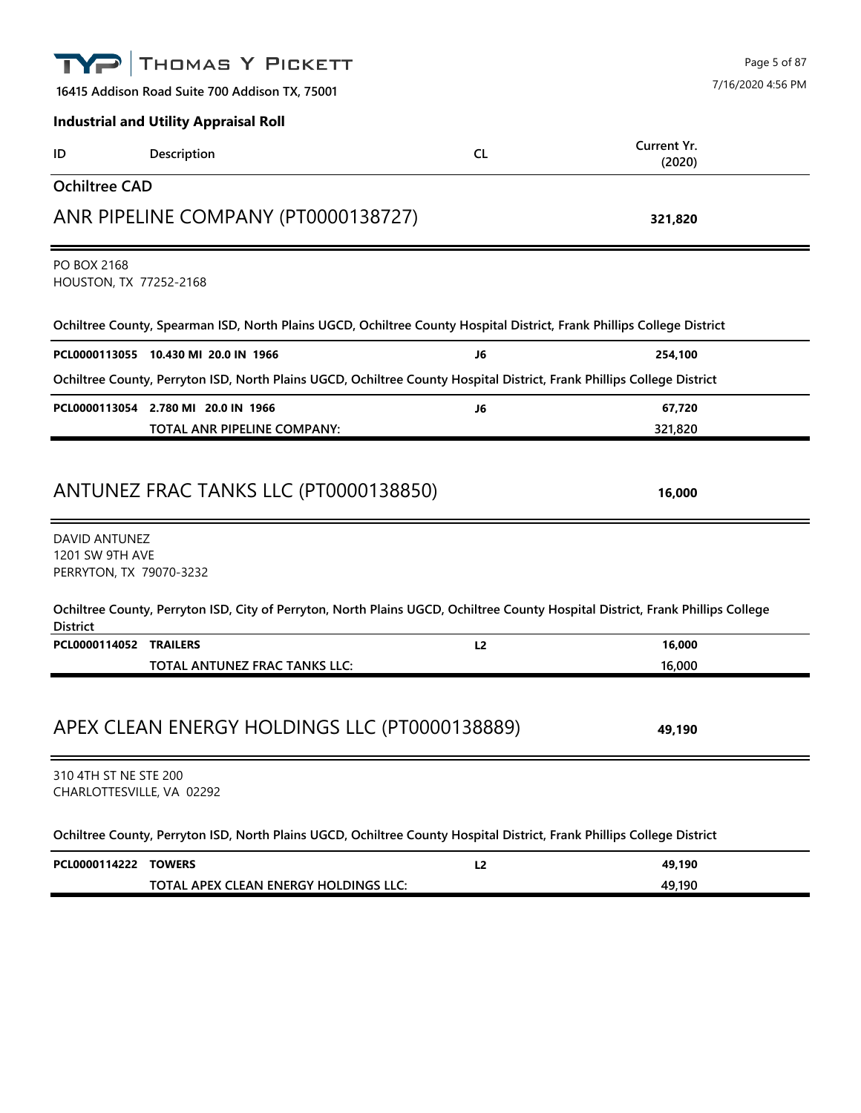|                                                             | THOMAS Y PICKETT                                                                                                                |                | Page 5 of 87          |
|-------------------------------------------------------------|---------------------------------------------------------------------------------------------------------------------------------|----------------|-----------------------|
|                                                             | 16415 Addison Road Suite 700 Addison TX, 75001                                                                                  |                | 7/16/2020 4:56 PM     |
|                                                             | <b>Industrial and Utility Appraisal Roll</b>                                                                                    |                |                       |
| ID                                                          | Description                                                                                                                     | <b>CL</b>      | Current Yr.<br>(2020) |
| <b>Ochiltree CAD</b>                                        |                                                                                                                                 |                |                       |
|                                                             | ANR PIPELINE COMPANY (PT0000138727)                                                                                             |                | 321,820               |
| PO BOX 2168<br>HOUSTON, TX 77252-2168                       |                                                                                                                                 |                |                       |
|                                                             | Ochiltree County, Spearman ISD, North Plains UGCD, Ochiltree County Hospital District, Frank Phillips College District          |                |                       |
|                                                             | PCL0000113055 10.430 MI 20.0 IN 1966                                                                                            | J6             | 254,100               |
|                                                             | Ochiltree County, Perryton ISD, North Plains UGCD, Ochiltree County Hospital District, Frank Phillips College District          |                |                       |
|                                                             | PCL0000113054 2.780 MI 20.0 IN 1966                                                                                             | J6             | 67,720                |
|                                                             | TOTAL ANR PIPELINE COMPANY:                                                                                                     |                | 321,820               |
|                                                             | ANTUNEZ FRAC TANKS LLC (PT0000138850)                                                                                           |                | 16,000                |
| DAVID ANTUNEZ<br>1201 SW 9TH AVE<br>PERRYTON, TX 79070-3232 |                                                                                                                                 |                |                       |
| <b>District</b>                                             | Ochiltree County, Perryton ISD, City of Perryton, North Plains UGCD, Ochiltree County Hospital District, Frank Phillips College |                |                       |
| PCL0000114052 TRAILERS                                      |                                                                                                                                 | L <sub>2</sub> | 16,000                |
|                                                             | TOTAL ANTUNEZ FRAC TANKS LLC:                                                                                                   |                | 16,000                |
|                                                             | APEX CLEAN ENERGY HOLDINGS LLC (PT0000138889)                                                                                   |                | 49,190                |
| 310 4TH ST NE STE 200<br>CHARLOTTESVILLE, VA 02292          |                                                                                                                                 |                |                       |
|                                                             | Ochiltree County, Perryton ISD, North Plains UGCD, Ochiltree County Hospital District, Frank Phillips College District          |                |                       |
| PCL0000114222 TOWERS                                        |                                                                                                                                 | L2             | 49,190                |
|                                                             | TOTAL APEX CLEAN ENERGY HOLDINGS LLC:                                                                                           |                | 49,190                |
|                                                             |                                                                                                                                 |                |                       |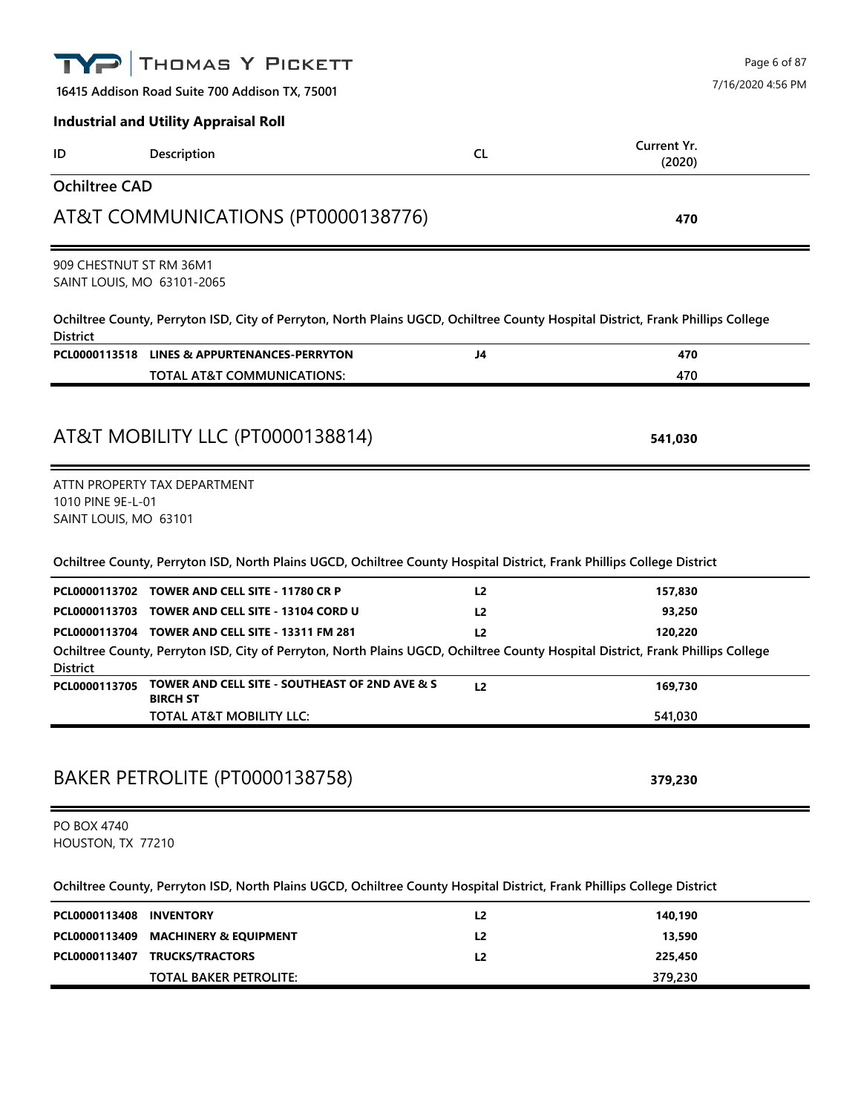|                                                       | THOMAS Y PICKETT                                                                                                                |                | Page 6 of 87          |
|-------------------------------------------------------|---------------------------------------------------------------------------------------------------------------------------------|----------------|-----------------------|
|                                                       | 16415 Addison Road Suite 700 Addison TX, 75001                                                                                  |                | 7/16/2020 4:56 PM     |
|                                                       | <b>Industrial and Utility Appraisal Roll</b>                                                                                    |                |                       |
| ID                                                    | Description                                                                                                                     | <b>CL</b>      | Current Yr.<br>(2020) |
| <b>Ochiltree CAD</b>                                  |                                                                                                                                 |                |                       |
|                                                       | AT&T COMMUNICATIONS (PT0000138776)                                                                                              |                | 470                   |
| 909 CHESTNUT ST RM 36M1<br>SAINT LOUIS, MO 63101-2065 |                                                                                                                                 |                |                       |
| <b>District</b>                                       | Ochiltree County, Perryton ISD, City of Perryton, North Plains UGCD, Ochiltree County Hospital District, Frank Phillips College |                |                       |
|                                                       | PCL0000113518 LINES & APPURTENANCES-PERRYTON                                                                                    | J4             | 470                   |
|                                                       | TOTAL AT&T COMMUNICATIONS:                                                                                                      |                | 470                   |
|                                                       |                                                                                                                                 |                |                       |
|                                                       | AT&T MOBILITY LLC (PT0000138814)                                                                                                |                | 541,030               |
|                                                       |                                                                                                                                 |                |                       |
| 1010 PINE 9E-L-01<br>SAINT LOUIS, MO 63101            | ATTN PROPERTY TAX DEPARTMENT                                                                                                    |                |                       |
|                                                       | Ochiltree County, Perryton ISD, North Plains UGCD, Ochiltree County Hospital District, Frank Phillips College District          |                |                       |
|                                                       | PCL0000113702 TOWER AND CELL SITE - 11780 CR P                                                                                  | L <sub>2</sub> | 157,830               |
|                                                       | PCL0000113703 TOWER AND CELL SITE - 13104 CORD U                                                                                | L <sub>2</sub> | 93,250                |
|                                                       | PCL0000113704 TOWER AND CELL SITE - 13311 FM 281                                                                                | L <sub>2</sub> | 120,220               |
|                                                       | Ochiltree County, Perryton ISD, City of Perryton, North Plains UGCD, Ochiltree County Hospital District, Frank Phillips College |                |                       |
| <b>District</b><br>PCL0000113705                      | TOWER AND CELL SITE - SOUTHEAST OF 2ND AVE & S                                                                                  | L2             | 169,730               |
|                                                       | <b>BIRCH ST</b>                                                                                                                 |                |                       |
|                                                       | TOTAL AT&T MOBILITY LLC:                                                                                                        |                | 541,030               |
|                                                       | BAKER PETROLITE (PT0000138758)                                                                                                  |                | 379,230               |
| PO BOX 4740<br>HOUSTON, TX 77210                      |                                                                                                                                 |                |                       |
|                                                       | Ochiltree County, Perryton ISD, North Plains UGCD, Ochiltree County Hospital District, Frank Phillips College District          |                |                       |
| PCL0000113408                                         | <b>INVENTORY</b>                                                                                                                | L2             | 140,190               |
| PCL0000113409                                         | <b>MACHINERY &amp; EQUIPMENT</b>                                                                                                | L <sub>2</sub> | 13,590                |
|                                                       | PCL0000113407 TRUCKS/TRACTORS                                                                                                   | L <sub>2</sub> | 225,450               |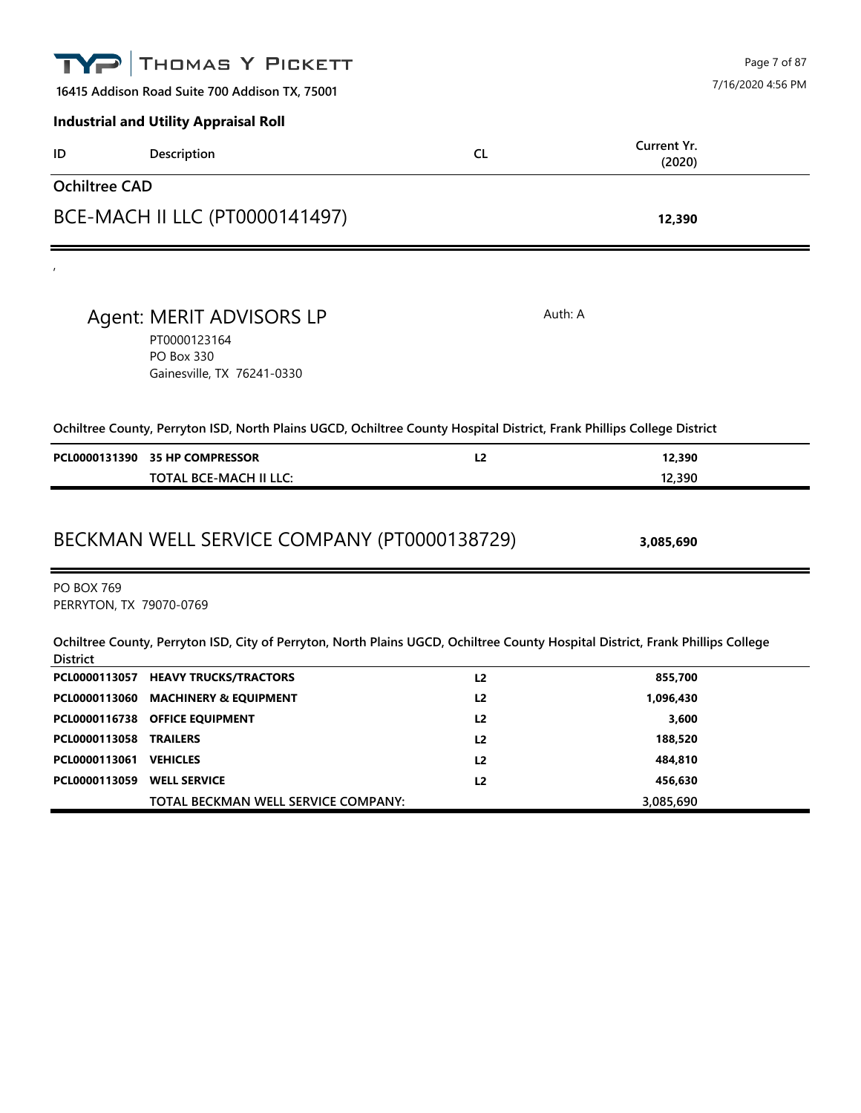|                                              | THOMAS Y PICKETT                                                                                                                |                | Page 7 of 87          |
|----------------------------------------------|---------------------------------------------------------------------------------------------------------------------------------|----------------|-----------------------|
|                                              | 16415 Addison Road Suite 700 Addison TX, 75001                                                                                  |                | 7/16/2020 4:56 PM     |
|                                              | <b>Industrial and Utility Appraisal Roll</b>                                                                                    |                |                       |
| ID                                           | Description                                                                                                                     | <b>CL</b>      | Current Yr.<br>(2020) |
| <b>Ochiltree CAD</b>                         |                                                                                                                                 |                |                       |
|                                              | BCE-MACH II LLC (PT0000141497)                                                                                                  |                | 12,390                |
|                                              |                                                                                                                                 |                |                       |
|                                              | Agent: MERIT ADVISORS LP<br>PT0000123164<br><b>PO Box 330</b><br>Gainesville, TX 76241-0330                                     | Auth: A        |                       |
|                                              | Ochiltree County, Perryton ISD, North Plains UGCD, Ochiltree County Hospital District, Frank Phillips College District          |                |                       |
|                                              | PCL0000131390 35 HP COMPRESSOR                                                                                                  | L2             | 12,390                |
|                                              | <b>TOTAL BCE-MACH II LLC:</b>                                                                                                   |                | 12,390                |
| <b>PO BOX 769</b><br>PERRYTON, TX 79070-0769 | BECKMAN WELL SERVICE COMPANY (PT0000138729)                                                                                     |                | 3,085,690             |
| <b>District</b>                              | Ochiltree County, Perryton ISD, City of Perryton, North Plains UGCD, Ochiltree County Hospital District, Frank Phillips College |                |                       |
|                                              | PCL0000113057 HEAVY TRUCKS/TRACTORS                                                                                             | L <sub>2</sub> | 855,700               |
|                                              | PCL0000113060 MACHINERY & EQUIPMENT                                                                                             | L <sub>2</sub> | 1,096,430             |
|                                              | PCL0000116738 OFFICE EQUIPMENT                                                                                                  | L2             | 3,600                 |
| PCL0000113058 TRAILERS                       |                                                                                                                                 | L2             | 188,520               |
| PCL0000113061 VEHICLES                       |                                                                                                                                 | L <sub>2</sub> | 484,810               |
| PCL0000113059 WELL SERVICE                   |                                                                                                                                 | L2             | 456,630               |
|                                              | TOTAL BECKMAN WELL SERVICE COMPANY:                                                                                             |                | 3,085,690             |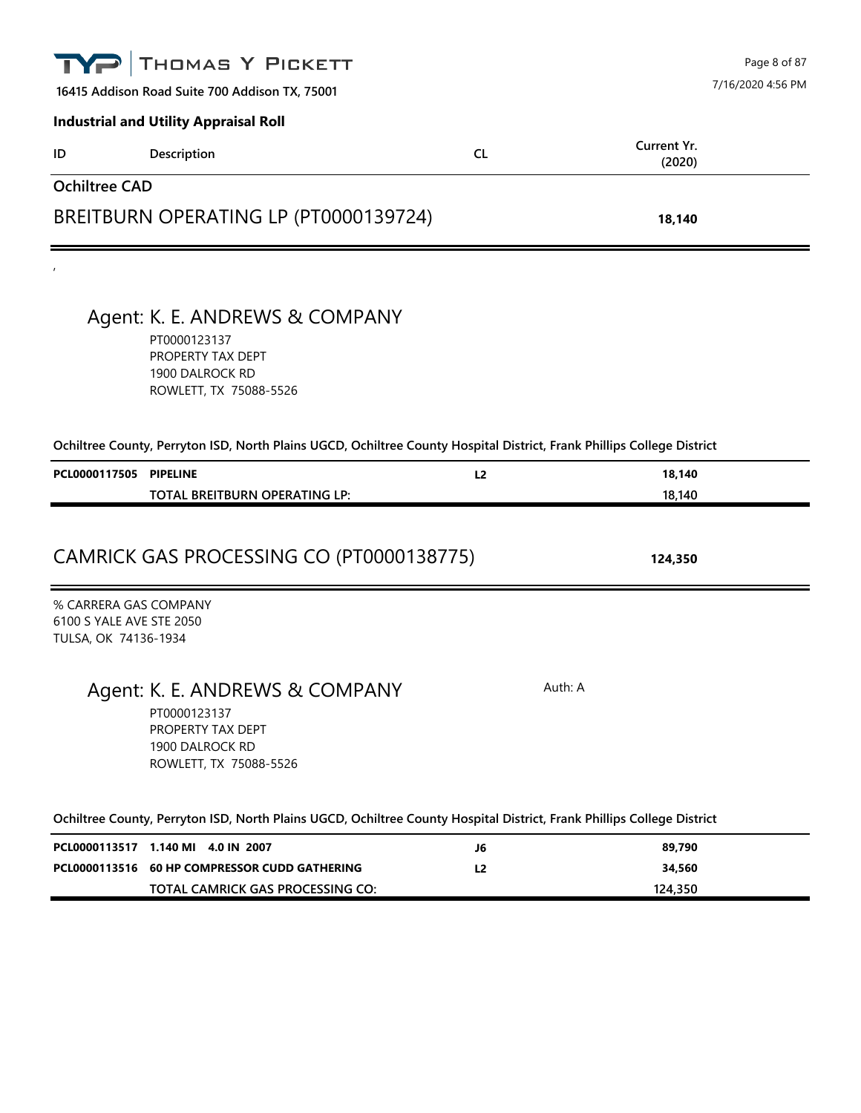|                                                                           | THOMAS Y PICKETT                                                                                                                                                                                                                           |                |                       | Page 8 of 87      |
|---------------------------------------------------------------------------|--------------------------------------------------------------------------------------------------------------------------------------------------------------------------------------------------------------------------------------------|----------------|-----------------------|-------------------|
|                                                                           | 16415 Addison Road Suite 700 Addison TX, 75001                                                                                                                                                                                             |                |                       | 7/16/2020 4:56 PM |
|                                                                           | <b>Industrial and Utility Appraisal Roll</b>                                                                                                                                                                                               |                |                       |                   |
| ID                                                                        | Description                                                                                                                                                                                                                                | CL.            | Current Yr.<br>(2020) |                   |
| <b>Ochiltree CAD</b>                                                      |                                                                                                                                                                                                                                            |                |                       |                   |
|                                                                           | BREITBURN OPERATING LP (PT0000139724)                                                                                                                                                                                                      |                | 18,140                |                   |
|                                                                           |                                                                                                                                                                                                                                            |                |                       |                   |
|                                                                           | Agent: K. E. ANDREWS & COMPANY<br>PT0000123137<br>PROPERTY TAX DEPT<br>1900 DALROCK RD<br>ROWLETT, TX 75088-5526                                                                                                                           |                |                       |                   |
|                                                                           | Ochiltree County, Perryton ISD, North Plains UGCD, Ochiltree County Hospital District, Frank Phillips College District                                                                                                                     |                |                       |                   |
| PCL0000117505 PIPELINE                                                    |                                                                                                                                                                                                                                            | L <sub>2</sub> | 18,140                |                   |
|                                                                           | TOTAL BREITBURN OPERATING LP:                                                                                                                                                                                                              |                | 18,140                |                   |
|                                                                           | CAMRICK GAS PROCESSING CO (PT0000138775)                                                                                                                                                                                                   |                | 124,350               |                   |
| % CARRERA GAS COMPANY<br>6100 S YALE AVE STE 2050<br>TULSA, OK 74136-1934 |                                                                                                                                                                                                                                            |                |                       |                   |
|                                                                           | Agent: K. E. ANDREWS & COMPANY<br>PT0000123137<br>PROPERTY TAX DEPT<br>1900 DALROCK RD<br>ROWLETT, TX 75088-5526<br>Ochiltree County, Perryton ISD, North Plains UGCD, Ochiltree County Hospital District, Frank Phillips College District |                | Auth: A               |                   |
|                                                                           | PCL0000113517 1.140 MI 4.0 IN 2007                                                                                                                                                                                                         | J6             | 89,790                |                   |
|                                                                           | PCL0000113516 60 HP COMPRESSOR CUDD GATHERING                                                                                                                                                                                              | L <sub>2</sub> | 34,560                |                   |
|                                                                           | TOTAL CAMRICK GAS PROCESSING CO:                                                                                                                                                                                                           |                | 124,350               |                   |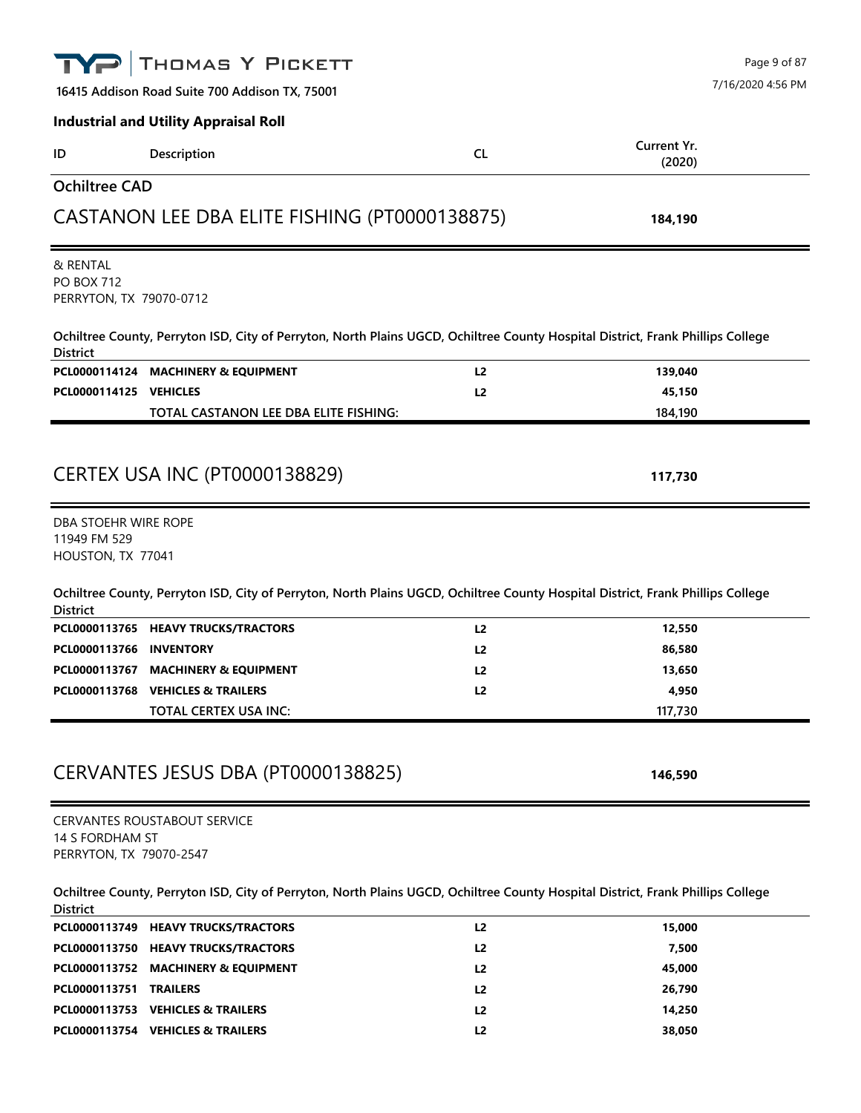|                                                          | THOMAS Y PICKETT                                                                                                                |                |             | Page 9 of 87      |
|----------------------------------------------------------|---------------------------------------------------------------------------------------------------------------------------------|----------------|-------------|-------------------|
|                                                          | 16415 Addison Road Suite 700 Addison TX, 75001                                                                                  |                |             | 7/16/2020 4:56 PM |
|                                                          | <b>Industrial and Utility Appraisal Roll</b>                                                                                    |                |             |                   |
|                                                          |                                                                                                                                 | <b>CL</b>      | Current Yr. |                   |
| ID                                                       | Description                                                                                                                     |                | (2020)      |                   |
| <b>Ochiltree CAD</b>                                     |                                                                                                                                 |                |             |                   |
|                                                          | CASTANON LEE DBA ELITE FISHING (PT0000138875)                                                                                   |                | 184,190     |                   |
| & RENTAL<br><b>PO BOX 712</b><br>PERRYTON, TX 79070-0712 |                                                                                                                                 |                |             |                   |
| <b>District</b>                                          | Ochiltree County, Perryton ISD, City of Perryton, North Plains UGCD, Ochiltree County Hospital District, Frank Phillips College |                |             |                   |
|                                                          | PCL0000114124 MACHINERY & EQUIPMENT                                                                                             | L2             | 139,040     |                   |
| PCL0000114125 VEHICLES                                   |                                                                                                                                 | L2             | 45,150      |                   |
|                                                          | TOTAL CASTANON LEE DBA ELITE FISHING:                                                                                           |                | 184,190     |                   |
|                                                          |                                                                                                                                 |                |             |                   |
|                                                          | <b>CERTEX USA INC (PT0000138829)</b>                                                                                            |                | 117,730     |                   |
| DBA STOEHR WIRE ROPE                                     |                                                                                                                                 |                |             |                   |
| 11949 FM 529                                             |                                                                                                                                 |                |             |                   |
| HOUSTON, TX 77041                                        |                                                                                                                                 |                |             |                   |
| <b>District</b>                                          | Ochiltree County, Perryton ISD, City of Perryton, North Plains UGCD, Ochiltree County Hospital District, Frank Phillips College |                |             |                   |
|                                                          | PCL0000113765 HEAVY TRUCKS/TRACTORS                                                                                             | L <sub>2</sub> | 12,550      |                   |
| PCL0000113766                                            | <b>INVENTORY</b>                                                                                                                | L2             | 86,580      |                   |
|                                                          | PCL0000113767 MACHINERY & EQUIPMENT                                                                                             | L2             | 13,650      |                   |
|                                                          | PCL0000113768 VEHICLES & TRAILERS                                                                                               | L <sub>2</sub> | 4,950       |                   |
|                                                          | <b>TOTAL CERTEX USA INC:</b>                                                                                                    |                | 117,730     |                   |
|                                                          |                                                                                                                                 |                |             |                   |
|                                                          | CERVANTES JESUS DBA (PT0000138825)                                                                                              |                | 146,590     |                   |
|                                                          | <b>CERVANTES ROUSTABOUT SERVICE</b>                                                                                             |                |             |                   |
| 14 S FORDHAM ST                                          |                                                                                                                                 |                |             |                   |
| PERRYTON, TX 79070-2547                                  |                                                                                                                                 |                |             |                   |
| <b>District</b>                                          | Ochiltree County, Perryton ISD, City of Perryton, North Plains UGCD, Ochiltree County Hospital District, Frank Phillips College |                |             |                   |
|                                                          | PCL0000113749 HEAVY TRUCKS/TRACTORS                                                                                             | L <sub>2</sub> | 15,000      |                   |
|                                                          | PCL0000113750 HEAVY TRUCKS/TRACTORS                                                                                             | L2             | 7,500       |                   |
|                                                          | PCL0000113752 MACHINERY & EQUIPMENT                                                                                             | L2             | 45,000      |                   |
| PCL0000113751 TRAILERS                                   |                                                                                                                                 | L2             | 26,790      |                   |
|                                                          | PCL0000113753 VEHICLES & TRAILERS                                                                                               | L2             | 14,250      |                   |
|                                                          | PCL0000113754 VEHICLES & TRAILERS                                                                                               | L2             | 38,050      |                   |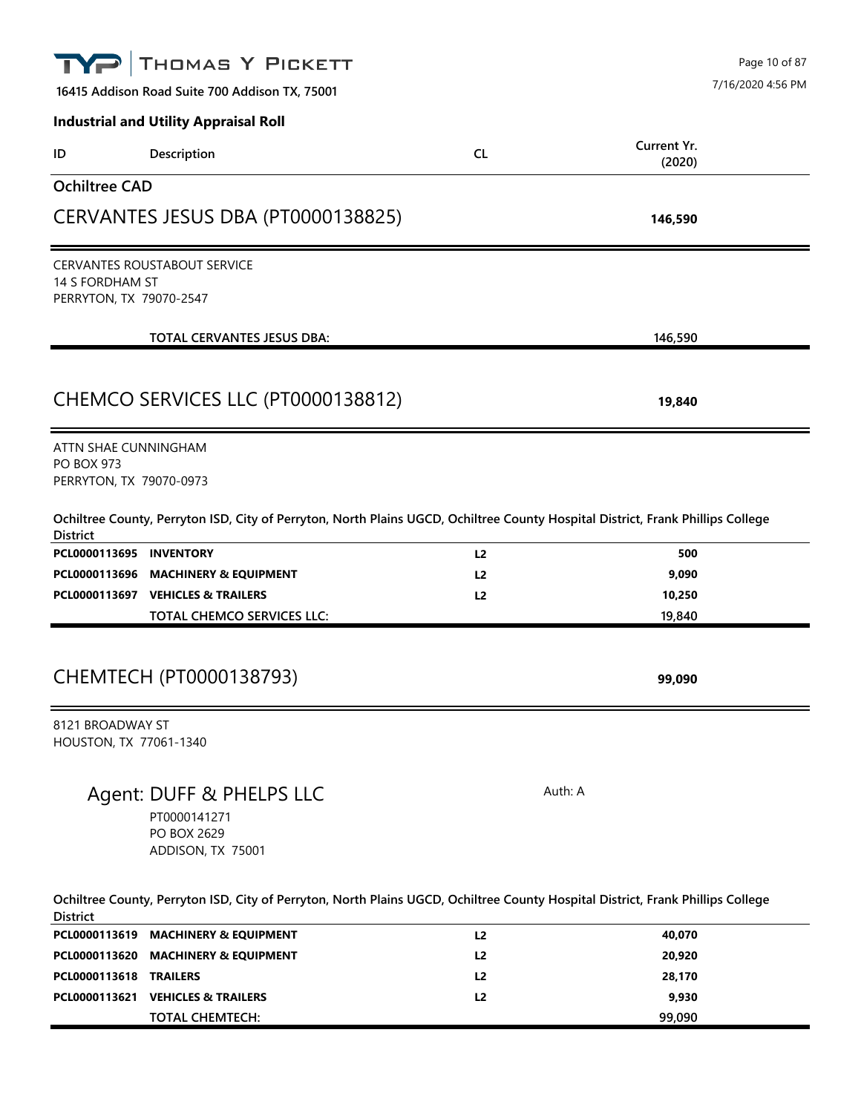|                         | THOMAS Y PICKETT                                                                                                                |                |             | Page 10 of 87     |
|-------------------------|---------------------------------------------------------------------------------------------------------------------------------|----------------|-------------|-------------------|
|                         | 16415 Addison Road Suite 700 Addison TX, 75001                                                                                  |                |             | 7/16/2020 4:56 PM |
|                         | <b>Industrial and Utility Appraisal Roll</b>                                                                                    |                |             |                   |
| ID                      | Description                                                                                                                     | <b>CL</b>      | Current Yr. |                   |
|                         |                                                                                                                                 |                | (2020)      |                   |
| <b>Ochiltree CAD</b>    |                                                                                                                                 |                |             |                   |
|                         | CERVANTES JESUS DBA (PT0000138825)                                                                                              |                | 146,590     |                   |
|                         | <b>CERVANTES ROUSTABOUT SERVICE</b>                                                                                             |                |             |                   |
| 14 S FORDHAM ST         |                                                                                                                                 |                |             |                   |
| PERRYTON, TX 79070-2547 |                                                                                                                                 |                |             |                   |
|                         | <b>TOTAL CERVANTES JESUS DBA:</b>                                                                                               |                | 146,590     |                   |
|                         |                                                                                                                                 |                |             |                   |
|                         | CHEMCO SERVICES LLC (PT0000138812)                                                                                              |                | 19,840      |                   |
| ATTN SHAE CUNNINGHAM    |                                                                                                                                 |                |             |                   |
| <b>PO BOX 973</b>       |                                                                                                                                 |                |             |                   |
| PERRYTON, TX 79070-0973 |                                                                                                                                 |                |             |                   |
| <b>District</b>         | Ochiltree County, Perryton ISD, City of Perryton, North Plains UGCD, Ochiltree County Hospital District, Frank Phillips College |                |             |                   |
| PCL0000113695 INVENTORY |                                                                                                                                 | L <sub>2</sub> | 500         |                   |
|                         | PCL0000113696 MACHINERY & EQUIPMENT                                                                                             | L <sub>2</sub> | 9,090       |                   |
|                         | PCL0000113697 VEHICLES & TRAILERS                                                                                               | L <sub>2</sub> | 10,250      |                   |
|                         | <b>TOTAL CHEMCO SERVICES LLC:</b>                                                                                               |                | 19,840      |                   |
|                         | CHEMTECH (PT0000138793)                                                                                                         |                |             |                   |
|                         |                                                                                                                                 |                | 99,090      |                   |
| 8121 BROADWAY ST        |                                                                                                                                 |                |             |                   |
| HOUSTON, TX 77061-1340  |                                                                                                                                 |                |             |                   |
|                         |                                                                                                                                 |                | Auth: A     |                   |
|                         | Agent: DUFF & PHELPS LLC                                                                                                        |                |             |                   |
|                         | PT0000141271<br>PO BOX 2629                                                                                                     |                |             |                   |
|                         | ADDISON, TX 75001                                                                                                               |                |             |                   |
|                         |                                                                                                                                 |                |             |                   |
| <b>District</b>         | Ochiltree County, Perryton ISD, City of Perryton, North Plains UGCD, Ochiltree County Hospital District, Frank Phillips College |                |             |                   |
|                         | PCL0000113619 MACHINERY & EQUIPMENT                                                                                             | L2             | 40,070      |                   |
|                         | PCL0000113620 MACHINERY & EQUIPMENT                                                                                             | L2             | 20,920      |                   |
| PCL0000113618 TRAILERS  |                                                                                                                                 | L <sub>2</sub> | 28,170      |                   |
|                         | PCL0000113621 VEHICLES & TRAILERS                                                                                               | L2             | 9,930       |                   |
|                         | <b>TOTAL CHEMTECH:</b>                                                                                                          |                | 99,090      |                   |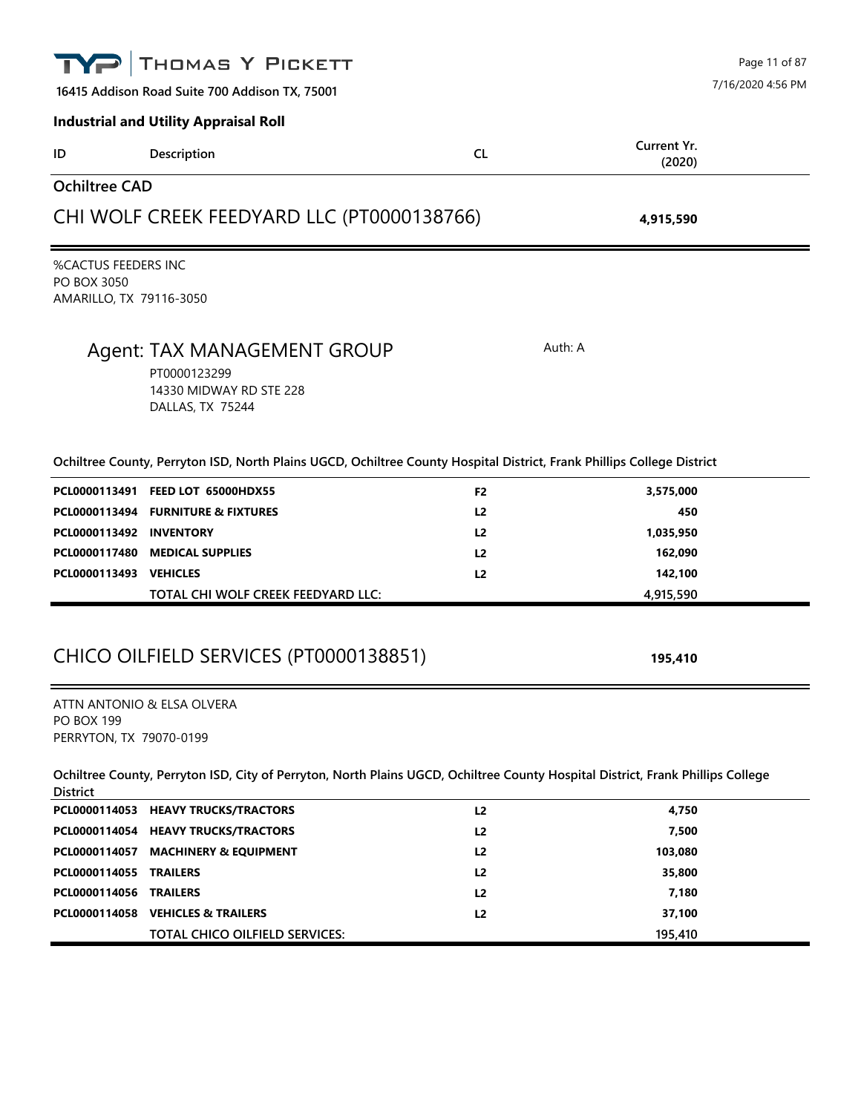|                                                                      | THOMAS Y PICKETT                                                                                                                |                                  |                       | Page 11 of 87     |
|----------------------------------------------------------------------|---------------------------------------------------------------------------------------------------------------------------------|----------------------------------|-----------------------|-------------------|
|                                                                      | 16415 Addison Road Suite 700 Addison TX, 75001                                                                                  |                                  |                       | 7/16/2020 4:56 PM |
|                                                                      | <b>Industrial and Utility Appraisal Roll</b>                                                                                    |                                  |                       |                   |
| ID                                                                   | Description                                                                                                                     | <b>CL</b>                        | Current Yr.<br>(2020) |                   |
| <b>Ochiltree CAD</b>                                                 |                                                                                                                                 |                                  |                       |                   |
|                                                                      | CHI WOLF CREEK FEEDYARD LLC (PT0000138766)                                                                                      |                                  | 4,915,590             |                   |
| <b>%CACTUS FEEDERS INC</b><br>PO BOX 3050<br>AMARILLO, TX 79116-3050 |                                                                                                                                 |                                  |                       |                   |
|                                                                      | Agent: TAX MANAGEMENT GROUP<br>PT0000123299<br>14330 MIDWAY RD STE 228<br>DALLAS, TX 75244                                      |                                  | Auth: A               |                   |
|                                                                      | Ochiltree County, Perryton ISD, North Plains UGCD, Ochiltree County Hospital District, Frank Phillips College District          |                                  |                       |                   |
| PCL0000113494                                                        | PCL0000113491 FEED LOT 65000HDX55<br><b>FURNITURE &amp; FIXTURES</b>                                                            | F <sub>2</sub><br>L <sub>2</sub> | 3,575,000<br>450      |                   |
| PCL0000113492                                                        | <b>INVENTORY</b>                                                                                                                | L <sub>2</sub>                   | 1,035,950             |                   |
| PCL0000117480<br>PCL0000113493 VEHICLES                              | <b>MEDICAL SUPPLIES</b>                                                                                                         | L <sub>2</sub><br>L <sub>2</sub> | 162,090<br>142,100    |                   |
|                                                                      | TOTAL CHI WOLF CREEK FEEDYARD LLC:                                                                                              |                                  | 4,915,590             |                   |
|                                                                      | CHICO OILFIELD SERVICES (PT0000138851)                                                                                          |                                  | 195,410               |                   |
| <b>PO BOX 199</b><br>PERRYTON, TX 79070-0199                         | ATTN ANTONIO & ELSA OLVERA                                                                                                      |                                  |                       |                   |
| <b>District</b>                                                      | Ochiltree County, Perryton ISD, City of Perryton, North Plains UGCD, Ochiltree County Hospital District, Frank Phillips College |                                  |                       |                   |
|                                                                      | PCL0000114053 HEAVY TRUCKS/TRACTORS                                                                                             | L2                               | 4,750                 |                   |
|                                                                      | PCL0000114054 HEAVY TRUCKS/TRACTORS                                                                                             | L <sub>2</sub>                   | 7,500                 |                   |
| PCL0000114057                                                        | <b>MACHINERY &amp; EQUIPMENT</b>                                                                                                | L <sub>2</sub>                   | 103,080               |                   |
| PCL0000114055 TRAILERS                                               |                                                                                                                                 | L <sub>2</sub>                   | 35,800                |                   |
| PCL0000114056 TRAILERS                                               |                                                                                                                                 | L <sub>2</sub>                   | 7,180                 |                   |
|                                                                      | PCL0000114058 VEHICLES & TRAILERS<br>TOTAL CHICO OILFIELD SERVICES:                                                             | L <sub>2</sub>                   | 37,100<br>195,410     |                   |
|                                                                      |                                                                                                                                 |                                  |                       |                   |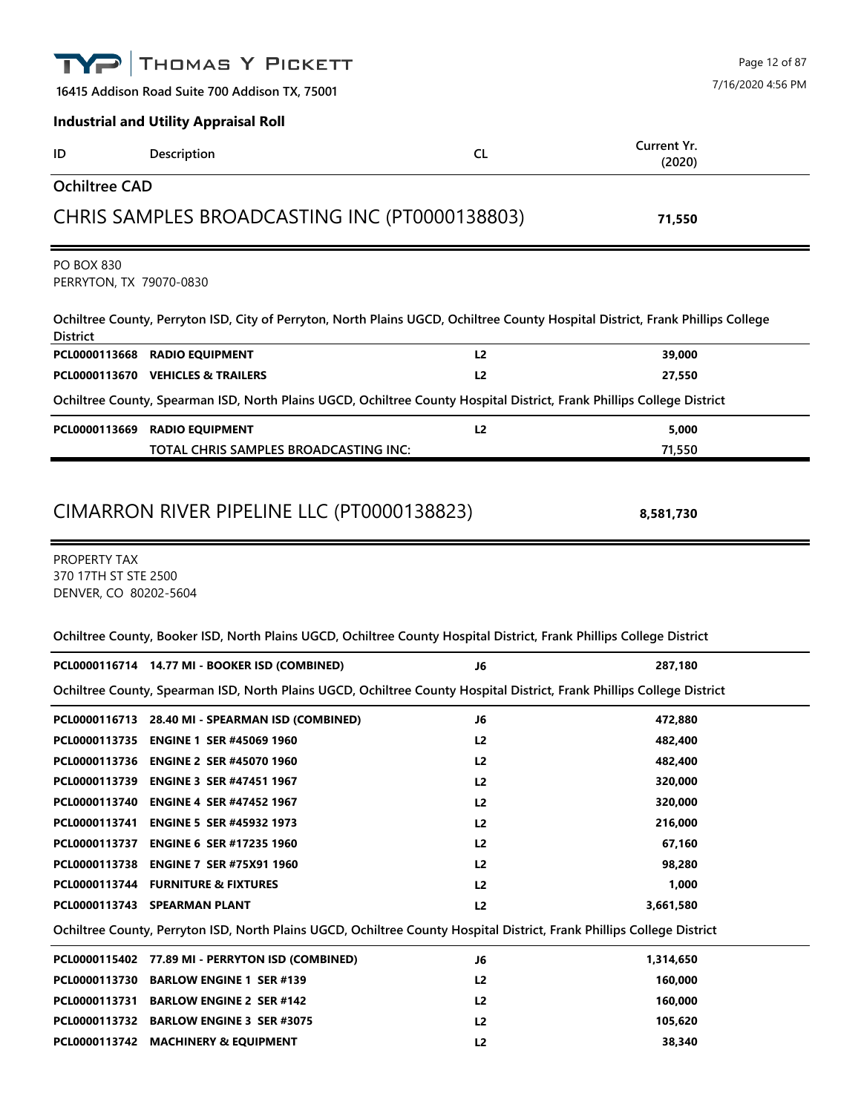|                                                               | THOMAS Y PICKETT                                                                                                                |                | Page 12 of 87         |
|---------------------------------------------------------------|---------------------------------------------------------------------------------------------------------------------------------|----------------|-----------------------|
|                                                               | 16415 Addison Road Suite 700 Addison TX, 75001                                                                                  |                | 7/16/2020 4:56 PM     |
|                                                               | <b>Industrial and Utility Appraisal Roll</b>                                                                                    |                |                       |
| ID                                                            | Description                                                                                                                     | <b>CL</b>      | Current Yr.<br>(2020) |
| <b>Ochiltree CAD</b>                                          |                                                                                                                                 |                |                       |
|                                                               | CHRIS SAMPLES BROADCASTING INC (PT0000138803)                                                                                   |                | 71,550                |
| <b>PO BOX 830</b><br>PERRYTON, TX 79070-0830                  |                                                                                                                                 |                |                       |
| <b>District</b>                                               | Ochiltree County, Perryton ISD, City of Perryton, North Plains UGCD, Ochiltree County Hospital District, Frank Phillips College |                |                       |
| PCL0000113668                                                 | <b>RADIO EQUIPMENT</b>                                                                                                          | L2             | 39,000                |
|                                                               | PCL0000113670 VEHICLES & TRAILERS                                                                                               | L2             | 27,550                |
|                                                               | Ochiltree County, Spearman ISD, North Plains UGCD, Ochiltree County Hospital District, Frank Phillips College District          |                |                       |
|                                                               | PCL0000113669 RADIO EQUIPMENT                                                                                                   | L2             | 5,000                 |
|                                                               | TOTAL CHRIS SAMPLES BROADCASTING INC:                                                                                           |                | 71,550                |
| PROPERTY TAX<br>370 17TH ST STE 2500<br>DENVER, CO 80202-5604 |                                                                                                                                 |                |                       |
|                                                               | Ochiltree County, Booker ISD, North Plains UGCD, Ochiltree County Hospital District, Frank Phillips College District            |                |                       |
|                                                               | PCL0000116714 14.77 MI - BOOKER ISD (COMBINED)                                                                                  | J6             | 287,180               |
|                                                               | Ochiltree County, Spearman ISD, North Plains UGCD, Ochiltree County Hospital District, Frank Phillips College District          |                |                       |
|                                                               | PCL0000116713 28.40 MI - SPEARMAN ISD (COMBINED)                                                                                | J6             | 472,880               |
|                                                               | PCL0000113735 ENGINE 1 SER #45069 1960                                                                                          | L <sub>2</sub> | 482,400               |
|                                                               | PCL0000113736 ENGINE 2 SER #45070 1960                                                                                          | L <sub>2</sub> | 482,400               |
|                                                               | PCL0000113739 ENGINE 3 SER #47451 1967                                                                                          | L <sub>2</sub> | 320,000               |
| PCL0000113740                                                 | <b>ENGINE 4 SER #47452 1967</b>                                                                                                 | L <sub>2</sub> | 320,000               |
| PCL0000113741                                                 | <b>ENGINE 5 SER #45932 1973</b>                                                                                                 | L <sub>2</sub> | 216,000               |
|                                                               | PCL0000113737 ENGINE 6 SER #17235 1960                                                                                          | L2             | 67,160                |
|                                                               | PCL0000113738 ENGINE 7 SER #75X91 1960                                                                                          | L <sub>2</sub> | 98,280                |
|                                                               | PCL0000113744 FURNITURE & FIXTURES                                                                                              | L <sub>2</sub> | 1,000                 |
|                                                               | PCL0000113743 SPEARMAN PLANT                                                                                                    | L <sub>2</sub> | 3,661,580             |
|                                                               | Ochiltree County, Perryton ISD, North Plains UGCD, Ochiltree County Hospital District, Frank Phillips College District          |                |                       |
|                                                               | PCL0000115402 77.89 MI - PERRYTON ISD (COMBINED)                                                                                | J6             | 1,314,650             |
|                                                               | PCL0000113730 BARLOW ENGINE 1 SER #139                                                                                          | L <sub>2</sub> | 160,000               |
|                                                               | PCL0000113731 BARLOW ENGINE 2 SER #142                                                                                          | L <sub>2</sub> | 160,000               |
|                                                               | PCL0000113732 BARLOW ENGINE 3 SER #3075                                                                                         | L <sub>2</sub> | 105,620               |
|                                                               | PCL0000113742 MACHINERY & EQUIPMENT                                                                                             | L2             | 38,340                |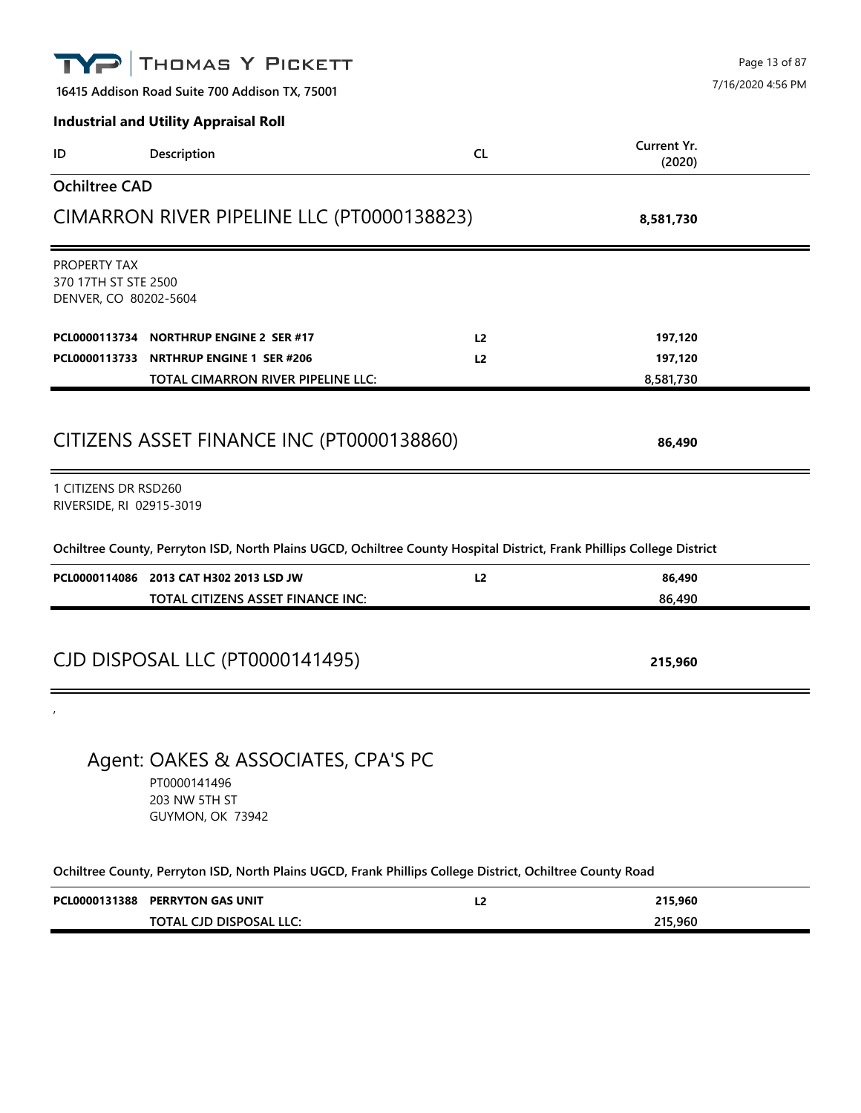|                                                               | THOMAS Y PICKETT                                                                                                       |                | Page 13 of 87         |
|---------------------------------------------------------------|------------------------------------------------------------------------------------------------------------------------|----------------|-----------------------|
| 16415 Addison Road Suite 700 Addison TX, 75001                |                                                                                                                        |                | 7/16/2020 4:56 PM     |
|                                                               | <b>Industrial and Utility Appraisal Roll</b>                                                                           |                |                       |
| ID                                                            | Description                                                                                                            | <b>CL</b>      | Current Yr.<br>(2020) |
| <b>Ochiltree CAD</b>                                          |                                                                                                                        |                |                       |
|                                                               | CIMARRON RIVER PIPELINE LLC (PT0000138823)                                                                             |                | 8,581,730             |
| PROPERTY TAX<br>370 17TH ST STE 2500<br>DENVER, CO 80202-5604 |                                                                                                                        |                |                       |
| PCL0000113734                                                 | <b>NORTHRUP ENGINE 2 SER #17</b>                                                                                       | L <sub>2</sub> | 197,120               |
|                                                               | PCL0000113733 NRTHRUP ENGINE 1 SER #206                                                                                | L2             | 197,120               |
|                                                               | TOTAL CIMARRON RIVER PIPELINE LLC:                                                                                     |                | 8,581,730             |
| 1 CITIZENS DR RSD260<br>RIVERSIDE, RI 02915-3019              | CITIZENS ASSET FINANCE INC (PT0000138860)                                                                              |                | 86,490                |
|                                                               | Ochiltree County, Perryton ISD, North Plains UGCD, Ochiltree County Hospital District, Frank Phillips College District |                |                       |
|                                                               | PCL0000114086 2013 CAT H302 2013 LSD JW                                                                                | L2             | 86,490                |
|                                                               | TOTAL CITIZENS ASSET FINANCE INC:                                                                                      |                | 86,490                |
|                                                               | CJD DISPOSAL LLC (PT0000141495)                                                                                        |                | 215,960               |
|                                                               |                                                                                                                        |                |                       |
|                                                               | Agent: OAKES & ASSOCIATES, CPA'S PC<br>PT0000141496<br>203 NW 5TH ST<br>GUYMON, OK 73942                               |                |                       |
|                                                               | Ochiltree County, Perryton ISD, North Plains UGCD, Frank Phillips College District, Ochiltree County Road              |                |                       |
|                                                               | PCL0000131388 PERRYTON GAS UNIT                                                                                        | L2             | 215,960               |
|                                                               | TOTAL CJD DISPOSAL LLC:                                                                                                |                | 215,960               |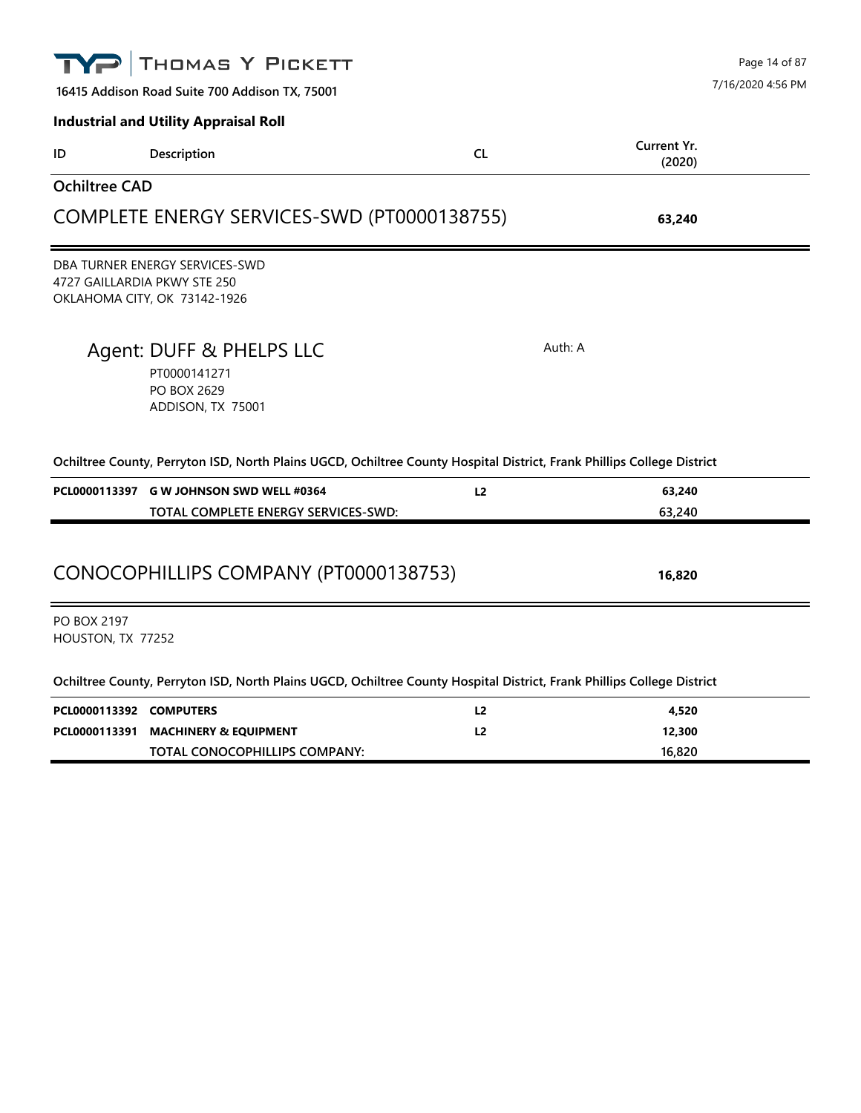| 16415 Addison Road Suite 700 Addison TX, 75001<br><b>Industrial and Utility Appraisal Roll</b><br>Current Yr.<br>CL<br>Description<br>ID |  |
|------------------------------------------------------------------------------------------------------------------------------------------|--|
|                                                                                                                                          |  |
| (2020)                                                                                                                                   |  |
| <b>Ochiltree CAD</b>                                                                                                                     |  |
| COMPLETE ENERGY SERVICES-SWD (PT0000138755)<br>63,240                                                                                    |  |
| DBA TURNER ENERGY SERVICES-SWD<br>4727 GAILLARDIA PKWY STE 250<br>OKLAHOMA CITY, OK 73142-1926                                           |  |
| Auth: A<br>Agent: DUFF & PHELPS LLC<br>PT0000141271<br><b>PO BOX 2629</b><br>ADDISON, TX 75001                                           |  |
| Ochiltree County, Perryton ISD, North Plains UGCD, Ochiltree County Hospital District, Frank Phillips College District                   |  |
| PCL0000113397 G W JOHNSON SWD WELL #0364<br>63,240<br>L <sub>2</sub><br>63,240<br>TOTAL COMPLETE ENERGY SERVICES-SWD:                    |  |
| CONOCOPHILLIPS COMPANY (PT0000138753)<br>16,820                                                                                          |  |
| <b>PO BOX 2197</b><br>HOUSTON, TX 77252                                                                                                  |  |
| Ochiltree County, Perryton ISD, North Plains UGCD, Ochiltree County Hospital District, Frank Phillips College District                   |  |
| PCL0000113392 COMPUTERS<br>L <sub>2</sub><br>4,520<br>L <sub>2</sub><br>12,300<br>PCL0000113391 MACHINERY & EQUIPMENT                    |  |

**TOTAL CONOCOPHILLIPS COMPANY: 16,820**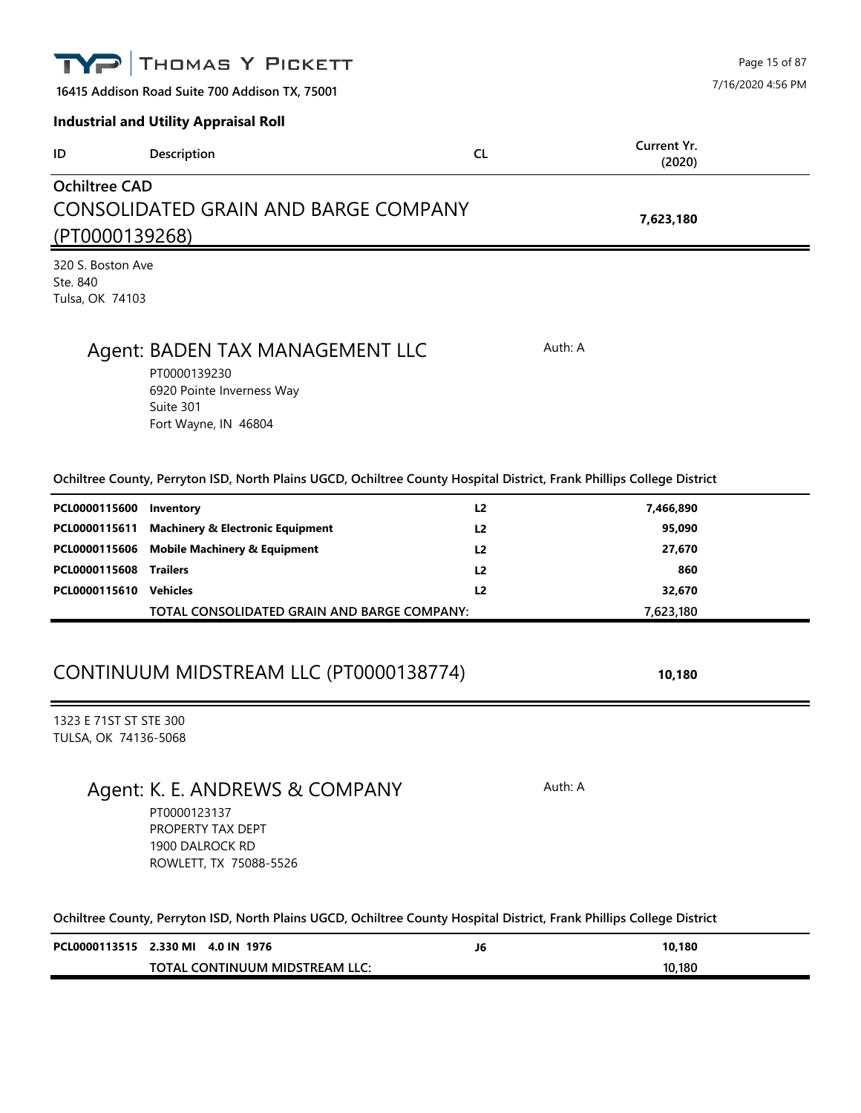| IYP                                                                 | THOMAS Y PICKETT                             |                                      |         | Page 15 of 87         |
|---------------------------------------------------------------------|----------------------------------------------|--------------------------------------|---------|-----------------------|
| 7/16/2020 4:56 PM<br>16415 Addison Road Suite 700 Addison TX, 75001 |                                              |                                      |         |                       |
|                                                                     | <b>Industrial and Utility Appraisal Roll</b> |                                      |         |                       |
| ID                                                                  | Description                                  | <b>CL</b>                            |         | Current Yr.<br>(2020) |
| <b>Ochiltree CAD</b>                                                |                                              |                                      |         |                       |
|                                                                     |                                              | CONSOLIDATED GRAIN AND BARGE COMPANY |         | 7,623,180             |
|                                                                     | (PT0000139268)                               |                                      |         |                       |
| 320 S. Boston Ave                                                   |                                              |                                      |         |                       |
| Ste. 840<br>Tulsa, OK 74103                                         |                                              |                                      |         |                       |
|                                                                     |                                              |                                      |         |                       |
|                                                                     | Agent: BADEN TAX MANAGEMENT LLC              |                                      | Auth: A |                       |

PT0000139230 6920 Pointe Inverness Way Suite 301 Fort Wayne, IN 46804

#### **Ochiltree County, Perryton ISD, North Plains UGCD, Ochiltree County Hospital District, Frank Phillips College District**

| PCL0000115600 Inventory       |                                                | L2             | 7,466,890 |  |
|-------------------------------|------------------------------------------------|----------------|-----------|--|
|                               | PCL0000115611 Machinery & Electronic Equipment | L2             | 95,090    |  |
|                               | PCL0000115606 Mobile Machinery & Equipment     | L2             | 27,670    |  |
| <b>PCL0000115608 Trailers</b> |                                                | L <sub>2</sub> | 860       |  |
| PCL0000115610                 | Vehicles                                       | L2             | 32,670    |  |
|                               | TOTAL CONSOLIDATED GRAIN AND BARGE COMPANY:    |                | 7,623,180 |  |

#### CONTINUUM MIDSTREAM LLC (PT0000138774) **10,180**

1323 E 71ST ST STE 300 TULSA, OK 74136-5068

#### Agent: K. E. ANDREWS & COMPANY Auth: A

PT0000123137 PROPERTY TAX DEPT 1900 DALROCK RD ROWLETT, TX 75088-5526

| PCL0000113515 2.330 MI 4.0 IN 1976 | J6 | 10,180 |
|------------------------------------|----|--------|
| TOTAL CONTINUUM MIDSTREAM LLC:     |    | 10.180 |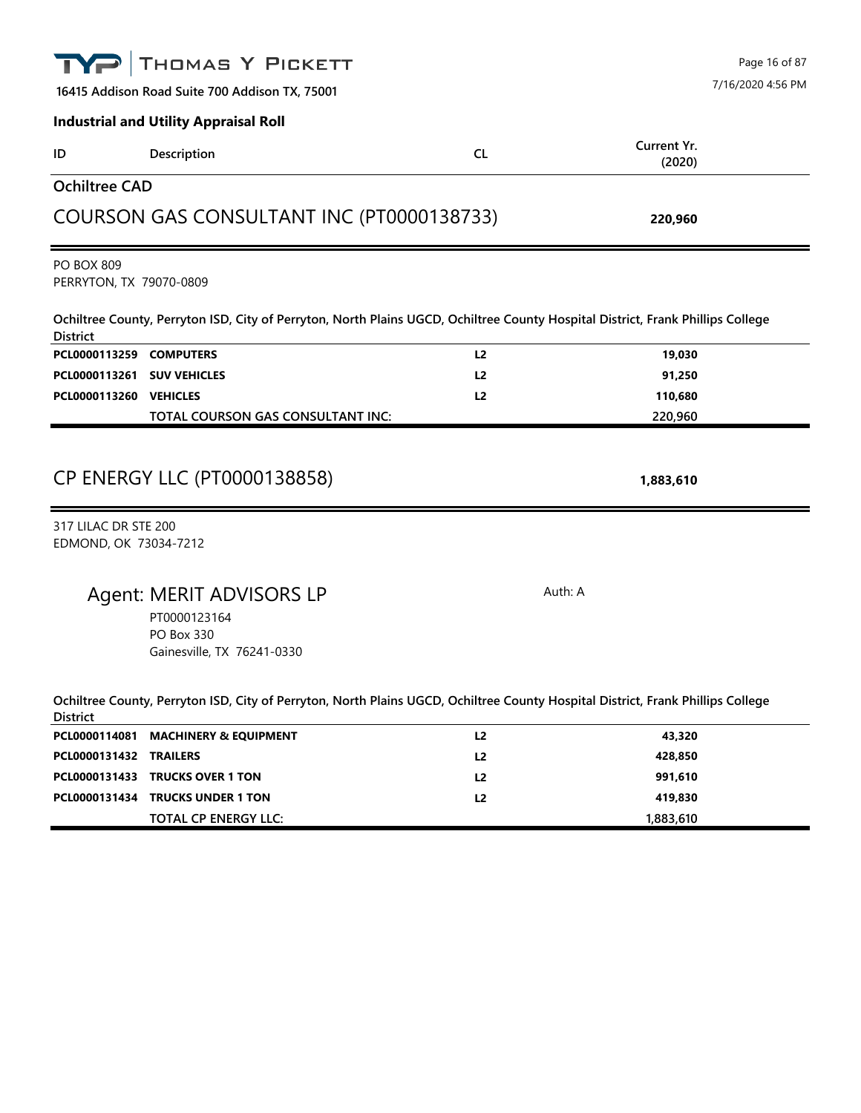|                                               | THOMAS Y PICKETT                                                                                                                |                | Page 16 of 87         |  |  |
|-----------------------------------------------|---------------------------------------------------------------------------------------------------------------------------------|----------------|-----------------------|--|--|
|                                               | 16415 Addison Road Suite 700 Addison TX, 75001                                                                                  |                |                       |  |  |
|                                               | <b>Industrial and Utility Appraisal Roll</b>                                                                                    |                |                       |  |  |
| ID                                            | Description                                                                                                                     | <b>CL</b>      | Current Yr.<br>(2020) |  |  |
| <b>Ochiltree CAD</b>                          |                                                                                                                                 |                |                       |  |  |
|                                               | COURSON GAS CONSULTANT INC (PT0000138733)                                                                                       |                | 220,960               |  |  |
| <b>PO BOX 809</b><br>PERRYTON, TX 79070-0809  |                                                                                                                                 |                |                       |  |  |
| <b>District</b>                               | Ochiltree County, Perryton ISD, City of Perryton, North Plains UGCD, Ochiltree County Hospital District, Frank Phillips College |                |                       |  |  |
| PCL0000113259 COMPUTERS                       |                                                                                                                                 | L <sub>2</sub> | 19,030                |  |  |
| PCL0000113261                                 | <b>SUV VEHICLES</b>                                                                                                             | L <sub>2</sub> | 91,250                |  |  |
| PCL0000113260 VEHICLES                        |                                                                                                                                 | L <sub>2</sub> | 110,680               |  |  |
|                                               | TOTAL COURSON GAS CONSULTANT INC:                                                                                               |                | 220,960               |  |  |
|                                               | CP ENERGY LLC (PT0000138858)                                                                                                    |                | 1,883,610             |  |  |
| 317 LILAC DR STE 200<br>EDMOND, OK 73034-7212 |                                                                                                                                 |                |                       |  |  |
|                                               | Agent: MERIT ADVISORS LP<br>PT0000123164<br><b>PO Box 330</b><br>Gainesville, TX 76241-0330                                     | Auth: A        |                       |  |  |
| <b>District</b>                               | Ochiltree County, Perryton ISD, City of Perryton, North Plains UGCD, Ochiltree County Hospital District, Frank Phillips College |                |                       |  |  |
| PCL0000114081                                 | <b>MACHINERY &amp; EQUIPMENT</b>                                                                                                | L2             | 43,320                |  |  |
| PCL0000131432                                 | <b>TRAILERS</b>                                                                                                                 | L <sub>2</sub> | 428,850               |  |  |
| PCL0000131433                                 | <b>TRUCKS OVER 1 TON</b>                                                                                                        | L <sub>2</sub> | 991,610               |  |  |
| PCL0000131434                                 | <b>TRUCKS UNDER 1 TON</b>                                                                                                       | L2             | 419,830               |  |  |
|                                               | <b>TOTAL CP ENERGY LLC:</b>                                                                                                     |                | 1,883,610             |  |  |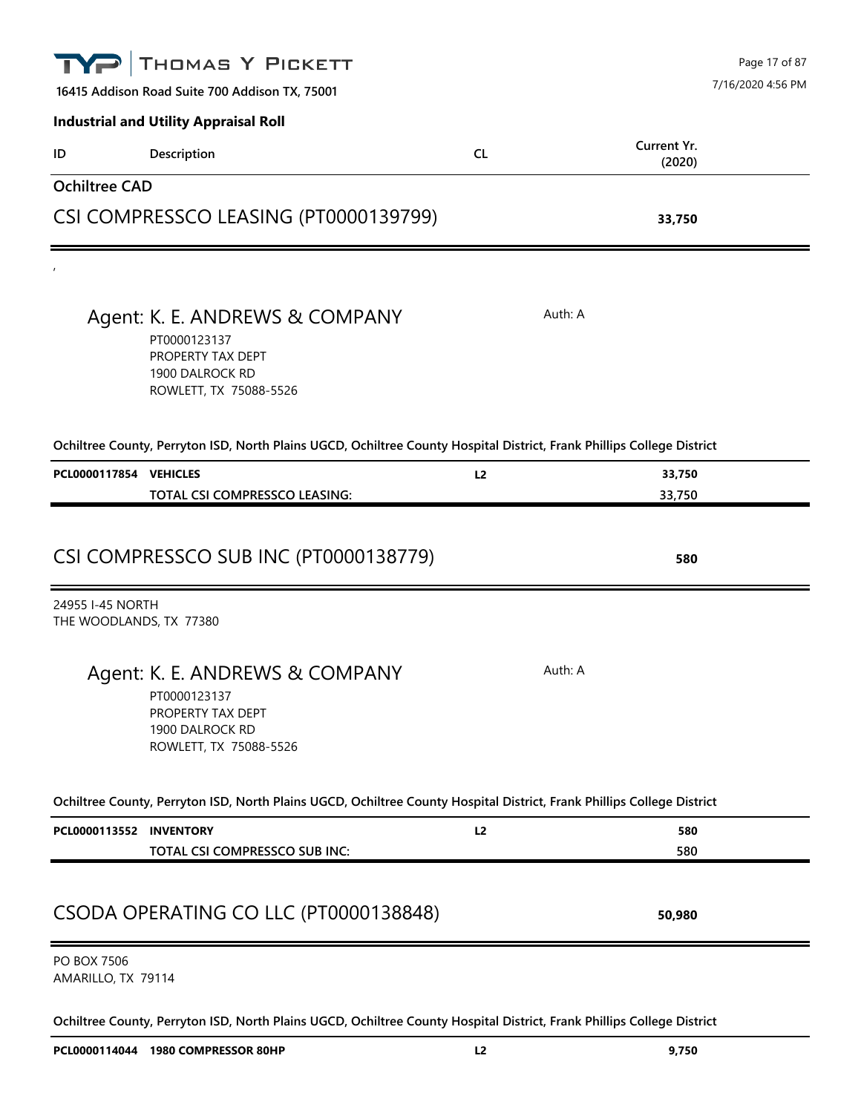|                                   | THOMAS Y PICKETT                                                                                                       |           | Page 17 of 87         |
|-----------------------------------|------------------------------------------------------------------------------------------------------------------------|-----------|-----------------------|
|                                   | 16415 Addison Road Suite 700 Addison TX, 75001                                                                         |           | 7/16/2020 4:56 PM     |
|                                   | <b>Industrial and Utility Appraisal Roll</b>                                                                           |           |                       |
| ID                                | Description                                                                                                            | <b>CL</b> | Current Yr.<br>(2020) |
| <b>Ochiltree CAD</b>              |                                                                                                                        |           |                       |
|                                   | CSI COMPRESSCO LEASING (PT0000139799)                                                                                  |           | 33,750                |
|                                   |                                                                                                                        |           |                       |
|                                   | Agent: K. E. ANDREWS & COMPANY<br>PT0000123137<br>PROPERTY TAX DEPT<br>1900 DALROCK RD<br>ROWLETT, TX 75088-5526       | Auth: A   |                       |
|                                   | Ochiltree County, Perryton ISD, North Plains UGCD, Ochiltree County Hospital District, Frank Phillips College District |           |                       |
| PCL0000117854 VEHICLES            |                                                                                                                        | L2        | 33,750                |
|                                   | TOTAL CSI COMPRESSCO LEASING:                                                                                          |           | 33,750                |
| 24955 I-45 NORTH                  | CSI COMPRESSCO SUB INC (PT0000138779)                                                                                  |           | 580                   |
| THE WOODLANDS, TX 77380           |                                                                                                                        |           |                       |
|                                   | Agent: K. E. ANDREWS & COMPANY<br>PT0000123137<br>PROPERTY TAX DEPT<br>1900 DALROCK RD<br>ROWLETT, TX 75088-5526       | Auth: A   |                       |
|                                   | Ochiltree County, Perryton ISD, North Plains UGCD, Ochiltree County Hospital District, Frank Phillips College District |           |                       |
| PCL0000113552 INVENTORY           |                                                                                                                        | L2        | 580                   |
|                                   | TOTAL CSI COMPRESSCO SUB INC:                                                                                          |           | 580                   |
|                                   | CSODA OPERATING CO LLC (PT0000138848)                                                                                  |           | 50,980                |
| PO BOX 7506<br>AMARILLO, TX 79114 |                                                                                                                        |           |                       |
|                                   | Ochiltree County, Perryton ISD, North Plains UGCD, Ochiltree County Hospital District, Frank Phillips College District |           |                       |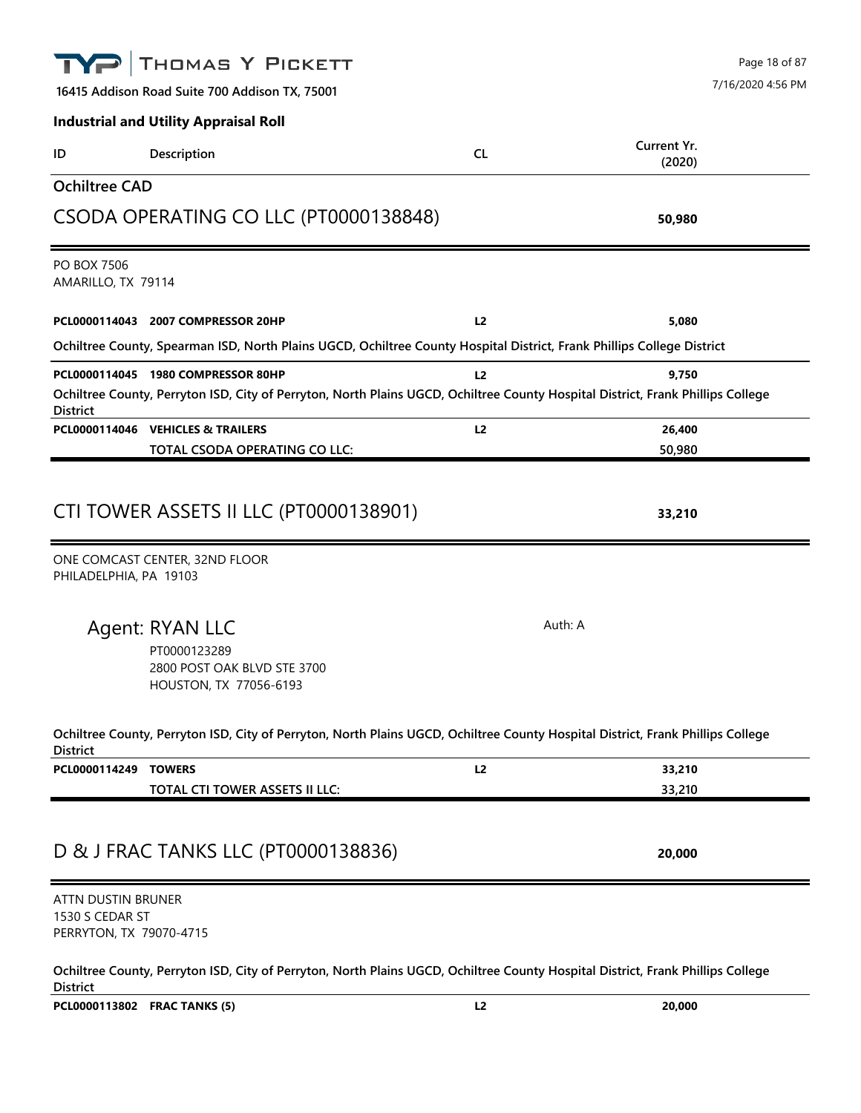## THOMAS Y PICKETT Page 18 of 87 7/16/2020 4:56 PM**16415 Addison Road Suite 700 Addison TX, 75001 Industrial and Utility Appraisal Roll Current Yr. ID Description CL (2020) Ochiltree CAD** CSODA OPERATING CO LLC (PT0000138848) **50,980** PO BOX 7506 AMARILLO, TX 79114 **PCL0000114043 2007 COMPRESSOR 20HP L2 5,080 Ochiltree County, Spearman ISD, North Plains UGCD, Ochiltree County Hospital District, Frank Phillips College District PCL0000114045 1980 COMPRESSOR 80HP L2 9,750 Ochiltree County, Perryton ISD, City of Perryton, North Plains UGCD, Ochiltree County Hospital District, Frank Phillips College District PCL0000114046 VEHICLES & TRAILERS L2 26,400 TOTAL CSODA OPERATING CO LLC: 50,980** CTI TOWER ASSETS II LLC (PT0000138901) **33,210** ONE COMCAST CENTER, 32ND FLOOR PHILADELPHIA, PA 19103 Agent: RYAN LLC Auth: A PT0000123289 2800 POST OAK BLVD STE 3700 HOUSTON, TX 77056-6193 **Ochiltree County, Perryton ISD, City of Perryton, North Plains UGCD, Ochiltree County Hospital District, Frank Phillips College District PCL0000114249 TOWERS L2 33,210 TOTAL CTI TOWER ASSETS II LLC: 33,210**

### D & J FRAC TANKS LLC (PT0000138836) **20,000**

ATTN DUSTIN BRUNER 1530 S CEDAR ST PERRYTON, TX 79070-4715

**Ochiltree County, Perryton ISD, City of Perryton, North Plains UGCD, Ochiltree County Hospital District, Frank Phillips College District**

**PCL0000113802 FRAC TANKS (5) L2 20,000**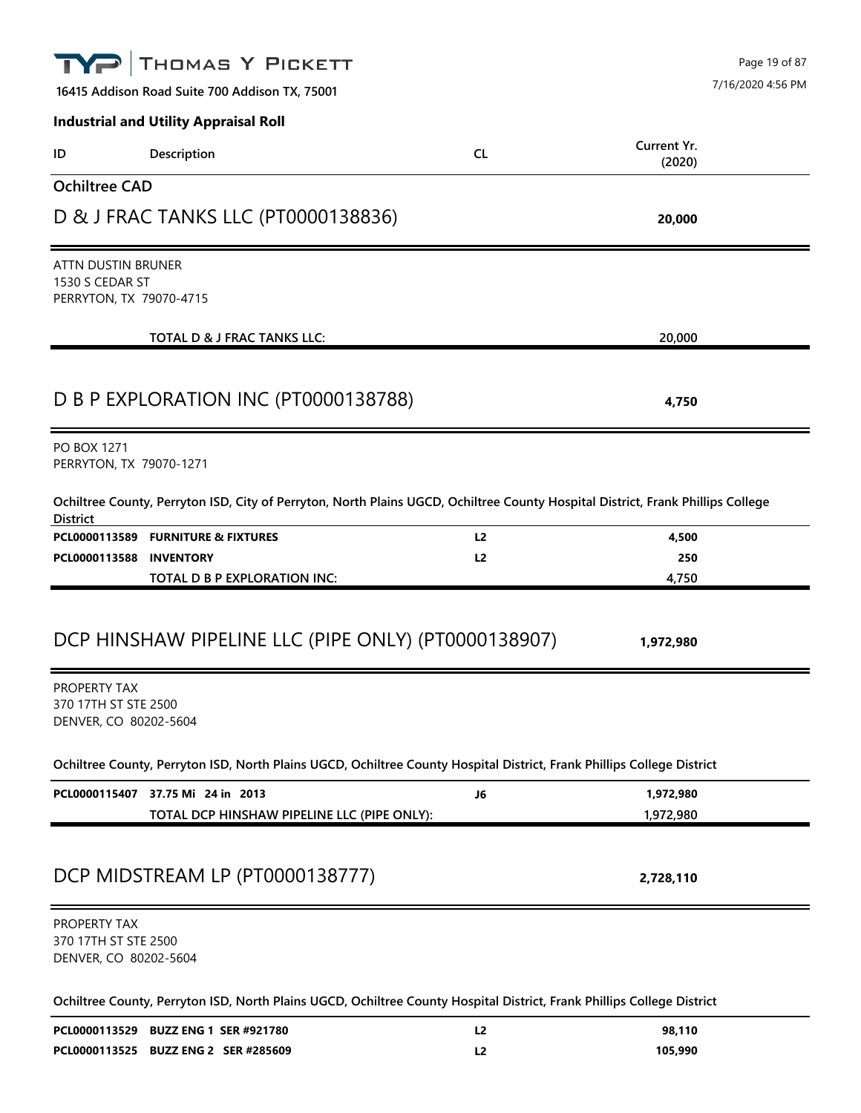|                                                                  | THOMAS Y PICKETT<br>16415 Addison Road Suite 700 Addison TX, 75001                                                              |                | Page 19 of 87<br>7/16/2020 4:56 PM |
|------------------------------------------------------------------|---------------------------------------------------------------------------------------------------------------------------------|----------------|------------------------------------|
|                                                                  | <b>Industrial and Utility Appraisal Roll</b>                                                                                    |                |                                    |
| ID                                                               | Description                                                                                                                     | <b>CL</b>      | Current Yr.<br>(2020)              |
| <b>Ochiltree CAD</b>                                             |                                                                                                                                 |                |                                    |
|                                                                  | D & J FRAC TANKS LLC (PT0000138836)                                                                                             |                | 20,000                             |
| ATTN DUSTIN BRUNER<br>1530 S CEDAR ST<br>PERRYTON, TX 79070-4715 |                                                                                                                                 |                |                                    |
|                                                                  | <b>TOTAL D &amp; J FRAC TANKS LLC:</b>                                                                                          |                | 20,000                             |
|                                                                  | D B P EXPLORATION INC (PT0000138788)                                                                                            |                | 4,750                              |
| <b>PO BOX 1271</b><br>PERRYTON, TX 79070-1271                    |                                                                                                                                 |                |                                    |
| <b>District</b>                                                  | Ochiltree County, Perryton ISD, City of Perryton, North Plains UGCD, Ochiltree County Hospital District, Frank Phillips College |                |                                    |
|                                                                  | PCL0000113589 FURNITURE & FIXTURES                                                                                              | L <sub>2</sub> | 4,500                              |
| PCL0000113588                                                    | <b>INVENTORY</b><br>TOTAL D B P EXPLORATION INC:                                                                                | L <sub>2</sub> | 250<br>4,750                       |
| PROPERTY TAX<br>370 17TH ST STE 2500<br>DENVER, CO 80202-5604    | DCP HINSHAW PIPELINE LLC (PIPE ONLY) (PT0000138907)                                                                             |                | 1,972,980                          |
|                                                                  | Ochiltree County, Perryton ISD, North Plains UGCD, Ochiltree County Hospital District, Frank Phillips College District          |                |                                    |
|                                                                  | PCL0000115407 37.75 Mi 24 in 2013<br>TOTAL DCP HINSHAW PIPELINE LLC (PIPE ONLY):                                                | J6             | 1,972,980<br>1,972,980             |
|                                                                  | DCP MIDSTREAM LP (PT0000138777)                                                                                                 |                | 2,728,110                          |
| PROPERTY TAX<br>370 17TH ST STE 2500<br>DENVER, CO 80202-5604    |                                                                                                                                 |                |                                    |
|                                                                  | Ochiltree County, Perryton ISD, North Plains UGCD, Ochiltree County Hospital District, Frank Phillips College District          |                |                                    |
|                                                                  | PCL0000113529 BUZZ ENG 1 SER #921780                                                                                            | L <sub>2</sub> | 98,110                             |
|                                                                  | PCL0000113525 BUZZ ENG 2 SER #285609                                                                                            | L <sub>2</sub> | 105,990                            |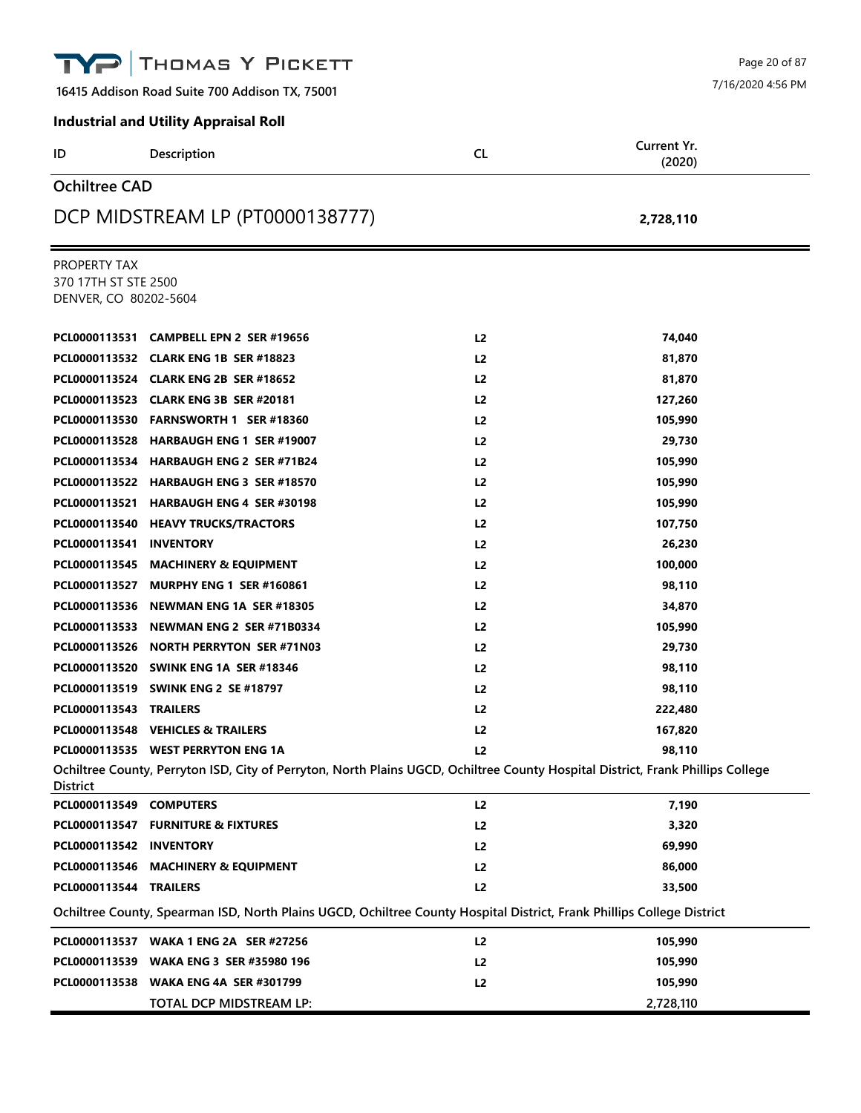|                                                               | THOMAS Y PICKETT                               |                                                                                                                                 | Page 20 of 87         |
|---------------------------------------------------------------|------------------------------------------------|---------------------------------------------------------------------------------------------------------------------------------|-----------------------|
|                                                               | 16415 Addison Road Suite 700 Addison TX, 75001 |                                                                                                                                 | 7/16/2020 4:56 PM     |
|                                                               | <b>Industrial and Utility Appraisal Roll</b>   |                                                                                                                                 |                       |
| ID                                                            | Description                                    | <b>CL</b>                                                                                                                       | Current Yr.<br>(2020) |
| <b>Ochiltree CAD</b>                                          |                                                |                                                                                                                                 |                       |
|                                                               | DCP MIDSTREAM LP (PT0000138777)                |                                                                                                                                 | 2,728,110             |
| PROPERTY TAX<br>370 17TH ST STE 2500<br>DENVER, CO 80202-5604 |                                                |                                                                                                                                 |                       |
|                                                               | PCL0000113531 CAMPBELL EPN 2 SER #19656        | L <sub>2</sub>                                                                                                                  | 74,040                |
|                                                               | PCL0000113532 CLARK ENG 1B SER #18823          | L2                                                                                                                              | 81.870                |
|                                                               | PCL0000113524 CLARK ENG 2B SER #18652          | L <sub>2</sub>                                                                                                                  | 81,870                |
|                                                               | PCL0000113523 CLARK ENG 3B SER #20181          | L <sub>2</sub>                                                                                                                  | 127,260               |
|                                                               | PCL0000113530 FARNSWORTH 1 SER #18360          | L <sub>2</sub>                                                                                                                  | 105,990               |
|                                                               | PCL0000113528 HARBAUGH ENG 1 SER #19007        | L2                                                                                                                              | 29,730                |
|                                                               | PCL0000113534 HARBAUGH ENG 2 SER #71B24        | L <sub>2</sub>                                                                                                                  | 105,990               |
|                                                               | PCL0000113522 HARBAUGH ENG 3 SER #18570        | L <sub>2</sub>                                                                                                                  | 105,990               |
|                                                               | PCL0000113521 HARBAUGH ENG 4 SER #30198        | L <sub>2</sub>                                                                                                                  | 105,990               |
|                                                               | PCL0000113540 HEAVY TRUCKS/TRACTORS            | L2                                                                                                                              | 107,750               |
| PCL0000113541                                                 | <b>INVENTORY</b>                               | L2                                                                                                                              | 26,230                |
|                                                               | PCL0000113545 MACHINERY & EQUIPMENT            | L <sub>2</sub>                                                                                                                  | 100,000               |
|                                                               | PCL0000113527 MURPHY ENG 1 SER #160861         | L <sub>2</sub>                                                                                                                  | 98,110                |
|                                                               | PCL0000113536 NEWMAN ENG 1A SER #18305         | L2                                                                                                                              | 34,870                |
|                                                               | PCL0000113533 NEWMAN ENG 2 SER #71B0334        | L2                                                                                                                              | 105,990               |
|                                                               | PCL0000113526 NORTH PERRYTON SER #71N03        | L2                                                                                                                              | 29,730                |
|                                                               | PCL0000113520 SWINK ENG 1A SER #18346          | L <sub>2</sub>                                                                                                                  | 98,110                |
|                                                               | PCL0000113519 SWINK ENG 2 SE #18797            | L2                                                                                                                              | 98,110                |
| PCL0000113543 TRAILERS                                        |                                                | L <sub>2</sub>                                                                                                                  | 222,480               |
|                                                               | PCL0000113548 VEHICLES & TRAILERS              | L2                                                                                                                              | 167,820               |
|                                                               | PCL0000113535 WEST PERRYTON ENG 1A             | L2                                                                                                                              | 98,110                |
| <b>District</b>                                               |                                                | Ochiltree County, Perryton ISD, City of Perryton, North Plains UGCD, Ochiltree County Hospital District, Frank Phillips College |                       |
| PCL0000113549 COMPUTERS                                       |                                                | L2                                                                                                                              | 7,190                 |
|                                                               | PCL0000113547 FURNITURE & FIXTURES             | L2                                                                                                                              | 3,320                 |
| PCL0000113542 INVENTORY                                       |                                                | L2                                                                                                                              | 69,990                |
|                                                               | PCL0000113546 MACHINERY & EQUIPMENT            | L2                                                                                                                              | 86,000                |
| PCL0000113544 TRAILERS                                        |                                                | L <sub>2</sub>                                                                                                                  | 33,500                |
|                                                               |                                                | Ochiltree County, Spearman ISD, North Plains UGCD, Ochiltree County Hospital District, Frank Phillips College District          |                       |
|                                                               | PCL0000113537 WAKA 1 ENG 2A SER #27256         | L2                                                                                                                              | 105,990               |
|                                                               | PCL0000113539 WAKA ENG 3 SER #35980 196        | L <sub>2</sub>                                                                                                                  | 105,990               |
|                                                               | PCL0000113538 WAKA ENG 4A SER #301799          | L <sub>2</sub>                                                                                                                  | 105,990               |
|                                                               | TOTAL DCP MIDSTREAM LP:                        |                                                                                                                                 | 2,728,110             |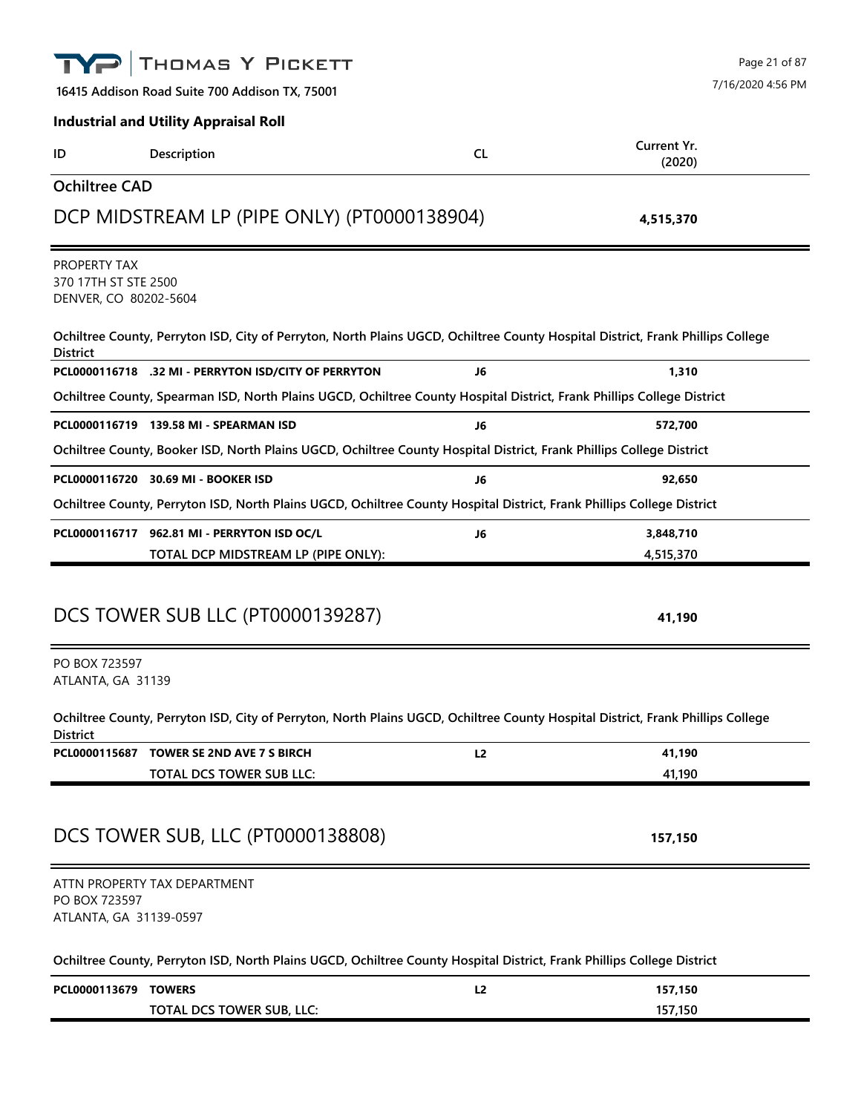|                                                               | THOMAS Y PICKETT                                                                                                                |           | Page 21 of 87         |
|---------------------------------------------------------------|---------------------------------------------------------------------------------------------------------------------------------|-----------|-----------------------|
|                                                               | 16415 Addison Road Suite 700 Addison TX, 75001                                                                                  |           | 7/16/2020 4:56 PM     |
|                                                               | <b>Industrial and Utility Appraisal Roll</b>                                                                                    |           |                       |
| ID                                                            | Description                                                                                                                     | <b>CL</b> | Current Yr.<br>(2020) |
| <b>Ochiltree CAD</b>                                          |                                                                                                                                 |           |                       |
|                                                               | DCP MIDSTREAM LP (PIPE ONLY) (PT0000138904)                                                                                     |           | 4,515,370             |
| PROPERTY TAX<br>370 17TH ST STE 2500<br>DENVER, CO 80202-5604 |                                                                                                                                 |           |                       |
| <b>District</b>                                               | Ochiltree County, Perryton ISD, City of Perryton, North Plains UGCD, Ochiltree County Hospital District, Frank Phillips College |           |                       |
|                                                               | PCL0000116718 .32 MI - PERRYTON ISD/CITY OF PERRYTON                                                                            | J6        | 1,310                 |
|                                                               | Ochiltree County, Spearman ISD, North Plains UGCD, Ochiltree County Hospital District, Frank Phillips College District          |           |                       |
|                                                               | PCL0000116719 139.58 MI - SPEARMAN ISD                                                                                          | J6        | 572,700               |
|                                                               | Ochiltree County, Booker ISD, North Plains UGCD, Ochiltree County Hospital District, Frank Phillips College District            |           |                       |
|                                                               | PCL0000116720 30.69 MI - BOOKER ISD                                                                                             | J6        | 92,650                |
|                                                               | Ochiltree County, Perryton ISD, North Plains UGCD, Ochiltree County Hospital District, Frank Phillips College District          |           |                       |
|                                                               | PCL0000116717 962.81 MI - PERRYTON ISD OC/L                                                                                     | J6        | 3,848,710             |
|                                                               | TOTAL DCP MIDSTREAM LP (PIPE ONLY):                                                                                             |           | 4,515,370             |
|                                                               | DCS TOWER SUB LLC (PT0000139287)                                                                                                |           | 41,190                |
| PO BOX 723597<br>ATLANTA, GA 31139                            |                                                                                                                                 |           |                       |
| <b>District</b>                                               | Ochiltree County, Perryton ISD, City of Perryton, North Plains UGCD, Ochiltree County Hospital District, Frank Phillips College |           |                       |
|                                                               | PCL0000115687 TOWER SE 2ND AVE 7 S BIRCH                                                                                        | L2        | 41,190                |
|                                                               | TOTAL DCS TOWER SUB LLC:                                                                                                        |           | 41,190                |
|                                                               | DCS TOWER SUB, LLC (PT0000138808)                                                                                               |           | 157,150               |
| PO BOX 723597<br>ATLANTA, GA 31139-0597                       | ATTN PROPERTY TAX DEPARTMENT                                                                                                    |           |                       |
|                                                               | Ochiltree County, Perryton ISD, North Plains UGCD, Ochiltree County Hospital District, Frank Phillips College District          |           |                       |
| PCL0000113679 TOWERS                                          |                                                                                                                                 | L2        | 157,150               |
|                                                               | TOTAL DCS TOWER SUB, LLC:                                                                                                       |           | 157,150               |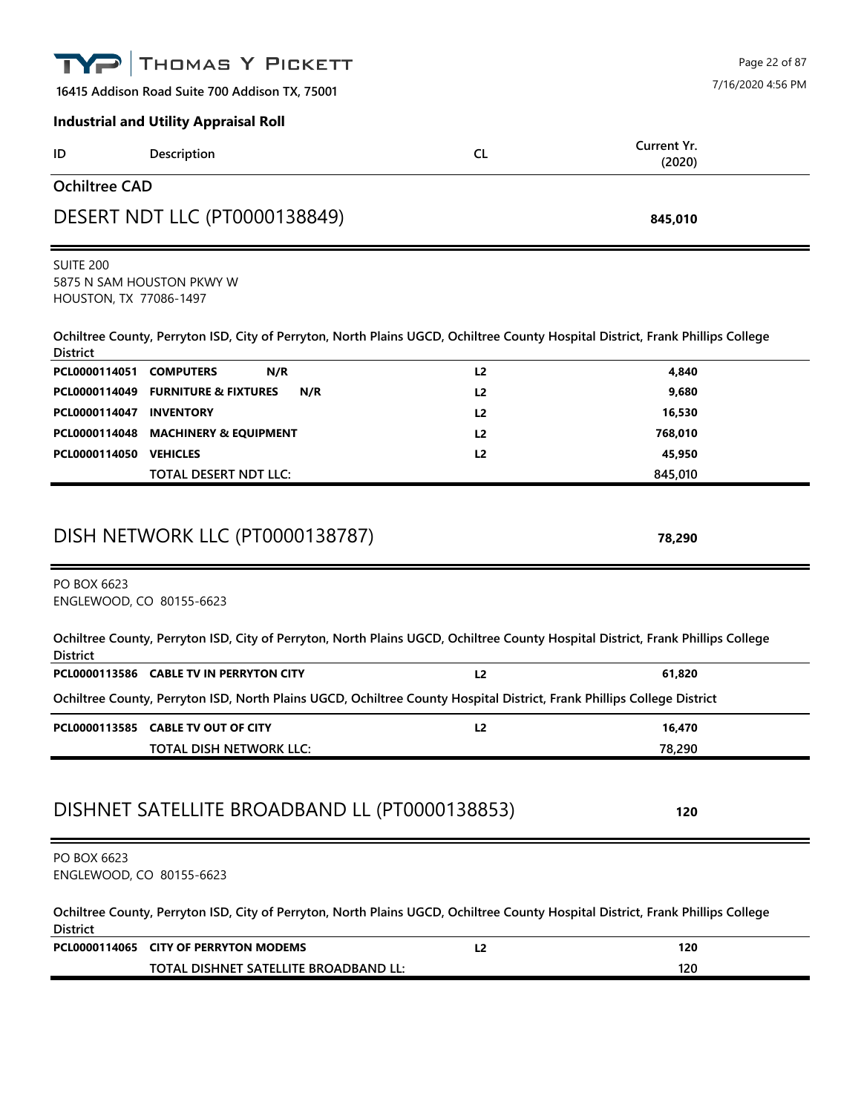|                                                                     | THOMAS Y PICKETT                                                                                                                |                | Page 22 of 87         |  |
|---------------------------------------------------------------------|---------------------------------------------------------------------------------------------------------------------------------|----------------|-----------------------|--|
| 7/16/2020 4:56 PM<br>16415 Addison Road Suite 700 Addison TX, 75001 |                                                                                                                                 |                |                       |  |
|                                                                     | <b>Industrial and Utility Appraisal Roll</b>                                                                                    |                |                       |  |
| ID                                                                  | Description                                                                                                                     | <b>CL</b>      | Current Yr.<br>(2020) |  |
| <b>Ochiltree CAD</b>                                                |                                                                                                                                 |                |                       |  |
|                                                                     | DESERT NDT LLC (PT0000138849)                                                                                                   |                | 845,010               |  |
| <b>SUITE 200</b><br>HOUSTON, TX 77086-1497                          | 5875 N SAM HOUSTON PKWY W                                                                                                       |                |                       |  |
| <b>District</b>                                                     | Ochiltree County, Perryton ISD, City of Perryton, North Plains UGCD, Ochiltree County Hospital District, Frank Phillips College |                |                       |  |
| PCL0000114051                                                       | <b>COMPUTERS</b><br>N/R                                                                                                         | L <sub>2</sub> | 4,840                 |  |
| PCL0000114049                                                       | <b>FURNITURE &amp; FIXTURES</b><br>N/R                                                                                          | L <sub>2</sub> | 9,680                 |  |
| PCL0000114047                                                       | <b>INVENTORY</b>                                                                                                                | L2             | 16,530                |  |
| PCL0000114048                                                       | <b>MACHINERY &amp; EQUIPMENT</b>                                                                                                | L <sub>2</sub> | 768,010               |  |
| PCL0000114050 VEHICLES                                              |                                                                                                                                 | L <sub>2</sub> | 45,950                |  |
|                                                                     | TOTAL DESERT NDT LLC:                                                                                                           |                | 845,010               |  |
|                                                                     | DISH NETWORK LLC (PT0000138787)                                                                                                 |                | 78,290                |  |
| PO BOX 6623<br>ENGLEWOOD, CO 80155-6623                             |                                                                                                                                 |                |                       |  |
| <b>District</b>                                                     | Ochiltree County, Perryton ISD, City of Perryton, North Plains UGCD, Ochiltree County Hospital District, Frank Phillips College |                |                       |  |
|                                                                     | PCL0000113586 CABLE TV IN PERRYTON CITY                                                                                         | L <sub>2</sub> | 61,820                |  |
|                                                                     | Ochiltree County, Perryton ISD, North Plains UGCD, Ochiltree County Hospital District, Frank Phillips College District          |                |                       |  |
|                                                                     | PCL0000113585 CABLE TV OUT OF CITY                                                                                              | L <sub>2</sub> | 16,470                |  |
|                                                                     | TOTAL DISH NETWORK LLC:                                                                                                         |                | 78,290                |  |
|                                                                     | DISHNET SATELLITE BROADBAND LL (PT0000138853)                                                                                   |                | 120                   |  |
| PO BOX 6623<br>ENGLEWOOD, CO 80155-6623                             |                                                                                                                                 |                |                       |  |
| <b>District</b>                                                     | Ochiltree County, Perryton ISD, City of Perryton, North Plains UGCD, Ochiltree County Hospital District, Frank Phillips College |                |                       |  |
|                                                                     | PCL0000114065 CITY OF PERRYTON MODEMS                                                                                           | L <sub>2</sub> | 120                   |  |
|                                                                     | TOTAL DISHNET SATELLITE BROADBAND LL:                                                                                           |                | 120                   |  |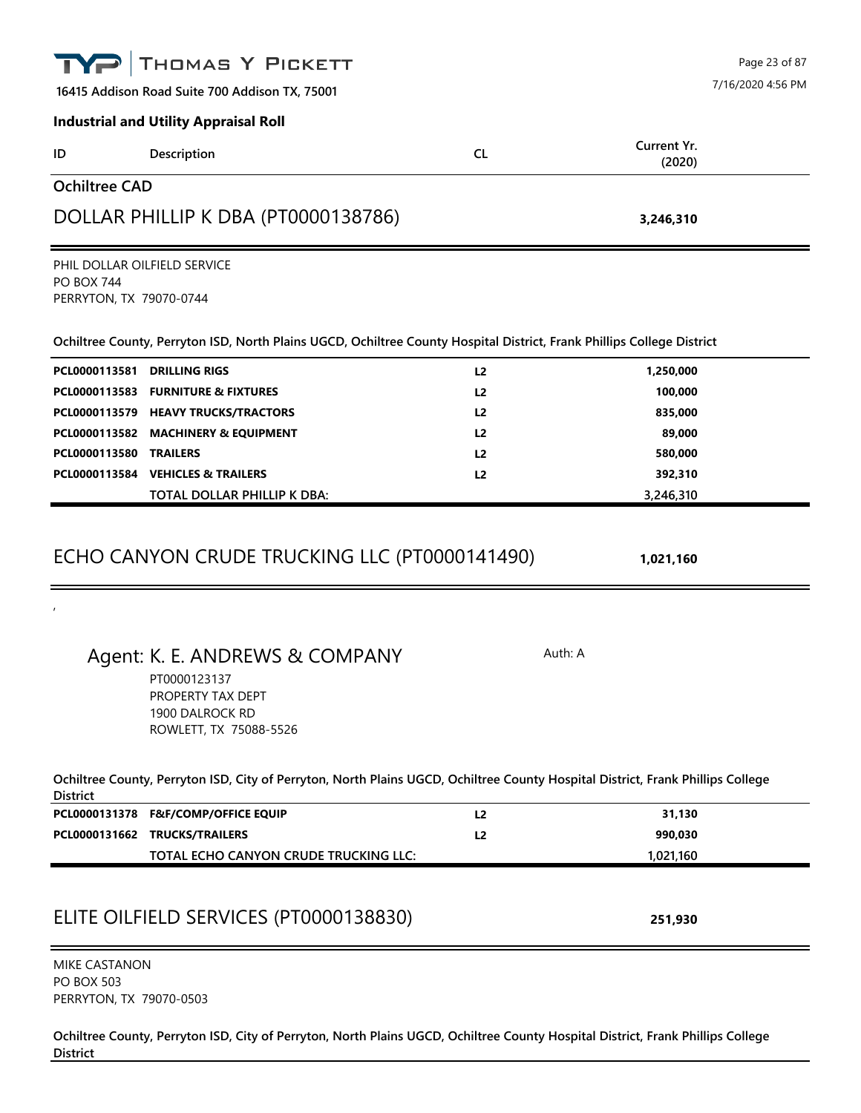|                                                               | THOMAS Y PICKETT                                                                                                                |                | Page 23 of 87         |
|---------------------------------------------------------------|---------------------------------------------------------------------------------------------------------------------------------|----------------|-----------------------|
|                                                               | 16415 Addison Road Suite 700 Addison TX, 75001                                                                                  |                | 7/16/2020 4:56 PM     |
|                                                               | <b>Industrial and Utility Appraisal Roll</b>                                                                                    |                |                       |
| ID                                                            | Description                                                                                                                     | <b>CL</b>      | Current Yr.<br>(2020) |
| <b>Ochiltree CAD</b>                                          |                                                                                                                                 |                |                       |
|                                                               | DOLLAR PHILLIP K DBA (PT0000138786)                                                                                             |                | 3,246,310             |
| PHIL DOLLAR OILFIELD SERVICE                                  |                                                                                                                                 |                |                       |
| <b>PO BOX 744</b><br>PERRYTON, TX 79070-0744                  |                                                                                                                                 |                |                       |
|                                                               | Ochiltree County, Perryton ISD, North Plains UGCD, Ochiltree County Hospital District, Frank Phillips College District          |                |                       |
| PCL0000113581                                                 | <b>DRILLING RIGS</b>                                                                                                            | L <sub>2</sub> | 1,250,000             |
| PCL0000113583                                                 | <b>FURNITURE &amp; FIXTURES</b>                                                                                                 | L <sub>2</sub> | 100,000               |
|                                                               | PCL0000113579 HEAVY TRUCKS/TRACTORS                                                                                             | L <sub>2</sub> | 835,000               |
|                                                               | PCL0000113582 MACHINERY & EQUIPMENT                                                                                             | L <sub>2</sub> | 89,000                |
| PCL0000113580                                                 | <b>TRAILERS</b><br>PCL0000113584 VEHICLES & TRAILERS                                                                            | L <sub>2</sub> | 580,000               |
|                                                               | TOTAL DOLLAR PHILLIP K DBA:                                                                                                     | L <sub>2</sub> | 392,310<br>3,246,310  |
|                                                               |                                                                                                                                 |                |                       |
|                                                               | Agent: K. E. ANDREWS & COMPANY<br>PT0000123137<br>PROPERTY TAX DEPT<br>1900 DALROCK RD<br>ROWLETT, TX 75088-5526                |                | Auth: A               |
| <b>District</b>                                               | Ochiltree County, Perryton ISD, City of Perryton, North Plains UGCD, Ochiltree County Hospital District, Frank Phillips College |                |                       |
|                                                               | PCL0000131378 F&F/COMP/OFFICE EQUIP                                                                                             | L2             | 31,130                |
|                                                               | PCL0000131662 TRUCKS/TRAILERS                                                                                                   | L <sub>2</sub> | 990,030               |
|                                                               | TOTAL ECHO CANYON CRUDE TRUCKING LLC:                                                                                           |                | 1,021,160             |
|                                                               | ELITE OILFIELD SERVICES (PT0000138830)                                                                                          |                | 251,930               |
| MIKE CASTANON<br><b>PO BOX 503</b><br>PERRYTON, TX 79070-0503 |                                                                                                                                 |                |                       |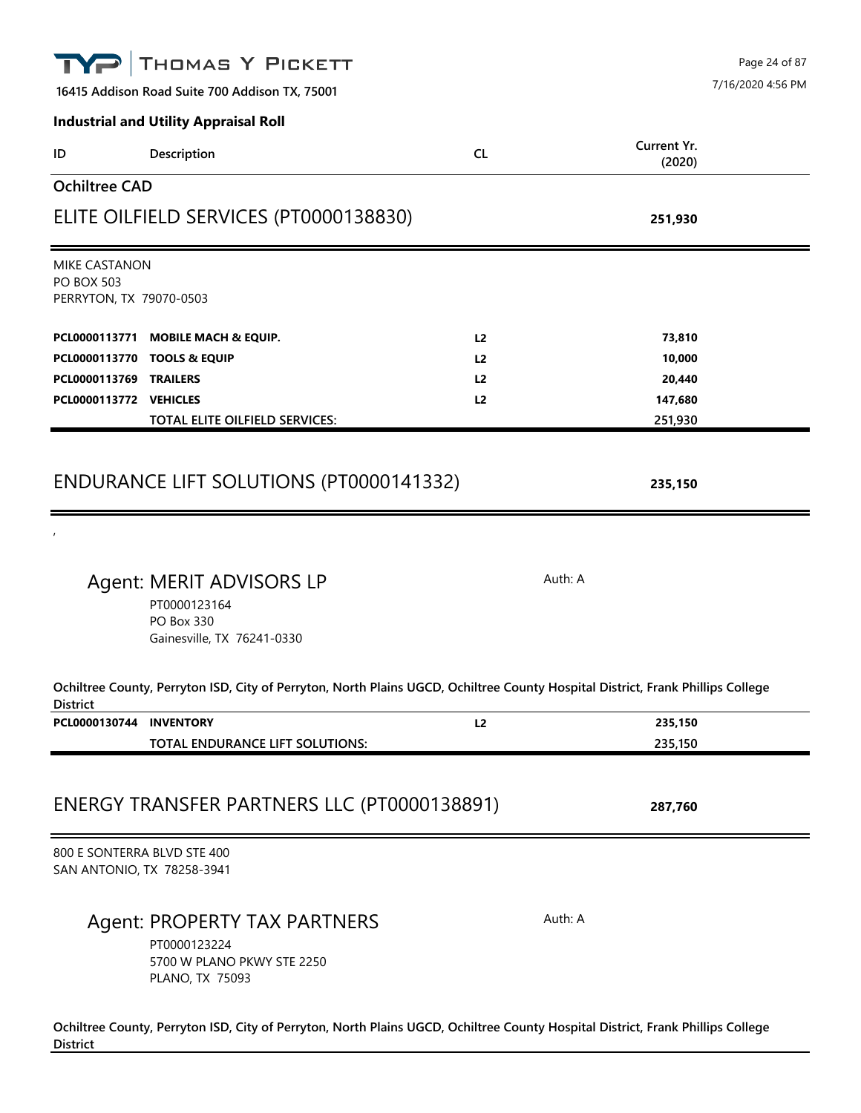|                                                                      | THOMAS Y PICKETT<br>16415 Addison Road Suite 700 Addison TX, 75001                                                              |                |                       | Page 24 of 87<br>7/16/2020 4:56 PM |
|----------------------------------------------------------------------|---------------------------------------------------------------------------------------------------------------------------------|----------------|-----------------------|------------------------------------|
|                                                                      | <b>Industrial and Utility Appraisal Roll</b>                                                                                    |                |                       |                                    |
| ID                                                                   | Description                                                                                                                     | <b>CL</b>      | Current Yr.<br>(2020) |                                    |
| <b>Ochiltree CAD</b>                                                 |                                                                                                                                 |                |                       |                                    |
|                                                                      | ELITE OILFIELD SERVICES (PT0000138830)                                                                                          |                | 251,930               |                                    |
| <b>MIKE CASTANON</b><br><b>PO BOX 503</b><br>PERRYTON, TX 79070-0503 |                                                                                                                                 |                |                       |                                    |
| PCL0000113771                                                        | <b>MOBILE MACH &amp; EQUIP.</b>                                                                                                 | L <sub>2</sub> | 73,810                |                                    |
|                                                                      | PCL0000113770 TOOLS & EQUIP                                                                                                     | L2             | 10,000                |                                    |
| PCL0000113769 TRAILERS                                               |                                                                                                                                 | L <sub>2</sub> | 20,440                |                                    |
| PCL0000113772 VEHICLES                                               |                                                                                                                                 | L <sub>2</sub> | 147,680               |                                    |
|                                                                      | <b>TOTAL ELITE OILFIELD SERVICES:</b>                                                                                           |                | 251,930               |                                    |
|                                                                      | ENDURANCE LIFT SOLUTIONS (PT0000141332)<br>Agent: MERIT ADVISORS LP                                                             |                | 235,150<br>Auth: A    |                                    |
|                                                                      | PT0000123164<br>PO Box 330<br>Gainesville, TX 76241-0330                                                                        |                |                       |                                    |
| <b>District</b>                                                      | Ochiltree County, Perryton ISD, City of Perryton, North Plains UGCD, Ochiltree County Hospital District, Frank Phillips College |                |                       |                                    |
| PCL0000130744 INVENTORY                                              |                                                                                                                                 | L2             | 235,150               |                                    |
|                                                                      | TOTAL ENDURANCE LIFT SOLUTIONS:                                                                                                 |                | 235,150               |                                    |
|                                                                      | ENERGY TRANSFER PARTNERS LLC (PT0000138891)                                                                                     |                | 287,760               |                                    |
| 800 E SONTERRA BLVD STE 400<br>SAN ANTONIO, TX 78258-3941            |                                                                                                                                 |                |                       |                                    |
|                                                                      | Agent: PROPERTY TAX PARTNERS<br>PT0000123224<br>5700 W PLANO PKWY STE 2250<br>PLANO, TX 75093                                   |                | Auth: A               |                                    |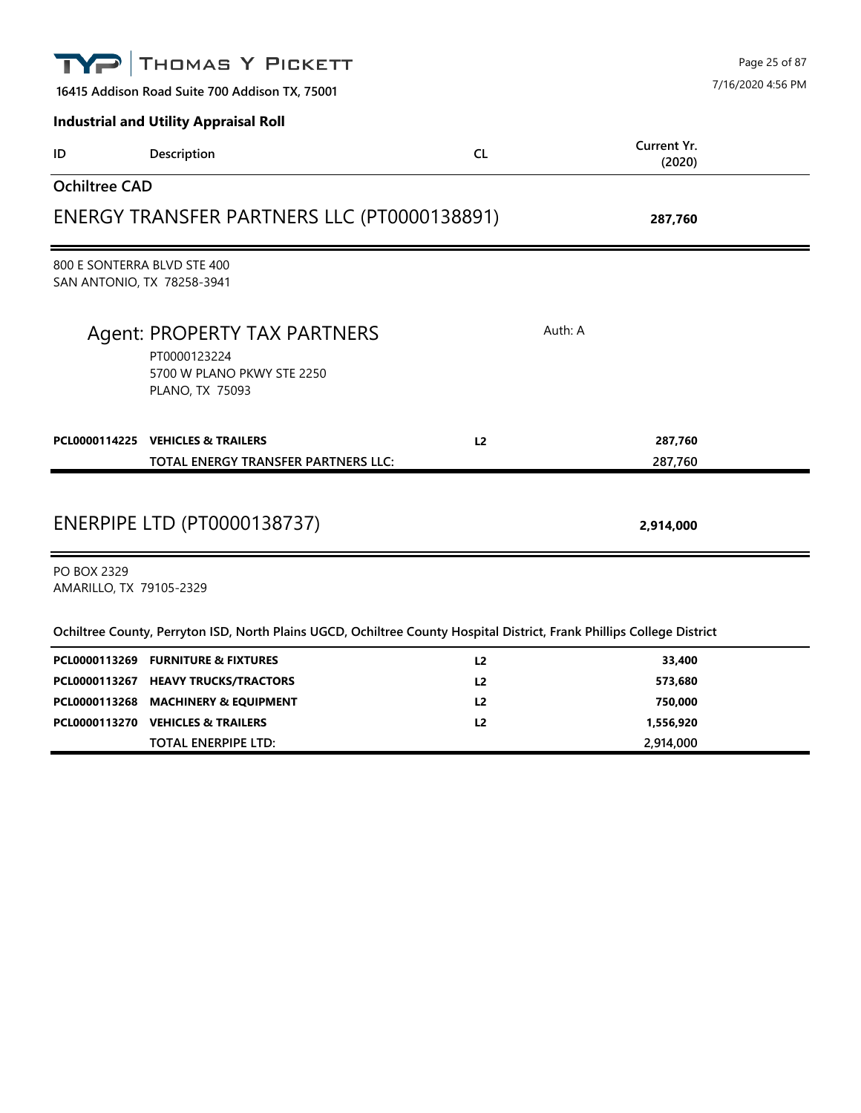|                                                           | THOMAS Y PICKETT<br>16415 Addison Road Suite 700 Addison TX, 75001                                                     |                |                       | Page 25 of 87<br>7/16/2020 4:56 PM |
|-----------------------------------------------------------|------------------------------------------------------------------------------------------------------------------------|----------------|-----------------------|------------------------------------|
|                                                           | <b>Industrial and Utility Appraisal Roll</b>                                                                           |                |                       |                                    |
| ID                                                        | Description                                                                                                            | <b>CL</b>      | Current Yr.<br>(2020) |                                    |
| <b>Ochiltree CAD</b>                                      |                                                                                                                        |                |                       |                                    |
|                                                           | ENERGY TRANSFER PARTNERS LLC (PT0000138891)                                                                            |                | 287,760               |                                    |
| 800 E SONTERRA BLVD STE 400<br>SAN ANTONIO, TX 78258-3941 |                                                                                                                        |                |                       |                                    |
|                                                           | Agent: PROPERTY TAX PARTNERS<br>PT0000123224<br>5700 W PLANO PKWY STE 2250<br>PLANO, TX 75093                          |                | Auth: A               |                                    |
|                                                           | PCL0000114225 VEHICLES & TRAILERS<br>TOTAL ENERGY TRANSFER PARTNERS LLC:                                               | L <sub>2</sub> | 287,760<br>287,760    |                                    |
|                                                           | <b>ENERPIPE LTD (PT0000138737)</b>                                                                                     |                | 2,914,000             |                                    |
| <b>PO BOX 2329</b><br>AMARILLO, TX 79105-2329             |                                                                                                                        |                |                       |                                    |
|                                                           | Ochiltree County, Perryton ISD, North Plains UGCD, Ochiltree County Hospital District, Frank Phillips College District |                |                       |                                    |
|                                                           | PCL0000113269 FURNITURE & FIXTURES                                                                                     | L <sub>2</sub> | 33,400                |                                    |
|                                                           | PCL0000113267 HEAVY TRUCKS/TRACTORS                                                                                    | L <sub>2</sub> | 573,680               |                                    |
|                                                           | PCL0000113268 MACHINERY & EQUIPMENT                                                                                    | L <sub>2</sub> | 750,000               |                                    |
|                                                           | PCL0000113270 VEHICLES & TRAILERS                                                                                      | L2             | 1,556,920             |                                    |
|                                                           | <b>TOTAL ENERPIPE LTD:</b>                                                                                             |                | 2,914,000             |                                    |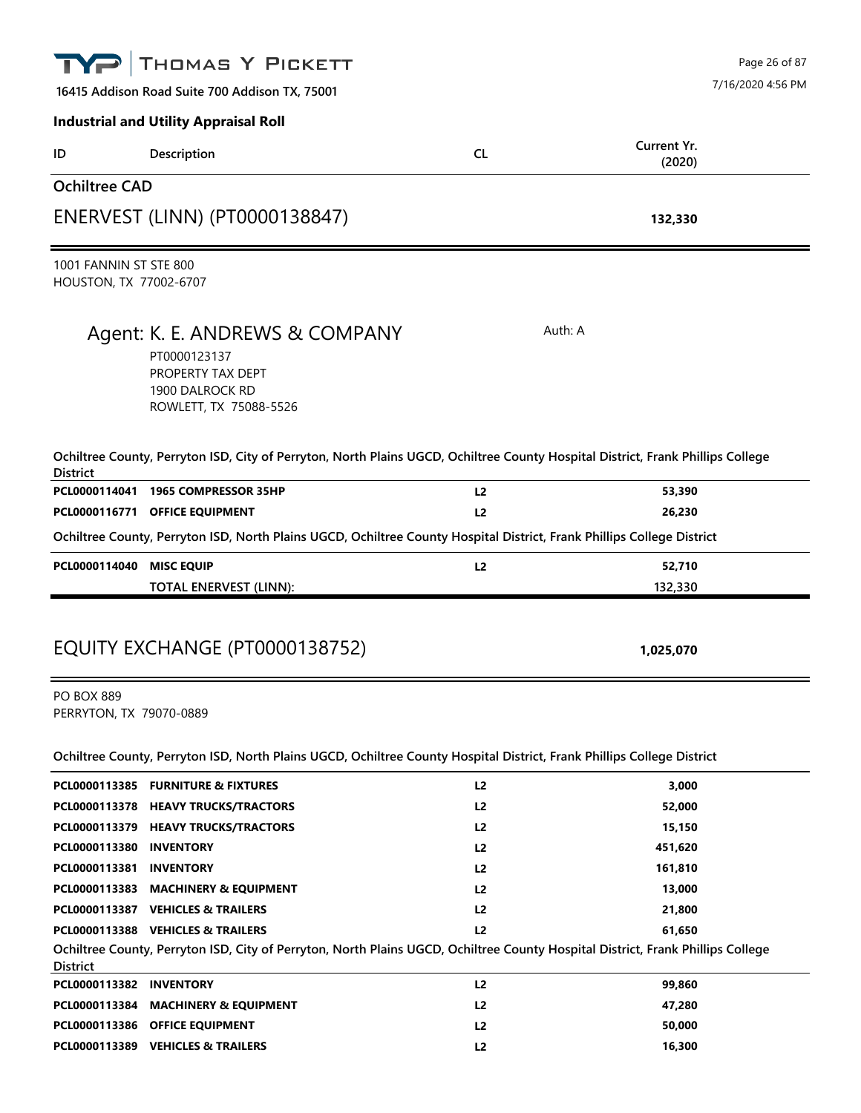|                                                  | THOMAS Y PICKETT                                                                                                                                                     |                | Page 26 of 87         |
|--------------------------------------------------|----------------------------------------------------------------------------------------------------------------------------------------------------------------------|----------------|-----------------------|
|                                                  | 16415 Addison Road Suite 700 Addison TX, 75001                                                                                                                       |                | 7/16/2020 4:56 PM     |
|                                                  | <b>Industrial and Utility Appraisal Roll</b>                                                                                                                         |                |                       |
| ID                                               | Description                                                                                                                                                          | <b>CL</b>      | Current Yr.<br>(2020) |
| <b>Ochiltree CAD</b>                             |                                                                                                                                                                      |                |                       |
|                                                  | ENERVEST (LINN) (PT0000138847)                                                                                                                                       |                | 132,330               |
| 1001 FANNIN ST STE 800<br>HOUSTON, TX 77002-6707 |                                                                                                                                                                      |                |                       |
|                                                  | Agent: K. E. ANDREWS & COMPANY                                                                                                                                       |                | Auth: A               |
|                                                  | PT0000123137<br>PROPERTY TAX DEPT<br>1900 DALROCK RD<br>ROWLETT, TX 75088-5526                                                                                       |                |                       |
| <b>District</b>                                  | Ochiltree County, Perryton ISD, City of Perryton, North Plains UGCD, Ochiltree County Hospital District, Frank Phillips College                                      |                |                       |
| PCL0000114041                                    | 1965 COMPRESSOR 35HP                                                                                                                                                 | L2             | 53,390                |
|                                                  | PCL0000116771 OFFICE EQUIPMENT                                                                                                                                       | L <sub>2</sub> | 26,230                |
|                                                  | Ochiltree County, Perryton ISD, North Plains UGCD, Ochiltree County Hospital District, Frank Phillips College District                                               |                |                       |
| PCL0000114040                                    | <b>MISC EQUIP</b>                                                                                                                                                    | L <sub>2</sub> | 52,710                |
|                                                  | <b>TOTAL ENERVEST (LINN):</b>                                                                                                                                        |                | 132,330               |
|                                                  | EQUITY EXCHANGE (PT0000138752)                                                                                                                                       |                | 1,025,070             |
| <b>PO BOX 889</b><br>PERRYTON, TX 79070-0889     |                                                                                                                                                                      |                |                       |
|                                                  | Ochiltree County, Perryton ISD, North Plains UGCD, Ochiltree County Hospital District, Frank Phillips College District                                               |                |                       |
|                                                  | PCL0000113385 FURNITURE & FIXTURES                                                                                                                                   | L <sub>2</sub> | 3,000                 |
|                                                  | PCL0000113378 HEAVY TRUCKS/TRACTORS                                                                                                                                  | L <sub>2</sub> | 52,000                |
|                                                  | PCL0000113379 HEAVY TRUCKS/TRACTORS                                                                                                                                  | L2             | 15,150                |
| PCL0000113380 INVENTORY                          |                                                                                                                                                                      | L2             | 451,620               |
| PCL0000113381 INVENTORY                          |                                                                                                                                                                      | L2             | 161,810               |
|                                                  | PCL0000113383 MACHINERY & EQUIPMENT                                                                                                                                  | L2             | 13,000                |
|                                                  | PCL0000113387 VEHICLES & TRAILERS                                                                                                                                    | L2             | 21,800                |
| <b>District</b>                                  | PCL0000113388 VEHICLES & TRAILERS<br>Ochiltree County, Perryton ISD, City of Perryton, North Plains UGCD, Ochiltree County Hospital District, Frank Phillips College | L <sub>2</sub> | 61,650                |
| PCL0000113382 INVENTORY                          |                                                                                                                                                                      | L2             | 99,860                |
|                                                  | PCL0000113384 MACHINERY & EQUIPMENT                                                                                                                                  | L <sub>2</sub> | 47,280                |
|                                                  | PCL0000113386 OFFICE EQUIPMENT                                                                                                                                       | L <sub>2</sub> | 50,000                |

**PCL0000113389 VEHICLES & TRAILERS L2 16,300**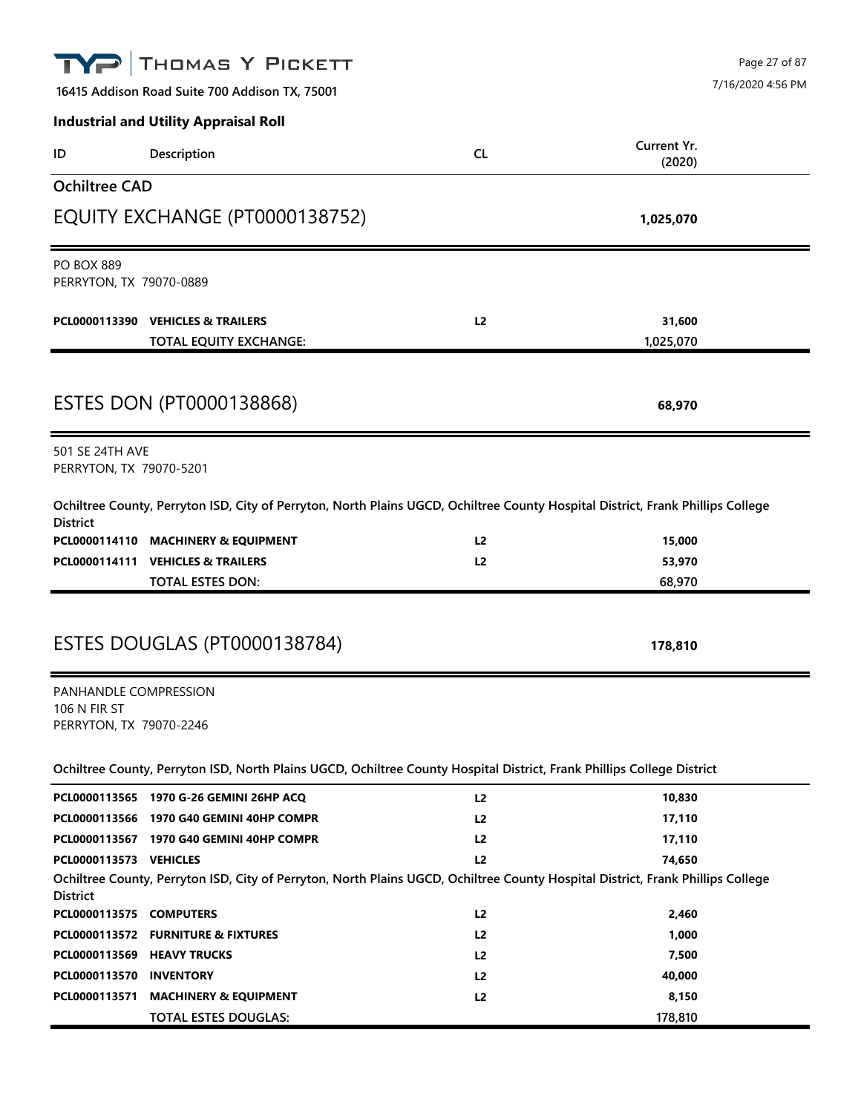|                                              | THOMAS Y PICKETT                                                                                                                |                |             | Page 27 of 87     |
|----------------------------------------------|---------------------------------------------------------------------------------------------------------------------------------|----------------|-------------|-------------------|
|                                              | 16415 Addison Road Suite 700 Addison TX, 75001                                                                                  |                |             | 7/16/2020 4:56 PM |
|                                              | <b>Industrial and Utility Appraisal Roll</b>                                                                                    |                |             |                   |
| ID                                           | Description                                                                                                                     | <b>CL</b>      | Current Yr. |                   |
|                                              |                                                                                                                                 |                | (2020)      |                   |
| <b>Ochiltree CAD</b>                         |                                                                                                                                 |                |             |                   |
|                                              | EQUITY EXCHANGE (PT0000138752)                                                                                                  |                | 1,025,070   |                   |
| <b>PO BOX 889</b><br>PERRYTON, TX 79070-0889 |                                                                                                                                 |                |             |                   |
|                                              | PCL0000113390 VEHICLES & TRAILERS                                                                                               | L2             | 31,600      |                   |
|                                              | <b>TOTAL EQUITY EXCHANGE:</b>                                                                                                   |                | 1,025,070   |                   |
|                                              |                                                                                                                                 |                |             |                   |
|                                              | <b>ESTES DON (PT0000138868)</b>                                                                                                 |                | 68,970      |                   |
| 501 SE 24TH AVE<br>PERRYTON, TX 79070-5201   |                                                                                                                                 |                |             |                   |
|                                              |                                                                                                                                 |                |             |                   |
| <b>District</b>                              | Ochiltree County, Perryton ISD, City of Perryton, North Plains UGCD, Ochiltree County Hospital District, Frank Phillips College |                |             |                   |
|                                              | PCL0000114110 MACHINERY & EQUIPMENT                                                                                             | L2             | 15,000      |                   |
|                                              | PCL0000114111 VEHICLES & TRAILERS                                                                                               | L2             | 53,970      |                   |
|                                              | TOTAL ESTES DON:                                                                                                                |                | 68,970      |                   |
|                                              | ESTES DOUGLAS (PT0000138784)                                                                                                    |                | 178,810     |                   |
| PANHANDLE COMPRESSION                        |                                                                                                                                 |                |             |                   |
| <b>106 N FIR ST</b>                          |                                                                                                                                 |                |             |                   |
| PERRYTON, TX 79070-2246                      |                                                                                                                                 |                |             |                   |
|                                              | Ochiltree County, Perryton ISD, North Plains UGCD, Ochiltree County Hospital District, Frank Phillips College District          |                |             |                   |
|                                              | PCL0000113565 1970 G-26 GEMINI 26HP ACQ                                                                                         | L2             | 10,830      |                   |
|                                              | PCL0000113566 1970 G40 GEMINI 40HP COMPR                                                                                        | L2             | 17,110      |                   |
|                                              | PCL0000113567 1970 G40 GEMINI 40HP COMPR                                                                                        | L <sub>2</sub> | 17,110      |                   |
| PCL0000113573 VEHICLES                       |                                                                                                                                 | L2             | 74,650      |                   |
| <b>District</b>                              | Ochiltree County, Perryton ISD, City of Perryton, North Plains UGCD, Ochiltree County Hospital District, Frank Phillips College |                |             |                   |
| PCL0000113575 COMPUTERS                      |                                                                                                                                 | L2             | 2,460       |                   |
|                                              | PCL0000113572 FURNITURE & FIXTURES                                                                                              | L2             | 1,000       |                   |
| PCL0000113569 HEAVY TRUCKS                   |                                                                                                                                 | L <sub>2</sub> | 7,500       |                   |
| PCL0000113570 INVENTORY                      |                                                                                                                                 | L2             | 40,000      |                   |
| PCL0000113571                                | <b>MACHINERY &amp; EQUIPMENT</b>                                                                                                | L2             | 8,150       |                   |
|                                              | <b>TOTAL ESTES DOUGLAS:</b>                                                                                                     |                | 178,810     |                   |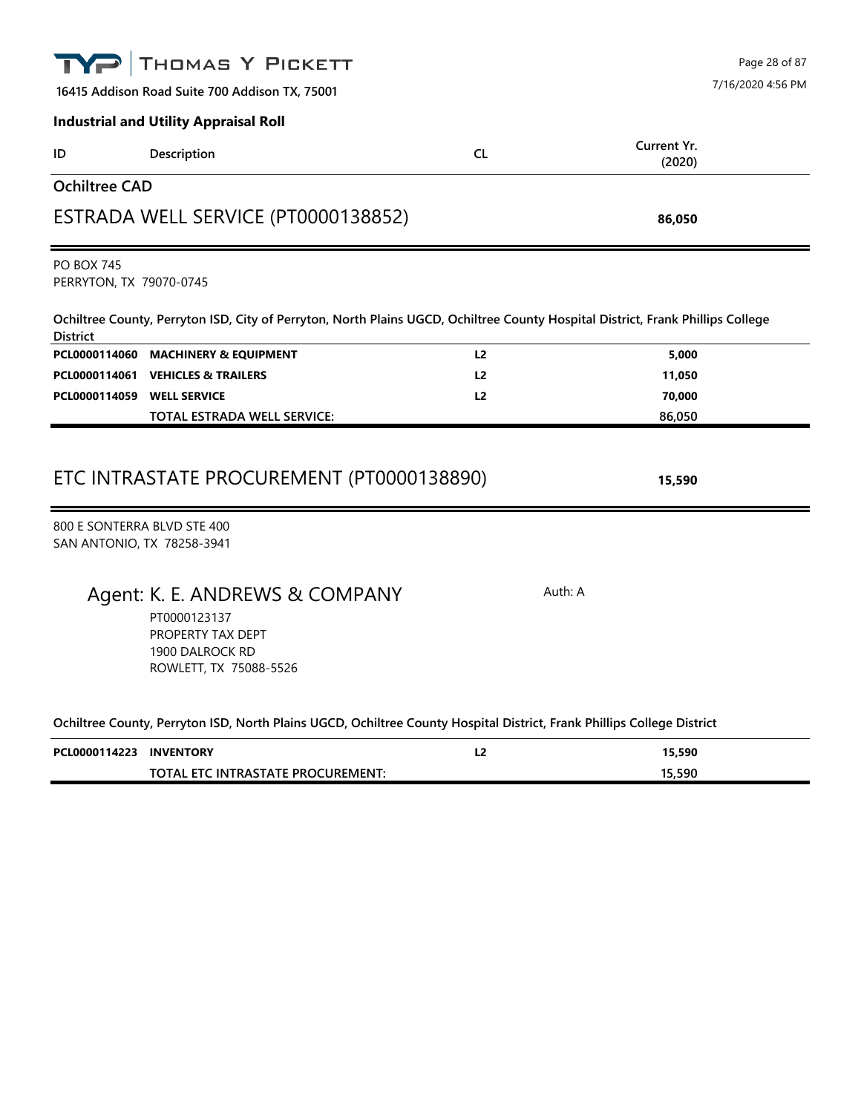|                                              | THOMAS Y PICKETT                                                                                                                |                |                              | Page 28 of 87     |
|----------------------------------------------|---------------------------------------------------------------------------------------------------------------------------------|----------------|------------------------------|-------------------|
|                                              | 16415 Addison Road Suite 700 Addison TX, 75001                                                                                  |                |                              | 7/16/2020 4:56 PM |
|                                              | <b>Industrial and Utility Appraisal Roll</b>                                                                                    |                |                              |                   |
| ID                                           | Description                                                                                                                     | <b>CL</b>      | <b>Current Yr.</b><br>(2020) |                   |
| <b>Ochiltree CAD</b>                         |                                                                                                                                 |                |                              |                   |
|                                              | ESTRADA WELL SERVICE (PT0000138852)                                                                                             |                | 86,050                       |                   |
| <b>PO BOX 745</b><br>PERRYTON, TX 79070-0745 |                                                                                                                                 |                |                              |                   |
| <b>District</b>                              | Ochiltree County, Perryton ISD, City of Perryton, North Plains UGCD, Ochiltree County Hospital District, Frank Phillips College |                |                              |                   |
| PCL0000114060                                | <b>MACHINERY &amp; EQUIPMENT</b>                                                                                                | L <sub>2</sub> | 5,000                        |                   |
| PCL0000114061                                | <b>VEHICLES &amp; TRAILERS</b>                                                                                                  | L <sub>2</sub> | 11,050                       |                   |
| PCL0000114059                                | <b>WELL SERVICE</b><br><b>TOTAL ESTRADA WELL SERVICE:</b>                                                                       | L <sub>2</sub> | 70,000<br>86,050             |                   |
|                                              | ETC INTRASTATE PROCUREMENT (PT0000138890)                                                                                       |                | 15,590                       |                   |
| SAN ANTONIO, TX 78258-3941                   | 800 E SONTERRA BLVD STE 400                                                                                                     |                |                              |                   |
|                                              | Agent: K. E. ANDREWS & COMPANY<br>PT0000123137<br>PROPERTY TAX DEPT<br>1900 DALROCK RD<br>ROWLETT, TX 75088-5526                |                | Auth: A                      |                   |
|                                              | Ochiltree County, Perryton ISD, North Plains UGCD, Ochiltree County Hospital District, Frank Phillips College District          |                |                              |                   |
| PCL0000114223                                | <b>INVENTORY</b>                                                                                                                | L <sub>2</sub> | 15,590                       |                   |
|                                              | TOTAL ETC INTRASTATE PROCUREMENT:                                                                                               |                | 15,590                       |                   |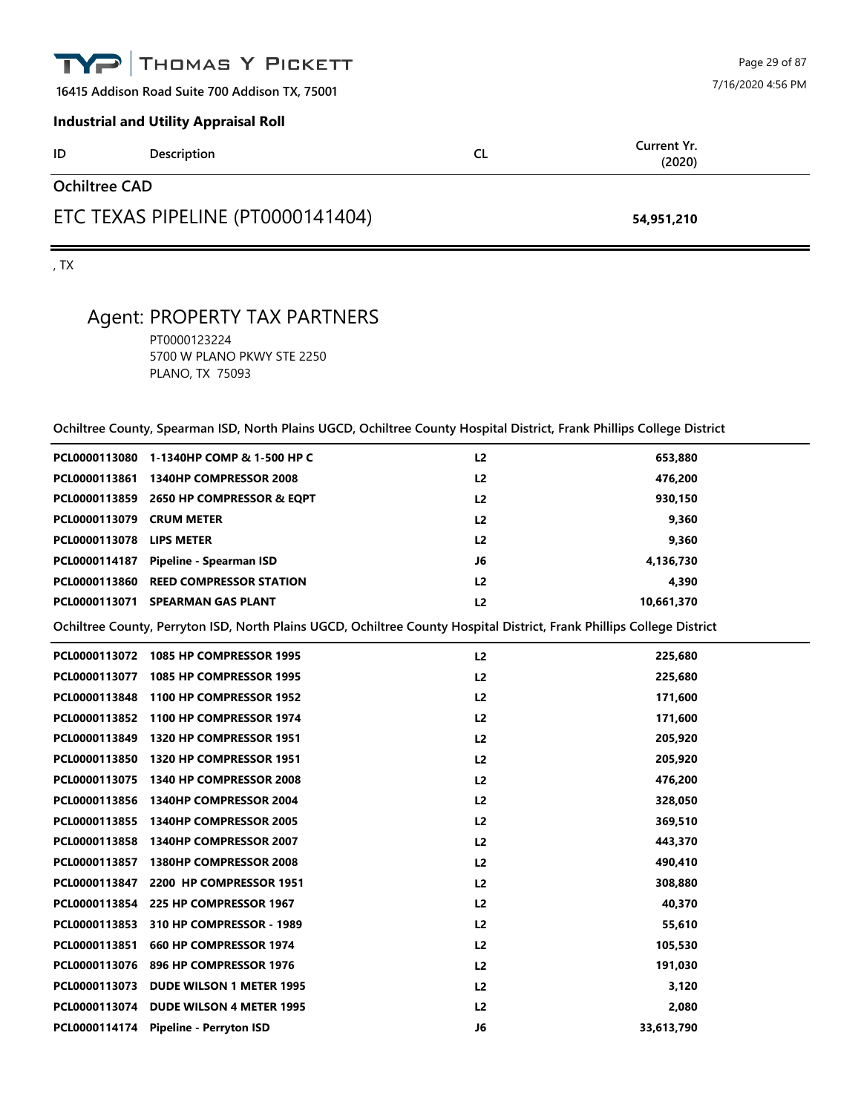|                                                | TYP THOMAS Y PICKETT |           | Page 29 of 87         |  |
|------------------------------------------------|----------------------|-----------|-----------------------|--|
| 16415 Addison Road Suite 700 Addison TX, 75001 |                      |           | 7/16/2020 4:56 PM     |  |
| <b>Industrial and Utility Appraisal Roll</b>   |                      |           |                       |  |
| ID                                             | <b>Description</b>   | <b>CL</b> | Current Yr.<br>(2020) |  |
| <b>Ochiltree CAD</b>                           |                      |           |                       |  |
| ETC TEXAS PIPELINE (PT0000141404)              |                      |           | 54,951,210            |  |

, TX

# Agent: PROPERTY TAX PARTNERS

PT0000123224 5700 W PLANO PKWY STE 2250 PLANO, TX 75093

|                                 | $\sim$ . The country, opening the first finite $\sim$ . The countries country from provided from the solicity of $\sim$ |                |            |
|---------------------------------|-------------------------------------------------------------------------------------------------------------------------|----------------|------------|
|                                 | PCL0000113080 1-1340HP COMP & 1-500 HP C                                                                                | L <sub>2</sub> | 653,880    |
|                                 | PCL0000113861 1340HP COMPRESSOR 2008                                                                                    | L <sub>2</sub> | 476,200    |
|                                 | PCL0000113859 2650 HP COMPRESSOR & EQPT                                                                                 | L <sub>2</sub> | 930,150    |
| PCL0000113079 CRUM METER        |                                                                                                                         | L <sub>2</sub> | 9,360      |
| <b>PCL0000113078 LIPS METER</b> |                                                                                                                         | L <sub>2</sub> | 9,360      |
|                                 | PCL0000114187 Pipeline - Spearman ISD                                                                                   | J6             | 4,136,730  |
|                                 | PCL0000113860 REED COMPRESSOR STATION                                                                                   | L <sub>2</sub> | 4,390      |
|                                 | PCL0000113071 SPEARMAN GAS PLANT                                                                                        | L2             | 10,661,370 |
|                                 | Ochiltree County, Perryton ISD, North Plains UGCD, Ochiltree County Hospital District, Frank Phillips College District  |                |            |
|                                 | PCL0000113072 1085 HP COMPRESSOR 1995                                                                                   | L2             | 225,680    |
|                                 | PCL0000113077 1085 HP COMPRESSOR 1995                                                                                   | L <sub>2</sub> | 225,680    |
|                                 | PCL0000113848 1100 HP COMPRESSOR 1952                                                                                   | L2             | 171,600    |
|                                 | PCL0000113852 1100 HP COMPRESSOR 1974                                                                                   | L <sub>2</sub> | 171,600    |
|                                 | PCL0000113849 1320 HP COMPRESSOR 1951                                                                                   | L <sub>2</sub> | 205,920    |
|                                 | PCL0000113850 1320 HP COMPRESSOR 1951                                                                                   | L <sub>2</sub> | 205,920    |
|                                 | PCL0000113075 1340 HP COMPRESSOR 2008                                                                                   | L <sub>2</sub> | 476,200    |
|                                 | PCL0000113856 1340HP COMPRESSOR 2004                                                                                    | L2             | 328,050    |
|                                 | PCL0000113855 1340HP COMPRESSOR 2005                                                                                    | L2             | 369,510    |
|                                 | PCL0000113858 1340HP COMPRESSOR 2007                                                                                    | L <sub>2</sub> | 443,370    |
|                                 | PCL0000113857 1380HP COMPRESSOR 2008                                                                                    | L <sub>2</sub> | 490,410    |
|                                 | PCL0000113847 2200 HP COMPRESSOR 1951                                                                                   | L <sub>2</sub> | 308,880    |
|                                 | PCL0000113854 225 HP COMPRESSOR 1967                                                                                    | L <sub>2</sub> | 40,370     |
|                                 | PCL0000113853 310 HP COMPRESSOR - 1989                                                                                  | L <sub>2</sub> | 55,610     |
|                                 | PCL0000113851 660 HP COMPRESSOR 1974                                                                                    | L <sub>2</sub> | 105,530    |
|                                 | PCL0000113076 896 HP COMPRESSOR 1976                                                                                    | L <sub>2</sub> | 191,030    |
|                                 | PCL0000113073 DUDE WILSON 1 METER 1995                                                                                  | L <sub>2</sub> | 3,120      |
|                                 | PCL0000113074 DUDE WILSON 4 METER 1995                                                                                  | L2             | 2,080      |
|                                 | PCL0000114174 Pipeline - Perryton ISD                                                                                   | J6             | 33,613,790 |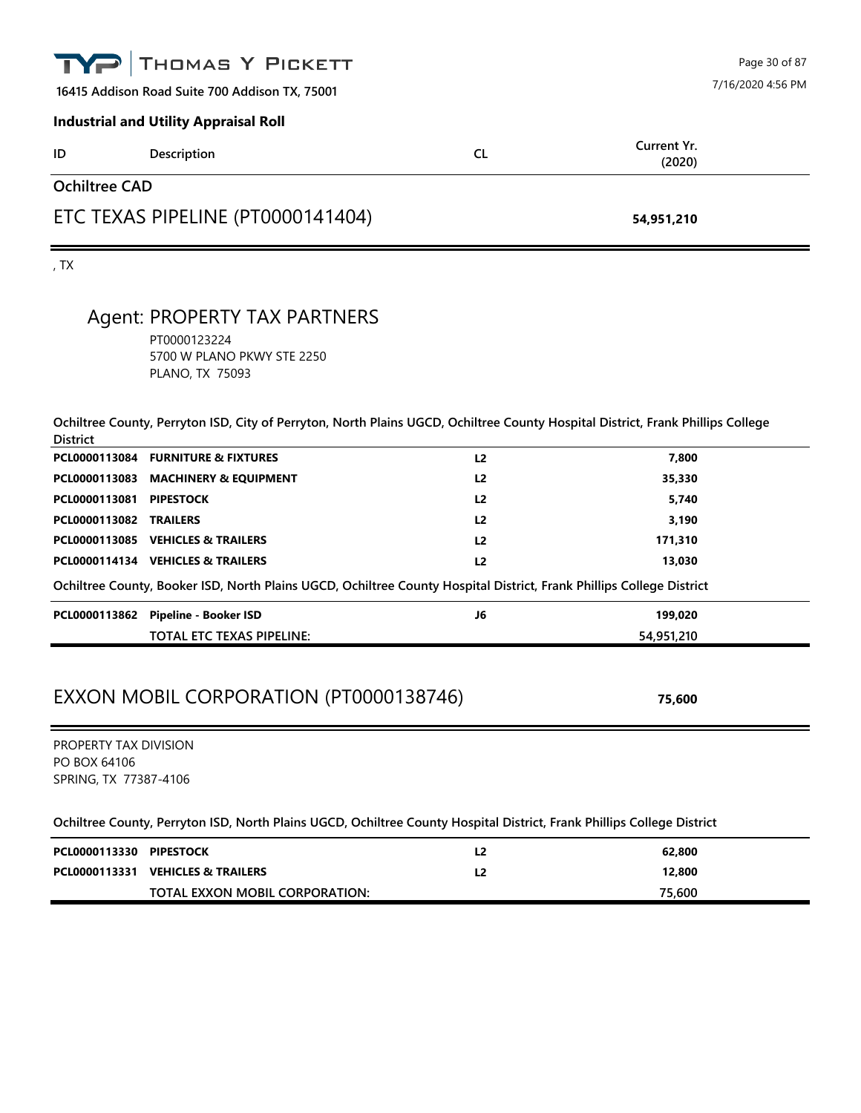| TYP                  | THOMAS Y PICKETT                               |           | Page 30 of 87         |
|----------------------|------------------------------------------------|-----------|-----------------------|
|                      | 16415 Addison Road Suite 700 Addison TX, 75001 |           | 7/16/2020 4:56 PM     |
|                      | <b>Industrial and Utility Appraisal Roll</b>   |           |                       |
| ID                   | Description                                    | <b>CL</b> | Current Yr.<br>(2020) |
| <b>Ochiltree CAD</b> |                                                |           |                       |
|                      | ETC TEXAS PIPELINE (PT0000141404)              |           | 54,951,210            |
| , TX                 |                                                |           |                       |
|                      |                                                |           |                       |

#### Agent: PROPERTY TAX PARTNERS

PT0000123224 5700 W PLANO PKWY STE 2250 PLANO, TX 75093

**Ochiltree County, Perryton ISD, City of Perryton, North Plains UGCD, Ochiltree County Hospital District, Frank Phillips College District**

|                               | PCL0000113084 FURNITURE & FIXTURES                                                                                   | L <sub>2</sub> | 7,800      |  |
|-------------------------------|----------------------------------------------------------------------------------------------------------------------|----------------|------------|--|
|                               | PCL0000113083 MACHINERY & EQUIPMENT                                                                                  | L <sub>2</sub> | 35,330     |  |
| PCL0000113081                 | <b>PIPESTOCK</b>                                                                                                     | L <sub>2</sub> | 5,740      |  |
| <b>PCL0000113082 TRAILERS</b> |                                                                                                                      | L <sub>2</sub> | 3,190      |  |
|                               | PCL0000113085 VEHICLES & TRAILERS                                                                                    | L <sub>2</sub> | 171,310    |  |
|                               | PCL0000114134 VEHICLES & TRAILERS                                                                                    | L <sub>2</sub> | 13,030     |  |
|                               | Ochiltree County, Booker ISD, North Plains UGCD, Ochiltree County Hospital District, Frank Phillips College District |                |            |  |
| PCL0000113862                 | <b>Pipeline - Booker ISD</b>                                                                                         | J6             | 199.020    |  |
|                               | <b>TOTAL ETC TEXAS PIPELINE:</b>                                                                                     |                | 54,951,210 |  |

# EXXON MOBIL CORPORATION (PT0000138746) **75,600**

PROPERTY TAX DIVISION PO BOX 64106 SPRING, TX 77387-4106

| PCL0000113330 PIPESTOCK |                                   | L2 | 62,800 |
|-------------------------|-----------------------------------|----|--------|
|                         | PCL0000113331 VEHICLES & TRAILERS | L2 | 12,800 |
|                         | TOTAL EXXON MOBIL CORPORATION:    |    | 75,600 |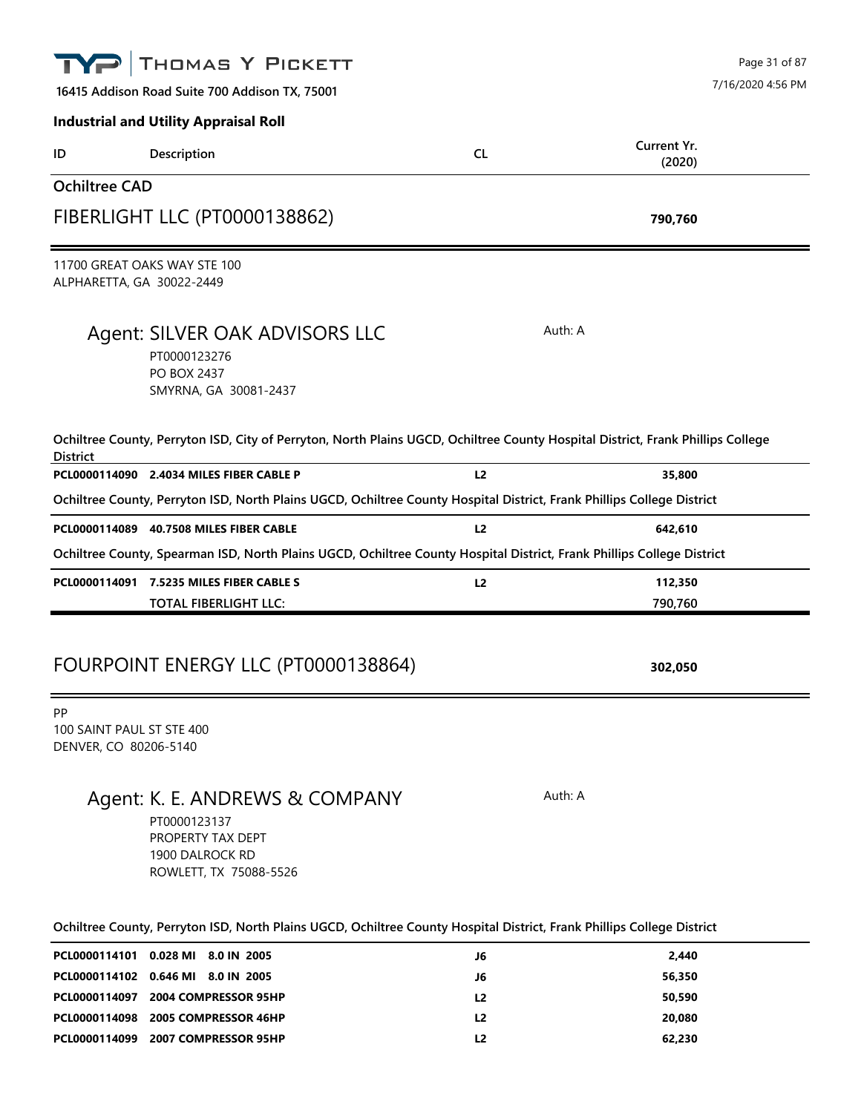|                      | THOMAS Y PICKETT                                                                                                                |                | Page 31 of 87         |
|----------------------|---------------------------------------------------------------------------------------------------------------------------------|----------------|-----------------------|
|                      | 16415 Addison Road Suite 700 Addison TX, 75001                                                                                  |                | 7/16/2020 4:56 PM     |
|                      | <b>Industrial and Utility Appraisal Roll</b>                                                                                    |                |                       |
| ID                   | Description                                                                                                                     | <b>CL</b>      | Current Yr.<br>(2020) |
| <b>Ochiltree CAD</b> |                                                                                                                                 |                |                       |
|                      | FIBERLIGHT LLC (PT0000138862)                                                                                                   |                | 790,760               |
|                      | 11700 GREAT OAKS WAY STE 100<br>ALPHARETTA, GA 30022-2449                                                                       |                |                       |
|                      | Agent: SILVER OAK ADVISORS LLC<br>PT0000123276<br>PO BOX 2437<br>SMYRNA, GA 30081-2437                                          |                | Auth: A               |
| <b>District</b>      | Ochiltree County, Perryton ISD, City of Perryton, North Plains UGCD, Ochiltree County Hospital District, Frank Phillips College |                |                       |
|                      | PCL0000114090 2.4034 MILES FIBER CABLE P                                                                                        | L <sub>2</sub> | 35,800                |
|                      | Ochiltree County, Perryton ISD, North Plains UGCD, Ochiltree County Hospital District, Frank Phillips College District          |                |                       |
|                      | PCL0000114089 40.7508 MILES FIBER CABLE                                                                                         | L2             | 642,610               |
|                      | Ochiltree County, Spearman ISD, North Plains UGCD, Ochiltree County Hospital District, Frank Phillips College District          |                |                       |
| PCL0000114091        | 7.5235 MILES FIBER CABLE S<br><b>TOTAL FIBERLIGHT LLC:</b>                                                                      | L2             | 112,350<br>790,760    |
|                      |                                                                                                                                 |                |                       |
|                      | FOURPOINT ENERGY LLC (PT0000138864)                                                                                             |                | 302,050               |
| PP                   | 100 SAINT PAUL ST STE 400<br>DENVER, CO 80206-5140                                                                              |                |                       |
|                      | Agent: K. E. ANDREWS & COMPANY<br>PT0000123137<br>PROPERTY TAX DEPT<br>1900 DALROCK RD<br>ROWLETT, TX 75088-5526                |                | Auth: A               |
|                      | Ochiltree County, Perryton ISD, North Plains UGCD, Ochiltree County Hospital District, Frank Phillips College District          |                |                       |
|                      | PCL0000114101 0.028 MI 8.0 IN 2005                                                                                              | J6             | 2,440                 |
|                      |                                                                                                                                 |                |                       |

|  | <b>FLLUUUU LIHTUT U.UZO IVIL O.U IIN ZUUJ</b> | JO             | 6.44V  |
|--|-----------------------------------------------|----------------|--------|
|  | PCL0000114102 0.646 MI 8.0 IN 2005            | J6             | 56.350 |
|  | PCL0000114097 2004 COMPRESSOR 95HP            | L <sub>2</sub> | 50.590 |
|  | PCL0000114098 2005 COMPRESSOR 46HP            | L <sub>2</sub> | 20,080 |
|  | PCL0000114099 2007 COMPRESSOR 95HP            | L2             | 62,230 |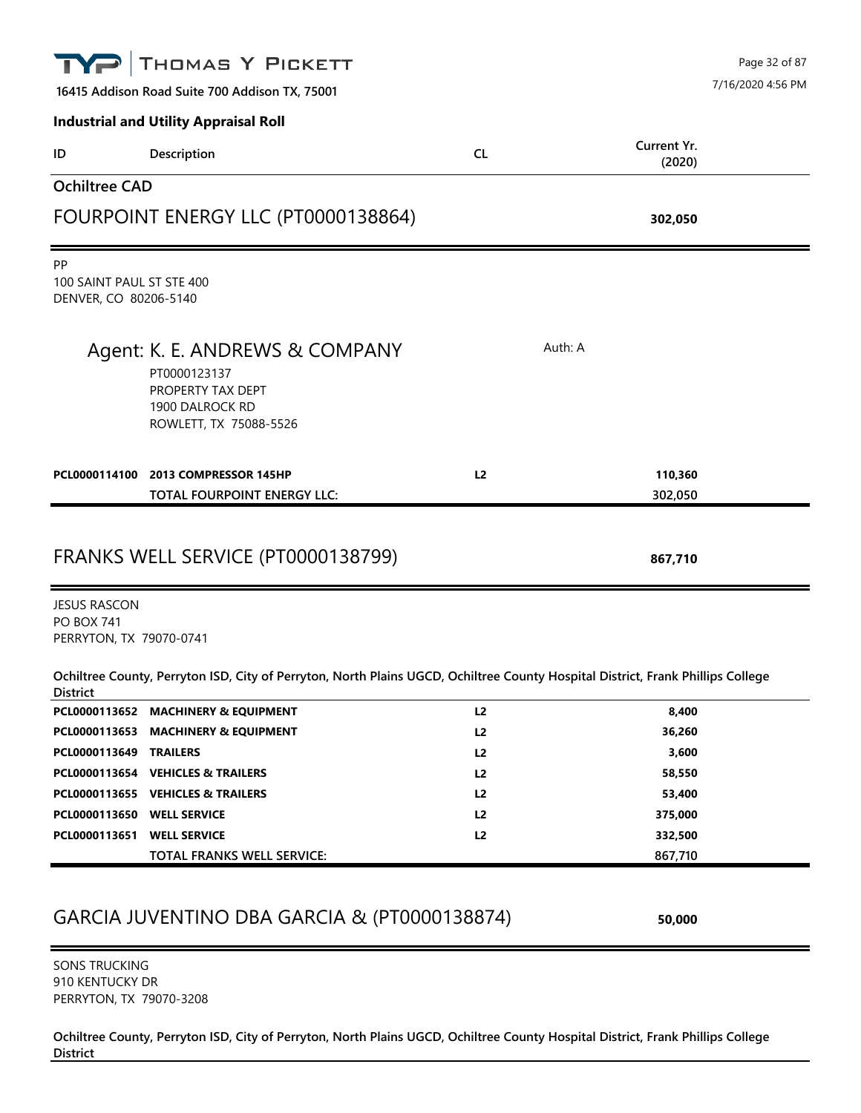| TYP                                                                                                                                                | THOMAS Y PICKETT                                                                                                 |                                  |                       | Page 32 of 87     |  |
|----------------------------------------------------------------------------------------------------------------------------------------------------|------------------------------------------------------------------------------------------------------------------|----------------------------------|-----------------------|-------------------|--|
|                                                                                                                                                    | 16415 Addison Road Suite 700 Addison TX, 75001                                                                   |                                  |                       | 7/16/2020 4:56 PM |  |
|                                                                                                                                                    | <b>Industrial and Utility Appraisal Roll</b>                                                                     |                                  |                       |                   |  |
| ID                                                                                                                                                 | Description                                                                                                      | <b>CL</b>                        | Current Yr.<br>(2020) |                   |  |
| <b>Ochiltree CAD</b>                                                                                                                               |                                                                                                                  |                                  |                       |                   |  |
|                                                                                                                                                    | FOURPOINT ENERGY LLC (PT0000138864)                                                                              |                                  | 302,050               |                   |  |
| <b>PP</b><br>100 SAINT PAUL ST STE 400<br>DENVER, CO 80206-5140                                                                                    |                                                                                                                  |                                  |                       |                   |  |
|                                                                                                                                                    | Agent: K. E. ANDREWS & COMPANY<br>PT0000123137<br>PROPERTY TAX DEPT<br>1900 DALROCK RD<br>ROWLETT, TX 75088-5526 |                                  | Auth: A               |                   |  |
| PCL0000114100                                                                                                                                      | 2013 COMPRESSOR 145HP                                                                                            | L2                               | 110,360               |                   |  |
|                                                                                                                                                    | TOTAL FOURPOINT ENERGY LLC:                                                                                      |                                  | 302,050               |                   |  |
| <b>JESUS RASCON</b><br><b>PO BOX 741</b>                                                                                                           | FRANKS WELL SERVICE (PT0000138799)                                                                               |                                  | 867,710               |                   |  |
| PERRYTON, TX 79070-0741                                                                                                                            |                                                                                                                  |                                  |                       |                   |  |
| Ochiltree County, Perryton ISD, City of Perryton, North Plains UGCD, Ochiltree County Hospital District, Frank Phillips College<br><b>District</b> |                                                                                                                  |                                  |                       |                   |  |
|                                                                                                                                                    | PCL0000113652 MACHINERY & EQUIPMENT                                                                              | L2                               | 8,400                 |                   |  |
| PCL0000113653                                                                                                                                      | <b>MACHINERY &amp; EQUIPMENT</b>                                                                                 | L <sub>2</sub>                   | 36,260                |                   |  |
| PCL0000113649                                                                                                                                      | <b>TRAILERS</b>                                                                                                  | L2                               | 3,600                 |                   |  |
|                                                                                                                                                    | PCL0000113654 VEHICLES & TRAILERS<br>PCL0000113655 VEHICLES & TRAILERS                                           | L <sub>2</sub><br>L <sub>2</sub> | 58,550<br>53,400      |                   |  |
| PCL0000113650 WELL SERVICE                                                                                                                         |                                                                                                                  | L <sub>2</sub>                   | 375,000               |                   |  |
| PCL0000113651                                                                                                                                      | <b>WELL SERVICE</b>                                                                                              | L <sub>2</sub>                   | 332,500               |                   |  |
|                                                                                                                                                    | TOTAL FRANKS WELL SERVICE:                                                                                       |                                  | 867,710               |                   |  |
|                                                                                                                                                    |                                                                                                                  |                                  |                       |                   |  |
|                                                                                                                                                    | GARCIA JUVENTINO DBA GARCIA & (PT0000138874)                                                                     |                                  | 50,000                |                   |  |
| <b>SONS TRUCKING</b><br>910 KENTUCKY DR<br>PERRYTON, TX 79070-3208                                                                                 |                                                                                                                  |                                  |                       |                   |  |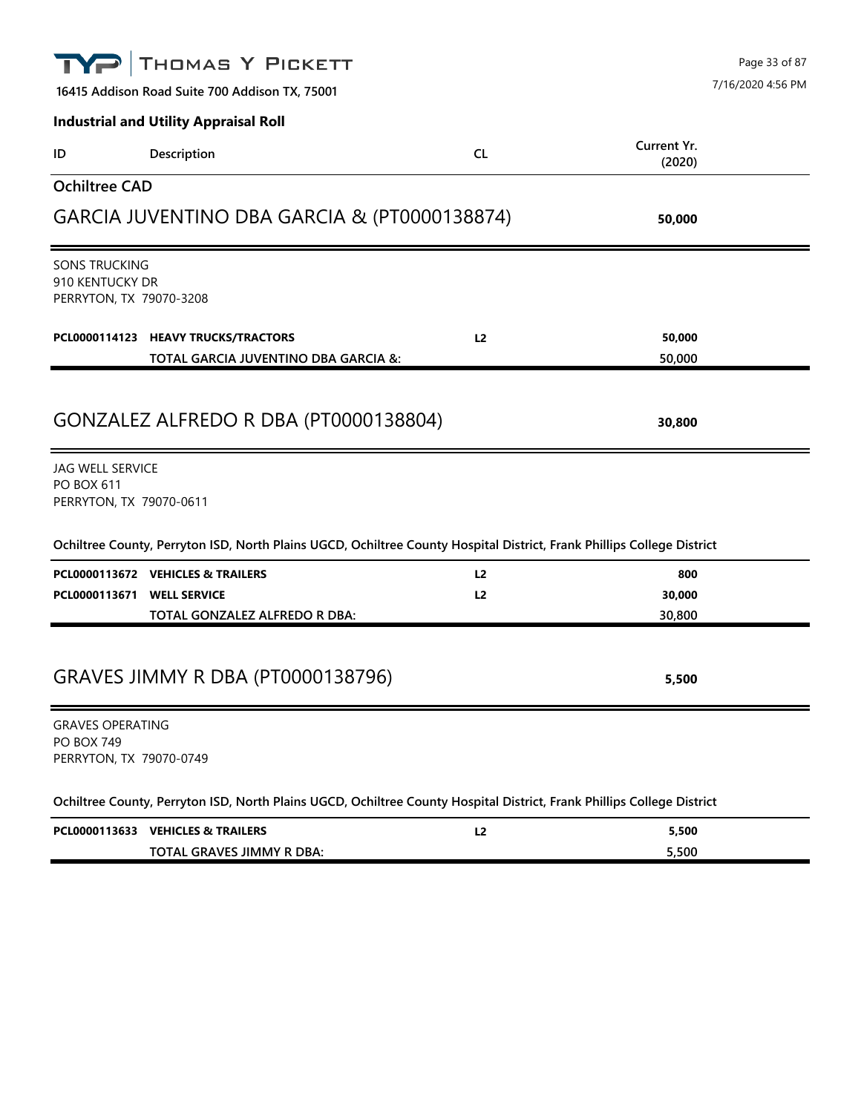|                                                   | THOMAS Y PICKETT                                                                                                       |                | Page 33 of 87         |  |  |
|---------------------------------------------------|------------------------------------------------------------------------------------------------------------------------|----------------|-----------------------|--|--|
|                                                   | 7/16/2020 4:56 PM<br>16415 Addison Road Suite 700 Addison TX, 75001                                                    |                |                       |  |  |
|                                                   | <b>Industrial and Utility Appraisal Roll</b>                                                                           |                |                       |  |  |
| ID                                                | Description                                                                                                            | <b>CL</b>      | Current Yr.<br>(2020) |  |  |
| <b>Ochiltree CAD</b>                              |                                                                                                                        |                |                       |  |  |
|                                                   | GARCIA JUVENTINO DBA GARCIA & (PT0000138874)<br>50,000                                                                 |                |                       |  |  |
|                                                   | <b>SONS TRUCKING</b><br>910 KENTUCKY DR<br>PERRYTON, TX 79070-3208                                                     |                |                       |  |  |
|                                                   | PCL0000114123 HEAVY TRUCKS/TRACTORS                                                                                    | L <sub>2</sub> | 50,000                |  |  |
|                                                   | TOTAL GARCIA JUVENTINO DBA GARCIA &:                                                                                   |                | 50,000                |  |  |
| GONZALEZ ALFREDO R DBA (PT0000138804)<br>30,800   |                                                                                                                        |                |                       |  |  |
| <b>JAG WELL SERVICE</b><br><b>PO BOX 611</b>      | PERRYTON, TX 79070-0611                                                                                                |                |                       |  |  |
|                                                   | Ochiltree County, Perryton ISD, North Plains UGCD, Ochiltree County Hospital District, Frank Phillips College District |                |                       |  |  |
|                                                   | PCL0000113672 VEHICLES & TRAILERS                                                                                      | L <sub>2</sub> | 800                   |  |  |
| PCL0000113671                                     | <b>WELL SERVICE</b>                                                                                                    | L2             | 30,000                |  |  |
|                                                   | TOTAL GONZALEZ ALFREDO R DBA:                                                                                          |                | 30,800                |  |  |
| <b>GRAVES JIMMY R DBA (PT0000138796)</b><br>5,500 |                                                                                                                        |                |                       |  |  |
| <b>GRAVES OPERATING</b><br><b>PO BOX 749</b>      | PERRYTON, TX 79070-0749                                                                                                |                |                       |  |  |
|                                                   | Ochiltree County, Perryton ISD, North Plains UGCD, Ochiltree County Hospital District, Frank Phillips College District |                |                       |  |  |
|                                                   | PCL0000113633 VEHICLES & TRAILERS                                                                                      | L2             | 5,500                 |  |  |

**TOTAL GRAVES JIMMY R DBA: 5,500**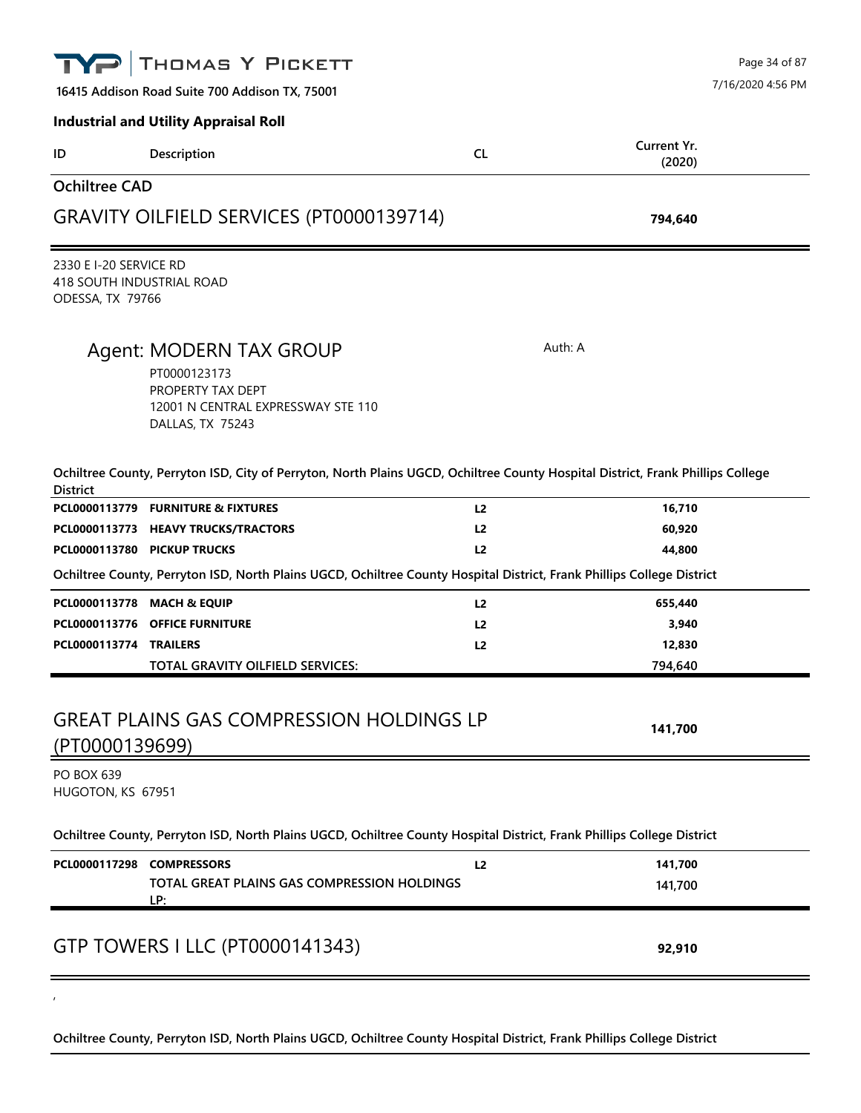|                                                                              | THOMAS Y PICKETT                                                                                                                |                |                       | Page 34 of 87     |
|------------------------------------------------------------------------------|---------------------------------------------------------------------------------------------------------------------------------|----------------|-----------------------|-------------------|
|                                                                              | 16415 Addison Road Suite 700 Addison TX, 75001                                                                                  |                |                       | 7/16/2020 4:56 PM |
|                                                                              | <b>Industrial and Utility Appraisal Roll</b>                                                                                    |                |                       |                   |
| ID                                                                           | Description                                                                                                                     | CL             | Current Yr.<br>(2020) |                   |
| <b>Ochiltree CAD</b>                                                         |                                                                                                                                 |                |                       |                   |
|                                                                              | GRAVITY OILFIELD SERVICES (PT0000139714)                                                                                        |                | 794,640               |                   |
| 2330 E I-20 SERVICE RD<br>418 SOUTH INDUSTRIAL ROAD<br>ODESSA, TX 79766      |                                                                                                                                 |                |                       |                   |
|                                                                              | Agent: MODERN TAX GROUP<br>PT0000123173<br>PROPERTY TAX DEPT<br>12001 N CENTRAL EXPRESSWAY STE 110<br>DALLAS, TX 75243          | Auth: A        |                       |                   |
| <b>District</b>                                                              | Ochiltree County, Perryton ISD, City of Perryton, North Plains UGCD, Ochiltree County Hospital District, Frank Phillips College |                |                       |                   |
|                                                                              | PCL0000113779 FURNITURE & FIXTURES                                                                                              | L <sub>2</sub> | 16,710                |                   |
| PCL0000113773                                                                | <b>HEAVY TRUCKS/TRACTORS</b>                                                                                                    | L <sub>2</sub> | 60,920                |                   |
|                                                                              | PCL0000113780 PICKUP TRUCKS                                                                                                     | L2             | 44,800                |                   |
|                                                                              | Ochiltree County, Perryton ISD, North Plains UGCD, Ochiltree County Hospital District, Frank Phillips College District          |                |                       |                   |
|                                                                              | PCL0000113778 MACH & EQUIP                                                                                                      | L <sub>2</sub> | 655,440               |                   |
|                                                                              | PCL0000113776 OFFICE FURNITURE                                                                                                  | L <sub>2</sub> | 3,940                 |                   |
| <b>PCL0000113774 TRAILERS</b>                                                |                                                                                                                                 | L <sub>2</sub> | 12,830                |                   |
|                                                                              | TOTAL GRAVITY OILFIELD SERVICES:                                                                                                |                | 794,640               |                   |
| <b>GREAT PLAINS GAS COMPRESSION HOLDINGS LP</b><br>141,700<br>(PT0000139699) |                                                                                                                                 |                |                       |                   |
| PO BOX 639<br>HUGOTON, KS 67951                                              |                                                                                                                                 |                |                       |                   |
|                                                                              | Ochiltree County, Perryton ISD, North Plains UGCD, Ochiltree County Hospital District, Frank Phillips College District          |                |                       |                   |
| PCL0000117298 COMPRESSORS                                                    |                                                                                                                                 | L2             | 141,700               |                   |
|                                                                              | TOTAL GREAT PLAINS GAS COMPRESSION HOLDINGS<br>LP:                                                                              |                | 141,700               |                   |
|                                                                              | GTP TOWERS I LLC (PT0000141343)                                                                                                 |                | 92,910                |                   |
|                                                                              |                                                                                                                                 |                |                       |                   |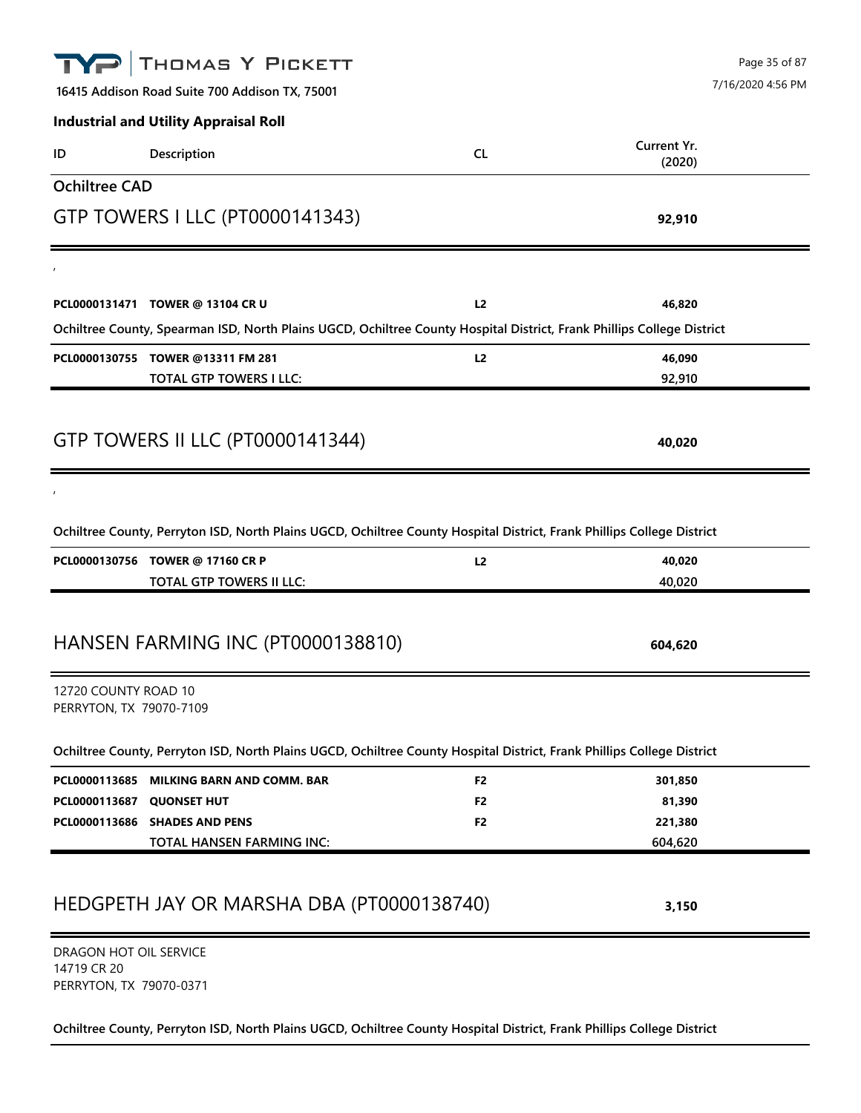# THOMAS Y PICKETT Page 35 of 87 7/16/2020 4:56 PM**16415 Addison Road Suite 700 Addison TX, 75001 Industrial and Utility Appraisal Roll Current Yr. ID Description CL (2020) Ochiltree CAD** GTP TOWERS I LLC (PT0000141343) **92,910**  $\mathbf{r}$ **PCL0000131471 TOWER @ 13104 CR U L2 46,820 Ochiltree County, Spearman ISD, North Plains UGCD, Ochiltree County Hospital District, Frank Phillips College District PCL0000130755 TOWER @13311 FM 281 L2 46,090 TOTAL GTP TOWERS I LLC: 92,910** GTP TOWERS II LLC (PT0000141344) **40,020**  $\mathbf{r}$ **Ochiltree County, Perryton ISD, North Plains UGCD, Ochiltree County Hospital District, Frank Phillips College District PCL0000130756 TOWER @ 17160 CR P L2 40,020 TOTAL GTP TOWERS II LLC: 40,020** HANSEN FARMING INC (PT0000138810) **604,620** 12720 COUNTY ROAD 10 PERRYTON, TX 79070-7109 **Ochiltree County, Perryton ISD, North Plains UGCD, Ochiltree County Hospital District, Frank Phillips College District PCL0000113685 MILKING BARN AND COMM. BAR F2 301,850 PCL0000113687 QUONSET HUT F2 81,390 PCL0000113686 SHADES AND PENS F2 221,380 TOTAL HANSEN FARMING INC: 604,620** HEDGPETH JAY OR MARSHA DBA (PT0000138740) **3,150** DRAGON HOT OIL SERVICE 14719 CR 20 PERRYTON, TX 79070-0371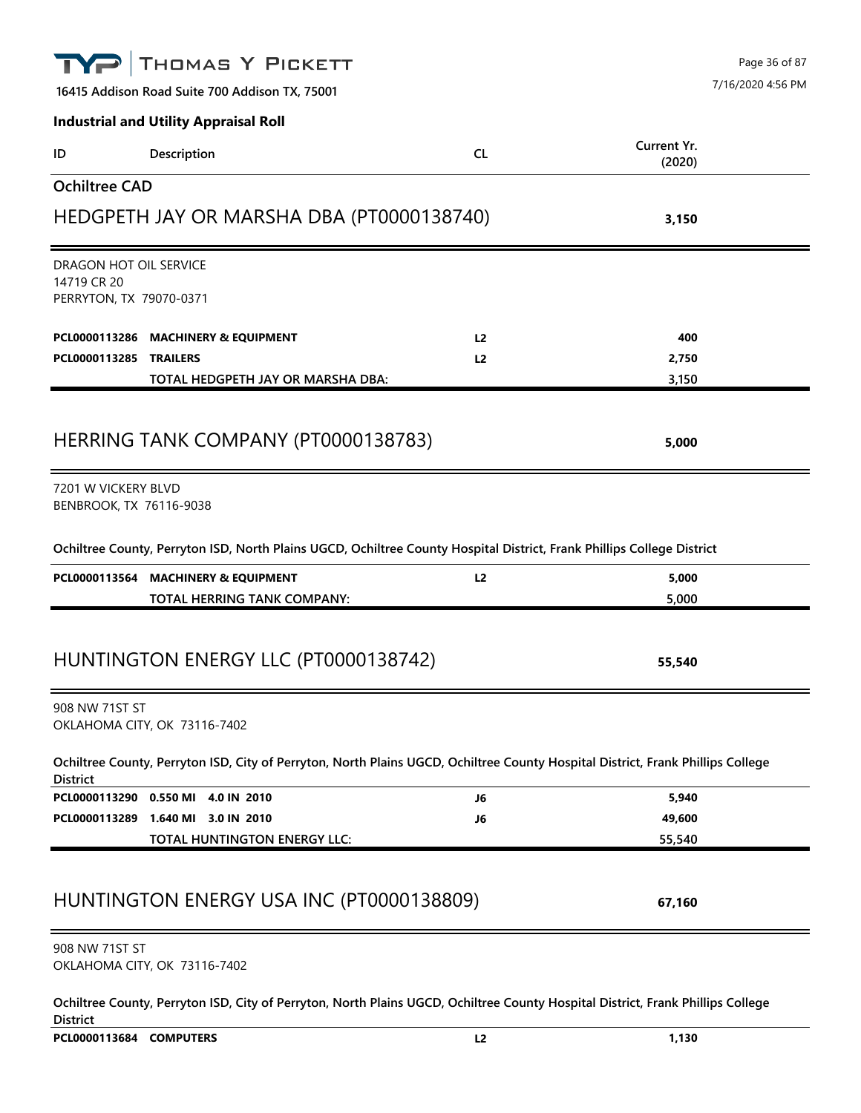|                                        | THOMAS Y PICKETT                                                                                                                |                | Page 36 of 87     |  |
|----------------------------------------|---------------------------------------------------------------------------------------------------------------------------------|----------------|-------------------|--|
|                                        | 16415 Addison Road Suite 700 Addison TX, 75001                                                                                  |                | 7/16/2020 4:56 PM |  |
|                                        | <b>Industrial and Utility Appraisal Roll</b>                                                                                    |                |                   |  |
| ID                                     | Description                                                                                                                     | <b>CL</b>      | Current Yr.       |  |
| <b>Ochiltree CAD</b>                   |                                                                                                                                 |                | (2020)            |  |
|                                        |                                                                                                                                 |                |                   |  |
|                                        | HEDGPETH JAY OR MARSHA DBA (PT0000138740)                                                                                       |                | 3,150             |  |
| DRAGON HOT OIL SERVICE                 |                                                                                                                                 |                |                   |  |
| 14719 CR 20<br>PERRYTON, TX 79070-0371 |                                                                                                                                 |                |                   |  |
|                                        |                                                                                                                                 |                |                   |  |
|                                        | PCL0000113286 MACHINERY & EQUIPMENT                                                                                             | L <sub>2</sub> | 400               |  |
| PCL0000113285                          | <b>TRAILERS</b>                                                                                                                 | L <sub>2</sub> | 2,750             |  |
|                                        | TOTAL HEDGPETH JAY OR MARSHA DBA:                                                                                               |                | 3,150             |  |
|                                        |                                                                                                                                 |                |                   |  |
|                                        | HERRING TANK COMPANY (PT0000138783)                                                                                             |                | 5,000             |  |
| 7201 W VICKERY BLVD                    |                                                                                                                                 |                |                   |  |
| BENBROOK, TX 76116-9038                |                                                                                                                                 |                |                   |  |
|                                        | Ochiltree County, Perryton ISD, North Plains UGCD, Ochiltree County Hospital District, Frank Phillips College District          |                |                   |  |
| PCL0000113564                          | <b>MACHINERY &amp; EQUIPMENT</b>                                                                                                | L2             | 5,000             |  |
|                                        | TOTAL HERRING TANK COMPANY:                                                                                                     |                | 5,000             |  |
|                                        |                                                                                                                                 |                |                   |  |
|                                        | HUNTINGTON ENERGY LLC (PT0000138742)                                                                                            |                | 55,540            |  |
| 908 NW 71ST ST                         |                                                                                                                                 |                |                   |  |
|                                        | OKLAHOMA CITY, OK 73116-7402                                                                                                    |                |                   |  |
| <b>District</b>                        | Ochiltree County, Perryton ISD, City of Perryton, North Plains UGCD, Ochiltree County Hospital District, Frank Phillips College |                |                   |  |
|                                        | PCL0000113290 0.550 MI 4.0 IN 2010                                                                                              | J6             | 5,940             |  |
|                                        | PCL0000113289 1.640 MI 3.0 IN 2010                                                                                              | J6             | 49,600            |  |
|                                        | TOTAL HUNTINGTON ENERGY LLC:                                                                                                    |                | 55,540            |  |
|                                        |                                                                                                                                 |                |                   |  |
|                                        | HUNTINGTON ENERGY USA INC (PT0000138809)                                                                                        |                | 67,160            |  |
| 908 NW 71ST ST                         |                                                                                                                                 |                |                   |  |
|                                        | OKLAHOMA CITY, OK 73116-7402                                                                                                    |                |                   |  |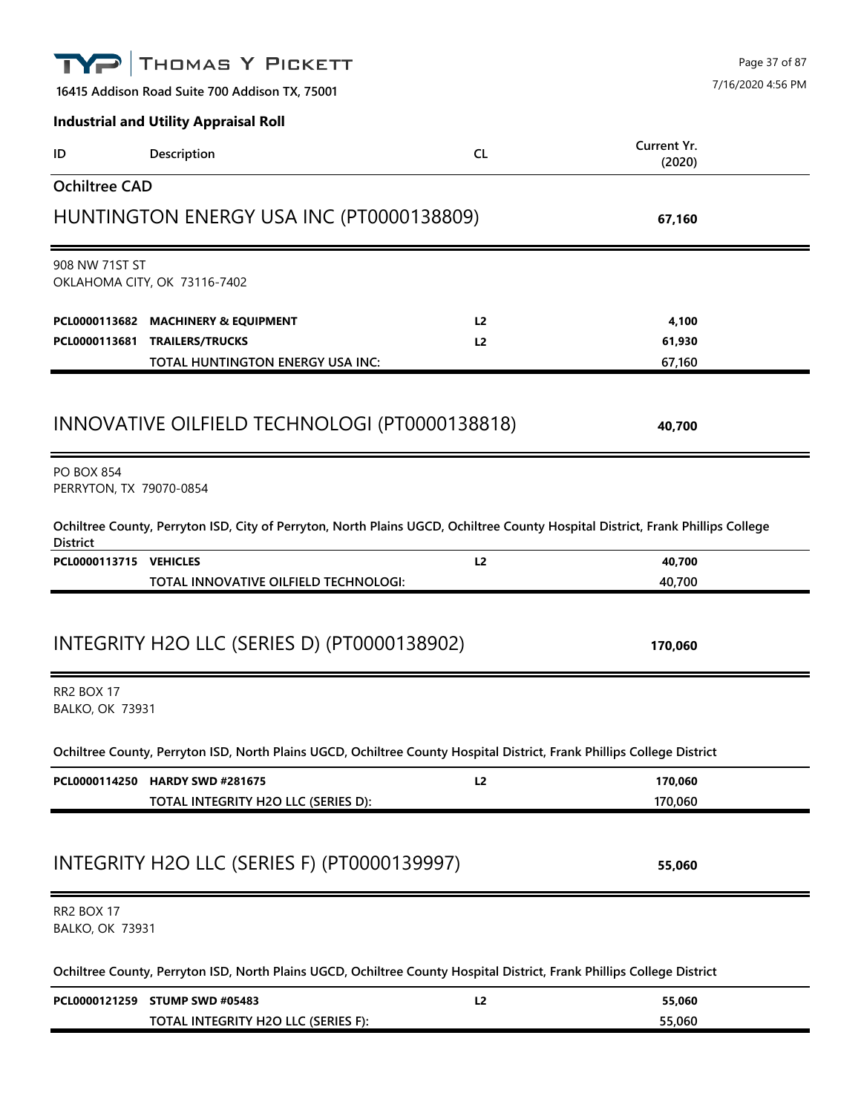| THOMAS Y PICKETT                                                                                                                                   | Page 37 of 87                      |  |
|----------------------------------------------------------------------------------------------------------------------------------------------------|------------------------------------|--|
| 16415 Addison Road Suite 700 Addison TX, 75001                                                                                                     | 7/16/2020 4:56 PM                  |  |
| <b>Industrial and Utility Appraisal Roll</b>                                                                                                       |                                    |  |
| Description<br>ID                                                                                                                                  | Current Yr.<br><b>CL</b><br>(2020) |  |
| <b>Ochiltree CAD</b>                                                                                                                               |                                    |  |
| HUNTINGTON ENERGY USA INC (PT0000138809)                                                                                                           | 67,160                             |  |
| 908 NW 71ST ST<br>OKLAHOMA CITY, OK 73116-7402                                                                                                     |                                    |  |
| PCL0000113682<br><b>MACHINERY &amp; EQUIPMENT</b>                                                                                                  | 4,100<br>L <sub>2</sub>            |  |
| PCL0000113681<br><b>TRAILERS/TRUCKS</b>                                                                                                            | 61,930<br>L <sub>2</sub>           |  |
| TOTAL HUNTINGTON ENERGY USA INC:                                                                                                                   | 67,160                             |  |
| INNOVATIVE OILFIELD TECHNOLOGI (PT0000138818)                                                                                                      | 40,700                             |  |
| <b>PO BOX 854</b><br>PERRYTON, TX 79070-0854                                                                                                       |                                    |  |
| Ochiltree County, Perryton ISD, City of Perryton, North Plains UGCD, Ochiltree County Hospital District, Frank Phillips College<br><b>District</b> |                                    |  |
| PCL0000113715 VEHICLES<br>TOTAL INNOVATIVE OILFIELD TECHNOLOGI:                                                                                    | L2<br>40,700<br>40,700             |  |
|                                                                                                                                                    |                                    |  |
| INTEGRITY H2O LLC (SERIES D) (PT0000138902)                                                                                                        | 170,060                            |  |
| RR2 BOX 17<br><b>BALKO, OK 73931</b>                                                                                                               |                                    |  |
| Ochiltree County, Perryton ISD, North Plains UGCD, Ochiltree County Hospital District, Frank Phillips College District                             |                                    |  |
| PCL0000114250 HARDY SWD #281675                                                                                                                    | 170,060<br>L2                      |  |
| TOTAL INTEGRITY H2O LLC (SERIES D):                                                                                                                | 170,060                            |  |
| INTEGRITY H2O LLC (SERIES F) (PT0000139997)                                                                                                        | 55,060                             |  |
| RR2 BOX 17<br><b>BALKO, OK 73931</b>                                                                                                               |                                    |  |
| Ochiltree County, Perryton ISD, North Plains UGCD, Ochiltree County Hospital District, Frank Phillips College District                             |                                    |  |
| PCL0000121259 STUMP SWD #05483                                                                                                                     | L2<br>55,060                       |  |
| TOTAL INTEGRITY H2O LLC (SERIES F):                                                                                                                | 55,060                             |  |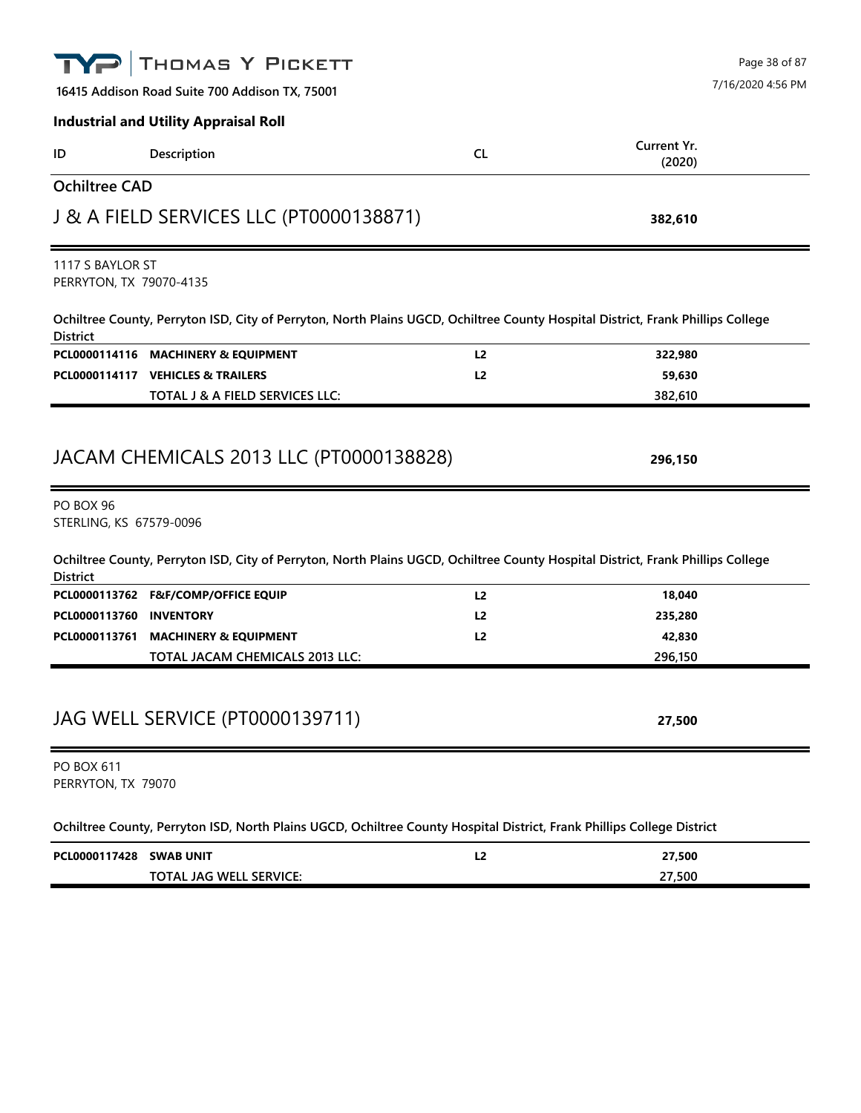| <b>District</b><br>PCL0000113760<br><b>PO BOX 611</b><br>PERRYTON, TX 79070<br>PCL0000117428 SWAB UNIT | Ochiltree County, Perryton ISD, City of Perryton, North Plains UGCD, Ochiltree County Hospital District, Frank Phillips College<br>PCL0000113762 F&F/COMP/OFFICE EQUIP<br><b>INVENTORY</b><br>PCL0000113761 MACHINERY & EQUIPMENT<br>TOTAL JACAM CHEMICALS 2013 LLC:<br>JAG WELL SERVICE (PT0000139711)<br>Ochiltree County, Perryton ISD, North Plains UGCD, Ochiltree County Hospital District, Frank Phillips College District | L <sub>2</sub><br>L <sub>2</sub><br>L <sub>2</sub><br>L2 | 18,040<br>235,280<br>42,830<br>296,150<br>27,500<br>27,500 |
|--------------------------------------------------------------------------------------------------------|-----------------------------------------------------------------------------------------------------------------------------------------------------------------------------------------------------------------------------------------------------------------------------------------------------------------------------------------------------------------------------------------------------------------------------------|----------------------------------------------------------|------------------------------------------------------------|
|                                                                                                        |                                                                                                                                                                                                                                                                                                                                                                                                                                   |                                                          |                                                            |
|                                                                                                        |                                                                                                                                                                                                                                                                                                                                                                                                                                   |                                                          |                                                            |
|                                                                                                        |                                                                                                                                                                                                                                                                                                                                                                                                                                   |                                                          |                                                            |
|                                                                                                        |                                                                                                                                                                                                                                                                                                                                                                                                                                   |                                                          |                                                            |
|                                                                                                        |                                                                                                                                                                                                                                                                                                                                                                                                                                   |                                                          |                                                            |
|                                                                                                        |                                                                                                                                                                                                                                                                                                                                                                                                                                   |                                                          |                                                            |
|                                                                                                        |                                                                                                                                                                                                                                                                                                                                                                                                                                   |                                                          |                                                            |
|                                                                                                        |                                                                                                                                                                                                                                                                                                                                                                                                                                   |                                                          |                                                            |
|                                                                                                        |                                                                                                                                                                                                                                                                                                                                                                                                                                   |                                                          |                                                            |
| PO BOX 96<br>STERLING, KS 67579-0096                                                                   |                                                                                                                                                                                                                                                                                                                                                                                                                                   |                                                          |                                                            |
|                                                                                                        | JACAM CHEMICALS 2013 LLC (PT0000138828)                                                                                                                                                                                                                                                                                                                                                                                           |                                                          | 296,150                                                    |
|                                                                                                        | TOTAL J & A FIELD SERVICES LLC:                                                                                                                                                                                                                                                                                                                                                                                                   |                                                          | 382,610                                                    |
|                                                                                                        | PCL0000114117 VEHICLES & TRAILERS                                                                                                                                                                                                                                                                                                                                                                                                 | L <sub>2</sub>                                           | 59,630                                                     |
|                                                                                                        | PCL0000114116 MACHINERY & EQUIPMENT                                                                                                                                                                                                                                                                                                                                                                                               | L <sub>2</sub>                                           | 322,980                                                    |
| <b>District</b>                                                                                        | Ochiltree County, Perryton ISD, City of Perryton, North Plains UGCD, Ochiltree County Hospital District, Frank Phillips College                                                                                                                                                                                                                                                                                                   |                                                          |                                                            |
| 1117 S BAYLOR ST<br>PERRYTON, TX 79070-4135                                                            |                                                                                                                                                                                                                                                                                                                                                                                                                                   |                                                          |                                                            |
|                                                                                                        |                                                                                                                                                                                                                                                                                                                                                                                                                                   |                                                          |                                                            |
|                                                                                                        | J & A FIELD SERVICES LLC (PT0000138871)                                                                                                                                                                                                                                                                                                                                                                                           |                                                          | 382,610                                                    |
| <b>Ochiltree CAD</b>                                                                                   |                                                                                                                                                                                                                                                                                                                                                                                                                                   |                                                          |                                                            |
| ID                                                                                                     | Description                                                                                                                                                                                                                                                                                                                                                                                                                       | <b>CL</b>                                                | Current Yr.<br>(2020)                                      |
|                                                                                                        | <b>Industrial and Utility Appraisal Roll</b>                                                                                                                                                                                                                                                                                                                                                                                      |                                                          |                                                            |
|                                                                                                        |                                                                                                                                                                                                                                                                                                                                                                                                                                   |                                                          |                                                            |
|                                                                                                        | 16415 Addison Road Suite 700 Addison TX, 75001                                                                                                                                                                                                                                                                                                                                                                                    |                                                          | 7/16/2020 4:56 PM                                          |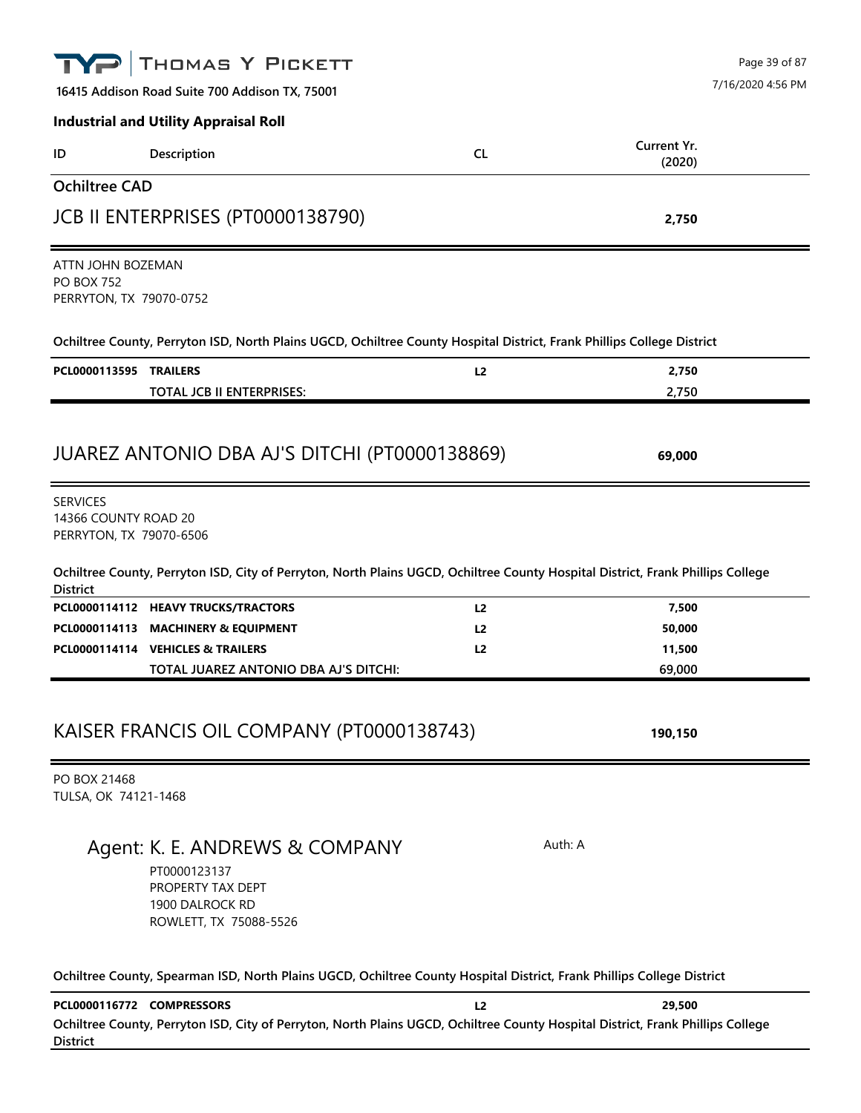|                                                                   | THOMAS Y PICKETT                                                                                                                |                                    | Page 39 of 87     |
|-------------------------------------------------------------------|---------------------------------------------------------------------------------------------------------------------------------|------------------------------------|-------------------|
|                                                                   | 16415 Addison Road Suite 700 Addison TX, 75001                                                                                  |                                    | 7/16/2020 4:56 PM |
|                                                                   | <b>Industrial and Utility Appraisal Roll</b>                                                                                    |                                    |                   |
| ID                                                                | Description                                                                                                                     | Current Yr.<br><b>CL</b><br>(2020) |                   |
| <b>Ochiltree CAD</b>                                              |                                                                                                                                 |                                    |                   |
|                                                                   | JCB II ENTERPRISES (PT0000138790)                                                                                               | 2,750                              |                   |
| ATTN JOHN BOZEMAN<br><b>PO BOX 752</b><br>PERRYTON, TX 79070-0752 |                                                                                                                                 |                                    |                   |
|                                                                   | Ochiltree County, Perryton ISD, North Plains UGCD, Ochiltree County Hospital District, Frank Phillips College District          |                                    |                   |
| PCL0000113595 TRAILERS                                            | <b>TOTAL JCB II ENTERPRISES:</b>                                                                                                | L2<br>2,750<br>2,750               |                   |
| <b>SERVICES</b>                                                   | JUAREZ ANTONIO DBA AJ'S DITCHI (PT0000138869)                                                                                   | 69,000                             |                   |
| 14366 COUNTY ROAD 20<br>PERRYTON, TX 79070-6506                   | Ochiltree County, Perryton ISD, City of Perryton, North Plains UGCD, Ochiltree County Hospital District, Frank Phillips College |                                    |                   |
| <b>District</b>                                                   | PCL0000114112 HEAVY TRUCKS/TRACTORS                                                                                             | 7,500<br>L <sub>2</sub>            |                   |
|                                                                   | PCL0000114113 MACHINERY & EQUIPMENT                                                                                             | 50,000<br>L <sub>2</sub>           |                   |
| PCL0000114114 VEHICLES & TRAILERS                                 | TOTAL JUAREZ ANTONIO DBA AJ'S DITCHI:                                                                                           | 11,500<br>L <sub>2</sub><br>69,000 |                   |
| PO BOX 21468                                                      | KAISER FRANCIS OIL COMPANY (PT0000138743)                                                                                       | 190,150                            |                   |
| TULSA, OK 74121-1468                                              |                                                                                                                                 |                                    |                   |
|                                                                   | Agent: K. E. ANDREWS & COMPANY<br>PT0000123137<br>PROPERTY TAX DEPT<br>1900 DALROCK RD<br>ROWLETT, TX 75088-5526                | Auth: A                            |                   |
|                                                                   | Ochiltree County, Spearman ISD, North Plains UGCD, Ochiltree County Hospital District, Frank Phillips College District          |                                    |                   |
| PCL0000116772 COMPRESSORS<br><b>District</b>                      | Ochiltree County, Perryton ISD, City of Perryton, North Plains UGCD, Ochiltree County Hospital District, Frank Phillips College | 29,500<br>L <sub>2</sub>           |                   |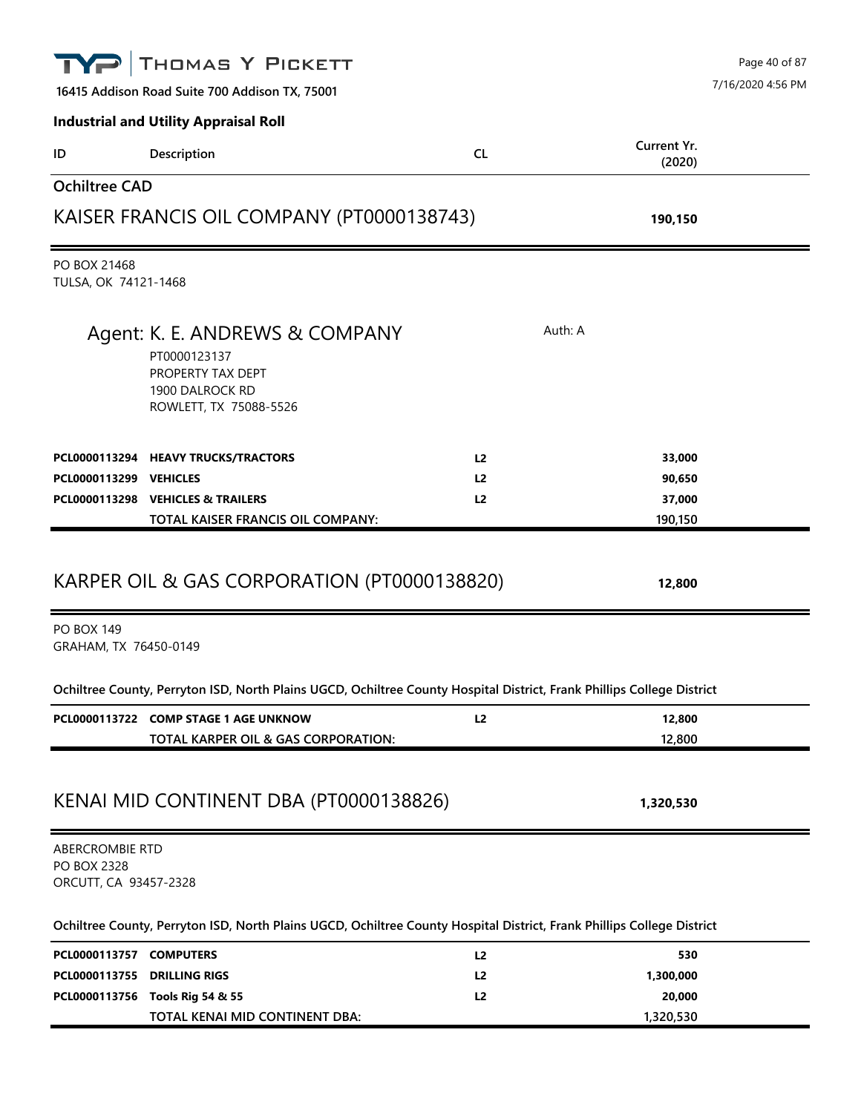|                                                         | THOMAS Y PICKETT                                                                                                       |                |                       | Page 40 of 87     |
|---------------------------------------------------------|------------------------------------------------------------------------------------------------------------------------|----------------|-----------------------|-------------------|
|                                                         | 16415 Addison Road Suite 700 Addison TX, 75001                                                                         |                |                       | 7/16/2020 4:56 PM |
|                                                         | <b>Industrial and Utility Appraisal Roll</b>                                                                           |                |                       |                   |
| ID                                                      | Description                                                                                                            | <b>CL</b>      | Current Yr.<br>(2020) |                   |
| <b>Ochiltree CAD</b>                                    |                                                                                                                        |                |                       |                   |
|                                                         | KAISER FRANCIS OIL COMPANY (PT0000138743)                                                                              |                | 190,150               |                   |
| PO BOX 21468<br>TULSA, OK 74121-1468                    |                                                                                                                        |                |                       |                   |
|                                                         | Agent: K. E. ANDREWS & COMPANY<br>PT0000123137<br>PROPERTY TAX DEPT<br>1900 DALROCK RD<br>ROWLETT, TX 75088-5526       |                | Auth: A               |                   |
|                                                         | PCL0000113294 HEAVY TRUCKS/TRACTORS                                                                                    | L2             | 33,000                |                   |
| PCL0000113299 VEHICLES                                  |                                                                                                                        | L <sub>2</sub> | 90,650                |                   |
|                                                         | PCL0000113298 VEHICLES & TRAILERS                                                                                      | L2             | 37,000                |                   |
|                                                         | TOTAL KAISER FRANCIS OIL COMPANY:                                                                                      |                | 190,150               |                   |
| <b>PO BOX 149</b><br>GRAHAM, TX 76450-0149              | KARPER OIL & GAS CORPORATION (PT0000138820)                                                                            |                | 12,800                |                   |
|                                                         | Ochiltree County, Perryton ISD, North Plains UGCD, Ochiltree County Hospital District, Frank Phillips College District |                |                       |                   |
|                                                         | PCL0000113722 COMP STAGE 1 AGE UNKNOW                                                                                  | L2             | 12,800                |                   |
|                                                         | TOTAL KARPER OIL & GAS CORPORATION:                                                                                    |                | 12,800                |                   |
|                                                         | KENAI MID CONTINENT DBA (PT0000138826)                                                                                 |                | 1,320,530             |                   |
| ABERCROMBIE RTD<br>PO BOX 2328<br>ORCUTT, CA 93457-2328 |                                                                                                                        |                |                       |                   |
|                                                         | Ochiltree County, Perryton ISD, North Plains UGCD, Ochiltree County Hospital District, Frank Phillips College District |                |                       |                   |
| PCL0000113757 COMPUTERS                                 |                                                                                                                        | L <sub>2</sub> | 530                   |                   |
| PCL0000113755 DRILLING RIGS                             |                                                                                                                        | L <sub>2</sub> | 1,300,000             |                   |
|                                                         | PCL0000113756 Tools Rig 54 & 55                                                                                        | L <sub>2</sub> | 20,000                |                   |
|                                                         | TOTAL KENAI MID CONTINENT DBA:                                                                                         |                | 1,320,530             |                   |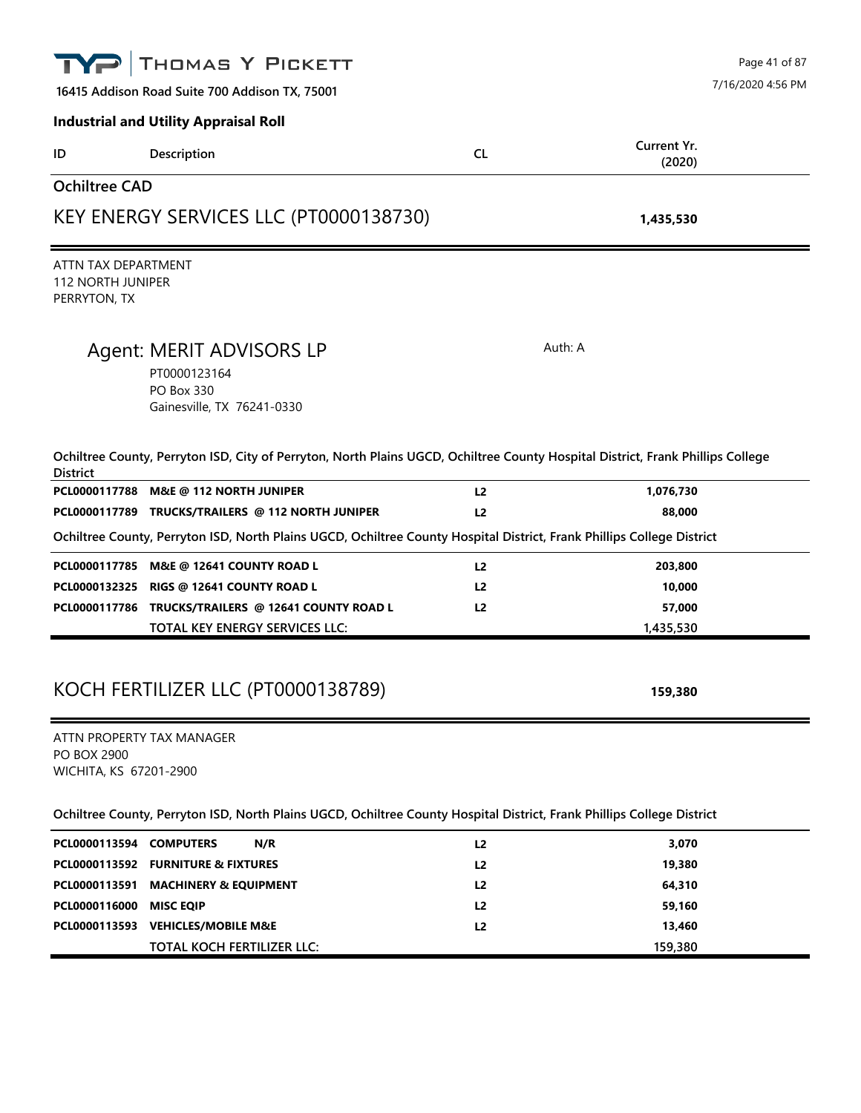|                                                                 | THOMAS Y PICKETT                                                                                                                |                | Page 41 of 87     |
|-----------------------------------------------------------------|---------------------------------------------------------------------------------------------------------------------------------|----------------|-------------------|
|                                                                 | 16415 Addison Road Suite 700 Addison TX, 75001                                                                                  |                | 7/16/2020 4:56 PM |
|                                                                 | <b>Industrial and Utility Appraisal Roll</b>                                                                                    |                |                   |
| ID                                                              | Description                                                                                                                     | <b>CL</b>      | Current Yr.       |
|                                                                 |                                                                                                                                 |                | (2020)            |
| <b>Ochiltree CAD</b>                                            |                                                                                                                                 |                |                   |
|                                                                 | KEY ENERGY SERVICES LLC (PT0000138730)                                                                                          |                | 1,435,530         |
| ATTN TAX DEPARTMENT<br><b>112 NORTH JUNIPER</b><br>PERRYTON, TX |                                                                                                                                 |                |                   |
|                                                                 | Agent: MERIT ADVISORS LP                                                                                                        |                | Auth: A           |
|                                                                 | PT0000123164                                                                                                                    |                |                   |
|                                                                 | <b>PO Box 330</b>                                                                                                               |                |                   |
|                                                                 | Gainesville, TX 76241-0330                                                                                                      |                |                   |
| <b>District</b>                                                 | Ochiltree County, Perryton ISD, City of Perryton, North Plains UGCD, Ochiltree County Hospital District, Frank Phillips College |                |                   |
|                                                                 | PCL0000117788 M&E @ 112 NORTH JUNIPER                                                                                           | L <sub>2</sub> | 1,076,730         |
|                                                                 | PCL0000117789 TRUCKS/TRAILERS @ 112 NORTH JUNIPER                                                                               | L <sub>2</sub> | 88,000            |
|                                                                 | Ochiltree County, Perryton ISD, North Plains UGCD, Ochiltree County Hospital District, Frank Phillips College District          |                |                   |
|                                                                 | PCL0000117785 M&E @ 12641 COUNTY ROAD L                                                                                         | L2             | 203,800           |
| PCL0000132325                                                   | RIGS @ 12641 COUNTY ROAD L                                                                                                      | L <sub>2</sub> | 10,000            |
|                                                                 | PCL0000117786 TRUCKS/TRAILERS @ 12641 COUNTY ROAD L                                                                             | L <sub>2</sub> | 57,000            |
|                                                                 | TOTAL KEY ENERGY SERVICES LLC:                                                                                                  |                | 1,435,530         |
|                                                                 |                                                                                                                                 |                |                   |
|                                                                 |                                                                                                                                 |                |                   |
|                                                                 | KOCH FERTILIZER LLC (PT0000138789)                                                                                              |                | 159,380           |
|                                                                 | ATTN PROPERTY TAX MANAGER                                                                                                       |                |                   |
| <b>PO BOX 2900</b>                                              |                                                                                                                                 |                |                   |
| WICHITA, KS 67201-2900                                          |                                                                                                                                 |                |                   |
|                                                                 | Ochiltree County, Perryton ISD, North Plains UGCD, Ochiltree County Hospital District, Frank Phillips College District          |                |                   |
| PCL0000113594 COMPUTERS                                         | N/R                                                                                                                             | L2             | 3,070             |
|                                                                 | PCL0000113592 FURNITURE & FIXTURES                                                                                              | L2             | 19,380            |
| PCL0000113591                                                   | <b>MACHINERY &amp; EQUIPMENT</b>                                                                                                | L2             | 64,310            |
| PCL0000116000                                                   | <b>MISC EQIP</b>                                                                                                                | L <sub>2</sub> | 59,160            |
|                                                                 | PCL0000113593 VEHICLES/MOBILE M&E                                                                                               | L2             | 13,460            |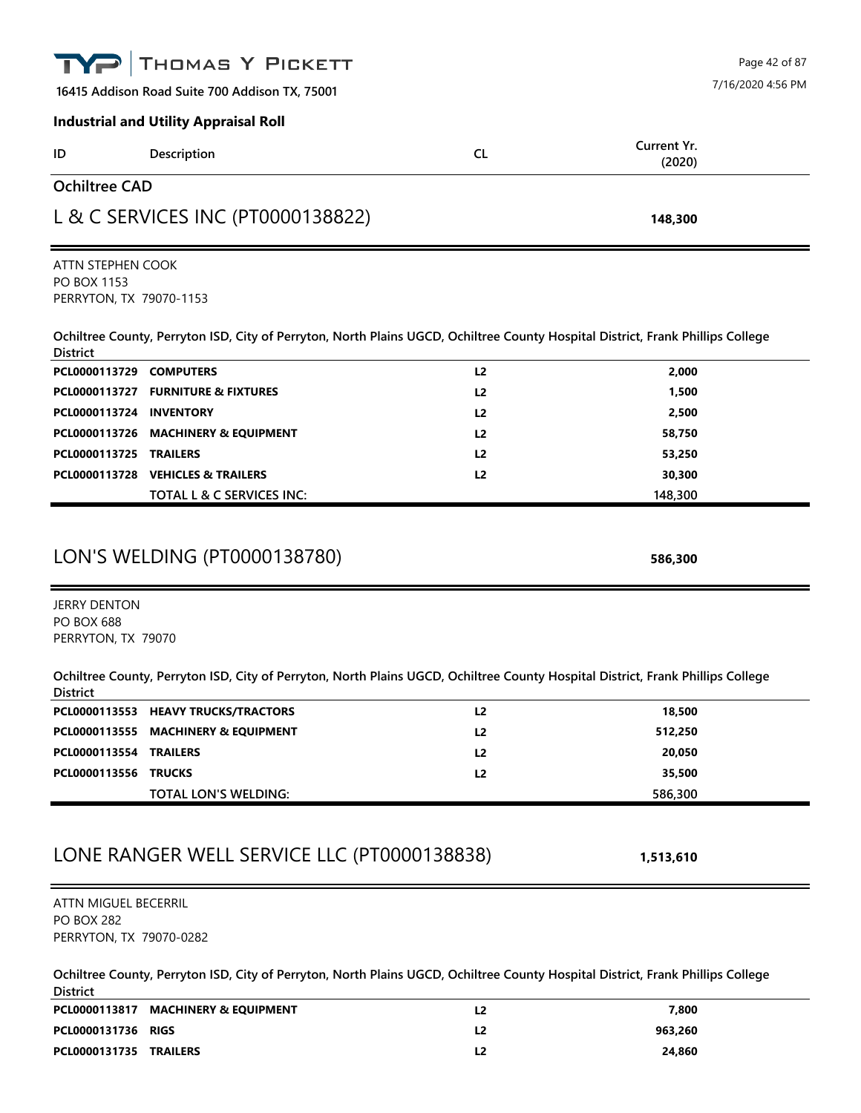|                                                                      | THOMAS Y PICKETT                                                                                                                |                |                   | Page 42 of 87     |
|----------------------------------------------------------------------|---------------------------------------------------------------------------------------------------------------------------------|----------------|-------------------|-------------------|
|                                                                      | 16415 Addison Road Suite 700 Addison TX, 75001                                                                                  |                |                   | 7/16/2020 4:56 PM |
|                                                                      | <b>Industrial and Utility Appraisal Roll</b>                                                                                    |                |                   |                   |
| ID                                                                   | Description                                                                                                                     | <b>CL</b>      | Current Yr.       |                   |
|                                                                      |                                                                                                                                 |                | (2020)            |                   |
| <b>Ochiltree CAD</b>                                                 |                                                                                                                                 |                |                   |                   |
|                                                                      | L & C SERVICES INC (PT0000138822)                                                                                               |                | 148,300           |                   |
| ATTN STEPHEN COOK                                                    |                                                                                                                                 |                |                   |                   |
| PO BOX 1153<br>PERRYTON, TX 79070-1153                               |                                                                                                                                 |                |                   |                   |
| <b>District</b>                                                      | Ochiltree County, Perryton ISD, City of Perryton, North Plains UGCD, Ochiltree County Hospital District, Frank Phillips College |                |                   |                   |
| PCL0000113729 COMPUTERS                                              |                                                                                                                                 | L2             | 2,000             |                   |
|                                                                      | PCL0000113727 FURNITURE & FIXTURES                                                                                              | L2             | 1,500             |                   |
| PCL0000113724 INVENTORY                                              |                                                                                                                                 | L <sub>2</sub> | 2,500             |                   |
|                                                                      | PCL0000113726 MACHINERY & EQUIPMENT                                                                                             | L <sub>2</sub> | 58,750            |                   |
| PCL0000113725                                                        | <b>TRAILERS</b>                                                                                                                 | L <sub>2</sub> | 53,250            |                   |
|                                                                      | PCL0000113728 VEHICLES & TRAILERS<br>TOTAL L & C SERVICES INC:                                                                  | L2             | 30,300<br>148,300 |                   |
| <b>JERRY DENTON</b><br><b>PO BOX 688</b>                             | LON'S WELDING (PT0000138780)                                                                                                    |                | 586,300           |                   |
| PERRYTON, TX 79070<br><b>District</b>                                | Ochiltree County, Perryton ISD, City of Perryton, North Plains UGCD, Ochiltree County Hospital District, Frank Phillips College |                |                   |                   |
|                                                                      | PCL0000113553 HEAVY TRUCKS/TRACTORS                                                                                             | L2             | 18,500            |                   |
|                                                                      | PCL0000113555 MACHINERY & EQUIPMENT                                                                                             | L2             | 512,250           |                   |
| PCL0000113554 TRAILERS                                               |                                                                                                                                 | L2             | 20,050            |                   |
| PCL0000113556 TRUCKS                                                 |                                                                                                                                 | L2             | 35,500            |                   |
|                                                                      | TOTAL LON'S WELDING:                                                                                                            |                | 586,300           |                   |
|                                                                      | LONE RANGER WELL SERVICE LLC (PT0000138838)                                                                                     |                | 1,513,610         |                   |
| ATTN MIGUEL BECERRIL<br><b>PO BOX 282</b><br>PERRYTON, TX 79070-0282 |                                                                                                                                 |                |                   |                   |
| <b>District</b>                                                      | Ochiltree County, Perryton ISD, City of Perryton, North Plains UGCD, Ochiltree County Hospital District, Frank Phillips College |                |                   |                   |
|                                                                      | PCL0000113817 MACHINERY & EQUIPMENT                                                                                             | L2             | 7,800             |                   |
| PCL0000131736 RIGS                                                   |                                                                                                                                 | L2             | 963,260           |                   |

**PCL0000131735 TRAILERS L2 24,860**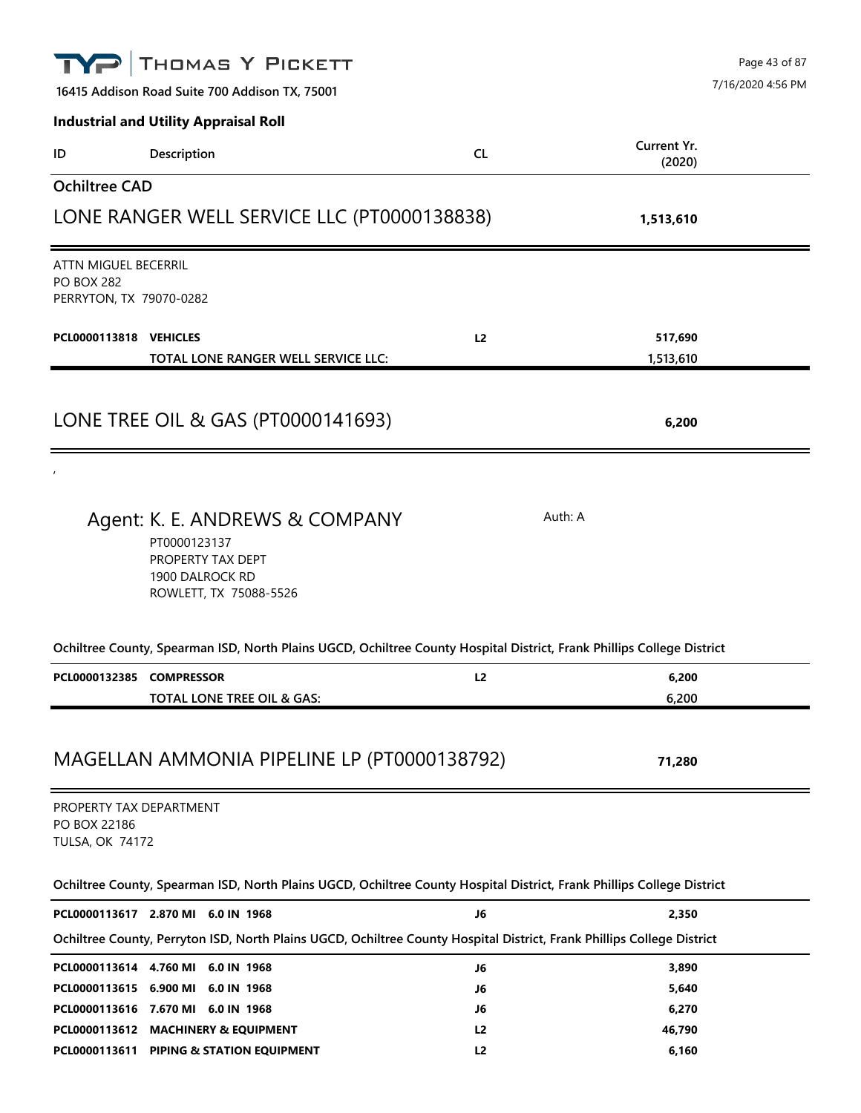|                                                                      | THOMAS Y PICKETT                                                                                                       |                |                       | Page 43 of 87     |
|----------------------------------------------------------------------|------------------------------------------------------------------------------------------------------------------------|----------------|-----------------------|-------------------|
|                                                                      | 16415 Addison Road Suite 700 Addison TX, 75001                                                                         |                |                       | 7/16/2020 4:56 PM |
|                                                                      | <b>Industrial and Utility Appraisal Roll</b>                                                                           |                |                       |                   |
| ID                                                                   | Description                                                                                                            | <b>CL</b>      | Current Yr.<br>(2020) |                   |
| <b>Ochiltree CAD</b>                                                 |                                                                                                                        |                |                       |                   |
|                                                                      | LONE RANGER WELL SERVICE LLC (PT0000138838)                                                                            |                | 1,513,610             |                   |
| ATTN MIGUEL BECERRIL<br><b>PO BOX 282</b><br>PERRYTON, TX 79070-0282 |                                                                                                                        |                |                       |                   |
| PCL0000113818 VEHICLES                                               | TOTAL LONE RANGER WELL SERVICE LLC:                                                                                    | L2             | 517,690<br>1,513,610  |                   |
|                                                                      | LONE TREE OIL & GAS (PT0000141693)                                                                                     |                | 6,200                 |                   |
|                                                                      | Agent: K. E. ANDREWS & COMPANY<br>PT0000123137<br>PROPERTY TAX DEPT<br>1900 DALROCK RD<br>ROWLETT, TX 75088-5526       |                | Auth: A               |                   |
|                                                                      | Ochiltree County, Spearman ISD, North Plains UGCD, Ochiltree County Hospital District, Frank Phillips College District |                |                       |                   |
| PCL0000132385 COMPRESSOR                                             | TOTAL LONE TREE OIL & GAS:                                                                                             | L <sub>2</sub> | 6,200<br>6,200        |                   |
| PROPERTY TAX DEPARTMENT<br>PO BOX 22186<br><b>TULSA, OK 74172</b>    | MAGELLAN AMMONIA PIPELINE LP (PT0000138792)                                                                            |                | 71,280                |                   |
|                                                                      | Ochiltree County, Spearman ISD, North Plains UGCD, Ochiltree County Hospital District, Frank Phillips College District |                |                       |                   |
|                                                                      | PCL0000113617 2.870 MI 6.0 IN 1968                                                                                     | J6             | 2,350                 |                   |
|                                                                      | Ochiltree County, Perryton ISD, North Plains UGCD, Ochiltree County Hospital District, Frank Phillips College District |                |                       |                   |
|                                                                      | PCL0000113614 4.760 MI 6.0 IN 1968                                                                                     | J6             | 3,890                 |                   |
|                                                                      | PCL0000113615 6.900 MI 6.0 IN 1968                                                                                     | J6             | 5,640                 |                   |
|                                                                      | PCL0000113616 7.670 MI 6.0 IN 1968                                                                                     | J6             | 6,270                 |                   |
|                                                                      | PCL0000113612 MACHINERY & EQUIPMENT                                                                                    | L <sub>2</sub> | 46,790                |                   |
|                                                                      | PCL0000113611 PIPING & STATION EQUIPMENT                                                                               | L2             | 6,160                 |                   |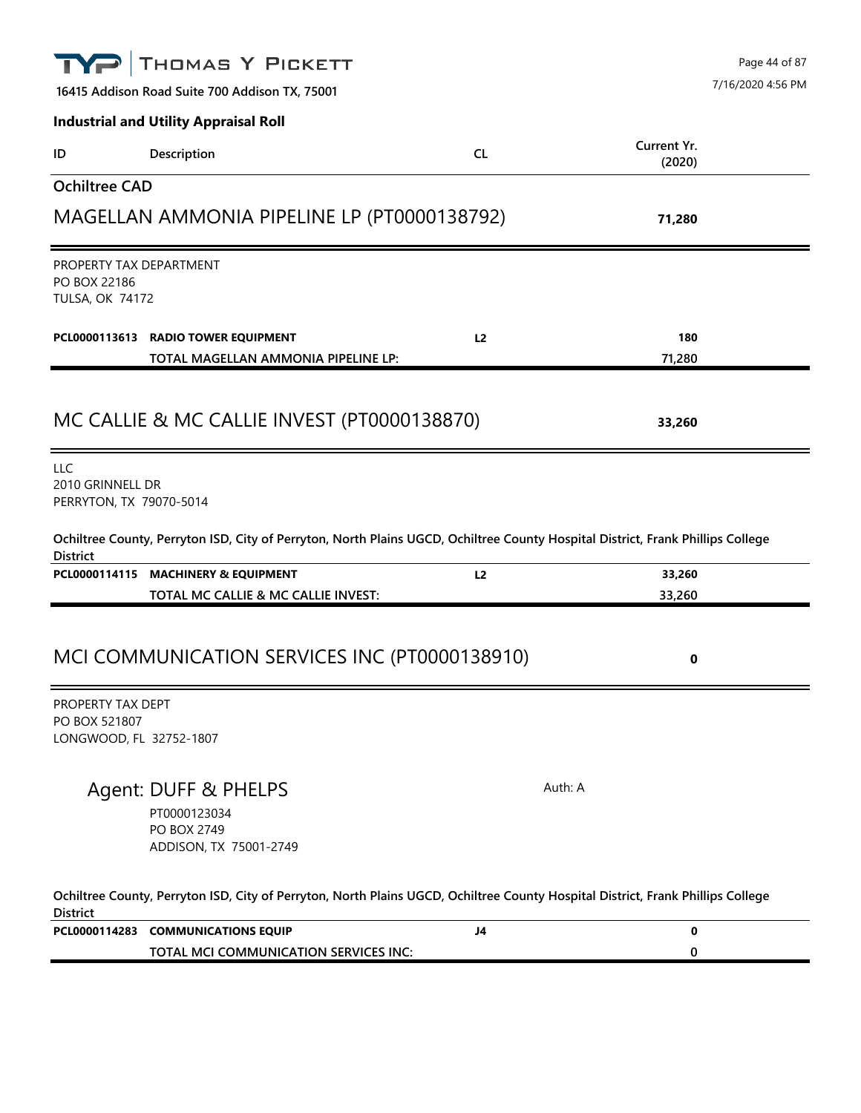|                                                                   | THOMAS Y PICKETT                                                                                                                |                |                       | Page 44 of 87     |
|-------------------------------------------------------------------|---------------------------------------------------------------------------------------------------------------------------------|----------------|-----------------------|-------------------|
|                                                                   | 16415 Addison Road Suite 700 Addison TX, 75001                                                                                  |                |                       | 7/16/2020 4:56 PM |
|                                                                   | <b>Industrial and Utility Appraisal Roll</b>                                                                                    |                |                       |                   |
| ID                                                                | Description                                                                                                                     | <b>CL</b>      | Current Yr.<br>(2020) |                   |
| <b>Ochiltree CAD</b>                                              |                                                                                                                                 |                |                       |                   |
|                                                                   | MAGELLAN AMMONIA PIPELINE LP (PT0000138792)                                                                                     |                | 71,280                |                   |
| PROPERTY TAX DEPARTMENT<br>PO BOX 22186<br><b>TULSA, OK 74172</b> |                                                                                                                                 |                |                       |                   |
|                                                                   | PCL0000113613 RADIO TOWER EQUIPMENT<br>TOTAL MAGELLAN AMMONIA PIPELINE LP:                                                      | L <sub>2</sub> | 180<br>71,280         |                   |
|                                                                   | MC CALLIE & MC CALLIE INVEST (PT0000138870)                                                                                     |                | 33,260                |                   |
| LLC<br>2010 GRINNELL DR<br>PERRYTON, TX 79070-5014                |                                                                                                                                 |                |                       |                   |
| <b>District</b>                                                   | Ochiltree County, Perryton ISD, City of Perryton, North Plains UGCD, Ochiltree County Hospital District, Frank Phillips College |                |                       |                   |
|                                                                   | PCL0000114115 MACHINERY & EQUIPMENT                                                                                             | L <sub>2</sub> | 33,260                |                   |
|                                                                   | TOTAL MC CALLIE & MC CALLIE INVEST:                                                                                             |                | 33,260                |                   |
|                                                                   | MCI COMMUNICATION SERVICES INC (PT0000138910)                                                                                   |                | 0                     |                   |
| PROPERTY TAX DEPT<br>PO BOX 521807<br>LONGWOOD, FL 32752-1807     |                                                                                                                                 |                |                       |                   |
|                                                                   | Agent: DUFF & PHELPS<br>PT0000123034<br>PO BOX 2749<br>ADDISON, TX 75001-2749                                                   |                | Auth: A               |                   |
| <b>District</b>                                                   | Ochiltree County, Perryton ISD, City of Perryton, North Plains UGCD, Ochiltree County Hospital District, Frank Phillips College |                |                       |                   |
|                                                                   | PCL0000114283 COMMUNICATIONS EQUIP                                                                                              | J <sub>4</sub> | 0                     |                   |
|                                                                   | TOTAL MCI COMMUNICATION SERVICES INC:                                                                                           |                |                       |                   |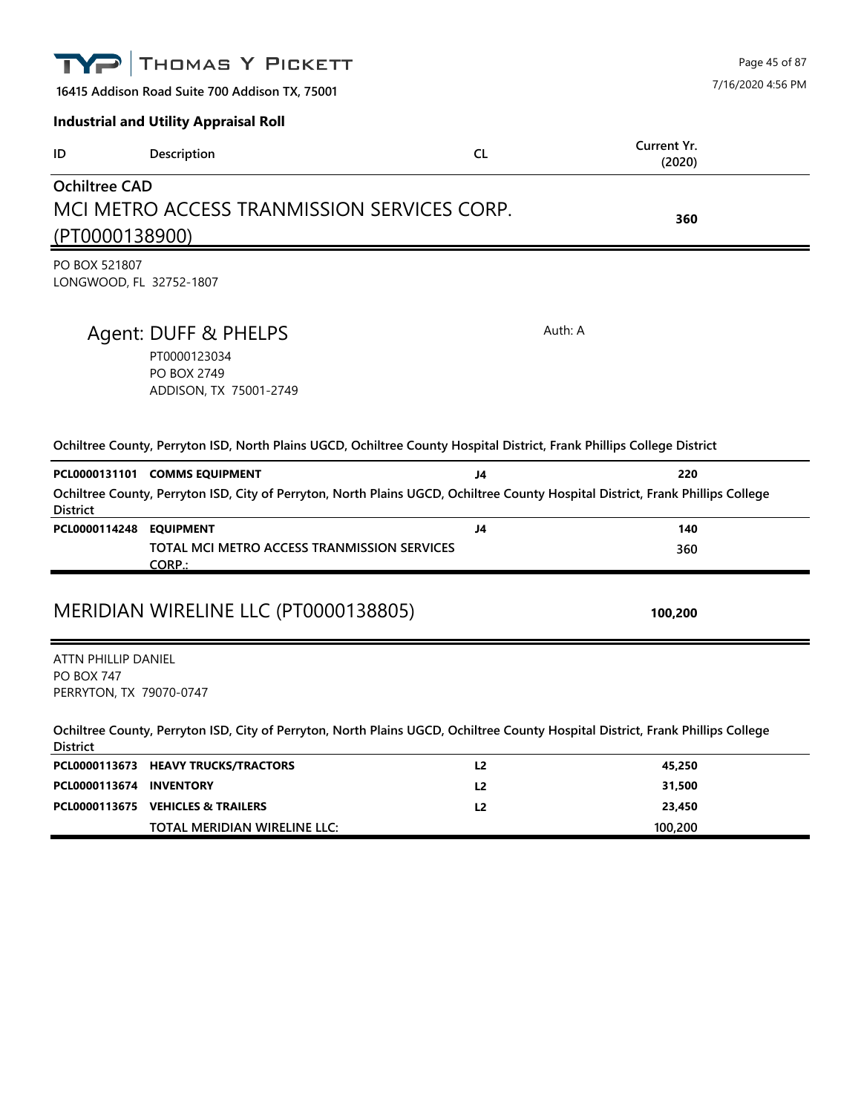|                                          | THOMAS Y PICKETT                                                                                                                                                 |                | Page 45 of 87         |
|------------------------------------------|------------------------------------------------------------------------------------------------------------------------------------------------------------------|----------------|-----------------------|
|                                          | 16415 Addison Road Suite 700 Addison TX, 75001                                                                                                                   |                | 7/16/2020 4:56 PM     |
|                                          | <b>Industrial and Utility Appraisal Roll</b>                                                                                                                     |                |                       |
| ID                                       | Description                                                                                                                                                      | CL.            | Current Yr.<br>(2020) |
| <b>Ochiltree CAD</b>                     |                                                                                                                                                                  |                |                       |
|                                          | MCI METRO ACCESS TRANMISSION SERVICES CORP.                                                                                                                      |                | 360                   |
| (PT0000138900)                           |                                                                                                                                                                  |                |                       |
| PO BOX 521807                            | LONGWOOD, FL 32752-1807                                                                                                                                          |                |                       |
|                                          | Agent: DUFF & PHELPS                                                                                                                                             | Auth: A        |                       |
|                                          | PT0000123034<br><b>PO BOX 2749</b>                                                                                                                               |                |                       |
|                                          | ADDISON, TX 75001-2749                                                                                                                                           |                |                       |
|                                          | Ochiltree County, Perryton ISD, North Plains UGCD, Ochiltree County Hospital District, Frank Phillips College District                                           |                |                       |
|                                          | PCL0000131101 COMMS EQUIPMENT<br>Ochiltree County, Perryton ISD, City of Perryton, North Plains UGCD, Ochiltree County Hospital District, Frank Phillips College | J4             | 220                   |
| <b>District</b><br>PCL0000114248         | <b>EQUIPMENT</b>                                                                                                                                                 | J4             | 140                   |
|                                          | TOTAL MCI METRO ACCESS TRANMISSION SERVICES<br>CORP.:                                                                                                            |                | 360                   |
|                                          | MERIDIAN WIRELINE LLC (PT0000138805)                                                                                                                             |                | 100,200               |
| ATTN PHILLIP DANIEL<br><b>PO BOX 747</b> | PERRYTON, TX 79070-0747                                                                                                                                          |                |                       |
| <b>District</b>                          | Ochiltree County, Perryton ISD, City of Perryton, North Plains UGCD, Ochiltree County Hospital District, Frank Phillips College                                  |                |                       |
| PCL0000113673                            | <b>HEAVY TRUCKS/TRACTORS</b>                                                                                                                                     | L2             | 45,250                |
| PCL0000113674                            | <b>INVENTORY</b>                                                                                                                                                 | L <sub>2</sub> | 31,500                |
|                                          | PCL0000113675 VEHICLES & TRAILERS                                                                                                                                | L2             | 23,450<br>100,200     |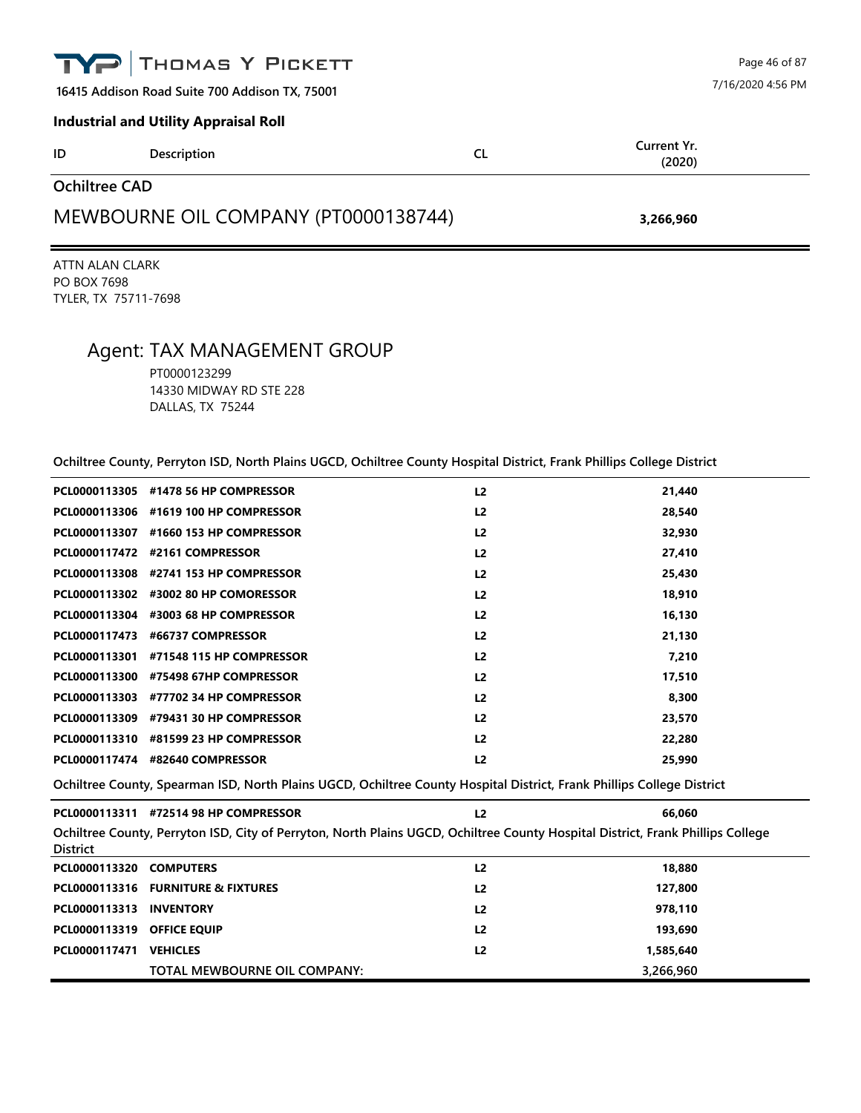| THOMAS Y PICKETT<br>TYPI                          |                                              |    |                       | Page 46 of 87 |  |
|---------------------------------------------------|----------------------------------------------|----|-----------------------|---------------|--|
| 16415 Addison Road Suite 700 Addison TX, 75001    |                                              |    | 7/16/2020 4:56 PM     |               |  |
|                                                   | <b>Industrial and Utility Appraisal Roll</b> |    |                       |               |  |
| ID                                                | Description                                  | CL | Current Yr.<br>(2020) |               |  |
| <b>Ochiltree CAD</b>                              |                                              |    |                       |               |  |
| MEWBOURNE OIL COMPANY (PT0000138744)<br>3,266,960 |                                              |    |                       |               |  |

ATTN ALAN CLARK PO BOX 7698 TYLER, TX 75711-7698

## Agent: TAX MANAGEMENT GROUP

PT0000123299 14330 MIDWAY RD STE 228 DALLAS, TX 75244

|  | Ochiltree County, Perryton ISD, North Plains UGCD, Ochiltree County Hospital District, Frank Phillips College District |  |  |  |
|--|------------------------------------------------------------------------------------------------------------------------|--|--|--|
|  |                                                                                                                        |  |  |  |

|               | PCL0000113305 #1478 56 HP COMPRESSOR  | L <sub>2</sub>                                                                                                        | 21,440 |
|---------------|---------------------------------------|-----------------------------------------------------------------------------------------------------------------------|--------|
|               | PCL0000113306 #1619 100 HP COMPRESSOR | L <sub>2</sub>                                                                                                        | 28,540 |
| PCL0000113307 | #1660 153 HP COMPRESSOR               | L <sub>2</sub>                                                                                                        | 32,930 |
|               | PCL0000117472 #2161 COMPRESSOR        | L <sub>2</sub>                                                                                                        | 27,410 |
|               | PCL0000113308 #2741 153 HP COMPRESSOR | L <sub>2</sub>                                                                                                        | 25,430 |
|               | PCL0000113302 #3002 80 HP COMORESSOR  | L <sub>2</sub>                                                                                                        | 18,910 |
|               | PCL0000113304 #3003 68 HP COMPRESSOR  | L <sub>2</sub>                                                                                                        | 16,130 |
| PCL0000117473 | #66737 COMPRESSOR                     | L <sub>2</sub>                                                                                                        | 21,130 |
| PCL0000113301 | #71548 115 HP COMPRESSOR              | L <sub>2</sub>                                                                                                        | 7,210  |
| PCL0000113300 | #75498 67HP COMPRESSOR                | L <sub>2</sub>                                                                                                        | 17,510 |
| PCL0000113303 | #77702 34 HP COMPRESSOR               | L <sub>2</sub>                                                                                                        | 8,300  |
|               | PCL0000113309 #79431 30 HP COMPRESSOR | L <sub>2</sub>                                                                                                        | 23,570 |
| PCL0000113310 | #81599 23 HP COMPRESSOR               | L <sub>2</sub>                                                                                                        | 22,280 |
|               | PCL0000117474 #82640 COMPRESSOR       | L <sub>2</sub>                                                                                                        | 25,990 |
|               |                                       | Oshilang Carrolle Charaman ICD, Nasah Dising HOCD, Oshilang Carroll Hamilal District, Frank Dhilling Callang District |        |

**Ochiltree County, Spearman ISD, North Plains UGCD, Ochiltree County Hospital District, Frank Phillips College District**

|                                                                                                                                 | PCL0000113311 #72514 98 HP COMPRESSOR | L2             | 66.060    |  |  |  |
|---------------------------------------------------------------------------------------------------------------------------------|---------------------------------------|----------------|-----------|--|--|--|
| Ochiltree County, Perryton ISD, City of Perryton, North Plains UGCD, Ochiltree County Hospital District, Frank Phillips College |                                       |                |           |  |  |  |
| <b>District</b>                                                                                                                 |                                       |                |           |  |  |  |
| PCL0000113320 COMPUTERS                                                                                                         |                                       | L <sub>2</sub> | 18,880    |  |  |  |
|                                                                                                                                 | PCL0000113316 FURNITURE & FIXTURES    | L <sub>2</sub> | 127,800   |  |  |  |
| PCL0000113313                                                                                                                   | <b>INVENTORY</b>                      | L <sub>2</sub> | 978,110   |  |  |  |
| PCL0000113319 OFFICE EQUIP                                                                                                      |                                       | L <sub>2</sub> | 193,690   |  |  |  |
| PCL0000117471                                                                                                                   | <b>VEHICLES</b>                       | L <sub>2</sub> | 1,585,640 |  |  |  |
|                                                                                                                                 | TOTAL MEWBOURNE OIL COMPANY:          |                | 3,266,960 |  |  |  |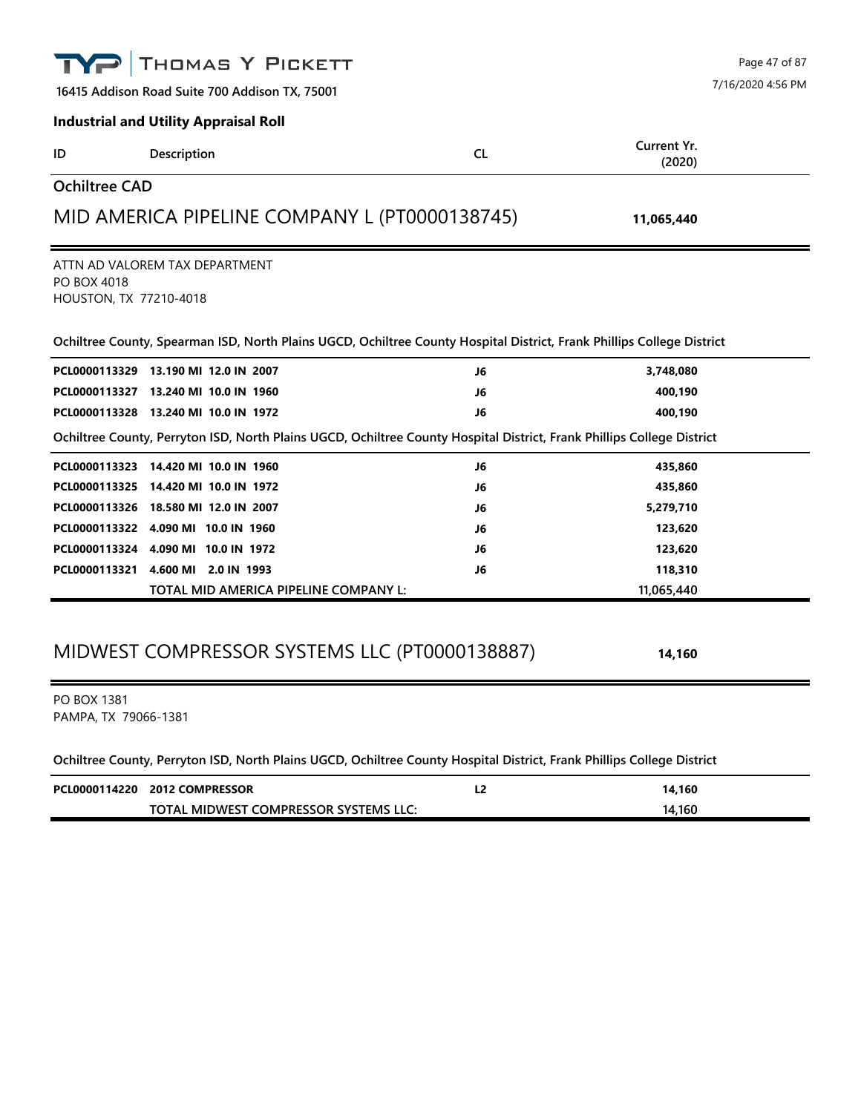|                                            | THOMAS Y PICKETT                                                                                                                                         |           |                       | Page 47 of 87     |
|--------------------------------------------|----------------------------------------------------------------------------------------------------------------------------------------------------------|-----------|-----------------------|-------------------|
|                                            | 16415 Addison Road Suite 700 Addison TX, 75001                                                                                                           |           |                       | 7/16/2020 4:56 PM |
|                                            | <b>Industrial and Utility Appraisal Roll</b>                                                                                                             |           |                       |                   |
| ID                                         | Description                                                                                                                                              | <b>CL</b> | Current Yr.<br>(2020) |                   |
| <b>Ochiltree CAD</b>                       |                                                                                                                                                          |           |                       |                   |
|                                            | MID AMERICA PIPELINE COMPANY L (PT0000138745)                                                                                                            |           | 11,065,440            |                   |
| PO BOX 4018<br>HOUSTON, TX 77210-4018      | ATTN AD VALOREM TAX DEPARTMENT<br>Ochiltree County, Spearman ISD, North Plains UGCD, Ochiltree County Hospital District, Frank Phillips College District |           |                       |                   |
|                                            | PCL0000113329 13.190 MI 12.0 IN 2007                                                                                                                     | J6        | 3,748,080             |                   |
|                                            | PCL0000113327 13.240 MI 10.0 IN 1960                                                                                                                     | J6        | 400,190               |                   |
|                                            | PCL0000113328 13.240 MI 10.0 IN 1972                                                                                                                     | J6        | 400,190               |                   |
|                                            | Ochiltree County, Perryton ISD, North Plains UGCD, Ochiltree County Hospital District, Frank Phillips College District                                   |           |                       |                   |
|                                            | PCL0000113323 14.420 MI 10.0 IN 1960                                                                                                                     | J6        | 435,860               |                   |
| PCL0000113325                              | 14.420 MI 10.0 IN 1972                                                                                                                                   | J6        | 435,860               |                   |
|                                            | PCL0000113326 18.580 MI 12.0 IN 2007                                                                                                                     | J6        | 5,279,710             |                   |
|                                            | PCL0000113322 4.090 MI 10.0 IN 1960                                                                                                                      | J6        | 123,620               |                   |
|                                            | PCL0000113324 4.090 MI 10.0 IN 1972                                                                                                                      | J6        | 123,620               |                   |
|                                            | PCL0000113321 4.600 MI 2.0 IN 1993                                                                                                                       | J6        | 118,310               |                   |
|                                            | TOTAL MID AMERICA PIPELINE COMPANY L:                                                                                                                    |           | 11,065,440            |                   |
|                                            | MIDWEST COMPRESSOR SYSTEMS LLC (PT0000138887)                                                                                                            |           | 14,160                |                   |
| <b>PO BOX 1381</b><br>PAMPA, TX 79066-1381 |                                                                                                                                                          |           |                       |                   |
|                                            | Ochiltree County, Perryton ISD, North Plains UGCD, Ochiltree County Hospital District, Frank Phillips College District                                   |           |                       |                   |
|                                            | PCL0000114220 2012 COMPRESSOR                                                                                                                            | L2        | 14,160                |                   |

**TOTAL MIDWEST COMPRESSOR SYSTEMS LLC: 14,160**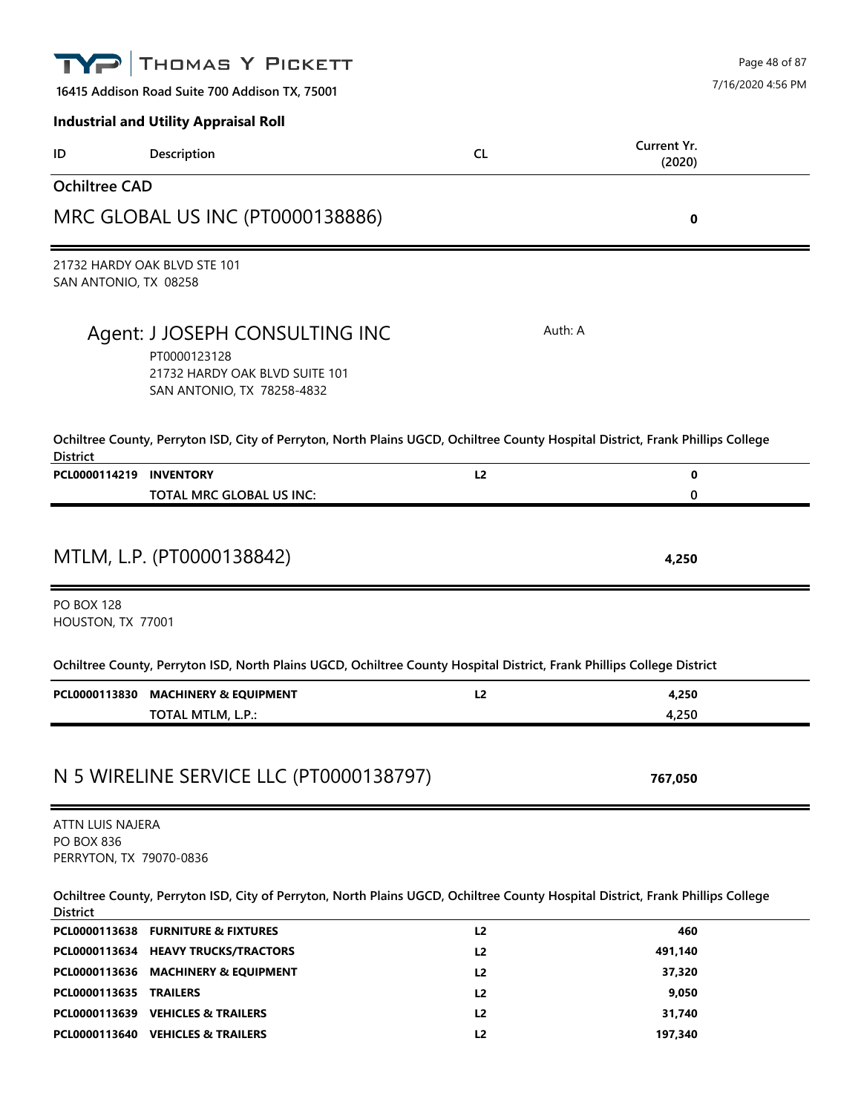|                                                                  | THOMAS Y PICKETT                                                                                                                |                                  | Page 48 of 87         |
|------------------------------------------------------------------|---------------------------------------------------------------------------------------------------------------------------------|----------------------------------|-----------------------|
|                                                                  | 16415 Addison Road Suite 700 Addison TX, 75001                                                                                  |                                  | 7/16/2020 4:56 PM     |
|                                                                  | <b>Industrial and Utility Appraisal Roll</b>                                                                                    |                                  |                       |
| ID                                                               | Description                                                                                                                     | <b>CL</b>                        | Current Yr.<br>(2020) |
| <b>Ochiltree CAD</b>                                             |                                                                                                                                 |                                  |                       |
|                                                                  | MRC GLOBAL US INC (PT0000138886)                                                                                                |                                  | 0                     |
| SAN ANTONIO, TX 08258                                            | 21732 HARDY OAK BLVD STE 101                                                                                                    |                                  |                       |
|                                                                  | Agent: J JOSEPH CONSULTING INC<br>PT0000123128<br>21732 HARDY OAK BLVD SUITE 101<br>SAN ANTONIO, TX 78258-4832                  | Auth: A                          |                       |
|                                                                  | Ochiltree County, Perryton ISD, City of Perryton, North Plains UGCD, Ochiltree County Hospital District, Frank Phillips College |                                  |                       |
| <b>District</b><br>PCL0000114219 INVENTORY                       |                                                                                                                                 | L2                               | 0                     |
|                                                                  | TOTAL MRC GLOBAL US INC:                                                                                                        |                                  | 0                     |
| <b>PO BOX 128</b>                                                | MTLM, L.P. (PT0000138842)                                                                                                       |                                  | 4,250                 |
| HOUSTON, TX 77001                                                |                                                                                                                                 |                                  |                       |
|                                                                  | Ochiltree County, Perryton ISD, North Plains UGCD, Ochiltree County Hospital District, Frank Phillips College District          |                                  |                       |
| PCL0000113830                                                    | <b>MACHINERY &amp; EQUIPMENT</b>                                                                                                | L2                               | 4,250                 |
|                                                                  | TOTAL MTLM, L.P.:                                                                                                               |                                  | 4,250                 |
|                                                                  | N 5 WIRELINE SERVICE LLC (PT0000138797)                                                                                         |                                  | 767,050               |
| ATTN LUIS NAJERA<br><b>PO BOX 836</b><br>PERRYTON, TX 79070-0836 |                                                                                                                                 |                                  |                       |
| <b>District</b>                                                  | Ochiltree County, Perryton ISD, City of Perryton, North Plains UGCD, Ochiltree County Hospital District, Frank Phillips College |                                  |                       |
|                                                                  | PCL0000113638 FURNITURE & FIXTURES                                                                                              | L2                               | 460                   |
|                                                                  | PCL0000113634 HEAVY TRUCKS/TRACTORS                                                                                             | L <sub>2</sub>                   | 491,140               |
|                                                                  | PCL0000113636 MACHINERY & EQUIPMENT                                                                                             | L <sub>2</sub>                   | 37,320                |
| PCL0000113635 TRAILERS                                           | PCL0000113639 VEHICLES & TRAILERS                                                                                               | L <sub>2</sub><br>L <sub>2</sub> | 9,050<br>31,740       |
|                                                                  |                                                                                                                                 |                                  |                       |

**PCL0000113640 VEHICLES & TRAILERS L2 197,340**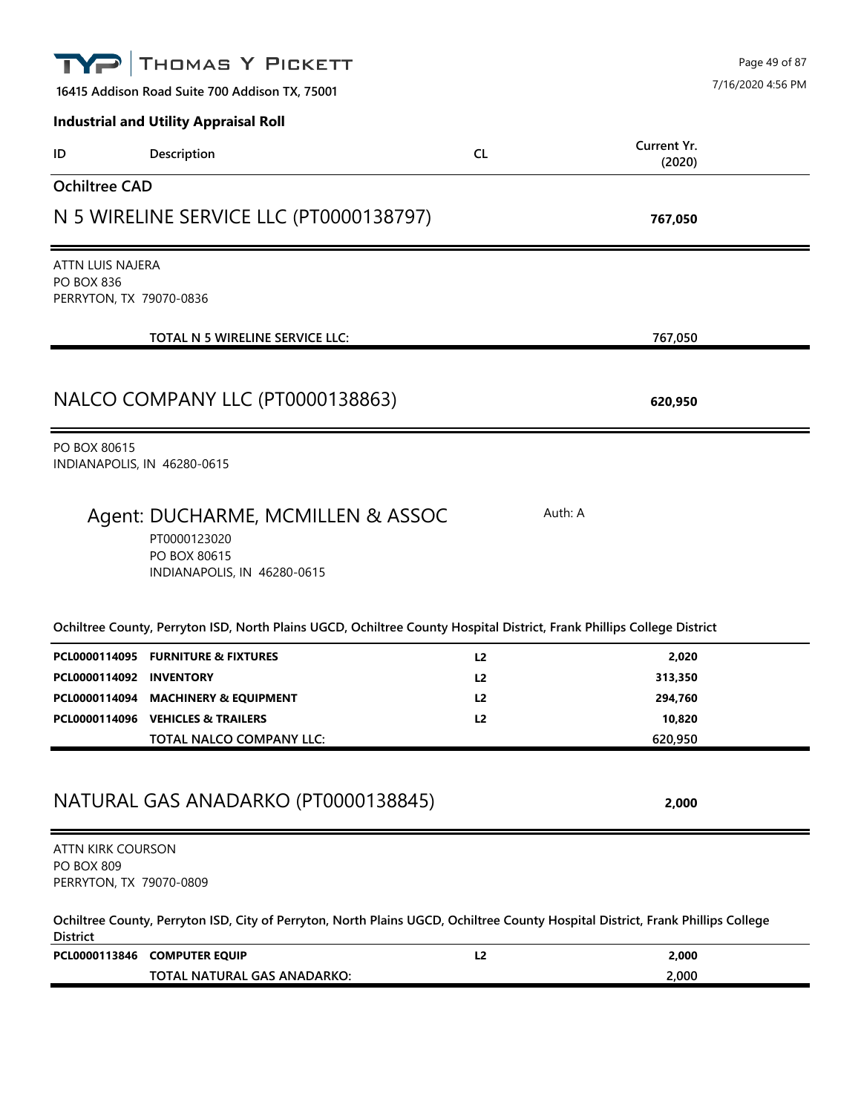| THOMAS Y PICKETT                                                                                                                                   |                | Page 49 of 87         |
|----------------------------------------------------------------------------------------------------------------------------------------------------|----------------|-----------------------|
| 16415 Addison Road Suite 700 Addison TX, 75001                                                                                                     |                | 7/16/2020 4:56 PM     |
| <b>Industrial and Utility Appraisal Roll</b>                                                                                                       |                |                       |
| Description<br>ID                                                                                                                                  | <b>CL</b>      | Current Yr.<br>(2020) |
| <b>Ochiltree CAD</b>                                                                                                                               |                |                       |
| N 5 WIRELINE SERVICE LLC (PT0000138797)                                                                                                            |                | 767,050               |
| <b>ATTN LUIS NAJERA</b>                                                                                                                            |                |                       |
| <b>PO BOX 836</b><br>PERRYTON, TX 79070-0836                                                                                                       |                |                       |
| TOTAL N 5 WIRELINE SERVICE LLC:                                                                                                                    |                | 767,050               |
| NALCO COMPANY LLC (PT0000138863)                                                                                                                   |                | 620,950               |
| PO BOX 80615<br>INDIANAPOLIS, IN 46280-0615                                                                                                        |                |                       |
| Agent: DUCHARME, MCMILLEN & ASSOC<br>PT0000123020<br>PO BOX 80615<br>INDIANAPOLIS, IN 46280-0615                                                   |                | Auth: A               |
| Ochiltree County, Perryton ISD, North Plains UGCD, Ochiltree County Hospital District, Frank Phillips College District                             |                |                       |
| PCL0000114095 FURNITURE & FIXTURES                                                                                                                 | L <sub>2</sub> | 2,020                 |
| PCL0000114092 INVENTORY                                                                                                                            | L <sub>2</sub> | 313,350               |
| PCL0000114094 MACHINERY & EQUIPMENT<br>PCL0000114096 VEHICLES & TRAILERS                                                                           | L2<br>L2       | 294,760<br>10,820     |
| TOTAL NALCO COMPANY LLC:                                                                                                                           |                | 620,950               |
| NATURAL GAS ANADARKO (PT0000138845)                                                                                                                |                | 2,000                 |
| ATTN KIRK COURSON<br><b>PO BOX 809</b><br>PERRYTON, TX 79070-0809                                                                                  |                |                       |
| Ochiltree County, Perryton ISD, City of Perryton, North Plains UGCD, Ochiltree County Hospital District, Frank Phillips College<br><b>District</b> |                |                       |
| PCL0000113846 COMPUTER EQUIP<br>TOTAL NATURAL GAS ANADARKO:                                                                                        | L2             | 2,000<br>2,000        |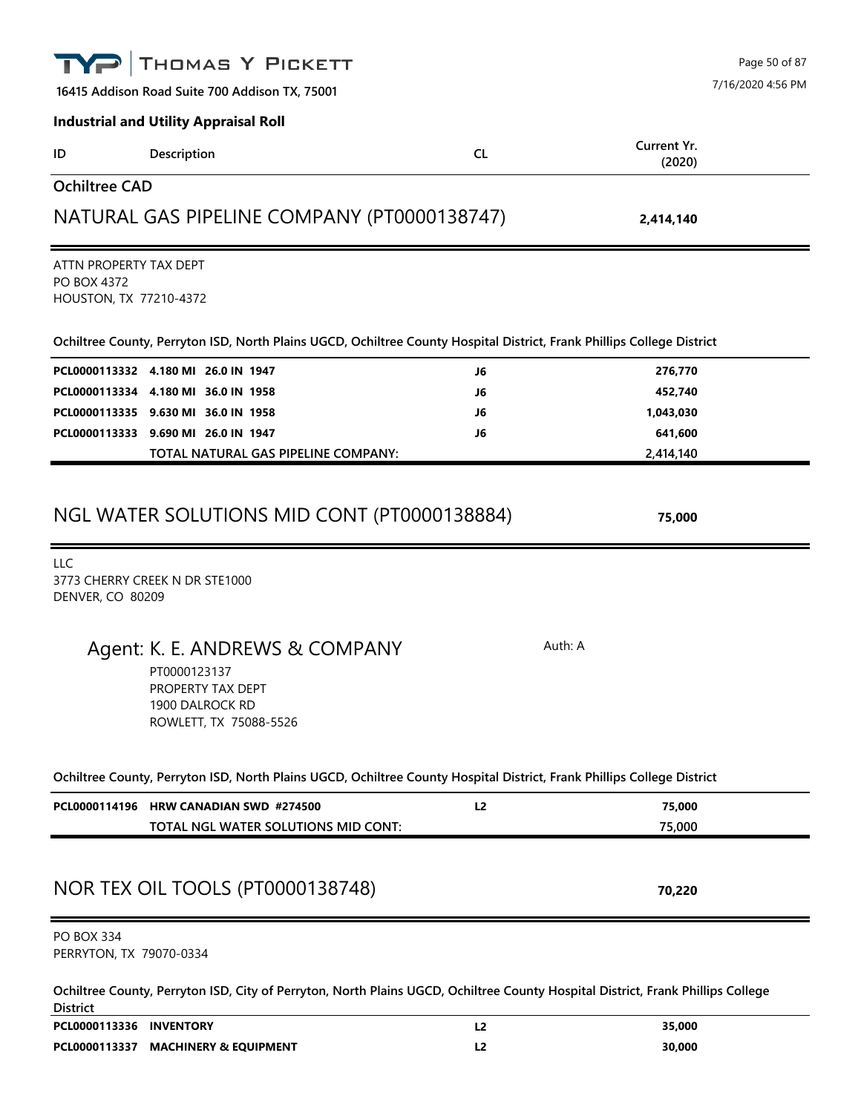|                                                                        | THOMAS Y PICKETT                                                                                                                                 |                |                       | Page 50 of 87     |
|------------------------------------------------------------------------|--------------------------------------------------------------------------------------------------------------------------------------------------|----------------|-----------------------|-------------------|
|                                                                        | 16415 Addison Road Suite 700 Addison TX, 75001                                                                                                   |                |                       | 7/16/2020 4:56 PM |
|                                                                        | <b>Industrial and Utility Appraisal Roll</b>                                                                                                     |                |                       |                   |
| ID                                                                     | Description                                                                                                                                      | <b>CL</b>      | Current Yr.<br>(2020) |                   |
| <b>Ochiltree CAD</b>                                                   |                                                                                                                                                  |                |                       |                   |
|                                                                        | NATURAL GAS PIPELINE COMPANY (PT0000138747)                                                                                                      |                | 2,414,140             |                   |
| ATTN PROPERTY TAX DEPT<br><b>PO BOX 4372</b><br>HOUSTON, TX 77210-4372 |                                                                                                                                                  |                |                       |                   |
|                                                                        | Ochiltree County, Perryton ISD, North Plains UGCD, Ochiltree County Hospital District, Frank Phillips College District                           |                |                       |                   |
|                                                                        | PCL0000113332 4.180 MI 26.0 IN 1947                                                                                                              | J6             | 276,770               |                   |
|                                                                        | PCL0000113334 4.180 MI 36.0 IN 1958                                                                                                              | J6             | 452,740               |                   |
|                                                                        | PCL0000113335 9.630 MI 36.0 IN 1958                                                                                                              | J6             | 1,043,030             |                   |
|                                                                        | PCL0000113333 9.690 MI 26.0 IN 1947<br>TOTAL NATURAL GAS PIPELINE COMPANY:                                                                       | J6             | 641,600<br>2,414,140  |                   |
| DENVER, CO 80209                                                       | 3773 CHERRY CREEK N DR STE1000<br>Agent: K. E. ANDREWS & COMPANY<br>PT0000123137<br>PROPERTY TAX DEPT<br>1900 DALROCK RD                         | Auth: A        |                       |                   |
|                                                                        | ROWLETT, TX 75088-5526<br>Ochiltree County, Perryton ISD, North Plains UGCD, Ochiltree County Hospital District, Frank Phillips College District |                |                       |                   |
|                                                                        | PCL0000114196 HRW CANADIAN SWD #274500                                                                                                           | L <sub>2</sub> | 75,000                |                   |
|                                                                        | TOTAL NGL WATER SOLUTIONS MID CONT:                                                                                                              |                | 75,000                |                   |
|                                                                        | NOR TEX OIL TOOLS (PT0000138748)                                                                                                                 |                | 70,220                |                   |
| <b>PO BOX 334</b><br>PERRYTON, TX 79070-0334                           |                                                                                                                                                  |                |                       |                   |
| <b>District</b>                                                        | Ochiltree County, Perryton ISD, City of Perryton, North Plains UGCD, Ochiltree County Hospital District, Frank Phillips College                  |                |                       |                   |
| PCL0000113336 INVENTORY                                                |                                                                                                                                                  | L <sub>2</sub> | 35,000                |                   |
|                                                                        | PCL0000113337 MACHINERY & EQUIPMENT                                                                                                              | L <sub>2</sub> | 30,000                |                   |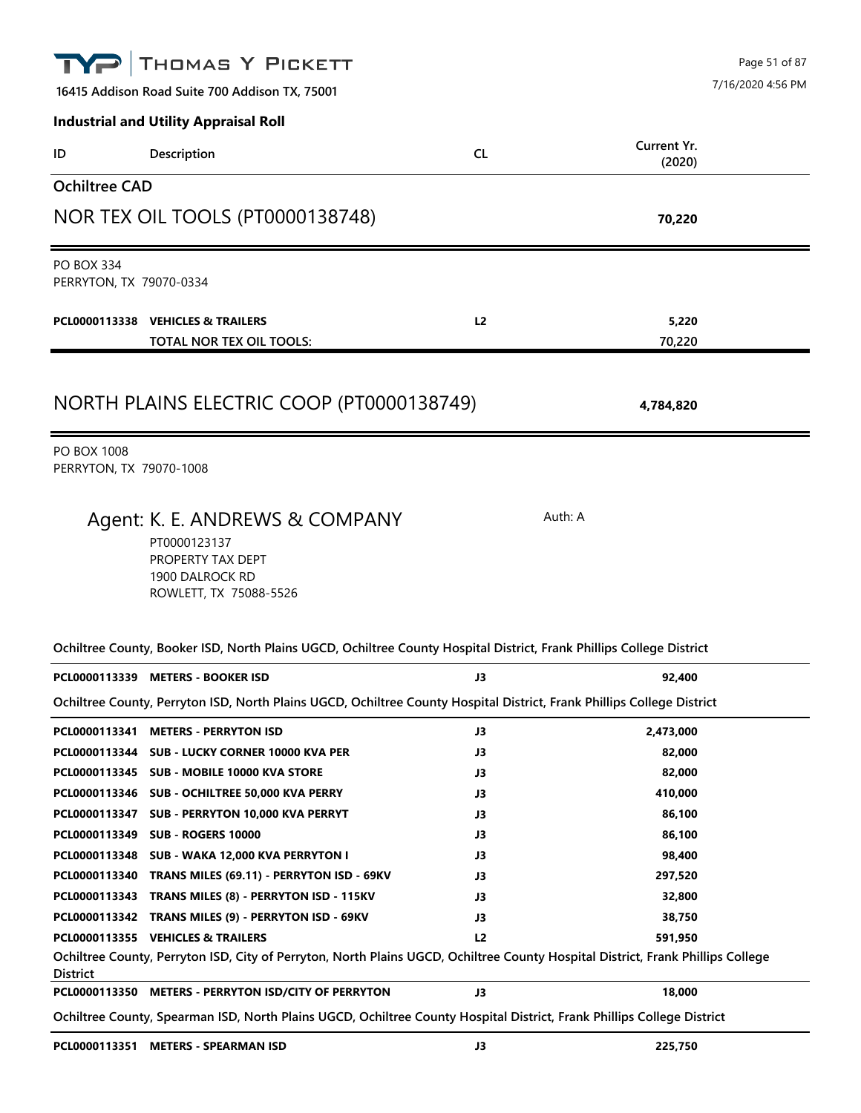| THOMAS Y PICKETT                                                                                                                                                                        |                | Page 51 of 87         |  |
|-----------------------------------------------------------------------------------------------------------------------------------------------------------------------------------------|----------------|-----------------------|--|
| 16415 Addison Road Suite 700 Addison TX, 75001                                                                                                                                          |                | 7/16/2020 4:56 PM     |  |
| <b>Industrial and Utility Appraisal Roll</b>                                                                                                                                            |                |                       |  |
| Description<br>ID                                                                                                                                                                       | <b>CL</b>      | Current Yr.<br>(2020) |  |
| <b>Ochiltree CAD</b>                                                                                                                                                                    |                |                       |  |
| NOR TEX OIL TOOLS (PT0000138748)                                                                                                                                                        |                | 70,220                |  |
| <b>PO BOX 334</b><br>PERRYTON, TX 79070-0334                                                                                                                                            |                |                       |  |
| PCL0000113338 VEHICLES & TRAILERS<br>TOTAL NOR TEX OIL TOOLS:                                                                                                                           | L <sub>2</sub> | 5,220<br>70,220       |  |
| NORTH PLAINS ELECTRIC COOP (PT0000138749)                                                                                                                                               |                | 4,784,820             |  |
| <b>PO BOX 1008</b><br>PERRYTON, TX 79070-1008                                                                                                                                           |                |                       |  |
| Agent: K. E. ANDREWS & COMPANY<br>PT0000123137<br>PROPERTY TAX DEPT<br>1900 DALROCK RD<br>ROWLETT, TX 75088-5526                                                                        |                | Auth: A               |  |
| Ochiltree County, Booker ISD, North Plains UGCD, Ochiltree County Hospital District, Frank Phillips College District                                                                    |                |                       |  |
| PCL0000113339 METERS - BOOKER ISD                                                                                                                                                       | JЗ             | 92,400                |  |
| Ochiltree County, Perryton ISD, North Plains UGCD, Ochiltree County Hospital District, Frank Phillips College District                                                                  |                |                       |  |
| PCL0000113341 METERS - PERRYTON ISD                                                                                                                                                     | J3             | 2,473,000             |  |
| PCL0000113344 SUB - LUCKY CORNER 10000 KVA PER                                                                                                                                          | J3             | 82,000                |  |
| PCL0000113345 SUB - MOBILE 10000 KVA STORE                                                                                                                                              | J3             | 82,000                |  |
| PCL0000113346 SUB - OCHILTREE 50,000 KVA PERRY                                                                                                                                          | J3             | 410,000               |  |
| PCL0000113347 SUB - PERRYTON 10,000 KVA PERRYT                                                                                                                                          | J3             | 86,100                |  |
| PCL0000113349 SUB - ROGERS 10000                                                                                                                                                        | J3             | 86,100                |  |
| PCL0000113348 SUB - WAKA 12,000 KVA PERRYTON I                                                                                                                                          | J3             | 98,400                |  |
| PCL0000113340 TRANS MILES (69.11) - PERRYTON ISD - 69KV                                                                                                                                 | J3             | 297,520               |  |
| PCL0000113343 TRANS MILES (8) - PERRYTON ISD - 115KV                                                                                                                                    | J3             | 32,800                |  |
| PCL0000113342 TRANS MILES (9) - PERRYTON ISD - 69KV                                                                                                                                     | J3             | 38,750                |  |
| PCL0000113355 VEHICLES & TRAILERS<br>Ochiltree County, Perryton ISD, City of Perryton, North Plains UGCD, Ochiltree County Hospital District, Frank Phillips College<br><b>District</b> | L2             | 591,950               |  |
| PCL0000113350 METERS - PERRYTON ISD/CITY OF PERRYTON                                                                                                                                    | J3             | 18,000                |  |
| Ochiltree County, Spearman ISD, North Plains UGCD, Ochiltree County Hospital District, Frank Phillips College District                                                                  |                |                       |  |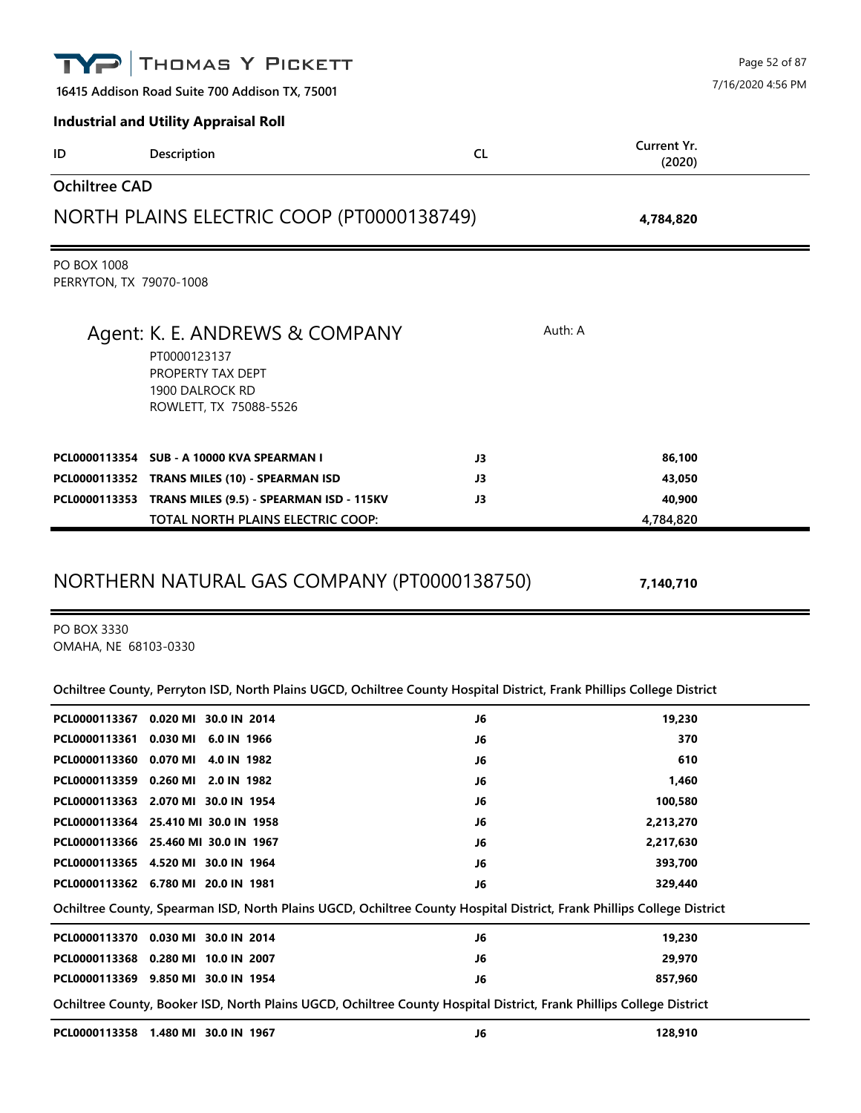|                                               | THOMAS Y PICKETT                                                               |           |         |                       | Page 52 of 87<br>7/16/2020 4:56 PM |
|-----------------------------------------------|--------------------------------------------------------------------------------|-----------|---------|-----------------------|------------------------------------|
|                                               | 16415 Addison Road Suite 700 Addison TX, 75001                                 |           |         |                       |                                    |
|                                               | <b>Industrial and Utility Appraisal Roll</b>                                   |           |         |                       |                                    |
| ID                                            | Description                                                                    | <b>CL</b> |         | Current Yr.<br>(2020) |                                    |
| <b>Ochiltree CAD</b>                          |                                                                                |           |         |                       |                                    |
|                                               | NORTH PLAINS ELECTRIC COOP (PT0000138749)                                      |           |         | 4,784,820             |                                    |
| <b>PO BOX 1008</b><br>PERRYTON, TX 79070-1008 |                                                                                |           |         |                       |                                    |
|                                               | Agent: K. E. ANDREWS & COMPANY                                                 |           | Auth: A |                       |                                    |
|                                               | PT0000123137<br>PROPERTY TAX DEPT<br>1900 DALROCK RD<br>ROWLETT, TX 75088-5526 |           |         |                       |                                    |
|                                               | PCL0000113354 SUB - A 10000 KVA SPEARMAN I                                     | J3        |         | 86,100                |                                    |
|                                               | PCL0000113352 TRANS MILES (10) - SPEARMAN ISD                                  | J3        |         | 43,050                |                                    |
|                                               | PCL0000113353 TRANS MILES (9.5) - SPEARMAN ISD - 115KV                         | J3        |         | 40,900                |                                    |
|                                               | TOTAL NORTH PLAINS ELECTRIC COOP:                                              |           |         | 4,784,820             |                                    |

PO BOX 3330 OMAHA, NE 68103-0330

**Ochiltree County, Perryton ISD, North Plains UGCD, Ochiltree County Hospital District, Frank Phillips College District**

| PCL0000113367 | 0.020 MI 30.0 IN 2014                                                                                                  | J6 | 19,230    |
|---------------|------------------------------------------------------------------------------------------------------------------------|----|-----------|
| PCL0000113361 | 0.030 MI 6.0 IN 1966                                                                                                   | J6 | 370       |
|               | PCL0000113360 0.070 MI 4.0 IN 1982                                                                                     | J6 | 610       |
|               | PCL0000113359 0.260 MI 2.0 IN 1982                                                                                     | J6 | 1,460     |
|               | PCL0000113363 2.070 MI 30.0 IN 1954                                                                                    | J6 | 100,580   |
|               | PCL0000113364 25.410 MI 30.0 IN 1958                                                                                   | J6 | 2,213,270 |
|               | PCL0000113366 25.460 MI 30.0 IN 1967                                                                                   | J6 | 2,217,630 |
|               | PCL0000113365 4.520 MI 30.0 IN 1964                                                                                    | J6 | 393,700   |
|               | PCL0000113362 6.780 MI 20.0 IN 1981                                                                                    | J6 | 329,440   |
|               | Ochiltree County, Spearman ISD, North Plains UGCD, Ochiltree County Hospital District, Frank Phillips College District |    |           |
| PCL0000113370 | 0.030 MI 30.0 IN 2014                                                                                                  | J6 | 19,230    |
|               | PCL0000113368 0.280 MI 10.0 IN 2007                                                                                    | J6 | 29,970    |
|               | PCL0000113369 9.850 MI 30.0 IN 1954                                                                                    | J6 | 857,960   |
|               | Ochiltree County, Booker ISD, North Plains UGCD, Ochiltree County Hospital District, Frank Phillips College District   |    |           |
|               | PCL0000113358 1.480 MI 30.0 IN 1967                                                                                    | J6 | 128,910   |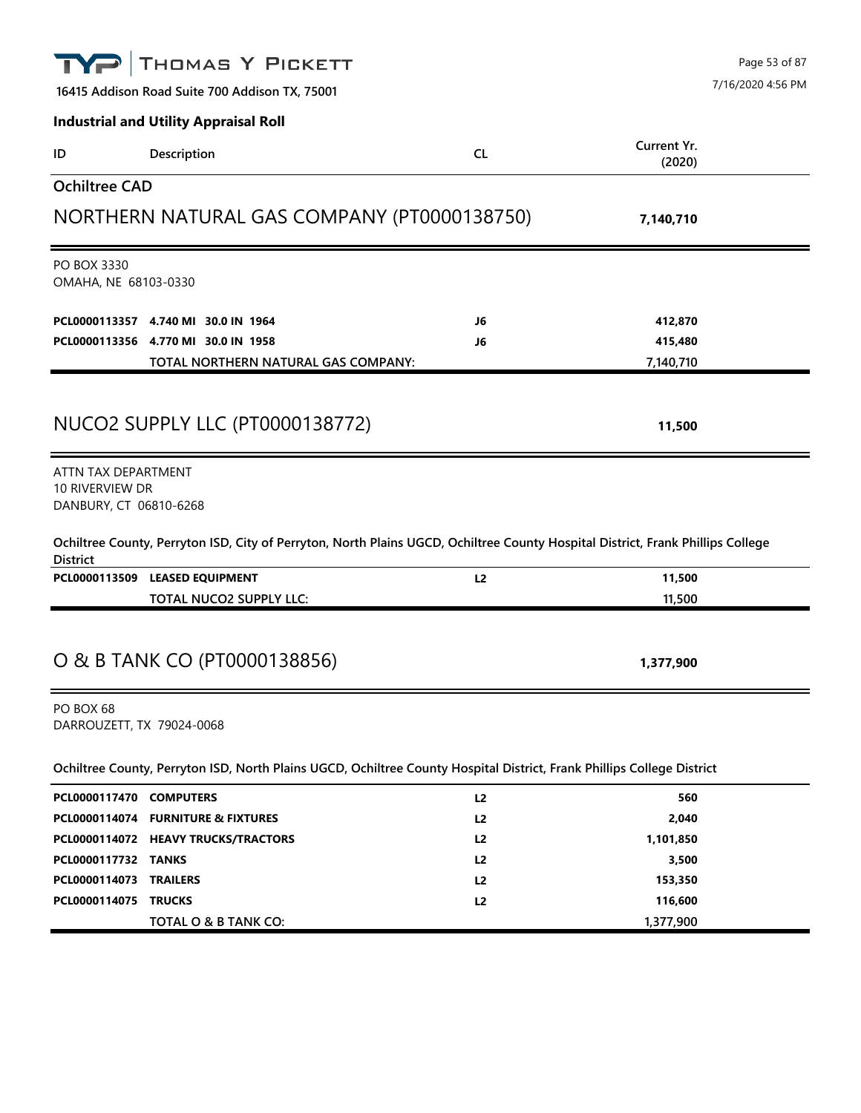|                                                                  | THOMAS Y PICKETT                                                                                                                |                      |                       | Page 53 of 87     |
|------------------------------------------------------------------|---------------------------------------------------------------------------------------------------------------------------------|----------------------|-----------------------|-------------------|
|                                                                  | 16415 Addison Road Suite 700 Addison TX, 75001                                                                                  |                      |                       | 7/16/2020 4:56 PM |
|                                                                  | <b>Industrial and Utility Appraisal Roll</b>                                                                                    |                      |                       |                   |
| ID                                                               | Description                                                                                                                     | <b>CL</b>            | Current Yr.<br>(2020) |                   |
| <b>Ochiltree CAD</b>                                             |                                                                                                                                 |                      |                       |                   |
|                                                                  | NORTHERN NATURAL GAS COMPANY (PT0000138750)                                                                                     |                      | 7,140,710             |                   |
| PO BOX 3330<br>OMAHA, NE 68103-0330                              |                                                                                                                                 |                      |                       |                   |
|                                                                  | PCL0000113357 4.740 MI 30.0 IN 1964                                                                                             | J6                   | 412,870               |                   |
|                                                                  | PCL0000113356 4.770 MI 30.0 IN 1958                                                                                             | J6                   | 415,480               |                   |
|                                                                  | <b>TOTAL NORTHERN NATURAL GAS COMPANY:</b>                                                                                      |                      | 7,140,710             |                   |
|                                                                  | NUCO2 SUPPLY LLC (PT0000138772)                                                                                                 |                      | 11,500                |                   |
| ATTN TAX DEPARTMENT<br>10 RIVERVIEW DR<br>DANBURY, CT 06810-6268 |                                                                                                                                 |                      |                       |                   |
| <b>District</b>                                                  | Ochiltree County, Perryton ISD, City of Perryton, North Plains UGCD, Ochiltree County Hospital District, Frank Phillips College |                      |                       |                   |
|                                                                  | PCL0000113509 LEASED EQUIPMENT                                                                                                  | L2                   | 11,500                |                   |
|                                                                  | <b>TOTAL NUCO2 SUPPLY LLC:</b>                                                                                                  |                      | 11,500                |                   |
|                                                                  | O & B TANK CO (PT0000138856)                                                                                                    |                      | 1,377,900             |                   |
| PO BOX 68<br>DARROUZETT, TX 79024-0068                           |                                                                                                                                 |                      |                       |                   |
|                                                                  | Ochiltree County, Perryton ISD, North Plains UGCD, Ochiltree County Hospital District, Frank Phillips College District          |                      |                       |                   |
| PCL0000117470 COMPUTERS                                          |                                                                                                                                 | L2                   | 560                   |                   |
|                                                                  | PCL0000114074 FURNITURE & FIXTURES                                                                                              | L <sub>2</sub>       | 2,040                 |                   |
|                                                                  | PCL0000114072 HEAVY TRUCKS/TRACTORS                                                                                             | L <sub>2</sub>       | 1,101,850             |                   |
| PCL0000117732 TANKS                                              |                                                                                                                                 | L <sub>2</sub>       | 3,500                 |                   |
| PCL0000114073<br>PCL0000114075                                   | <b>TRAILERS</b><br><b>TRUCKS</b>                                                                                                | L <sub>2</sub><br>L2 | 153,350<br>116,600    |                   |
|                                                                  | TOTAL O & B TANK CO:                                                                                                            |                      | 1,377,900             |                   |
|                                                                  |                                                                                                                                 |                      |                       |                   |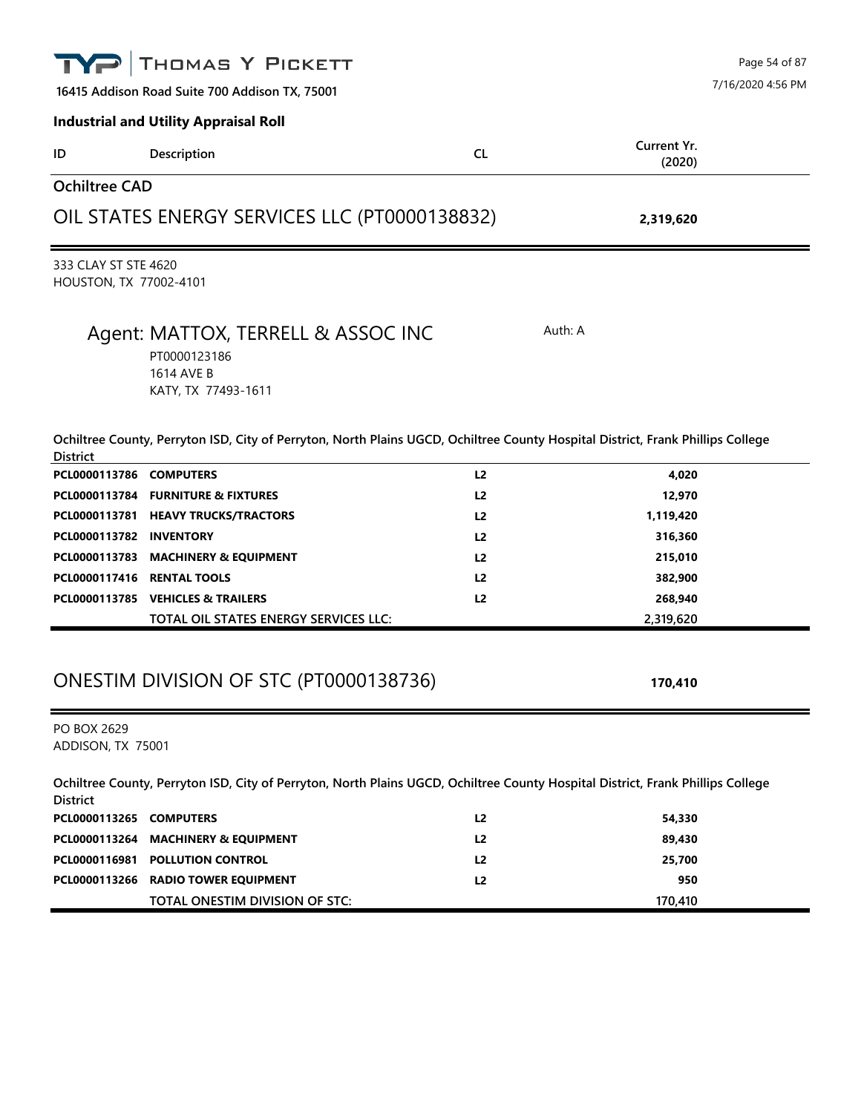|                                                | THOMAS Y PICKETT                                                                                                                |                |                       | Page 54 of 87     |
|------------------------------------------------|---------------------------------------------------------------------------------------------------------------------------------|----------------|-----------------------|-------------------|
|                                                | 16415 Addison Road Suite 700 Addison TX, 75001                                                                                  |                |                       | 7/16/2020 4:56 PM |
|                                                | <b>Industrial and Utility Appraisal Roll</b>                                                                                    |                |                       |                   |
| ID                                             | Description                                                                                                                     | <b>CL</b>      | Current Yr.<br>(2020) |                   |
| <b>Ochiltree CAD</b>                           |                                                                                                                                 |                |                       |                   |
|                                                | OIL STATES ENERGY SERVICES LLC (PT0000138832)                                                                                   |                | 2,319,620             |                   |
| 333 CLAY ST STE 4620<br>HOUSTON, TX 77002-4101 |                                                                                                                                 |                |                       |                   |
|                                                | Agent: MATTOX, TERRELL & ASSOC INC<br>PT0000123186<br>1614 AVE B<br>KATY, TX 77493-1611                                         |                | Auth: A               |                   |
| <b>District</b>                                | Ochiltree County, Perryton ISD, City of Perryton, North Plains UGCD, Ochiltree County Hospital District, Frank Phillips College |                |                       |                   |
| PCL0000113786 COMPUTERS                        |                                                                                                                                 | L <sub>2</sub> | 4,020                 |                   |
|                                                | PCL0000113784 FURNITURE & FIXTURES                                                                                              | L <sub>2</sub> | 12,970                |                   |
|                                                | PCL0000113781 HEAVY TRUCKS/TRACTORS                                                                                             | L <sub>2</sub> | 1,119,420             |                   |
| PCL0000113782 INVENTORY                        |                                                                                                                                 | L <sub>2</sub> | 316,360               |                   |
| PCL0000113783                                  | <b>MACHINERY &amp; EQUIPMENT</b>                                                                                                | L <sub>2</sub> | 215,010               |                   |
| PCL0000117416 RENTAL TOOLS                     |                                                                                                                                 | L <sub>2</sub> | 382,900               |                   |
|                                                | PCL0000113785 VEHICLES & TRAILERS                                                                                               | L <sub>2</sub> | 268,940               |                   |
|                                                | TOTAL OIL STATES ENERGY SERVICES LLC:<br>ONESTIM DIVISION OF STC (PT0000138736)                                                 |                | 2,319,620<br>170,410  |                   |
| PO BOX 2629<br>ADDISON, TX 75001               |                                                                                                                                 |                |                       |                   |
| <b>District</b>                                | Ochiltree County, Perryton ISD, City of Perryton, North Plains UGCD, Ochiltree County Hospital District, Frank Phillips College |                |                       |                   |
| PCL0000113265                                  | <b>COMPUTERS</b>                                                                                                                | L <sub>2</sub> | 54,330                |                   |
|                                                | PCL0000113264 MACHINERY & EQUIPMENT                                                                                             | L <sub>2</sub> | 89,430                |                   |
| PCL0000116981                                  | <b>POLLUTION CONTROL</b>                                                                                                        | L <sub>2</sub> | 25,700                |                   |
|                                                | PCL0000113266 RADIO TOWER EQUIPMENT                                                                                             | L2             | 950                   |                   |
|                                                | TOTAL ONESTIM DIVISION OF STC:                                                                                                  |                | 170,410               |                   |
|                                                |                                                                                                                                 |                |                       |                   |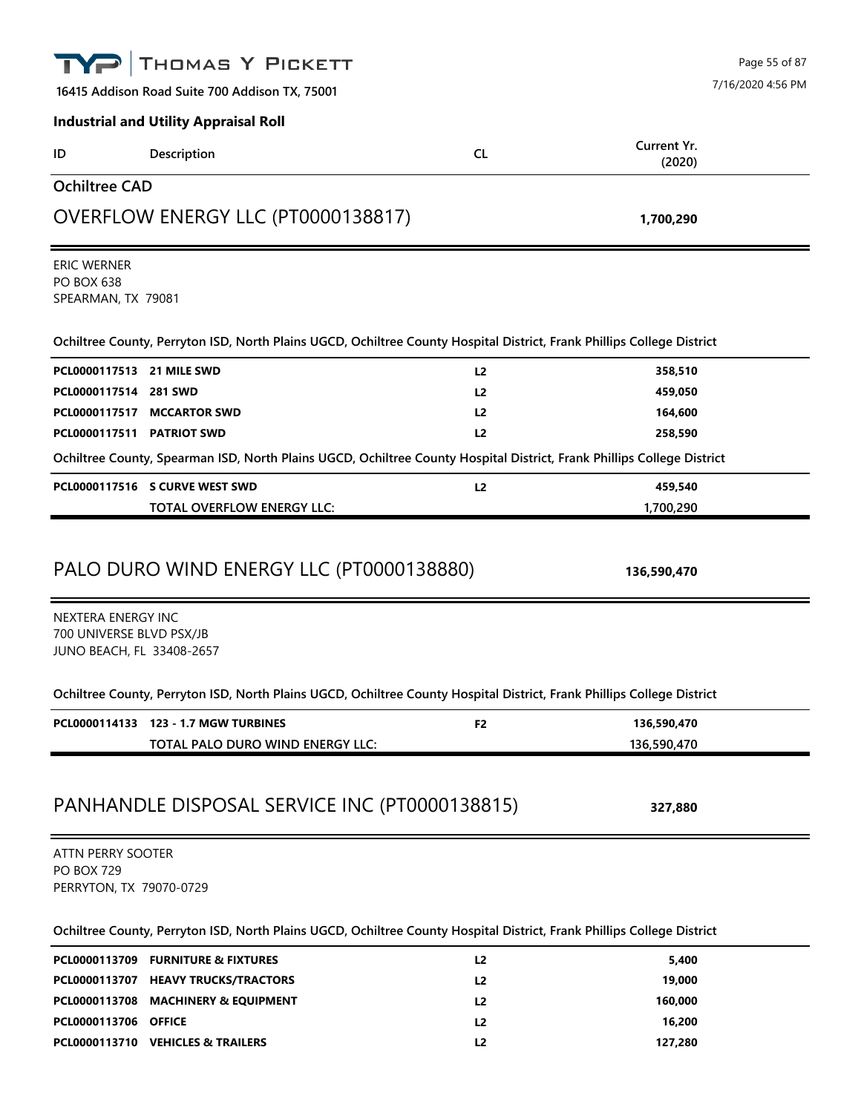| THOMAS Y PICKETT                                                                                                       |                | Page 55 of 87              |
|------------------------------------------------------------------------------------------------------------------------|----------------|----------------------------|
| 16415 Addison Road Suite 700 Addison TX, 75001                                                                         |                | 7/16/2020 4:56 PM          |
| <b>Industrial and Utility Appraisal Roll</b>                                                                           |                |                            |
| Description<br>ID                                                                                                      | <b>CL</b>      | Current Yr.<br>(2020)      |
| <b>Ochiltree CAD</b>                                                                                                   |                |                            |
| OVERFLOW ENERGY LLC (PT0000138817)                                                                                     |                | 1,700,290                  |
| ERIC WERNER<br><b>PO BOX 638</b><br>SPEARMAN, TX 79081                                                                 |                |                            |
| Ochiltree County, Perryton ISD, North Plains UGCD, Ochiltree County Hospital District, Frank Phillips College District |                |                            |
| PCL0000117513 21 MILE SWD                                                                                              | L <sub>2</sub> | 358,510                    |
| PCL0000117514 281 SWD                                                                                                  | L <sub>2</sub> | 459,050                    |
| PCL0000117517 MCCARTOR SWD                                                                                             | L <sub>2</sub> | 164,600                    |
| PCL0000117511 PATRIOT SWD                                                                                              | L2             | 258,590                    |
| Ochiltree County, Spearman ISD, North Plains UGCD, Ochiltree County Hospital District, Frank Phillips College District |                |                            |
| PCL0000117516 S CURVE WEST SWD                                                                                         | L2             | 459,540                    |
| <b>TOTAL OVERFLOW ENERGY LLC:</b>                                                                                      |                | 1,700,290                  |
| PALO DURO WIND ENERGY LLC (PT0000138880)                                                                               |                | 136,590,470                |
| NEXTERA ENERGY INC<br>700 UNIVERSE BLVD PSX/JB<br>JUNO BEACH, FL 33408-2657                                            |                |                            |
| Ochiltree County, Perryton ISD, North Plains UGCD, Ochiltree County Hospital District, Frank Phillips College District |                |                            |
| PCL0000114133 123 - 1.7 MGW TURBINES<br>TOTAL PALO DURO WIND ENERGY LLC:                                               | F2             | 136,590,470<br>136,590,470 |
| PANHANDLE DISPOSAL SERVICE INC (PT0000138815)                                                                          |                | 327,880                    |
| <b>ATTN PERRY SOOTER</b>                                                                                               |                |                            |
| <b>PO BOX 729</b><br>PERRYTON, TX 79070-0729                                                                           |                |                            |
| Ochiltree County, Perryton ISD, North Plains UGCD, Ochiltree County Hospital District, Frank Phillips College District |                |                            |
| PCL0000113709 FURNITURE & FIXTURES                                                                                     | L <sub>2</sub> | 5,400                      |
| PCL0000113707 HEAVY TRUCKS/TRACTORS                                                                                    | L <sub>2</sub> | 19,000                     |

|                             | PCL0000113707 HEAVY TRUCKS/TRACTORS | L2             | 19,000  |
|-----------------------------|-------------------------------------|----------------|---------|
|                             | PCL0000113708 MACHINERY & EQUIPMENT | L2             | 160,000 |
| <b>PCL0000113706 OFFICE</b> |                                     | L2             | 16.200  |
|                             | PCL0000113710 VEHICLES & TRAILERS   | L <sub>2</sub> | 127.280 |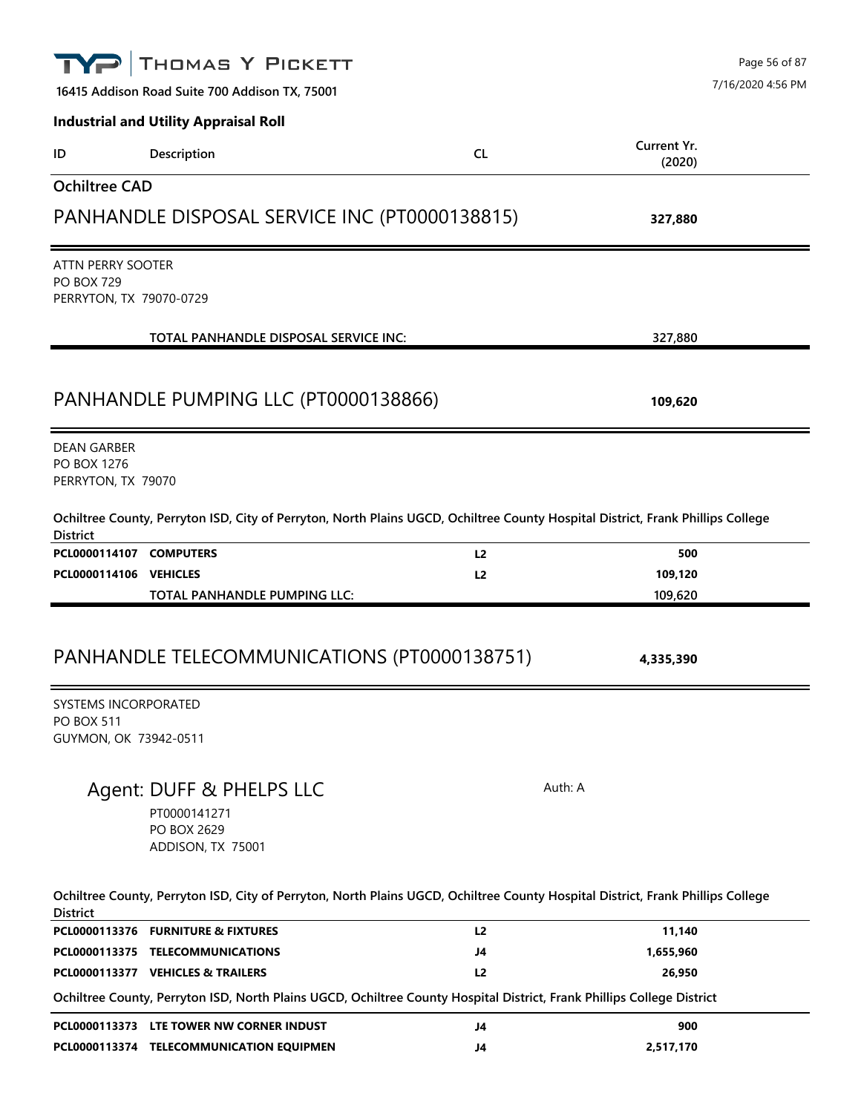|                                                                           | THOMAS Y PICKETT                                                                                                                |                |                       | Page 56 of 87     |
|---------------------------------------------------------------------------|---------------------------------------------------------------------------------------------------------------------------------|----------------|-----------------------|-------------------|
|                                                                           | 16415 Addison Road Suite 700 Addison TX, 75001                                                                                  |                |                       | 7/16/2020 4:56 PM |
|                                                                           | <b>Industrial and Utility Appraisal Roll</b>                                                                                    |                |                       |                   |
| ID                                                                        | Description                                                                                                                     | <b>CL</b>      | Current Yr.<br>(2020) |                   |
| <b>Ochiltree CAD</b>                                                      |                                                                                                                                 |                |                       |                   |
|                                                                           | PANHANDLE DISPOSAL SERVICE INC (PT0000138815)                                                                                   |                | 327,880               |                   |
| ATTN PERRY SOOTER<br><b>PO BOX 729</b><br>PERRYTON, TX 79070-0729         |                                                                                                                                 |                |                       |                   |
|                                                                           | TOTAL PANHANDLE DISPOSAL SERVICE INC:                                                                                           |                | 327,880               |                   |
|                                                                           | PANHANDLE PUMPING LLC (PT0000138866)                                                                                            |                | 109,620               |                   |
| <b>DEAN GARBER</b><br>PO BOX 1276<br>PERRYTON, TX 79070                   |                                                                                                                                 |                |                       |                   |
| <b>District</b>                                                           | Ochiltree County, Perryton ISD, City of Perryton, North Plains UGCD, Ochiltree County Hospital District, Frank Phillips College |                |                       |                   |
| PCL0000114107 COMPUTERS                                                   |                                                                                                                                 | L <sub>2</sub> | 500                   |                   |
| PCL0000114106 VEHICLES                                                    |                                                                                                                                 | L2             | 109,120               |                   |
|                                                                           | TOTAL PANHANDLE PUMPING LLC:                                                                                                    |                | 109,620               |                   |
|                                                                           | PANHANDLE TELECOMMUNICATIONS (PT0000138751)                                                                                     |                | 4,335,390             |                   |
| <b>SYSTEMS INCORPORATED</b><br><b>PO BOX 511</b><br>GUYMON, OK 73942-0511 |                                                                                                                                 |                |                       |                   |
|                                                                           | Agent: DUFF & PHELPS LLC<br>PT0000141271<br>PO BOX 2629<br>ADDISON, TX 75001                                                    |                | Auth: A               |                   |
| <b>District</b>                                                           | Ochiltree County, Perryton ISD, City of Perryton, North Plains UGCD, Ochiltree County Hospital District, Frank Phillips College |                |                       |                   |
|                                                                           | PCL0000113376 FURNITURE & FIXTURES                                                                                              | L2             | 11,140                |                   |
|                                                                           | PCL0000113375 TELECOMMUNICATIONS                                                                                                | J4             | 1,655,960             |                   |
|                                                                           | PCL0000113377 VEHICLES & TRAILERS                                                                                               | L2             | 26,950                |                   |
|                                                                           | Ochiltree County, Perryton ISD, North Plains UGCD, Ochiltree County Hospital District, Frank Phillips College District          |                |                       |                   |
|                                                                           | PCL0000113373 LTE TOWER NW CORNER INDUST                                                                                        | J4             | 900                   |                   |
|                                                                           | PCL0000113374 TELECOMMUNICATION EQUIPMEN                                                                                        | J4             | 2,517,170             |                   |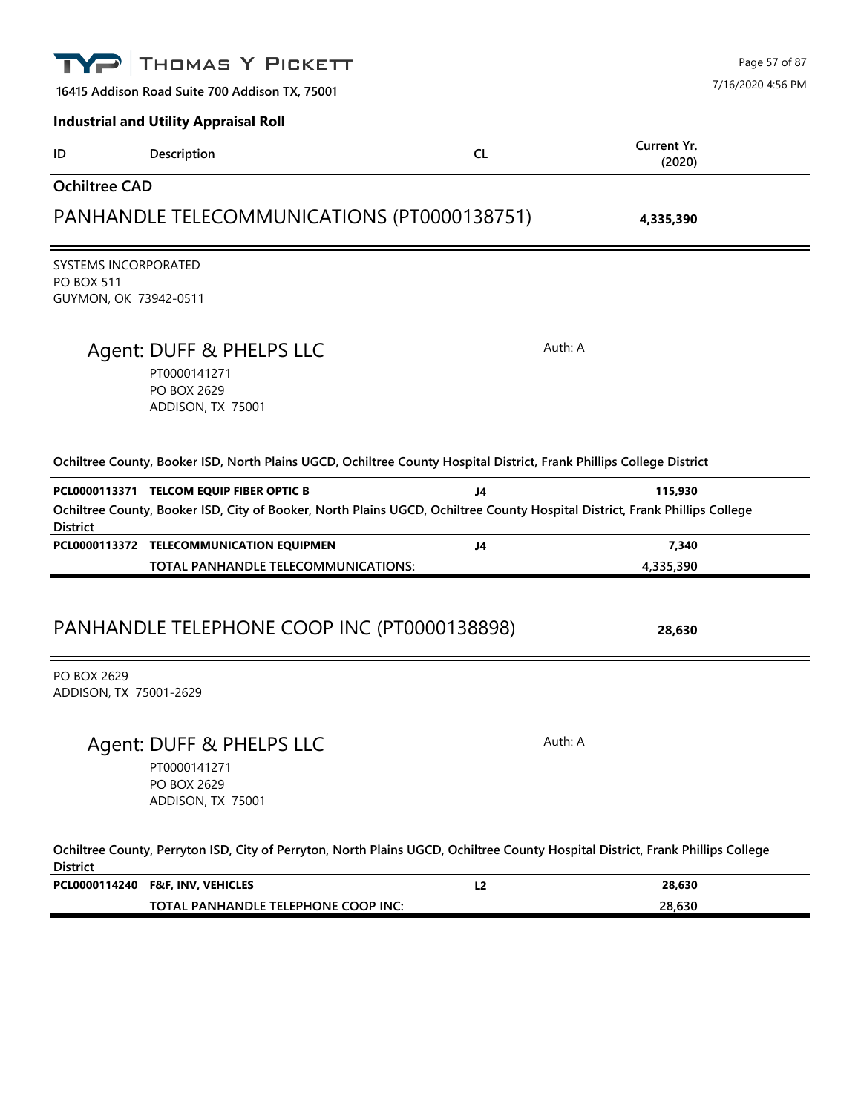|                      | THOMAS Y PICKETT                                                                                                                                                                                                                                                                                |                | Page 57 of 87         |
|----------------------|-------------------------------------------------------------------------------------------------------------------------------------------------------------------------------------------------------------------------------------------------------------------------------------------------|----------------|-----------------------|
|                      | 16415 Addison Road Suite 700 Addison TX, 75001                                                                                                                                                                                                                                                  |                | 7/16/2020 4:56 PM     |
|                      | <b>Industrial and Utility Appraisal Roll</b>                                                                                                                                                                                                                                                    |                |                       |
| ID                   | Description                                                                                                                                                                                                                                                                                     | <b>CL</b>      | Current Yr.<br>(2020) |
| <b>Ochiltree CAD</b> |                                                                                                                                                                                                                                                                                                 |                |                       |
|                      | PANHANDLE TELECOMMUNICATIONS (PT0000138751)                                                                                                                                                                                                                                                     |                | 4,335,390             |
| <b>PO BOX 511</b>    | SYSTEMS INCORPORATED<br>GUYMON, OK 73942-0511                                                                                                                                                                                                                                                   |                |                       |
|                      | Agent: DUFF & PHELPS LLC<br>PT0000141271<br>PO BOX 2629<br>ADDISON, TX 75001                                                                                                                                                                                                                    | Auth: A        |                       |
|                      | Ochiltree County, Booker ISD, North Plains UGCD, Ochiltree County Hospital District, Frank Phillips College District<br>PCL0000113371 TELCOM EQUIP FIBER OPTIC B<br>Ochiltree County, Booker ISD, City of Booker, North Plains UGCD, Ochiltree County Hospital District, Frank Phillips College | J4             | 115,930               |
| <b>District</b>      | PCL0000113372 TELECOMMUNICATION EQUIPMEN                                                                                                                                                                                                                                                        | J <sub>4</sub> | 7,340                 |
|                      | TOTAL PANHANDLE TELECOMMUNICATIONS:                                                                                                                                                                                                                                                             |                | 4,335,390             |
| PO BOX 2629          | PANHANDLE TELEPHONE COOP INC (PT0000138898)<br>ADDISON, TX 75001-2629                                                                                                                                                                                                                           |                | 28,630                |
|                      | Agent: DUFF & PHELPS LLC<br>PT0000141271<br>PO BOX 2629                                                                                                                                                                                                                                         | Auth: A        |                       |
|                      | ADDISON, TX 75001                                                                                                                                                                                                                                                                               |                |                       |
| <b>District</b>      | Ochiltree County, Perryton ISD, City of Perryton, North Plains UGCD, Ochiltree County Hospital District, Frank Phillips College                                                                                                                                                                 |                |                       |

**TOTAL PANHANDLE TELEPHONE COOP INC: 28,630**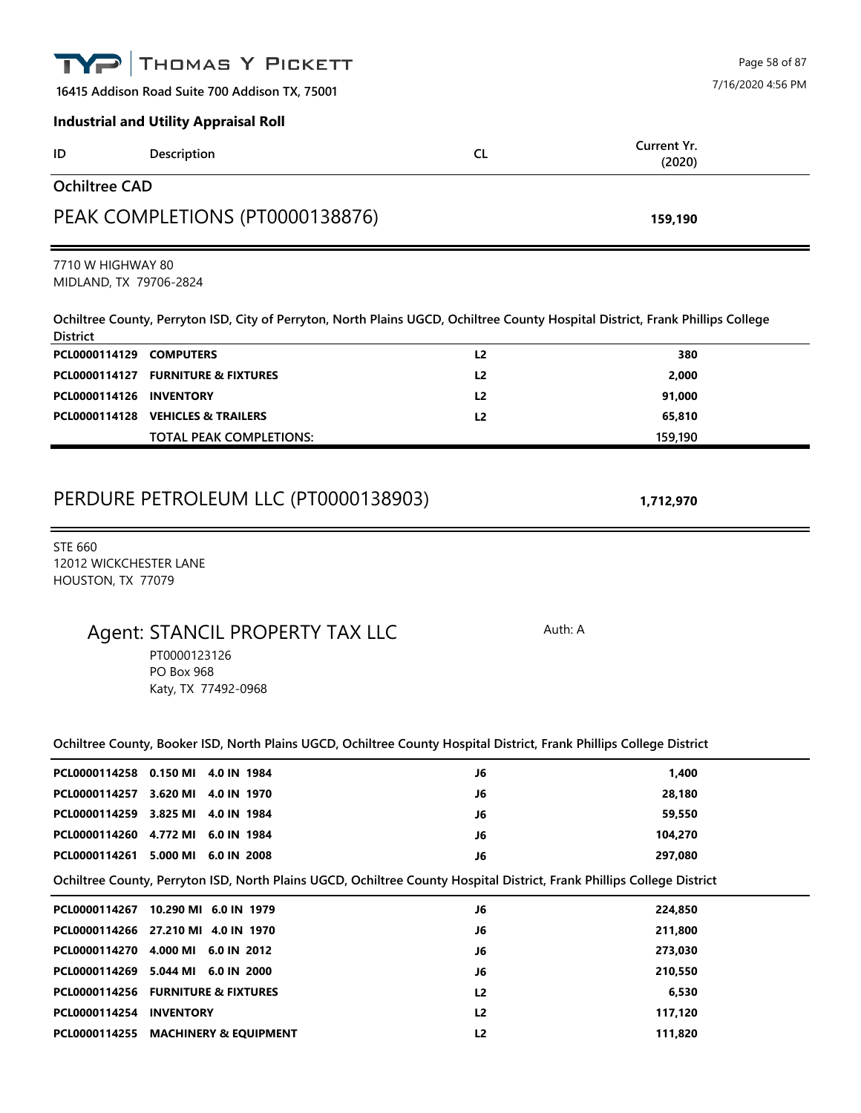|                                             | THOMAS Y PICKETT                                                                                                                |                |                       | Page 58 of 87     |
|---------------------------------------------|---------------------------------------------------------------------------------------------------------------------------------|----------------|-----------------------|-------------------|
|                                             | 16415 Addison Road Suite 700 Addison TX, 75001                                                                                  |                |                       | 7/16/2020 4:56 PM |
|                                             | <b>Industrial and Utility Appraisal Roll</b>                                                                                    |                |                       |                   |
| ID                                          | Description                                                                                                                     | <b>CL</b>      | Current Yr.<br>(2020) |                   |
| <b>Ochiltree CAD</b>                        |                                                                                                                                 |                |                       |                   |
|                                             | PEAK COMPLETIONS (PT0000138876)                                                                                                 |                | 159,190               |                   |
| 7710 W HIGHWAY 80<br>MIDLAND, TX 79706-2824 |                                                                                                                                 |                |                       |                   |
| <b>District</b>                             | Ochiltree County, Perryton ISD, City of Perryton, North Plains UGCD, Ochiltree County Hospital District, Frank Phillips College |                |                       |                   |
| PCL0000114129 COMPUTERS                     |                                                                                                                                 | L2             | 380                   |                   |
|                                             | PCL0000114127 FURNITURE & FIXTURES                                                                                              | L <sub>2</sub> | 2,000                 |                   |
| PCL0000114126                               | <b>INVENTORY</b>                                                                                                                | L <sub>2</sub> | 91,000                |                   |
|                                             | PCL0000114128 VEHICLES & TRAILERS<br><b>TOTAL PEAK COMPLETIONS:</b>                                                             | L2             | 65,810<br>159,190     |                   |
|                                             | PERDURE PETROLEUM LLC (PT0000138903)                                                                                            |                | 1,712,970             |                   |
| 12012 WICKCHESTER LANE<br>HOUSTON, TX 77079 | Agent: STANCIL PROPERTY TAX LLC<br>PT0000123126<br><b>PO Box 968</b><br>Katy, TX 77492-0968                                     |                | Auth: A               |                   |
|                                             | Ochiltree County, Booker ISD, North Plains UGCD, Ochiltree County Hospital District, Frank Phillips College District            |                |                       |                   |
|                                             | PCL0000114258 0.150 MI 4.0 IN 1984                                                                                              | J6             | 1,400                 |                   |
|                                             | PCL0000114257 3.620 MI 4.0 IN 1970                                                                                              | J6             | 28,180                |                   |
|                                             | PCL0000114259 3.825 MI 4.0 IN 1984                                                                                              | J6             | 59,550                |                   |
|                                             | PCL0000114260 4.772 MI 6.0 IN 1984                                                                                              | J6             | 104,270               |                   |
|                                             | PCL0000114261 5.000 MI 6.0 IN 2008                                                                                              | J6             | 297,080               |                   |
|                                             | Ochiltree County, Perryton ISD, North Plains UGCD, Ochiltree County Hospital District, Frank Phillips College District          |                |                       |                   |
|                                             | PCL0000114267 10.290 MI 6.0 IN 1979                                                                                             | J6             | 224,850               |                   |
|                                             | PCL0000114266 27.210 MI 4.0 IN 1970                                                                                             | J6             | 211,800               |                   |
|                                             | PCL0000114270 4.000 MI 6.0 IN 2012                                                                                              | J6             | 273,030               |                   |
|                                             | PCL0000114269 5.044 MI 6.0 IN 2000                                                                                              | J6             | 210,550               |                   |
|                                             | PCL0000114256 FURNITURE & FIXTURES                                                                                              | L2             | 6,530                 |                   |
| PCL0000114254 INVENTORY                     |                                                                                                                                 | L2             | 117,120               |                   |
|                                             | PCL0000114255 MACHINERY & EQUIPMENT                                                                                             | L2             | 111,820               |                   |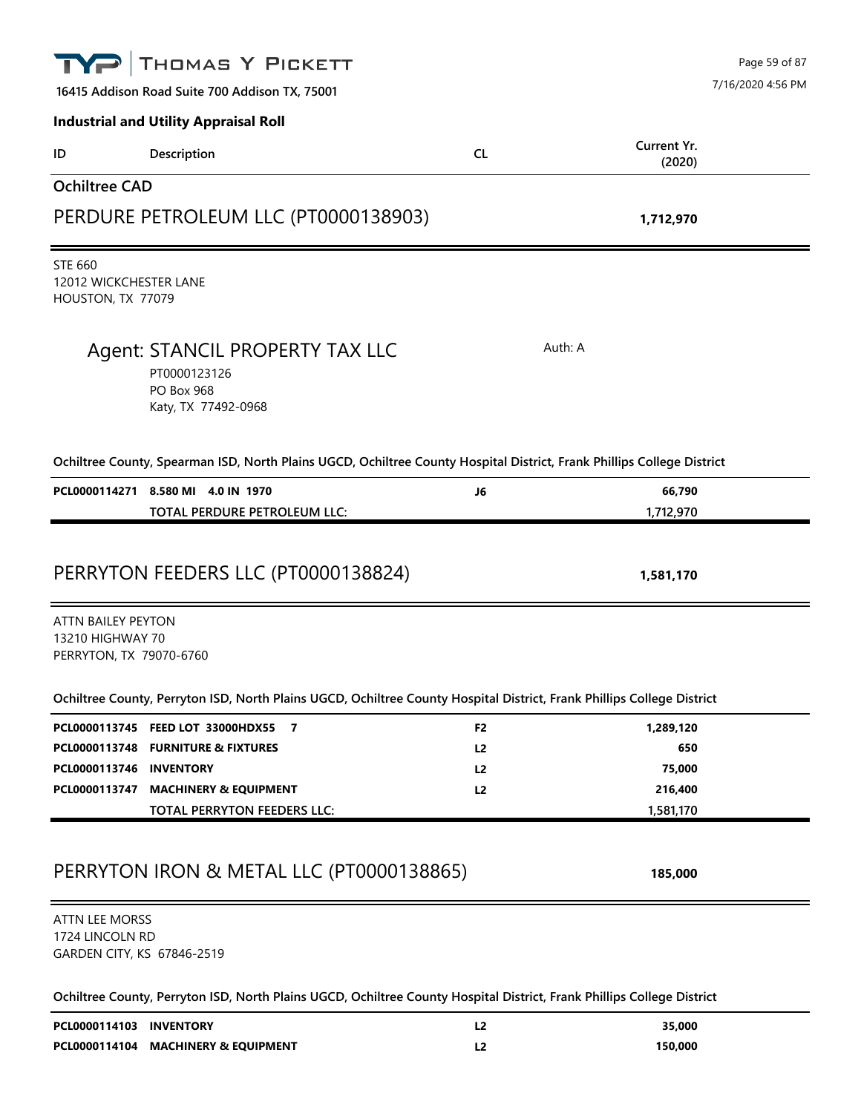|                                                                          | THOMAS Y PICKETT                                                                                                       |                | Page 59 of 87         |
|--------------------------------------------------------------------------|------------------------------------------------------------------------------------------------------------------------|----------------|-----------------------|
|                                                                          | 16415 Addison Road Suite 700 Addison TX, 75001                                                                         |                | 7/16/2020 4:56 PM     |
|                                                                          | <b>Industrial and Utility Appraisal Roll</b>                                                                           |                |                       |
| ID                                                                       | Description                                                                                                            | <b>CL</b>      | Current Yr.<br>(2020) |
| <b>Ochiltree CAD</b>                                                     |                                                                                                                        |                |                       |
|                                                                          | PERDURE PETROLEUM LLC (PT0000138903)                                                                                   |                | 1,712,970             |
| <b>STE 660</b><br>12012 WICKCHESTER LANE<br>HOUSTON, TX 77079            |                                                                                                                        |                |                       |
|                                                                          | Agent: STANCIL PROPERTY TAX LLC<br>PT0000123126<br><b>PO Box 968</b><br>Katy, TX 77492-0968                            |                | Auth: A               |
|                                                                          | Ochiltree County, Spearman ISD, North Plains UGCD, Ochiltree County Hospital District, Frank Phillips College District |                |                       |
|                                                                          | PCL0000114271 8.580 MI 4.0 IN 1970                                                                                     | J6             | 66,790                |
|                                                                          | TOTAL PERDURE PETROLEUM LLC:                                                                                           |                | 1,712,970             |
| <b>ATTN BAILEY PEYTON</b><br>13210 HIGHWAY 70<br>PERRYTON, TX 79070-6760 | PERRYTON FEEDERS LLC (PT0000138824)                                                                                    |                | 1,581,170             |
|                                                                          | Ochiltree County, Perryton ISD, North Plains UGCD, Ochiltree County Hospital District, Frank Phillips College District |                |                       |
|                                                                          | PCL0000113745 FEED LOT 33000HDX55<br>$\overline{7}$                                                                    | F <sub>2</sub> | 1,289,120             |
|                                                                          | PCL0000113748 FURNITURE & FIXTURES                                                                                     | L2             | 650                   |
| PCL0000113746 INVENTORY                                                  |                                                                                                                        | L <sub>2</sub> | 75,000                |
|                                                                          | PCL0000113747 MACHINERY & EQUIPMENT                                                                                    | L <sub>2</sub> | 216,400               |
|                                                                          | TOTAL PERRYTON FEEDERS LLC:                                                                                            |                | 1,581,170             |
|                                                                          | PERRYTON IRON & METAL LLC (PT0000138865)                                                                               |                | 185,000               |
| <b>ATTN LEE MORSS</b><br>1724 LINCOLN RD<br>GARDEN CITY, KS 67846-2519   |                                                                                                                        |                |                       |
|                                                                          | Ochiltree County, Perryton ISD, North Plains UGCD, Ochiltree County Hospital District, Frank Phillips College District |                |                       |
| PCL0000114103 INVENTORY                                                  |                                                                                                                        | L2             | 35,000                |
|                                                                          | PCL0000114104 MACHINERY & EQUIPMENT                                                                                    | L <sub>2</sub> | 150,000               |
|                                                                          |                                                                                                                        |                |                       |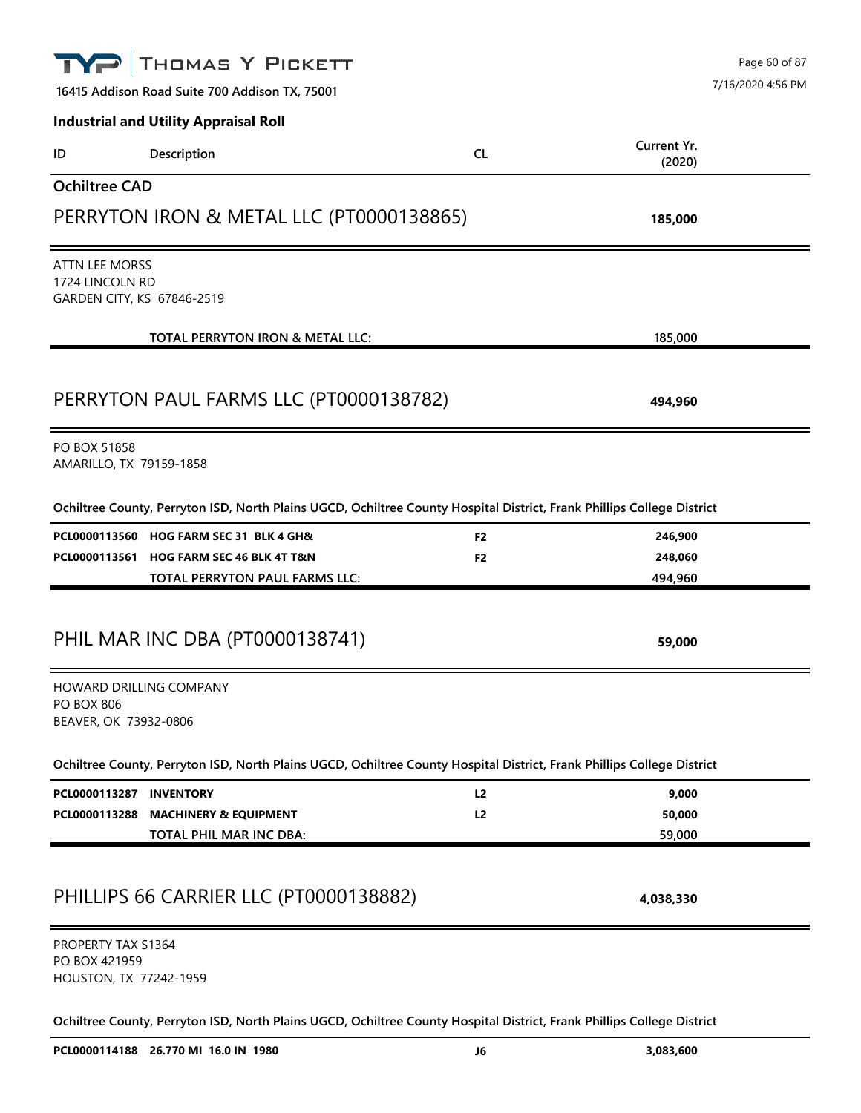|                                                                        | THOMAS Y PICKETT                                                                                                       |                |                       | Page 60 of 87     |
|------------------------------------------------------------------------|------------------------------------------------------------------------------------------------------------------------|----------------|-----------------------|-------------------|
|                                                                        | 16415 Addison Road Suite 700 Addison TX, 75001                                                                         |                |                       | 7/16/2020 4:56 PM |
|                                                                        | <b>Industrial and Utility Appraisal Roll</b>                                                                           |                |                       |                   |
| ID                                                                     | Description                                                                                                            | <b>CL</b>      | Current Yr.<br>(2020) |                   |
| <b>Ochiltree CAD</b>                                                   |                                                                                                                        |                |                       |                   |
|                                                                        | PERRYTON IRON & METAL LLC (PT0000138865)                                                                               |                | 185,000               |                   |
| <b>ATTN LEE MORSS</b><br>1724 LINCOLN RD<br>GARDEN CITY, KS 67846-2519 |                                                                                                                        |                |                       |                   |
|                                                                        | TOTAL PERRYTON IRON & METAL LLC:                                                                                       |                | 185,000               |                   |
|                                                                        | PERRYTON PAUL FARMS LLC (PT0000138782)                                                                                 |                | 494,960               |                   |
| PO BOX 51858<br>AMARILLO, TX 79159-1858                                |                                                                                                                        |                |                       |                   |
|                                                                        | Ochiltree County, Perryton ISD, North Plains UGCD, Ochiltree County Hospital District, Frank Phillips College District |                |                       |                   |
|                                                                        | PCL0000113560 HOG FARM SEC 31 BLK 4 GH&                                                                                | F <sub>2</sub> | 246,900               |                   |
|                                                                        | PCL0000113561 HOG FARM SEC 46 BLK 4T T&N<br>TOTAL PERRYTON PAUL FARMS LLC:                                             | F <sub>2</sub> | 248,060<br>494,960    |                   |
|                                                                        |                                                                                                                        |                |                       |                   |
|                                                                        | PHIL MAR INC DBA (PT0000138741)                                                                                        |                | 59,000                |                   |
| <b>PO BOX 806</b><br>BEAVER, OK 73932-0806                             | HOWARD DRILLING COMPANY                                                                                                |                |                       |                   |
|                                                                        | Ochiltree County, Perryton ISD, North Plains UGCD, Ochiltree County Hospital District, Frank Phillips College District |                |                       |                   |
| PCL0000113287 INVENTORY                                                |                                                                                                                        | L <sub>2</sub> | 9,000                 |                   |
| PCL0000113288                                                          | <b>MACHINERY &amp; EQUIPMENT</b><br>TOTAL PHIL MAR INC DBA:                                                            | L2             | 50,000<br>59,000      |                   |
|                                                                        |                                                                                                                        |                |                       |                   |
|                                                                        | PHILLIPS 66 CARRIER LLC (PT0000138882)                                                                                 |                | 4,038,330             |                   |
| PROPERTY TAX S1364<br>PO BOX 421959<br>HOUSTON, TX 77242-1959          |                                                                                                                        |                |                       |                   |
|                                                                        | Ochiltree County, Perryton ISD, North Plains UGCD, Ochiltree County Hospital District, Frank Phillips College District |                |                       |                   |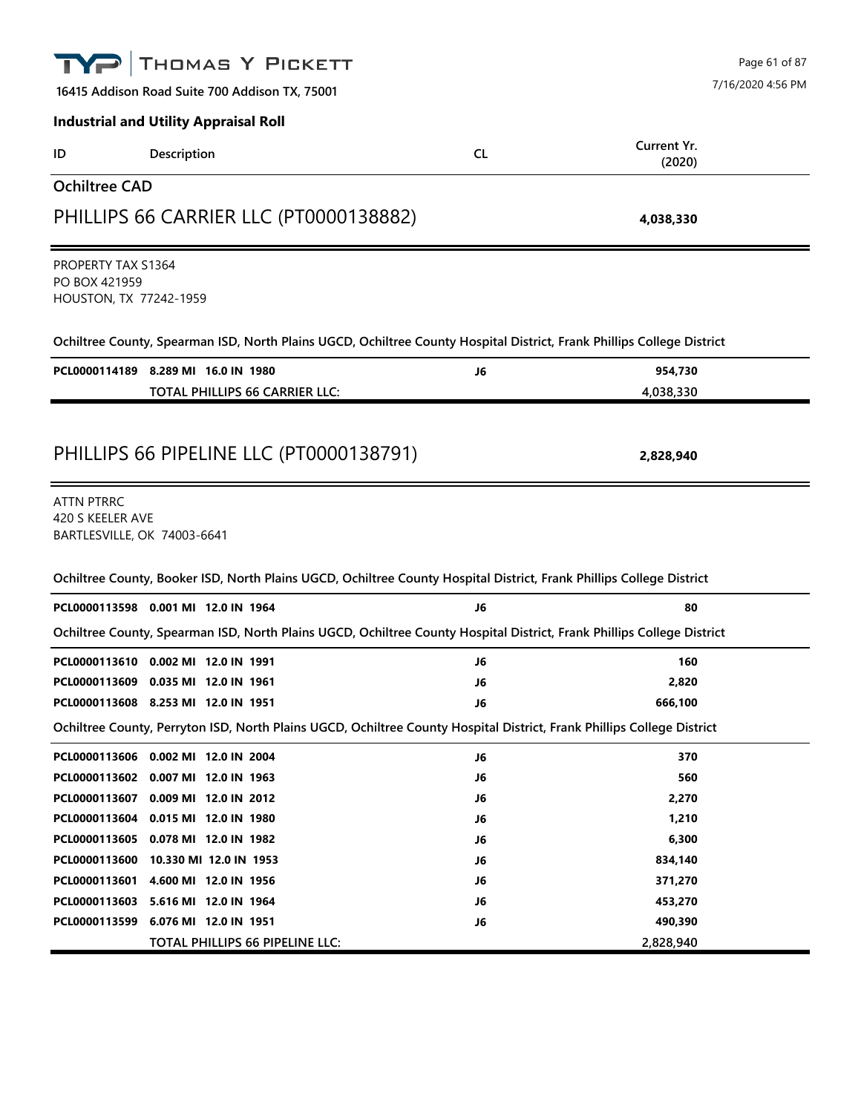|                                                                      | THOMAS Y PICKETT                                                                                                       |                                    | Page 61 of 87     |
|----------------------------------------------------------------------|------------------------------------------------------------------------------------------------------------------------|------------------------------------|-------------------|
|                                                                      | 16415 Addison Road Suite 700 Addison TX, 75001                                                                         |                                    | 7/16/2020 4:56 PM |
|                                                                      | <b>Industrial and Utility Appraisal Roll</b>                                                                           |                                    |                   |
| ID                                                                   | Description                                                                                                            | Current Yr.<br><b>CL</b><br>(2020) |                   |
| <b>Ochiltree CAD</b>                                                 |                                                                                                                        |                                    |                   |
|                                                                      | PHILLIPS 66 CARRIER LLC (PT0000138882)                                                                                 | 4,038,330                          |                   |
| <b>PROPERTY TAX S1364</b><br>PO BOX 421959<br>HOUSTON, TX 77242-1959 |                                                                                                                        |                                    |                   |
|                                                                      | Ochiltree County, Spearman ISD, North Plains UGCD, Ochiltree County Hospital District, Frank Phillips College District |                                    |                   |
|                                                                      | PCL0000114189 8.289 MI 16.0 IN 1980<br><b>TOTAL PHILLIPS 66 CARRIER LLC:</b>                                           | 954,730<br>J6<br>4,038,330         |                   |
|                                                                      | PHILLIPS 66 PIPELINE LLC (PT0000138791)                                                                                | 2,828,940                          |                   |
| <b>ATTN PTRRC</b><br>420 S KEELER AVE<br>BARTLESVILLE, OK 74003-6641 |                                                                                                                        |                                    |                   |
|                                                                      | Ochiltree County, Booker ISD, North Plains UGCD, Ochiltree County Hospital District, Frank Phillips College District   |                                    |                   |
|                                                                      | PCL0000113598 0.001 MI 12.0 IN 1964                                                                                    | J6                                 | 80                |
|                                                                      | Ochiltree County, Spearman ISD, North Plains UGCD, Ochiltree County Hospital District, Frank Phillips College District |                                    |                   |
|                                                                      | PCL0000113610 0.002 MI 12.0 IN 1991                                                                                    | J6                                 | 160               |
|                                                                      | PCL0000113609 0.035 MI 12.0 IN 1961                                                                                    | 2,820<br>J6                        |                   |
|                                                                      | PCL0000113608 8.253 MI 12.0 IN 1951                                                                                    | 666,100<br>J6                      |                   |
|                                                                      | Ochiltree County, Perryton ISD, North Plains UGCD, Ochiltree County Hospital District, Frank Phillips College District |                                    |                   |
|                                                                      | PCL0000113606 0.002 MI 12.0 IN 2004                                                                                    | J6                                 | 370               |
|                                                                      | PCL0000113602 0.007 MI 12.0 IN 1963                                                                                    | J6                                 | 560               |
|                                                                      | PCL0000113607 0.009 MI 12.0 IN 2012                                                                                    | 2,270<br>J6                        |                   |
|                                                                      | PCL0000113604 0.015 MI 12.0 IN 1980                                                                                    | 1,210<br>J6                        |                   |
|                                                                      | PCL0000113605 0.078 MI 12.0 IN 1982                                                                                    | J6<br>6,300                        |                   |
|                                                                      | PCL0000113600 10.330 MI 12.0 IN 1953                                                                                   | 834,140<br>J6                      |                   |
|                                                                      | PCL0000113601 4.600 MI 12.0 IN 1956                                                                                    | J6<br>371,270                      |                   |
|                                                                      | PCL0000113603 5.616 MI 12.0 IN 1964                                                                                    | 453,270<br>J6                      |                   |
|                                                                      | PCL0000113599 6.076 MI 12.0 IN 1951                                                                                    | 490,390<br>J6                      |                   |
|                                                                      | TOTAL PHILLIPS 66 PIPELINE LLC:                                                                                        | 2,828,940                          |                   |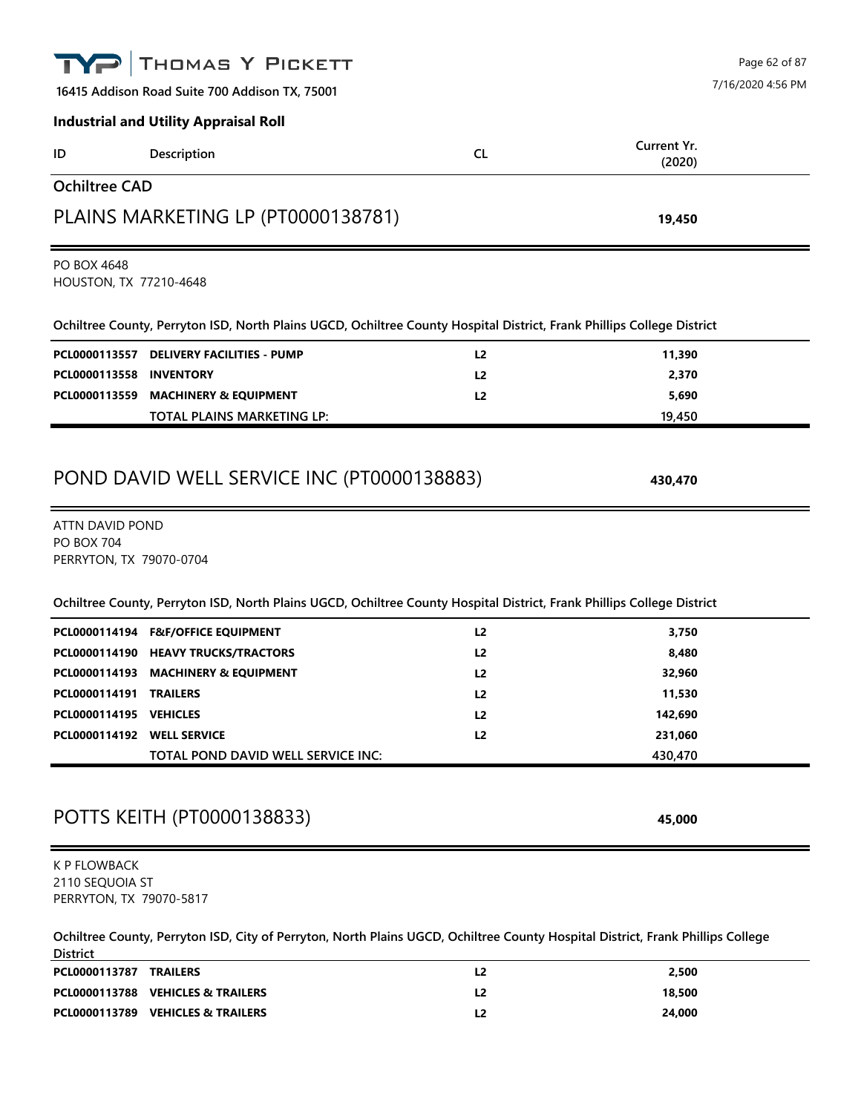|                                                                   | THOMAS Y PICKETT                                                                                                                |                | Page 62 of 87     |
|-------------------------------------------------------------------|---------------------------------------------------------------------------------------------------------------------------------|----------------|-------------------|
|                                                                   | 16415 Addison Road Suite 700 Addison TX, 75001                                                                                  |                | 7/16/2020 4:56 PM |
|                                                                   | <b>Industrial and Utility Appraisal Roll</b>                                                                                    |                |                   |
| ID                                                                | Description                                                                                                                     | <b>CL</b>      | Current Yr.       |
| <b>Ochiltree CAD</b>                                              |                                                                                                                                 |                | (2020)            |
|                                                                   |                                                                                                                                 |                |                   |
|                                                                   | PLAINS MARKETING LP (PT0000138781)                                                                                              |                | 19,450            |
| PO BOX 4648<br>HOUSTON, TX 77210-4648                             |                                                                                                                                 |                |                   |
|                                                                   | Ochiltree County, Perryton ISD, North Plains UGCD, Ochiltree County Hospital District, Frank Phillips College District          |                |                   |
|                                                                   | PCL0000113557 DELIVERY FACILITIES - PUMP                                                                                        | L <sub>2</sub> | 11,390            |
| PCL0000113558 INVENTORY                                           |                                                                                                                                 | L <sub>2</sub> | 2,370             |
|                                                                   | PCL0000113559 MACHINERY & EQUIPMENT                                                                                             | L <sub>2</sub> | 5,690             |
|                                                                   | TOTAL PLAINS MARKETING LP:                                                                                                      |                | 19,450            |
| ATTN DAVID POND<br><b>PO BOX 704</b><br>PERRYTON, TX 79070-0704   |                                                                                                                                 |                |                   |
|                                                                   | Ochiltree County, Perryton ISD, North Plains UGCD, Ochiltree County Hospital District, Frank Phillips College District          |                |                   |
|                                                                   | PCL0000114194 F&F/OFFICE EQUIPMENT                                                                                              | L <sub>2</sub> | 3,750             |
|                                                                   | PCL0000114190 HEAVY TRUCKS/TRACTORS                                                                                             | L2             | 8,480             |
|                                                                   | PCL0000114193 MACHINERY & EQUIPMENT                                                                                             | L <sub>2</sub> | 32,960            |
| PCL0000114191 TRAILERS<br>PCL0000114195 VEHICLES                  |                                                                                                                                 | L2<br>L2       | 11,530<br>142,690 |
| PCL0000114192 WELL SERVICE                                        |                                                                                                                                 | L <sub>2</sub> | 231,060           |
|                                                                   | TOTAL POND DAVID WELL SERVICE INC:                                                                                              |                | 430,470           |
|                                                                   | POTTS KEITH (PT0000138833)                                                                                                      |                | 45,000            |
| <b>K P FLOWBACK</b><br>2110 SEQUOIA ST<br>PERRYTON, TX 79070-5817 |                                                                                                                                 |                |                   |
| <b>District</b>                                                   | Ochiltree County, Perryton ISD, City of Perryton, North Plains UGCD, Ochiltree County Hospital District, Frank Phillips College |                |                   |
| PCL0000113787 TRAILERS                                            |                                                                                                                                 | L <sub>2</sub> | 2,500             |

| PCL0000113787 | <b>TRAILERS</b>                   | 2,500  |
|---------------|-----------------------------------|--------|
|               | PCL0000113788 VEHICLES & TRAILERS | 18,500 |
|               | PCL0000113789 VEHICLES & TRAILERS | 24,000 |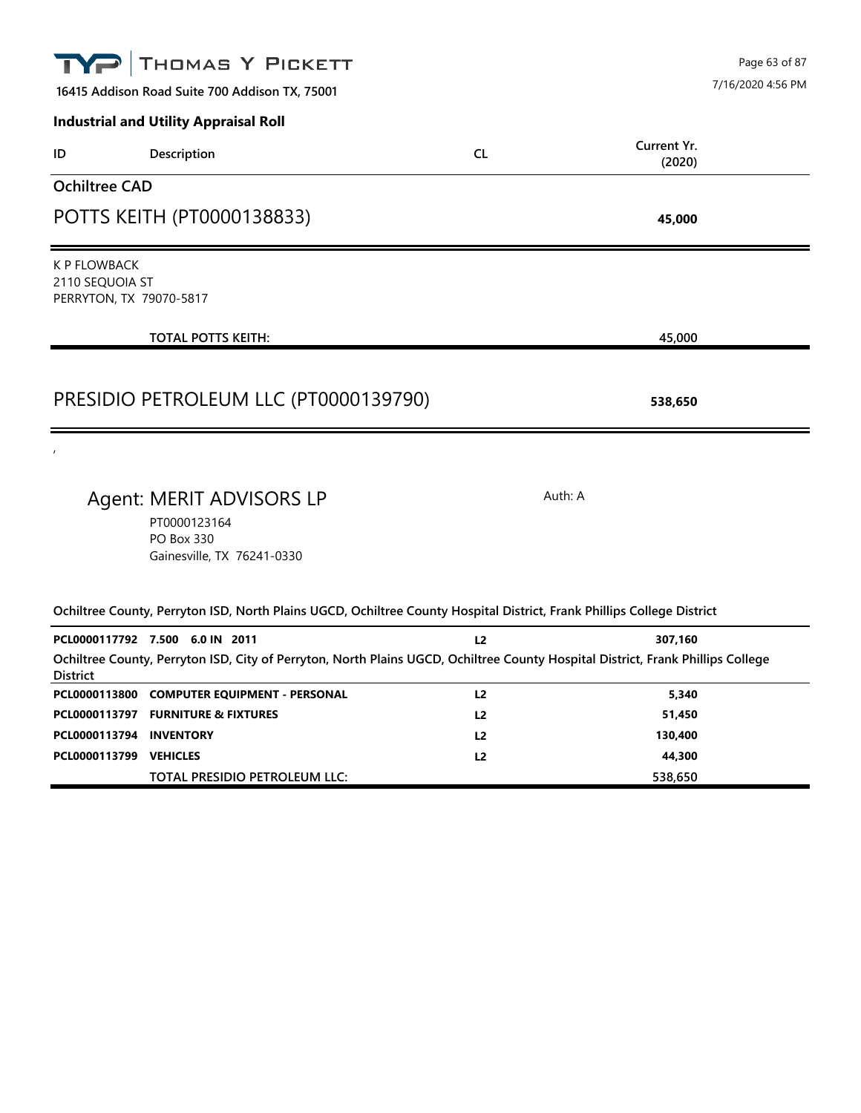| THOMAS Y PICKETT                                                                                                                                                                      |                | Page 63 of 87                |
|---------------------------------------------------------------------------------------------------------------------------------------------------------------------------------------|----------------|------------------------------|
| 16415 Addison Road Suite 700 Addison TX, 75001                                                                                                                                        |                | 7/16/2020 4:56 PM            |
| <b>Industrial and Utility Appraisal Roll</b>                                                                                                                                          |                |                              |
| Description<br>ID                                                                                                                                                                     | <b>CL</b>      | Current Yr.<br>(2020)        |
| <b>Ochiltree CAD</b>                                                                                                                                                                  |                |                              |
| POTTS KEITH (PT0000138833)                                                                                                                                                            |                | 45,000                       |
| <b>K P FLOWBACK</b><br>2110 SEQUOIA ST<br>PERRYTON, TX 79070-5817                                                                                                                     |                |                              |
| <b>TOTAL POTTS KEITH:</b>                                                                                                                                                             |                | 45,000                       |
|                                                                                                                                                                                       |                |                              |
| PRESIDIO PETROLEUM LLC (PT0000139790)                                                                                                                                                 |                | 538,650                      |
|                                                                                                                                                                                       |                |                              |
| Agent: MERIT ADVISORS LP<br>PT0000123164<br>PO Box 330<br>Gainesville, TX 76241-0330                                                                                                  |                | Auth: A                      |
| Ochiltree County, Perryton ISD, North Plains UGCD, Ochiltree County Hospital District, Frank Phillips College District                                                                |                |                              |
| PCL0000117792 7.500 6.0 IN 2011<br>Ochiltree County, Perryton ISD, City of Perryton, North Plains UGCD, Ochiltree County Hospital District, Frank Phillips College<br><b>District</b> | L <sub>2</sub> | 307,160                      |
| PCL0000113800 COMPUTER EQUIPMENT - PERSONAL                                                                                                                                           | L2             | 5,340                        |
| PCL0000113797 FURNITURE & FIXTURES                                                                                                                                                    | L2             | 51,450                       |
|                                                                                                                                                                                       |                |                              |
|                                                                                                                                                                                       |                |                              |
| PCL0000113794<br><b>INVENTORY</b><br>PCL0000113799 VEHICLES<br>TOTAL PRESIDIO PETROLEUM LLC:                                                                                          | L2<br>L2       | 130,400<br>44,300<br>538,650 |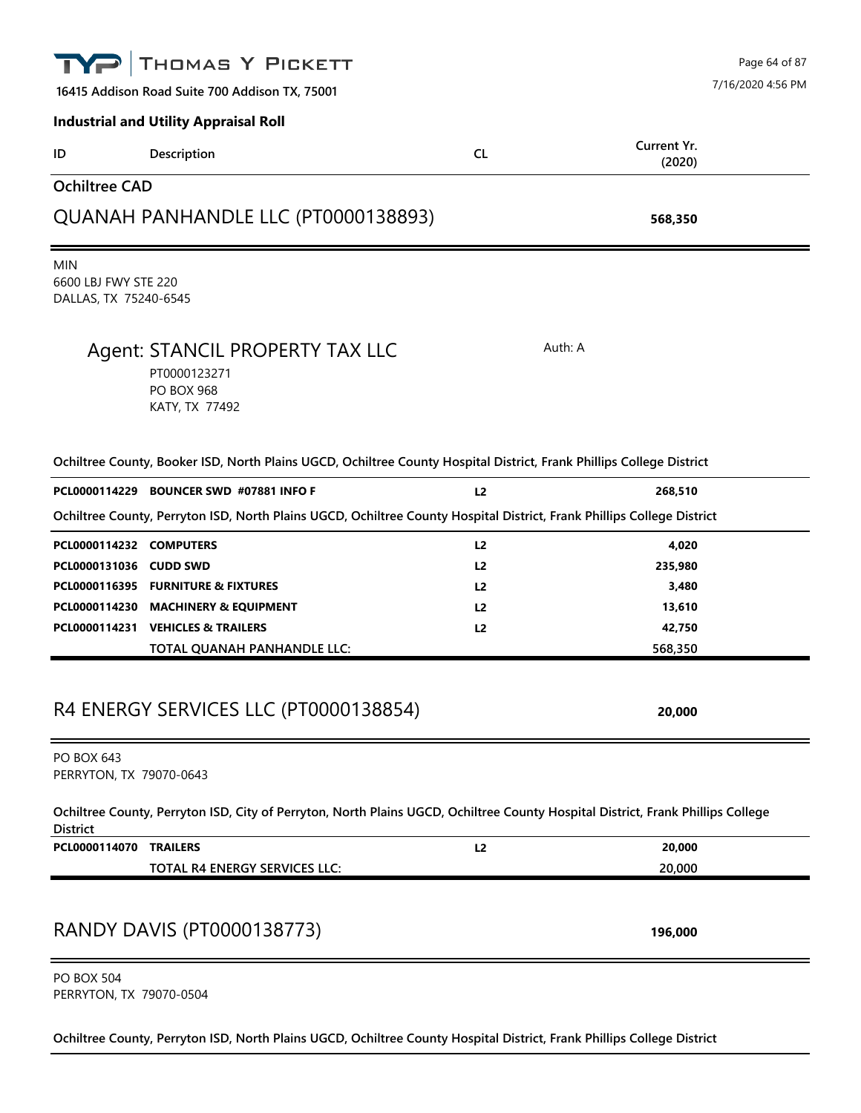|                                                             | THOMAS Y PICKETT                                                                                                                |                | Page 64 of 87         |
|-------------------------------------------------------------|---------------------------------------------------------------------------------------------------------------------------------|----------------|-----------------------|
|                                                             | 16415 Addison Road Suite 700 Addison TX, 75001                                                                                  |                | 7/16/2020 4:56 PM     |
|                                                             | <b>Industrial and Utility Appraisal Roll</b>                                                                                    |                |                       |
| ID                                                          | Description                                                                                                                     | <b>CL</b>      | Current Yr.<br>(2020) |
| <b>Ochiltree CAD</b>                                        |                                                                                                                                 |                |                       |
|                                                             | QUANAH PANHANDLE LLC (PT0000138893)                                                                                             |                | 568,350               |
| <b>MIN</b><br>6600 LBJ FWY STE 220<br>DALLAS, TX 75240-6545 |                                                                                                                                 |                |                       |
|                                                             | Agent: STANCIL PROPERTY TAX LLC<br>PT0000123271<br><b>PO BOX 968</b><br>KATY, TX 77492                                          | Auth: A        |                       |
|                                                             | Ochiltree County, Booker ISD, North Plains UGCD, Ochiltree County Hospital District, Frank Phillips College District            |                |                       |
|                                                             | PCL0000114229 BOUNCER SWD #07881 INFO F                                                                                         | L <sub>2</sub> | 268,510               |
|                                                             | Ochiltree County, Perryton ISD, North Plains UGCD, Ochiltree County Hospital District, Frank Phillips College District          |                |                       |
| PCL0000114232 COMPUTERS                                     |                                                                                                                                 | L <sub>2</sub> | 4,020                 |
| PCL0000131036 CUDD SWD                                      |                                                                                                                                 | L <sub>2</sub> | 235,980               |
|                                                             | PCL0000116395 FURNITURE & FIXTURES                                                                                              | L2             | 3,480                 |
|                                                             | PCL0000114230 MACHINERY & EQUIPMENT                                                                                             | L <sub>2</sub> | 13,610                |
|                                                             | PCL0000114231 VEHICLES & TRAILERS                                                                                               | L <sub>2</sub> | 42,750                |
|                                                             | TOTAL QUANAH PANHANDLE LLC:                                                                                                     |                | 568,350               |
|                                                             | R4 ENERGY SERVICES LLC (PT0000138854)                                                                                           |                | 20,000                |
| <b>PO BOX 643</b><br>PERRYTON, TX 79070-0643                |                                                                                                                                 |                |                       |
| <b>District</b>                                             | Ochiltree County, Perryton ISD, City of Perryton, North Plains UGCD, Ochiltree County Hospital District, Frank Phillips College |                |                       |
| PCL0000114070                                               | <b>TRAILERS</b>                                                                                                                 | L2             | 20,000                |
|                                                             | <b>TOTAL R4 ENERGY SERVICES LLC:</b>                                                                                            |                | 20,000                |
|                                                             | RANDY DAVIS (PT0000138773)                                                                                                      |                | 196,000               |
| <b>PO BOX 504</b><br>PERRYTON, TX 79070-0504                |                                                                                                                                 |                |                       |

**Ochiltree County, Perryton ISD, North Plains UGCD, Ochiltree County Hospital District, Frank Phillips College District**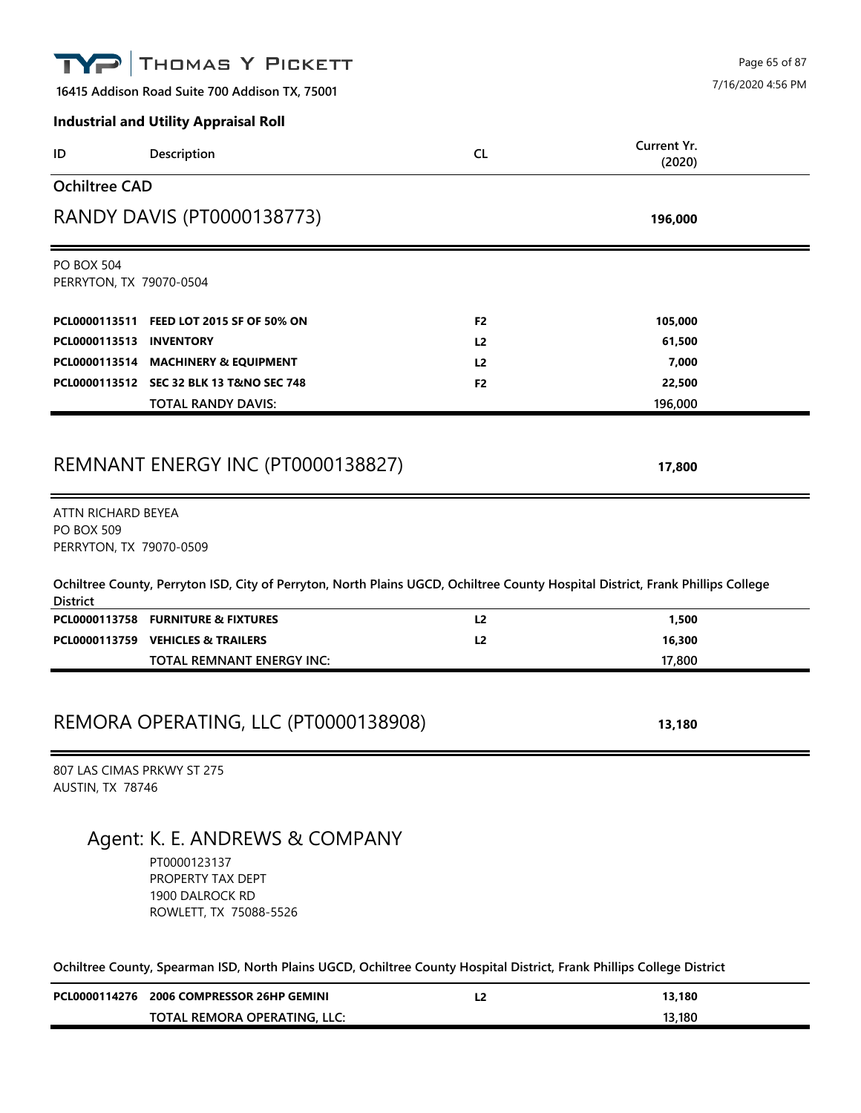|                                                                    | THOMAS Y PICKETT                                                                                                                |                |                       | Page 65 of 87     |
|--------------------------------------------------------------------|---------------------------------------------------------------------------------------------------------------------------------|----------------|-----------------------|-------------------|
|                                                                    | 16415 Addison Road Suite 700 Addison TX, 75001                                                                                  |                |                       | 7/16/2020 4:56 PM |
|                                                                    | <b>Industrial and Utility Appraisal Roll</b>                                                                                    |                |                       |                   |
| ID                                                                 | Description                                                                                                                     | <b>CL</b>      | Current Yr.<br>(2020) |                   |
| <b>Ochiltree CAD</b>                                               |                                                                                                                                 |                |                       |                   |
|                                                                    | RANDY DAVIS (PT0000138773)                                                                                                      |                | 196,000               |                   |
| <b>PO BOX 504</b><br>PERRYTON, TX 79070-0504                       |                                                                                                                                 |                |                       |                   |
|                                                                    | PCL0000113511 FEED LOT 2015 SF OF 50% ON                                                                                        | F <sub>2</sub> | 105,000               |                   |
| PCL0000113513 INVENTORY                                            |                                                                                                                                 | L <sub>2</sub> | 61,500                |                   |
|                                                                    | PCL0000113514 MACHINERY & EQUIPMENT                                                                                             | L <sub>2</sub> | 7,000                 |                   |
|                                                                    | PCL0000113512 SEC 32 BLK 13 T&NO SEC 748                                                                                        | F <sub>2</sub> | 22,500                |                   |
|                                                                    | <b>TOTAL RANDY DAVIS:</b>                                                                                                       |                | 196,000               |                   |
|                                                                    | REMNANT ENERGY INC (PT0000138827)                                                                                               |                | 17,800                |                   |
| ATTN RICHARD BEYEA<br><b>PO BOX 509</b><br>PERRYTON, TX 79070-0509 |                                                                                                                                 |                |                       |                   |
| <b>District</b>                                                    | Ochiltree County, Perryton ISD, City of Perryton, North Plains UGCD, Ochiltree County Hospital District, Frank Phillips College |                |                       |                   |
|                                                                    | PCL0000113758 FURNITURE & FIXTURES                                                                                              | L2             | 1,500                 |                   |
|                                                                    | PCL0000113759 VEHICLES & TRAILERS                                                                                               | L <sub>2</sub> | 16,300                |                   |
|                                                                    | TOTAL REMNANT ENERGY INC:                                                                                                       |                | 17,800                |                   |
|                                                                    |                                                                                                                                 |                |                       |                   |
|                                                                    | REMORA OPERATING, LLC (PT0000138908)                                                                                            |                | 13,180                |                   |
| 807 LAS CIMAS PRKWY ST 275<br>AUSTIN, TX 78746                     |                                                                                                                                 |                |                       |                   |
|                                                                    | Agent: K. E. ANDREWS & COMPANY<br>PT0000123137<br>PROPERTY TAX DEPT<br>1900 DALROCK RD<br>ROWLETT, TX 75088-5526                |                |                       |                   |
|                                                                    | Ochiltree County, Spearman ISD, North Plains UGCD, Ochiltree County Hospital District, Frank Phillips College District          |                |                       |                   |

| PCL0000114276 | <b>2006 COMPRESSOR 26HP GEMINI</b> | -4 | 13.180 |
|---------------|------------------------------------|----|--------|
|               | TOTAL REMORA OPERATING, LLC:       |    | 13.180 |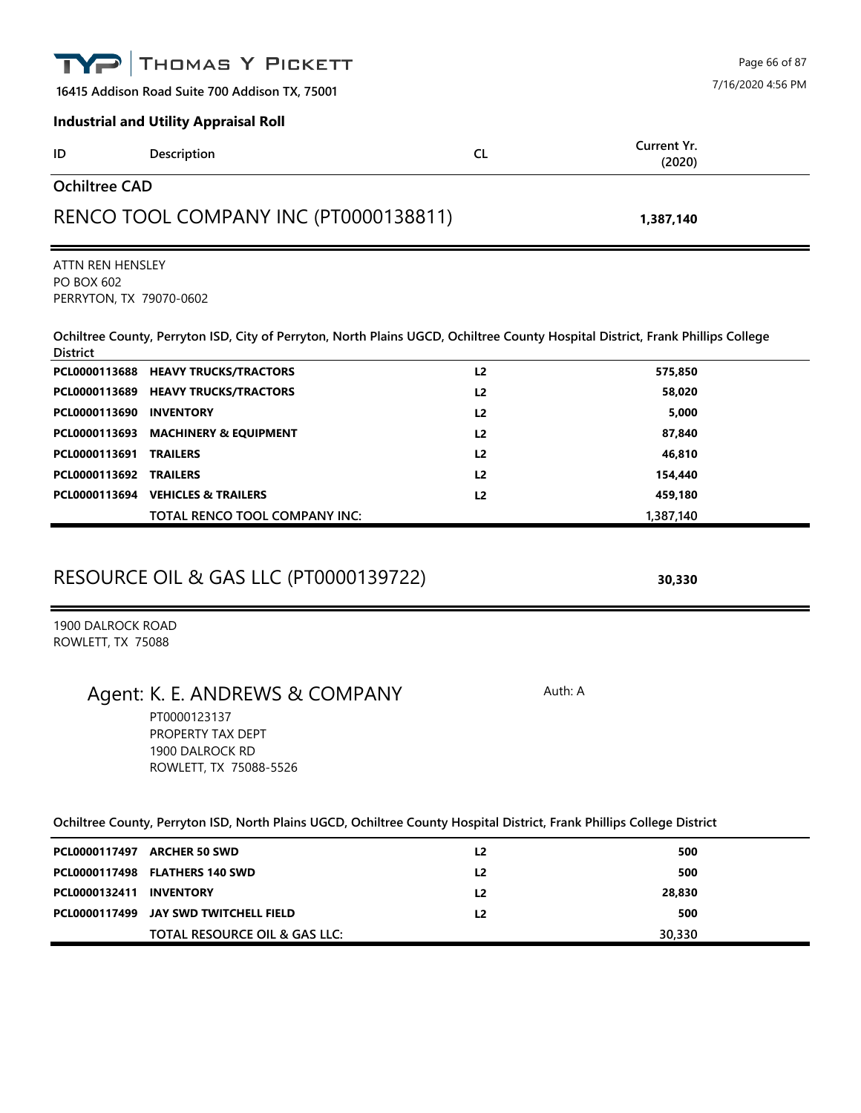|                                              | THOMAS Y PICKETT                                                                                                                |                | Page 66 of 87         |
|----------------------------------------------|---------------------------------------------------------------------------------------------------------------------------------|----------------|-----------------------|
|                                              | 16415 Addison Road Suite 700 Addison TX, 75001                                                                                  |                | 7/16/2020 4:56 PM     |
|                                              | <b>Industrial and Utility Appraisal Roll</b>                                                                                    |                |                       |
| ID                                           | Description                                                                                                                     | <b>CL</b>      | Current Yr.<br>(2020) |
| <b>Ochiltree CAD</b>                         |                                                                                                                                 |                |                       |
|                                              | RENCO TOOL COMPANY INC (PT0000138811)                                                                                           |                | 1,387,140             |
| ATTN REN HENSLEY                             |                                                                                                                                 |                |                       |
| <b>PO BOX 602</b><br>PERRYTON, TX 79070-0602 |                                                                                                                                 |                |                       |
| <b>District</b>                              | Ochiltree County, Perryton ISD, City of Perryton, North Plains UGCD, Ochiltree County Hospital District, Frank Phillips College |                |                       |
|                                              | PCL0000113688 HEAVY TRUCKS/TRACTORS                                                                                             | L2             | 575,850               |
|                                              | PCL0000113689 HEAVY TRUCKS/TRACTORS                                                                                             | L <sub>2</sub> | 58,020                |
| PCL0000113690                                | <b>INVENTORY</b>                                                                                                                | L <sub>2</sub> | 5,000                 |
| PCL0000113693                                | <b>MACHINERY &amp; EQUIPMENT</b>                                                                                                | L <sub>2</sub> | 87,840                |
| PCL0000113691                                | <b>TRAILERS</b>                                                                                                                 | L <sub>2</sub> | 46,810                |
| PCL0000113692                                | <b>TRAILERS</b>                                                                                                                 | L <sub>2</sub> | 154,440               |
|                                              | PCL0000113694 VEHICLES & TRAILERS                                                                                               | L <sub>2</sub> | 459,180               |
|                                              | TOTAL RENCO TOOL COMPANY INC:                                                                                                   |                | 1,387,140             |
|                                              | <b>RESOURCE OIL &amp; GAS LLC (PT0000139722)</b>                                                                                |                | 30,330                |
| 1900 DALROCK ROAD<br>ROWLETT, TX 75088       |                                                                                                                                 |                |                       |
|                                              | Agent: K. E. ANDREWS & COMPANY                                                                                                  | Auth: A        |                       |
|                                              | PT0000123137<br>PROPERTY TAX DEPT<br>1900 DALROCK RD<br>ROWLETT, TX 75088-5526                                                  |                |                       |
|                                              | Ochiltree County, Perryton ISD, North Plains UGCD, Ochiltree County Hospital District, Frank Phillips College District          |                |                       |
|                                              |                                                                                                                                 |                |                       |
|                                              | PCL0000117497 ARCHER 50 SWD                                                                                                     | L <sub>2</sub> | 500                   |
|                                              | PCL0000117498 FLATHERS 140 SWD                                                                                                  | L <sub>2</sub> | 500                   |
| PCL0000132411                                | <b>INVENTORY</b>                                                                                                                | L <sub>2</sub> | 28,830                |
| PCL0000117499                                | JAY SWD TWITCHELL FIELD                                                                                                         | L <sub>2</sub> | 500                   |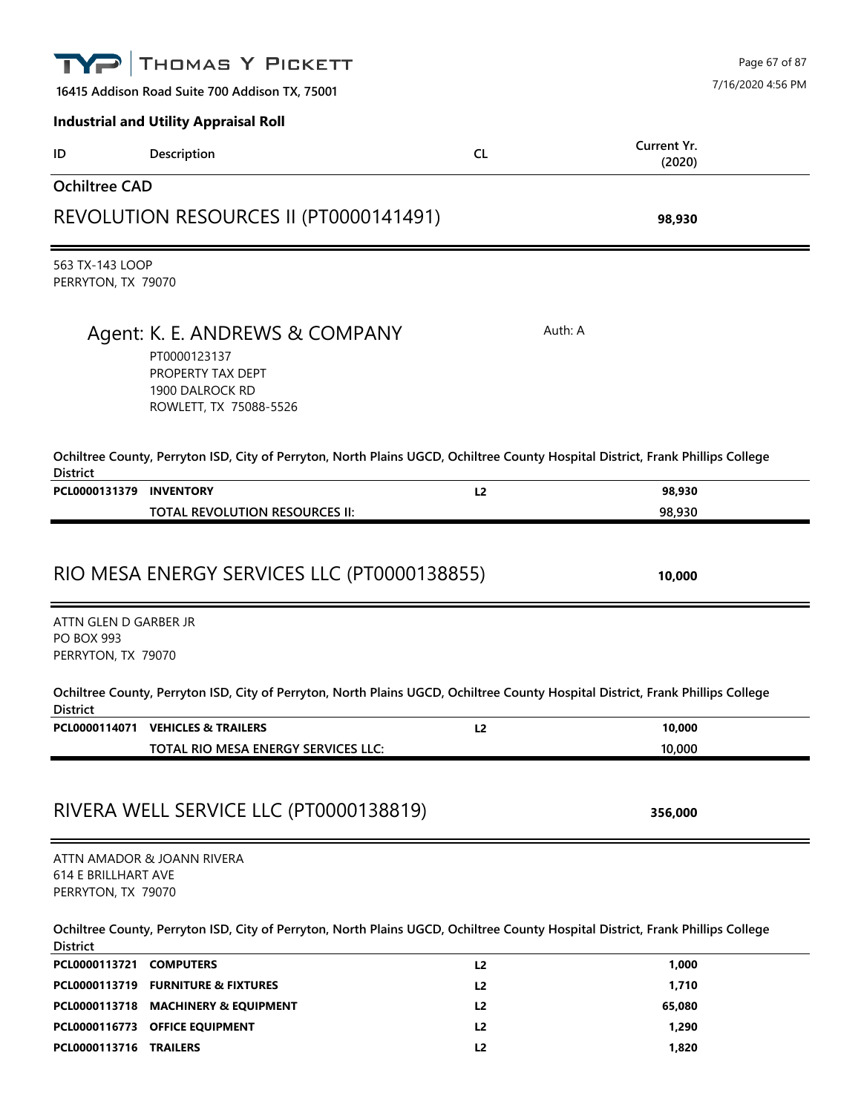|                                                                  | THOMAS Y PICKETT                                                                                                                |                | Page 67 of 87         |
|------------------------------------------------------------------|---------------------------------------------------------------------------------------------------------------------------------|----------------|-----------------------|
|                                                                  | 16415 Addison Road Suite 700 Addison TX, 75001                                                                                  |                | 7/16/2020 4:56 PM     |
|                                                                  | <b>Industrial and Utility Appraisal Roll</b>                                                                                    |                |                       |
| ID                                                               | Description                                                                                                                     | <b>CL</b>      | Current Yr.<br>(2020) |
| <b>Ochiltree CAD</b>                                             |                                                                                                                                 |                |                       |
|                                                                  | REVOLUTION RESOURCES II (PT0000141491)                                                                                          |                | 98,930                |
| 563 TX-143 LOOP<br>PERRYTON, TX 79070                            |                                                                                                                                 |                |                       |
|                                                                  | Agent: K. E. ANDREWS & COMPANY<br>PT0000123137<br>PROPERTY TAX DEPT<br>1900 DALROCK RD<br>ROWLETT, TX 75088-5526                |                | Auth: A               |
| <b>District</b>                                                  | Ochiltree County, Perryton ISD, City of Perryton, North Plains UGCD, Ochiltree County Hospital District, Frank Phillips College |                |                       |
| PCL0000131379                                                    | <b>INVENTORY</b><br>TOTAL REVOLUTION RESOURCES II:                                                                              | L <sub>2</sub> | 98,930<br>98,930      |
| ATTN GLEN D GARBER JR<br><b>PO BOX 993</b><br>PERRYTON, TX 79070 | RIO MESA ENERGY SERVICES LLC (PT0000138855)                                                                                     |                | 10,000                |
| <b>District</b>                                                  | Ochiltree County, Perryton ISD, City of Perryton, North Plains UGCD, Ochiltree County Hospital District, Frank Phillips College |                |                       |
| PCL0000114071                                                    | <b>VEHICLES &amp; TRAILERS</b><br>TOTAL RIO MESA ENERGY SERVICES LLC:                                                           | L <sub>2</sub> | 10,000<br>10,000      |
|                                                                  | RIVERA WELL SERVICE LLC (PT0000138819)                                                                                          |                | 356,000               |
| <b>614 E BRILLHART AVE</b><br>PERRYTON, TX 79070                 | ATTN AMADOR & JOANN RIVERA                                                                                                      |                |                       |
| <b>District</b>                                                  | Ochiltree County, Perryton ISD, City of Perryton, North Plains UGCD, Ochiltree County Hospital District, Frank Phillips College |                |                       |
| PCL0000113721                                                    | <b>COMPUTERS</b>                                                                                                                | L <sub>2</sub> | 1,000                 |
|                                                                  | PCL0000113719 FURNITURE & FIXTURES                                                                                              | L <sub>2</sub> | 1,710                 |
|                                                                  | PCL0000113718 MACHINERY & EQUIPMENT                                                                                             | L <sub>2</sub> | 65,080                |
|                                                                  | PCL0000116773 OFFICE EQUIPMENT                                                                                                  | L2             | 1,290                 |

**PCL0000113716 TRAILERS L2 1,820**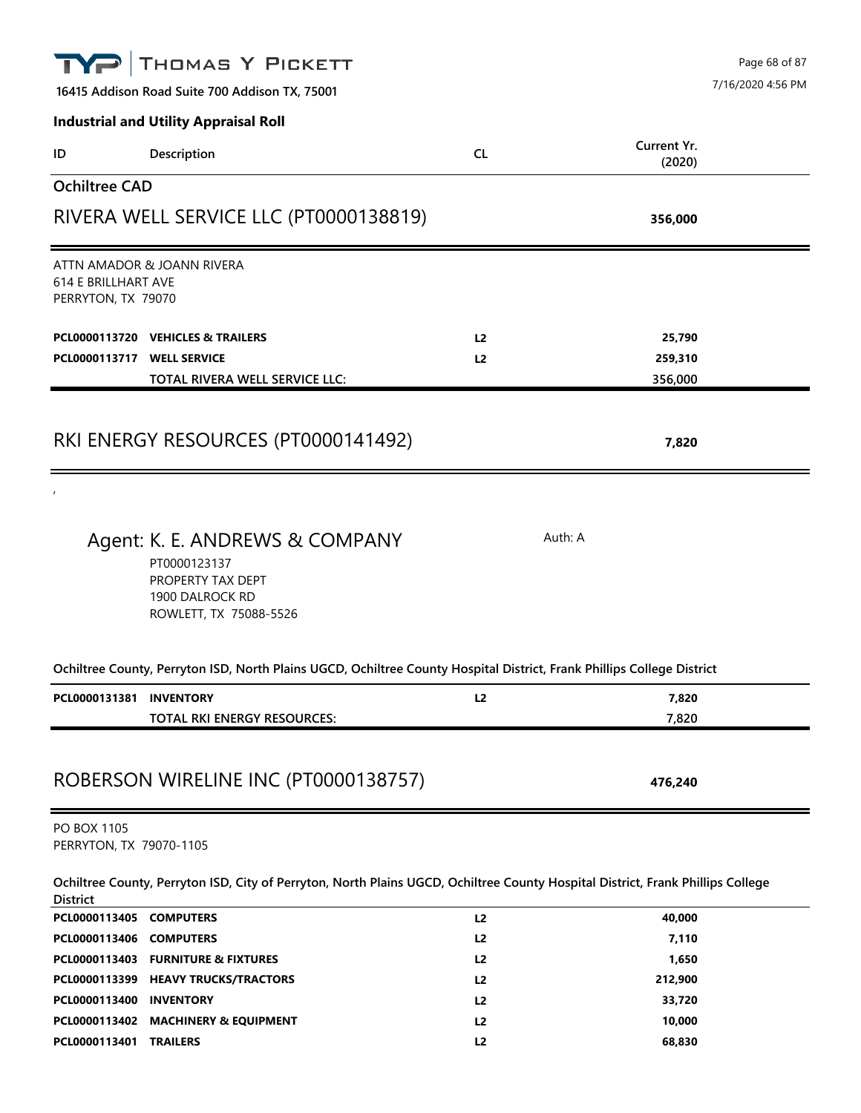|                                                  | THOMAS Y PICKETT                                                                                                                |                | Page 68 of 87<br>7/16/2020 4:56 PM |  |
|--------------------------------------------------|---------------------------------------------------------------------------------------------------------------------------------|----------------|------------------------------------|--|
|                                                  | 16415 Addison Road Suite 700 Addison TX, 75001                                                                                  |                |                                    |  |
|                                                  | <b>Industrial and Utility Appraisal Roll</b>                                                                                    |                |                                    |  |
| ID                                               | Description                                                                                                                     | <b>CL</b>      | Current Yr.<br>(2020)              |  |
| <b>Ochiltree CAD</b>                             |                                                                                                                                 |                |                                    |  |
|                                                  | RIVERA WELL SERVICE LLC (PT0000138819)                                                                                          |                | 356,000                            |  |
| <b>614 E BRILLHART AVE</b><br>PERRYTON, TX 79070 | ATTN AMADOR & JOANN RIVERA                                                                                                      |                |                                    |  |
|                                                  | PCL0000113720 VEHICLES & TRAILERS                                                                                               | L <sub>2</sub> | 25,790                             |  |
| PCL0000113717 WELL SERVICE                       |                                                                                                                                 | L2             | 259,310                            |  |
|                                                  | TOTAL RIVERA WELL SERVICE LLC:                                                                                                  |                | 356,000                            |  |
|                                                  | RKI ENERGY RESOURCES (PT0000141492)                                                                                             |                | 7,820                              |  |
|                                                  | Agent: K. E. ANDREWS & COMPANY<br>PT0000123137<br>PROPERTY TAX DEPT<br>1900 DALROCK RD<br>ROWLETT, TX 75088-5526                |                | Auth: A                            |  |
|                                                  | Ochiltree County, Perryton ISD, North Plains UGCD, Ochiltree County Hospital District, Frank Phillips College District          |                |                                    |  |
| PCL0000131381 INVENTORY                          |                                                                                                                                 | L2             | 7,820                              |  |
|                                                  | TOTAL RKI ENERGY RESOURCES:                                                                                                     |                | 7,820                              |  |
|                                                  | ROBERSON WIRELINE INC (PT0000138757)                                                                                            |                | 476,240                            |  |
| PO BOX 1105<br>PERRYTON, TX 79070-1105           |                                                                                                                                 |                |                                    |  |
| <b>District</b>                                  | Ochiltree County, Perryton ISD, City of Perryton, North Plains UGCD, Ochiltree County Hospital District, Frank Phillips College |                |                                    |  |
| PCL0000113405 COMPUTERS                          |                                                                                                                                 | L2             | 40,000                             |  |
| PCL0000113406 COMPUTERS                          |                                                                                                                                 | L <sub>2</sub> | 7,110                              |  |
|                                                  | PCL0000113403 FURNITURE & FIXTURES                                                                                              | L <sub>2</sub> | 1,650                              |  |
|                                                  | PCL0000113399 HEAVY TRUCKS/TRACTORS                                                                                             | L2             | 212,900                            |  |
| PCL0000113400 INVENTORY                          |                                                                                                                                 | L2             | 33,720                             |  |

**PCL0000113402 MACHINERY & EQUIPMENT L2 10,000 PCL0000113401 TRAILERS L2 68,830**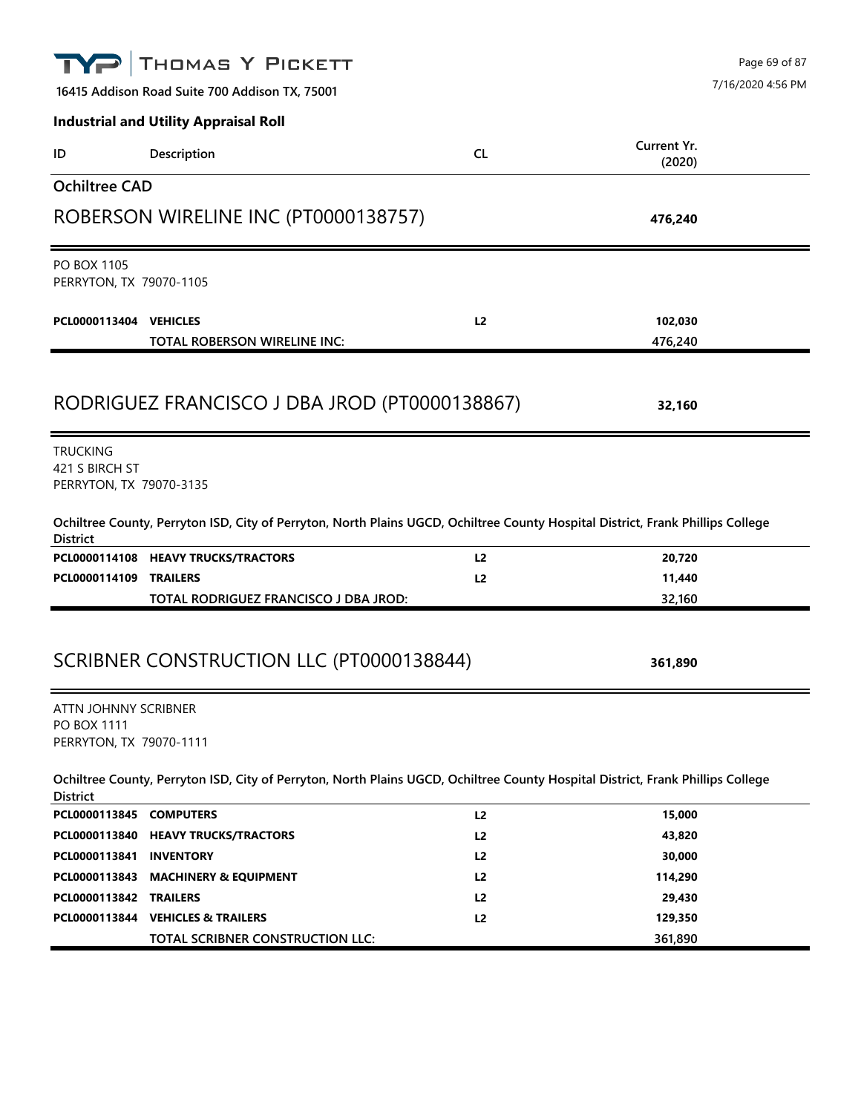|                                                                | THOMAS Y PICKETT                                                                                                                |                |                       | Page 69 of 87     |
|----------------------------------------------------------------|---------------------------------------------------------------------------------------------------------------------------------|----------------|-----------------------|-------------------|
|                                                                | 16415 Addison Road Suite 700 Addison TX, 75001                                                                                  |                |                       | 7/16/2020 4:56 PM |
|                                                                | <b>Industrial and Utility Appraisal Roll</b>                                                                                    |                |                       |                   |
| ID                                                             | Description                                                                                                                     | <b>CL</b>      | Current Yr.<br>(2020) |                   |
| <b>Ochiltree CAD</b>                                           |                                                                                                                                 |                |                       |                   |
|                                                                | ROBERSON WIRELINE INC (PT0000138757)                                                                                            |                | 476,240               |                   |
| <b>PO BOX 1105</b><br>PERRYTON, TX 79070-1105                  |                                                                                                                                 |                |                       |                   |
| PCL0000113404 VEHICLES                                         | TOTAL ROBERSON WIRELINE INC:                                                                                                    | L2             | 102,030<br>476,240    |                   |
|                                                                | RODRIGUEZ FRANCISCO J DBA JROD (PT0000138867)                                                                                   |                | 32,160                |                   |
| <b>TRUCKING</b><br>421 S BIRCH ST<br>PERRYTON, TX 79070-3135   |                                                                                                                                 |                |                       |                   |
| <b>District</b>                                                | Ochiltree County, Perryton ISD, City of Perryton, North Plains UGCD, Ochiltree County Hospital District, Frank Phillips College |                |                       |                   |
|                                                                | PCL0000114108 HEAVY TRUCKS/TRACTORS                                                                                             | L <sub>2</sub> | 20,720                |                   |
| PCL0000114109                                                  | <b>TRAILERS</b>                                                                                                                 | L2             | 11,440                |                   |
|                                                                | TOTAL RODRIGUEZ FRANCISCO J DBA JROD:                                                                                           |                | 32,160                |                   |
|                                                                | SCRIBNER CONSTRUCTION LLC (PT0000138844)                                                                                        |                | 361,890               |                   |
| ATTN JOHNNY SCRIBNER<br>PO BOX 1111<br>PERRYTON, TX 79070-1111 |                                                                                                                                 |                |                       |                   |
| <b>District</b>                                                | Ochiltree County, Perryton ISD, City of Perryton, North Plains UGCD, Ochiltree County Hospital District, Frank Phillips College |                |                       |                   |
| PCL0000113845 COMPUTERS                                        |                                                                                                                                 | L2             | 15,000                |                   |
|                                                                | PCL0000113840 HEAVY TRUCKS/TRACTORS                                                                                             | L <sub>2</sub> | 43,820                |                   |
| PCL0000113841                                                  | <b>INVENTORY</b>                                                                                                                | L2             | 30,000                |                   |
| PCL0000113843                                                  | <b>MACHINERY &amp; EQUIPMENT</b>                                                                                                | L <sub>2</sub> | 114,290               |                   |
| PCL0000113842                                                  | <b>TRAILERS</b>                                                                                                                 | L <sub>2</sub> | 29,430                |                   |
|                                                                | PCL0000113844 VEHICLES & TRAILERS<br>TOTAL SCRIBNER CONSTRUCTION LLC:                                                           | L <sub>2</sub> | 129,350<br>361,890    |                   |
|                                                                |                                                                                                                                 |                |                       |                   |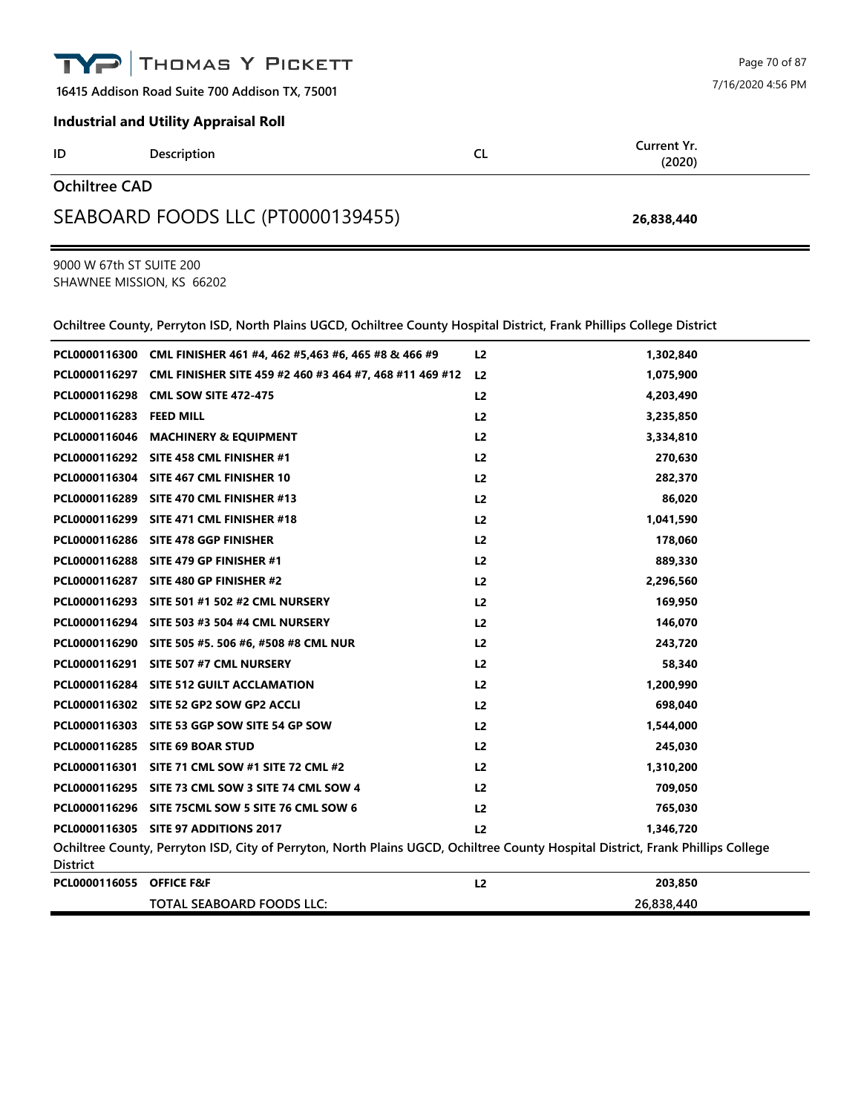**16415 Addison Road Suite 700 Addison TX, 75001**

## **Industrial and Utility Appraisal Roll**

| ID                   | Description | ∼<br>ᄔ | Current Yr.<br>(2020) |
|----------------------|-------------|--------|-----------------------|
| <b>Ochiltree CAD</b> |             |        |                       |

## SEABOARD FOODS LLC (PT0000139455) **26,838,440**

9000 W 67th ST SUITE 200 SHAWNEE MISSION, KS 66202

**Ochiltree County, Perryton ISD, North Plains UGCD, Ochiltree County Hospital District, Frank Phillips College District**

|                                                                                                                                                    | PCL0000116300 CML FINISHER 461 #4, 462 #5,463 #6, 465 #8 & 466 #9     | L <sub>2</sub> | 1,302,840  |  |
|----------------------------------------------------------------------------------------------------------------------------------------------------|-----------------------------------------------------------------------|----------------|------------|--|
|                                                                                                                                                    | PCL0000116297 CML FINISHER SITE 459 #2 460 #3 464 #7, 468 #11 469 #12 | L <sub>2</sub> | 1,075,900  |  |
|                                                                                                                                                    | PCL0000116298 CML SOW SITE 472-475                                    | L <sub>2</sub> | 4,203,490  |  |
| PCL0000116283 FEED MILL                                                                                                                            |                                                                       | L <sub>2</sub> | 3,235,850  |  |
|                                                                                                                                                    | PCL0000116046 MACHINERY & EQUIPMENT                                   | L <sub>2</sub> | 3,334,810  |  |
|                                                                                                                                                    | PCL0000116292 SITE 458 CML FINISHER #1                                | L <sub>2</sub> | 270,630    |  |
|                                                                                                                                                    | PCL0000116304 SITE 467 CML FINISHER 10                                | L <sub>2</sub> | 282,370    |  |
|                                                                                                                                                    | PCL0000116289 SITE 470 CML FINISHER #13                               | L <sub>2</sub> | 86,020     |  |
|                                                                                                                                                    | PCL0000116299 SITE 471 CML FINISHER #18                               | L <sub>2</sub> | 1,041,590  |  |
|                                                                                                                                                    | PCL0000116286 SITE 478 GGP FINISHER                                   | L <sub>2</sub> | 178,060    |  |
|                                                                                                                                                    | PCL0000116288 SITE 479 GP FINISHER #1                                 | L <sub>2</sub> | 889,330    |  |
|                                                                                                                                                    | PCL0000116287 SITE 480 GP FINISHER #2                                 | L <sub>2</sub> | 2,296,560  |  |
|                                                                                                                                                    | PCL0000116293 SITE 501 #1 502 #2 CML NURSERY                          | L <sub>2</sub> | 169,950    |  |
|                                                                                                                                                    | PCL0000116294 SITE 503 #3 504 #4 CML NURSERY                          | L2             | 146,070    |  |
|                                                                                                                                                    | PCL0000116290 SITE 505 #5. 506 #6, #508 #8 CML NUR                    | L <sub>2</sub> | 243,720    |  |
|                                                                                                                                                    | PCL0000116291 SITE 507 #7 CML NURSERY                                 | L <sub>2</sub> | 58,340     |  |
|                                                                                                                                                    | PCL0000116284 SITE 512 GUILT ACCLAMATION                              | L <sub>2</sub> | 1,200,990  |  |
|                                                                                                                                                    | PCL0000116302 SITE 52 GP2 SOW GP2 ACCLI                               | L <sub>2</sub> | 698,040    |  |
|                                                                                                                                                    | PCL0000116303 SITE 53 GGP SOW SITE 54 GP SOW                          | L <sub>2</sub> | 1,544,000  |  |
|                                                                                                                                                    | PCL0000116285 SITE 69 BOAR STUD                                       | L <sub>2</sub> | 245,030    |  |
|                                                                                                                                                    | PCL0000116301 SITE 71 CML SOW #1 SITE 72 CML #2                       | L <sub>2</sub> | 1,310,200  |  |
|                                                                                                                                                    | PCL0000116295 SITE 73 CML SOW 3 SITE 74 CML SOW 4                     | L <sub>2</sub> | 709,050    |  |
|                                                                                                                                                    | PCL0000116296 SITE 75CML SOW 5 SITE 76 CML SOW 6                      | L <sub>2</sub> | 765,030    |  |
|                                                                                                                                                    | PCL0000116305 SITE 97 ADDITIONS 2017                                  | L <sub>2</sub> | 1,346,720  |  |
| Ochiltree County, Perryton ISD, City of Perryton, North Plains UGCD, Ochiltree County Hospital District, Frank Phillips College<br><b>District</b> |                                                                       |                |            |  |
| PCL0000116055 OFFICE F&F                                                                                                                           |                                                                       | L <sub>2</sub> | 203,850    |  |
|                                                                                                                                                    | TOTAL SEABOARD FOODS LLC:                                             |                | 26,838,440 |  |

Page 70 of 87 7/16/2020 4:56 PM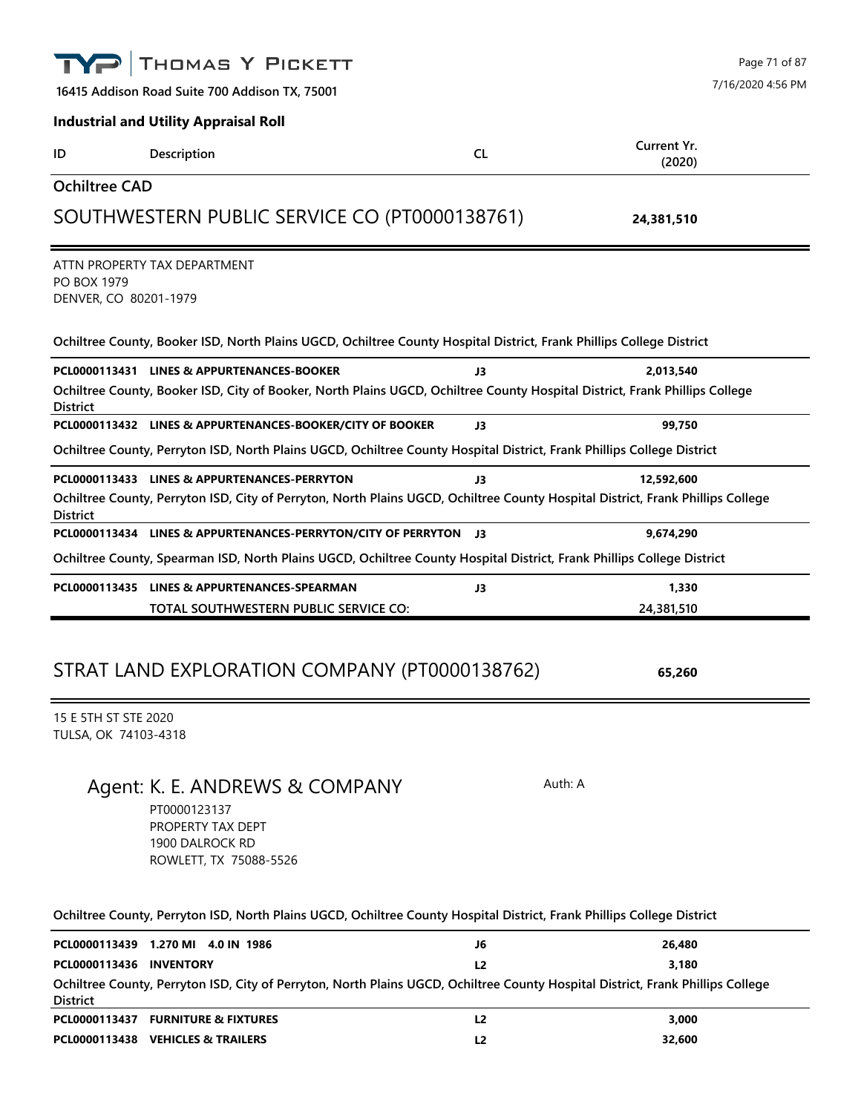|                                              | THOMAS Y PICKETT                                                                                                                                                                                                                                    |                | Page 71 of 87<br>7/16/2020 4:56 PM |
|----------------------------------------------|-----------------------------------------------------------------------------------------------------------------------------------------------------------------------------------------------------------------------------------------------------|----------------|------------------------------------|
|                                              | 16415 Addison Road Suite 700 Addison TX, 75001                                                                                                                                                                                                      |                |                                    |
|                                              | <b>Industrial and Utility Appraisal Roll</b>                                                                                                                                                                                                        |                |                                    |
| ID                                           | Description                                                                                                                                                                                                                                         | <b>CL</b>      | Current Yr.<br>(2020)              |
| <b>Ochiltree CAD</b>                         |                                                                                                                                                                                                                                                     |                |                                    |
|                                              | SOUTHWESTERN PUBLIC SERVICE CO (PT0000138761)                                                                                                                                                                                                       |                | 24,381,510                         |
| PO BOX 1979<br>DENVER, CO 80201-1979         | ATTN PROPERTY TAX DEPARTMENT                                                                                                                                                                                                                        |                |                                    |
|                                              | Ochiltree County, Booker ISD, North Plains UGCD, Ochiltree County Hospital District, Frank Phillips College District                                                                                                                                |                |                                    |
|                                              | PCL0000113431 LINES & APPURTENANCES-BOOKER                                                                                                                                                                                                          | J3             | 2,013,540                          |
| <b>District</b>                              | Ochiltree County, Booker ISD, City of Booker, North Plains UGCD, Ochiltree County Hospital District, Frank Phillips College                                                                                                                         |                |                                    |
|                                              | PCL0000113432 LINES & APPURTENANCES-BOOKER/CITY OF BOOKER                                                                                                                                                                                           | J3             | 99,750                             |
|                                              | Ochiltree County, Perryton ISD, North Plains UGCD, Ochiltree County Hospital District, Frank Phillips College District                                                                                                                              |                |                                    |
| <b>District</b>                              | PCL0000113433 LINES & APPURTENANCES-PERRYTON<br>Ochiltree County, Perryton ISD, City of Perryton, North Plains UGCD, Ochiltree County Hospital District, Frank Phillips College<br>PCL0000113434 LINES & APPURTENANCES-PERRYTON/CITY OF PERRYTON J3 | J3             | 12,592,600<br>9,674,290            |
|                                              | Ochiltree County, Spearman ISD, North Plains UGCD, Ochiltree County Hospital District, Frank Phillips College District                                                                                                                              |                |                                    |
|                                              | PCL0000113435 LINES & APPURTENANCES-SPEARMAN                                                                                                                                                                                                        | J3             | 1,330                              |
|                                              | TOTAL SOUTHWESTERN PUBLIC SERVICE CO:                                                                                                                                                                                                               |                | 24,381,510                         |
|                                              | STRAT LAND EXPLORATION COMPANY (PT0000138762)                                                                                                                                                                                                       |                | 65,260                             |
| 15 E 5TH ST STE 2020<br>TULSA, OK 74103-4318 |                                                                                                                                                                                                                                                     |                |                                    |
|                                              | Agent: K. E. ANDREWS & COMPANY<br>PT0000123137<br>PROPERTY TAX DEPT<br>1900 DALROCK RD<br>ROWLETT, TX 75088-5526                                                                                                                                    | Auth: A        |                                    |
|                                              | Ochiltree County, Perryton ISD, North Plains UGCD, Ochiltree County Hospital District, Frank Phillips College District                                                                                                                              |                |                                    |
|                                              | PCL0000113439 1.270 MI 4.0 IN 1986                                                                                                                                                                                                                  | J6             | 26,480                             |
| PCL0000113436 INVENTORY                      |                                                                                                                                                                                                                                                     | L2             | 3,180                              |
| <b>District</b>                              | Ochiltree County, Perryton ISD, City of Perryton, North Plains UGCD, Ochiltree County Hospital District, Frank Phillips College                                                                                                                     |                |                                    |
|                                              | PCL0000113437 FURNITURE & FIXTURES                                                                                                                                                                                                                  | L2             | 3,000                              |
|                                              | PCL0000113438 VEHICLES & TRAILERS                                                                                                                                                                                                                   | L <sub>2</sub> | 32,600                             |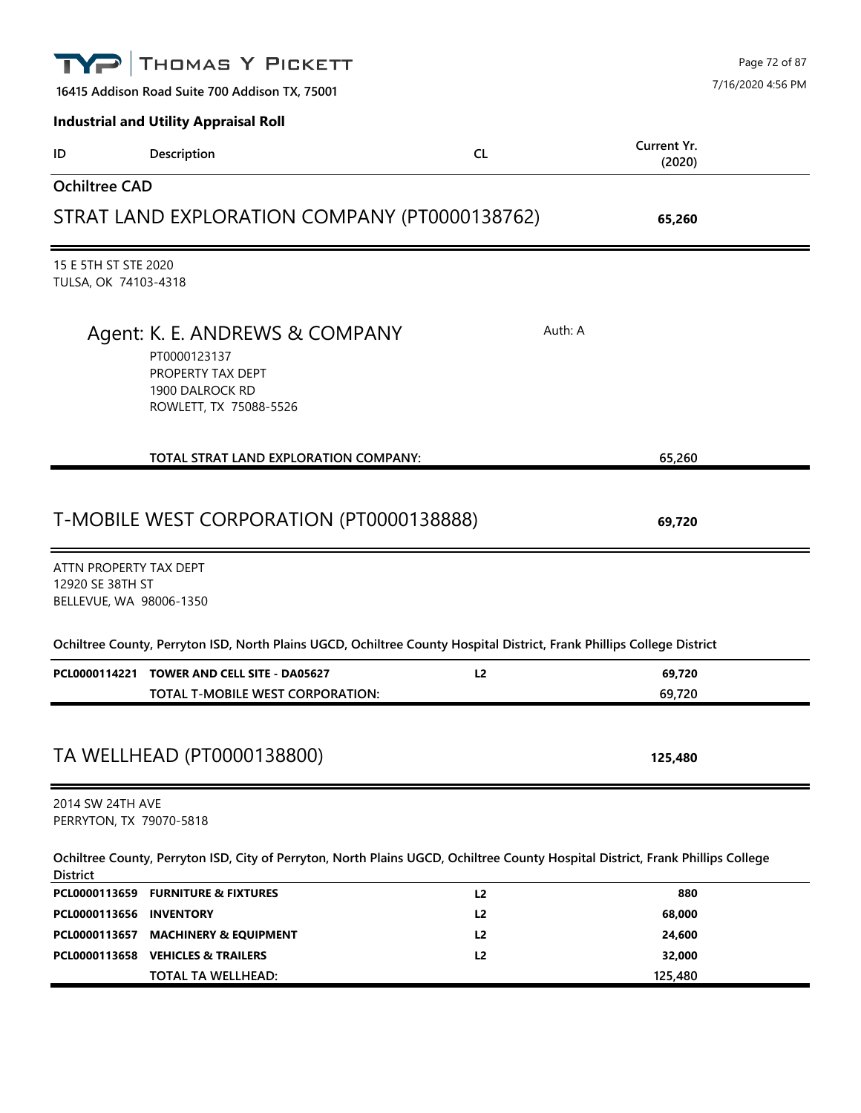|                                              | THOMAS Y PICKETT<br>16415 Addison Road Suite 700 Addison TX, 75001                                                              |                |                       | Page 72 of 87<br>7/16/2020 4:56 PM |
|----------------------------------------------|---------------------------------------------------------------------------------------------------------------------------------|----------------|-----------------------|------------------------------------|
|                                              | <b>Industrial and Utility Appraisal Roll</b>                                                                                    |                |                       |                                    |
| ID                                           | Description                                                                                                                     | <b>CL</b>      | Current Yr.<br>(2020) |                                    |
| <b>Ochiltree CAD</b>                         |                                                                                                                                 |                |                       |                                    |
|                                              | STRAT LAND EXPLORATION COMPANY (PT0000138762)                                                                                   |                | 65,260                |                                    |
| 15 E 5TH ST STE 2020<br>TULSA, OK 74103-4318 |                                                                                                                                 |                |                       |                                    |
|                                              | Agent: K. E. ANDREWS & COMPANY<br>PT0000123137<br>PROPERTY TAX DEPT<br>1900 DALROCK RD<br>ROWLETT, TX 75088-5526                |                | Auth: A               |                                    |
|                                              | TOTAL STRAT LAND EXPLORATION COMPANY:                                                                                           |                | 65,260                |                                    |
| ATTN PROPERTY TAX DEPT                       | T-MOBILE WEST CORPORATION (PT0000138888)                                                                                        |                | 69,720                |                                    |
| 12920 SE 38TH ST<br>BELLEVUE, WA 98006-1350  |                                                                                                                                 |                |                       |                                    |
|                                              | Ochiltree County, Perryton ISD, North Plains UGCD, Ochiltree County Hospital District, Frank Phillips College District          |                |                       |                                    |
|                                              | PCL0000114221 TOWER AND CELL SITE - DA05627<br>TOTAL T-MOBILE WEST CORPORATION:                                                 | L <sub>2</sub> | 69,720<br>69,720      |                                    |
|                                              | TA WELLHEAD (PT0000138800)                                                                                                      |                | 125,480               |                                    |
| 2014 SW 24TH AVE<br>PERRYTON, TX 79070-5818  |                                                                                                                                 |                |                       |                                    |
| <b>District</b>                              | Ochiltree County, Perryton ISD, City of Perryton, North Plains UGCD, Ochiltree County Hospital District, Frank Phillips College |                |                       |                                    |
|                                              | PCL0000113659 FURNITURE & FIXTURES                                                                                              | L2             | 880                   |                                    |
| PCL0000113656 INVENTORY                      |                                                                                                                                 | L2             | 68,000                |                                    |
| PCL0000113657                                | <b>MACHINERY &amp; EQUIPMENT</b>                                                                                                | L2             | 24,600                |                                    |
|                                              | PCL0000113658 VEHICLES & TRAILERS                                                                                               | L2             | 32,000                |                                    |
|                                              | TOTAL TA WELLHEAD:                                                                                                              |                | 125,480               |                                    |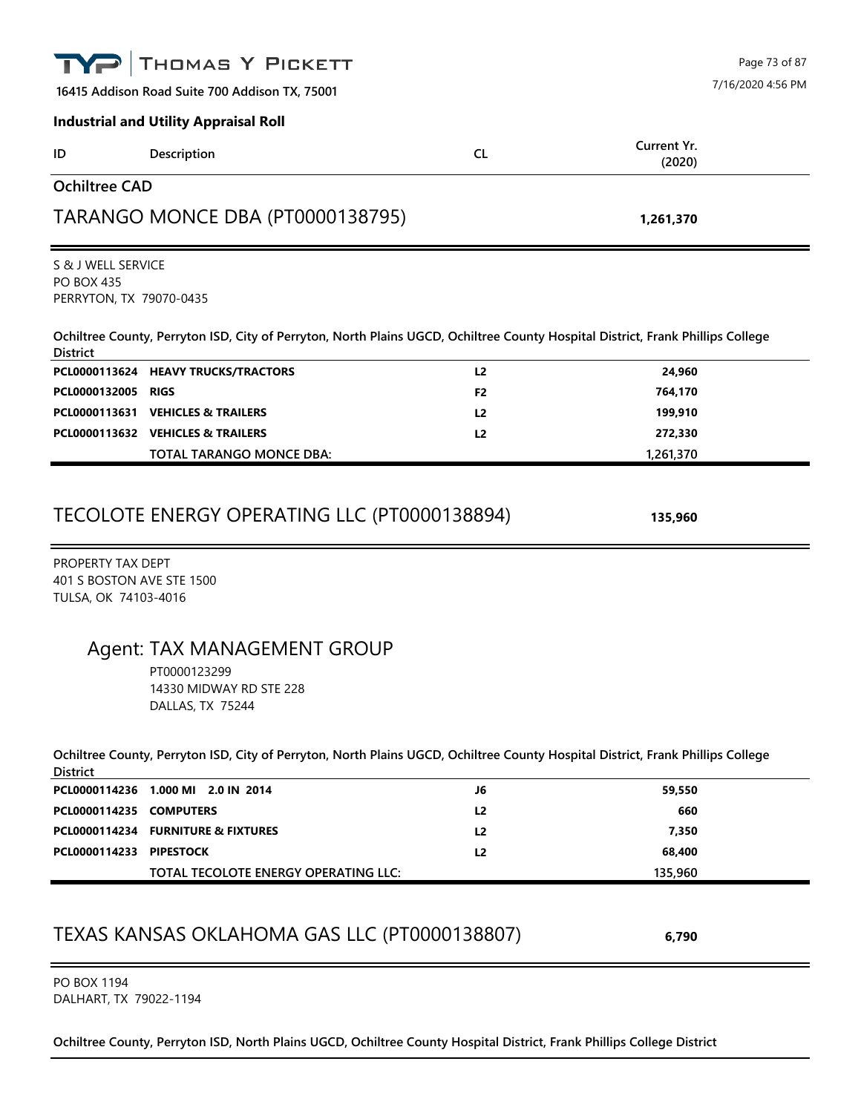|                                                                        | THOMAS Y PICKETT                                                                                                                |                |                       | Page 73 of 87     |
|------------------------------------------------------------------------|---------------------------------------------------------------------------------------------------------------------------------|----------------|-----------------------|-------------------|
|                                                                        | 16415 Addison Road Suite 700 Addison TX, 75001                                                                                  |                |                       | 7/16/2020 4:56 PM |
|                                                                        | <b>Industrial and Utility Appraisal Roll</b>                                                                                    |                |                       |                   |
| ID                                                                     | Description                                                                                                                     | <b>CL</b>      | Current Yr.<br>(2020) |                   |
| <b>Ochiltree CAD</b>                                                   |                                                                                                                                 |                |                       |                   |
|                                                                        | TARANGO MONCE DBA (PT0000138795)                                                                                                |                | 1,261,370             |                   |
| S & J WELL SERVICE<br><b>PO BOX 435</b><br>PERRYTON, TX 79070-0435     |                                                                                                                                 |                |                       |                   |
| <b>District</b>                                                        | Ochiltree County, Perryton ISD, City of Perryton, North Plains UGCD, Ochiltree County Hospital District, Frank Phillips College |                |                       |                   |
|                                                                        | PCL0000113624 HEAVY TRUCKS/TRACTORS                                                                                             | L <sub>2</sub> | 24,960                |                   |
| PCL0000132005 RIGS                                                     |                                                                                                                                 | F <sub>2</sub> | 764,170               |                   |
|                                                                        | PCL0000113631 VEHICLES & TRAILERS                                                                                               | L <sub>2</sub> | 199,910               |                   |
|                                                                        | PCL0000113632 VEHICLES & TRAILERS                                                                                               | L <sub>2</sub> | 272,330               |                   |
|                                                                        | TOTAL TARANGO MONCE DBA:                                                                                                        |                | 1,261,370             |                   |
|                                                                        | TECOLOTE ENERGY OPERATING LLC (PT0000138894)                                                                                    |                | 135,960               |                   |
| PROPERTY TAX DEPT<br>401 S BOSTON AVE STE 1500<br>TULSA, OK 74103-4016 |                                                                                                                                 |                |                       |                   |
|                                                                        | Agent: TAX MANAGEMENT GROUP<br>PT0000123299<br>14330 MIDWAY RD STE 228                                                          |                |                       |                   |

**Ochiltree County, Perryton ISD, City of Perryton, North Plains UGCD, Ochiltree County Hospital District, Frank Phillips College District**

|                         | PCL0000114236 1.000 MI 2.0 IN 2014   | J6             | 59,550  |
|-------------------------|--------------------------------------|----------------|---------|
| PCL0000114235 COMPUTERS |                                      | L <sub>2</sub> | 660     |
|                         | PCL0000114234 FURNITURE & FIXTURES   | L2             | 7.350   |
| PCL0000114233 PIPESTOCK |                                      | L2             | 68,400  |
|                         | TOTAL TECOLOTE ENERGY OPERATING LLC: |                | 135,960 |

## TEXAS KANSAS OKLAHOMA GAS LLC (PT0000138807) **6,790**

PO BOX 1194 DALHART, TX 79022-1194

DALLAS, TX 75244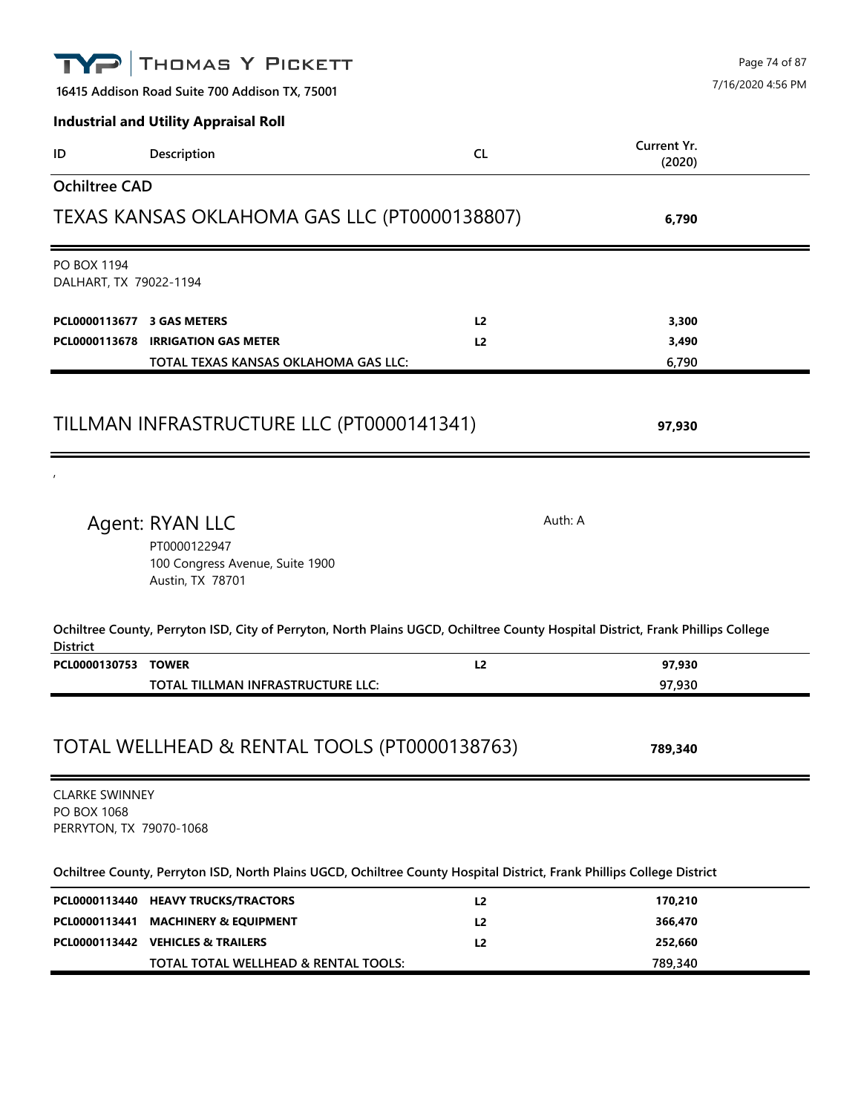|                                                                 | THOMAS Y PICKETT                                                                                                                |                | Page 74 of 87         |
|-----------------------------------------------------------------|---------------------------------------------------------------------------------------------------------------------------------|----------------|-----------------------|
|                                                                 | 16415 Addison Road Suite 700 Addison TX, 75001                                                                                  |                | 7/16/2020 4:56 PM     |
|                                                                 | <b>Industrial and Utility Appraisal Roll</b>                                                                                    |                |                       |
| ID                                                              | Description                                                                                                                     | <b>CL</b>      | Current Yr.<br>(2020) |
| <b>Ochiltree CAD</b>                                            |                                                                                                                                 |                |                       |
|                                                                 | TEXAS KANSAS OKLAHOMA GAS LLC (PT0000138807)                                                                                    |                | 6,790                 |
| PO BOX 1194<br>DALHART, TX 79022-1194                           |                                                                                                                                 |                |                       |
| PCL0000113677                                                   | <b>3 GAS METERS</b>                                                                                                             | L2             | 3,300                 |
| PCL0000113678                                                   | <b>IRRIGATION GAS METER</b>                                                                                                     | L <sub>2</sub> | 3,490                 |
|                                                                 | TOTAL TEXAS KANSAS OKLAHOMA GAS LLC:                                                                                            |                | 6,790                 |
|                                                                 | TILLMAN INFRASTRUCTURE LLC (PT0000141341)                                                                                       |                | 97,930                |
|                                                                 |                                                                                                                                 |                |                       |
|                                                                 | Agent: RYAN LLC<br>PT0000122947<br>100 Congress Avenue, Suite 1900<br>Austin, TX 78701                                          | Auth: A        |                       |
| <b>District</b>                                                 | Ochiltree County, Perryton ISD, City of Perryton, North Plains UGCD, Ochiltree County Hospital District, Frank Phillips College |                |                       |
| PCL0000130753 TOWER                                             |                                                                                                                                 | L2             | 97,930                |
|                                                                 | TOTAL TILLMAN INFRASTRUCTURE LLC:                                                                                               |                | 97,930                |
|                                                                 | TOTAL WELLHEAD & RENTAL TOOLS (PT0000138763)                                                                                    |                | 789,340               |
| <b>CLARKE SWINNEY</b><br>PO BOX 1068<br>PERRYTON, TX 79070-1068 |                                                                                                                                 |                |                       |
|                                                                 | Ochiltree County, Perryton ISD, North Plains UGCD, Ochiltree County Hospital District, Frank Phillips College District          |                |                       |
|                                                                 | PCL0000113440 HEAVY TRUCKS/TRACTORS                                                                                             | L2             | 170,210               |
| PCL0000113441                                                   | <b>MACHINERY &amp; EQUIPMENT</b>                                                                                                | L2             | 366,470               |
|                                                                 | PCL0000113442 VEHICLES & TRAILERS                                                                                               | L <sub>2</sub> | 252,660<br>789,340    |
|                                                                 | TOTAL TOTAL WELLHEAD & RENTAL TOOLS:                                                                                            |                |                       |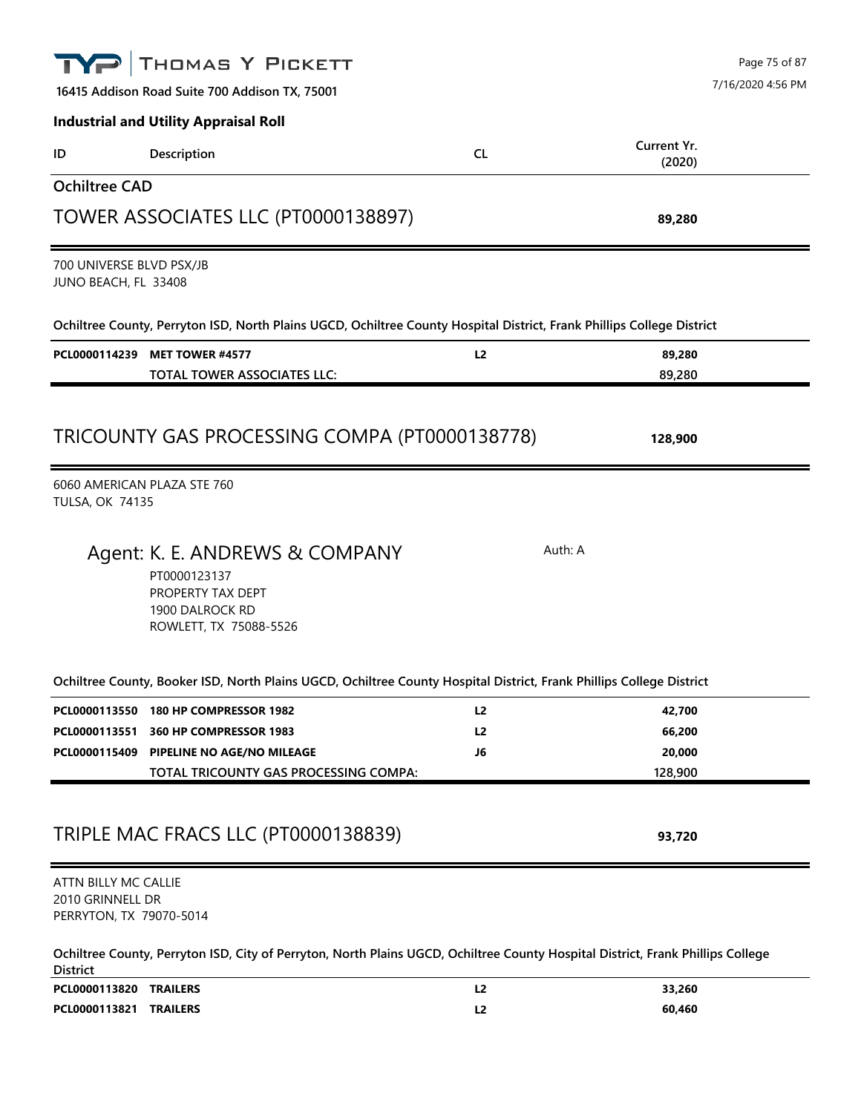|                                                                     | THOMAS Y PICKETT                                                                                                                |           | Page 75 of 87         |
|---------------------------------------------------------------------|---------------------------------------------------------------------------------------------------------------------------------|-----------|-----------------------|
|                                                                     | 16415 Addison Road Suite 700 Addison TX, 75001                                                                                  |           | 7/16/2020 4:56 PM     |
|                                                                     | <b>Industrial and Utility Appraisal Roll</b>                                                                                    |           |                       |
| ID                                                                  | Description                                                                                                                     | <b>CL</b> | Current Yr.<br>(2020) |
| <b>Ochiltree CAD</b>                                                |                                                                                                                                 |           |                       |
|                                                                     | TOWER ASSOCIATES LLC (PT0000138897)                                                                                             |           | 89,280                |
| 700 UNIVERSE BLVD PSX/JB<br>JUNO BEACH, FL 33408                    |                                                                                                                                 |           |                       |
|                                                                     | Ochiltree County, Perryton ISD, North Plains UGCD, Ochiltree County Hospital District, Frank Phillips College District          |           |                       |
| PCL0000114239                                                       | <b>MET TOWER #4577</b><br><b>TOTAL TOWER ASSOCIATES LLC:</b>                                                                    | L2        | 89,280<br>89,280      |
|                                                                     | TRICOUNTY GAS PROCESSING COMPA (PT0000138778)                                                                                   |           | 128,900               |
| <b>TULSA, OK 74135</b>                                              | 6060 AMERICAN PLAZA STE 760                                                                                                     |           |                       |
|                                                                     | Agent: K. E. ANDREWS & COMPANY<br>PT0000123137<br>PROPERTY TAX DEPT<br>1900 DALROCK RD<br>ROWLETT, TX 75088-5526                | Auth: A   |                       |
|                                                                     | Ochiltree County, Booker ISD, North Plains UGCD, Ochiltree County Hospital District, Frank Phillips College District            |           |                       |
|                                                                     | PCL0000113550 180 HP COMPRESSOR 1982                                                                                            | L2        | 42,700                |
| PCL0000113551                                                       | 360 HP COMPRESSOR 1983                                                                                                          | L2        | 66,200<br>20,000      |
|                                                                     | PCL0000115409 PIPELINE NO AGE/NO MILEAGE<br>TOTAL TRICOUNTY GAS PROCESSING COMPA:                                               | J6        | 128,900               |
|                                                                     | TRIPLE MAC FRACS LLC (PT0000138839)                                                                                             |           | 93,720                |
| ATTN BILLY MC CALLIE<br>2010 GRINNELL DR<br>PERRYTON, TX 79070-5014 |                                                                                                                                 |           |                       |
| <b>District</b>                                                     | Ochiltree County, Perryton ISD, City of Perryton, North Plains UGCD, Ochiltree County Hospital District, Frank Phillips College |           |                       |
| PCL0000113820 TRAILERS                                              |                                                                                                                                 | L2        | 33,260                |
| PCL0000113821 TRAILERS                                              |                                                                                                                                 | L2        | 60,460                |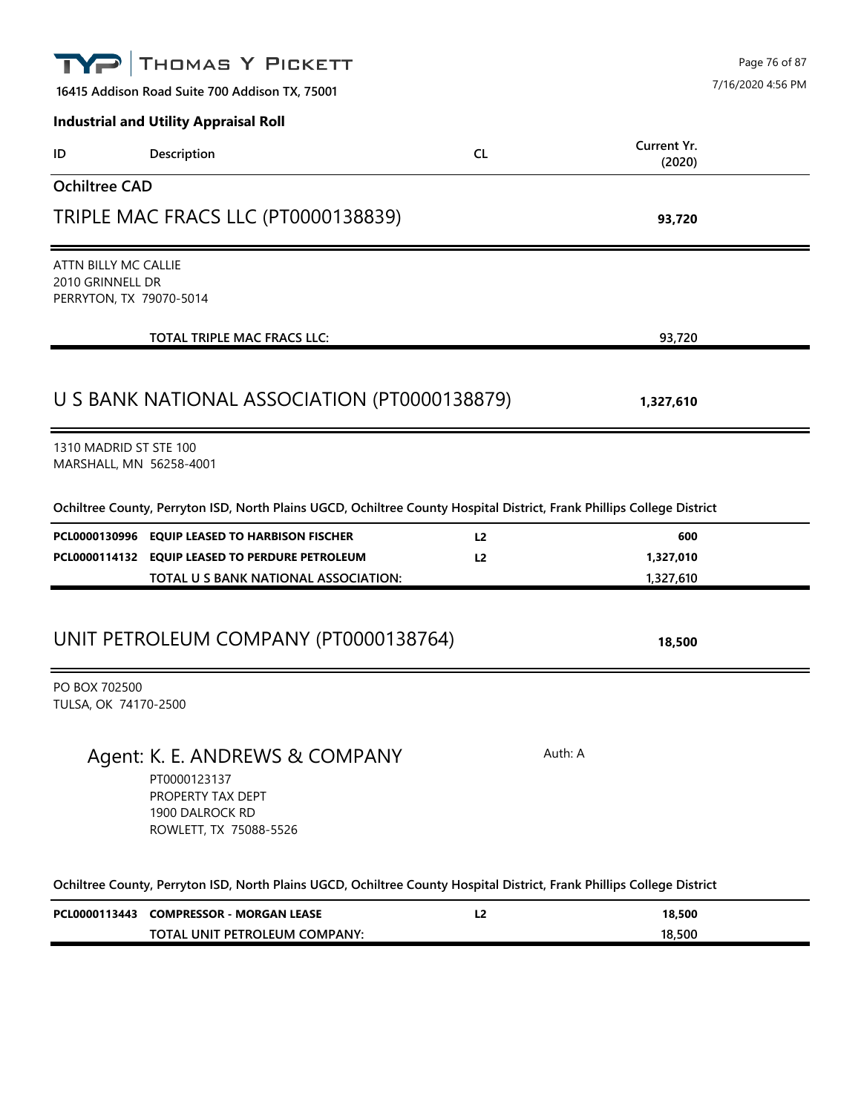|                                                                     | THOMAS Y PICKETT<br>16415 Addison Road Suite 700 Addison TX, 75001                                                     |                |                        | Page 76 of 87<br>7/16/2020 4:56 PM |
|---------------------------------------------------------------------|------------------------------------------------------------------------------------------------------------------------|----------------|------------------------|------------------------------------|
|                                                                     | <b>Industrial and Utility Appraisal Roll</b>                                                                           |                |                        |                                    |
| ID                                                                  | Description                                                                                                            | <b>CL</b>      | Current Yr.<br>(2020)  |                                    |
| <b>Ochiltree CAD</b>                                                |                                                                                                                        |                |                        |                                    |
|                                                                     | TRIPLE MAC FRACS LLC (PT0000138839)                                                                                    |                | 93,720                 |                                    |
| ATTN BILLY MC CALLIE<br>2010 GRINNELL DR<br>PERRYTON, TX 79070-5014 |                                                                                                                        |                |                        |                                    |
|                                                                     | TOTAL TRIPLE MAC FRACS LLC:                                                                                            |                | 93,720                 |                                    |
|                                                                     | U S BANK NATIONAL ASSOCIATION (PT0000138879)                                                                           |                | 1,327,610              |                                    |
| 1310 MADRID ST STE 100<br>MARSHALL, MN 56258-4001                   |                                                                                                                        |                |                        |                                    |
|                                                                     | Ochiltree County, Perryton ISD, North Plains UGCD, Ochiltree County Hospital District, Frank Phillips College District |                |                        |                                    |
|                                                                     | PCL0000130996 EQUIP LEASED TO HARBISON FISCHER                                                                         | L <sub>2</sub> | 600                    |                                    |
|                                                                     | PCL0000114132 EQUIP LEASED TO PERDURE PETROLEUM<br>TOTAL U S BANK NATIONAL ASSOCIATION:                                | L <sub>2</sub> | 1,327,010<br>1,327,610 |                                    |
|                                                                     |                                                                                                                        |                |                        |                                    |
|                                                                     | UNIT PETROLEUM COMPANY (PT0000138764)                                                                                  |                | 18,500                 |                                    |
| PO BOX 702500<br>TULSA, OK 74170-2500                               |                                                                                                                        |                |                        |                                    |
|                                                                     | Agent: K. E. ANDREWS & COMPANY<br>PT0000123137<br>PROPERTY TAX DEPT<br>1900 DALROCK RD<br>ROWLETT, TX 75088-5526       |                | Auth: A                |                                    |
|                                                                     | Ochiltree County, Perryton ISD, North Plains UGCD, Ochiltree County Hospital District, Frank Phillips College District |                |                        |                                    |
|                                                                     | PCL0000113443 COMPRESSOR - MORGAN LEASE                                                                                | L <sub>2</sub> | 18,500                 |                                    |
|                                                                     | TOTAL UNIT PETROLEUM COMPANY:                                                                                          |                | 18,500                 |                                    |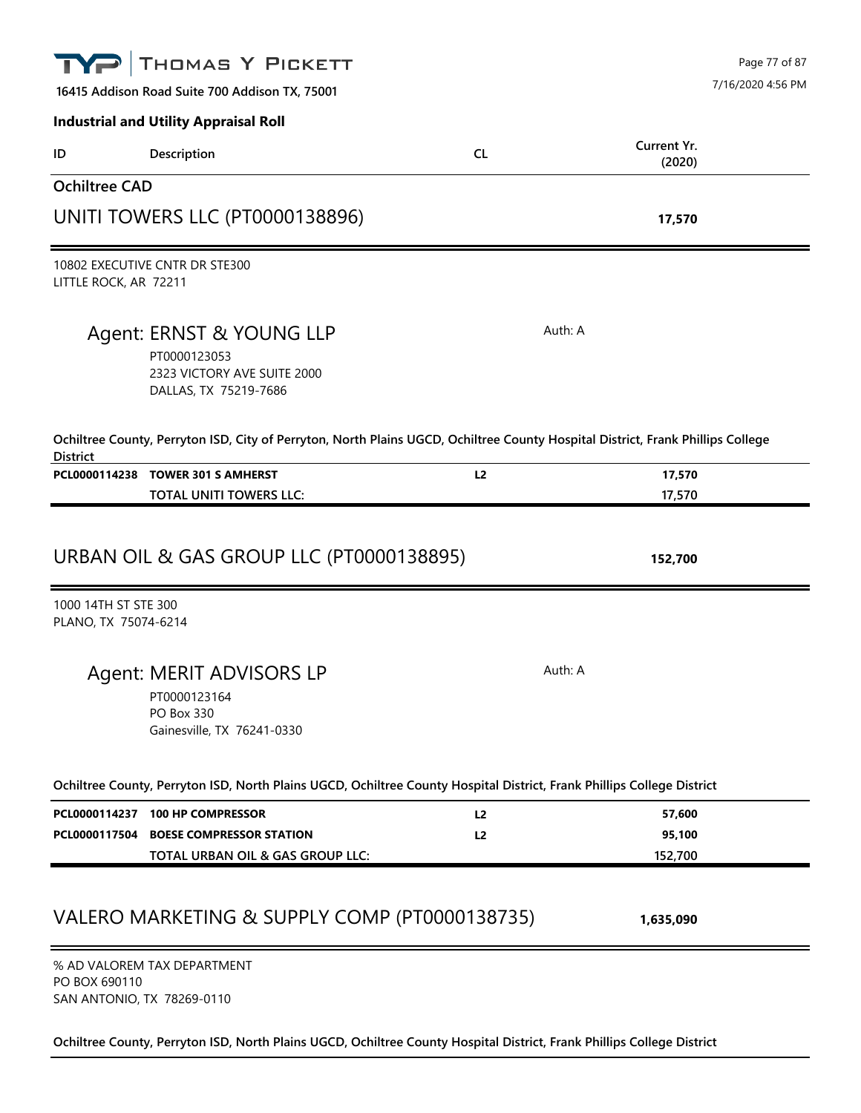|                                              | THOMAS Y PICKETT                                                                                                                |                | Page 77 of 87         |
|----------------------------------------------|---------------------------------------------------------------------------------------------------------------------------------|----------------|-----------------------|
|                                              | 16415 Addison Road Suite 700 Addison TX, 75001                                                                                  |                | 7/16/2020 4:56 PM     |
|                                              | <b>Industrial and Utility Appraisal Roll</b>                                                                                    |                |                       |
| ID                                           | Description                                                                                                                     | <b>CL</b>      | Current Yr.<br>(2020) |
| <b>Ochiltree CAD</b>                         |                                                                                                                                 |                |                       |
|                                              | UNITI TOWERS LLC (PT0000138896)                                                                                                 |                | 17,570                |
| LITTLE ROCK, AR 72211                        | 10802 EXECUTIVE CNTR DR STE300                                                                                                  |                |                       |
|                                              | Agent: ERNST & YOUNG LLP<br>PT0000123053<br>2323 VICTORY AVE SUITE 2000<br>DALLAS, TX 75219-7686                                | Auth: A        |                       |
| <b>District</b>                              | Ochiltree County, Perryton ISD, City of Perryton, North Plains UGCD, Ochiltree County Hospital District, Frank Phillips College |                |                       |
|                                              | PCL0000114238 TOWER 301 S AMHERST                                                                                               | L2             | 17,570                |
|                                              | <b>TOTAL UNITI TOWERS LLC:</b>                                                                                                  |                | 17,570                |
|                                              |                                                                                                                                 |                |                       |
|                                              | URBAN OIL & GAS GROUP LLC (PT0000138895)                                                                                        |                | 152,700               |
| 1000 14TH ST STE 300<br>PLANO, TX 75074-6214 |                                                                                                                                 |                |                       |
|                                              | Agent: MERIT ADVISORS LP<br>PT0000123164<br>PO Box 330<br>Gainesville, TX 76241-0330                                            | Auth: A        |                       |
|                                              | Ochiltree County, Perryton ISD, North Plains UGCD, Ochiltree County Hospital District, Frank Phillips College District          |                |                       |
|                                              | PCL0000114237 100 HP COMPRESSOR                                                                                                 | L2             | 57,600                |
|                                              | PCL0000117504 BOESE COMPRESSOR STATION                                                                                          | L <sub>2</sub> | 95,100                |
|                                              | TOTAL URBAN OIL & GAS GROUP LLC:                                                                                                |                | 152,700               |
|                                              | VALERO MARKETING & SUPPLY COMP (PT0000138735)                                                                                   |                | 1,635,090             |
|                                              | % AD VALOREM TAX DEPARTMENT                                                                                                     |                |                       |

PO BOX 690110 SAN ANTONIO, TX 78269-0110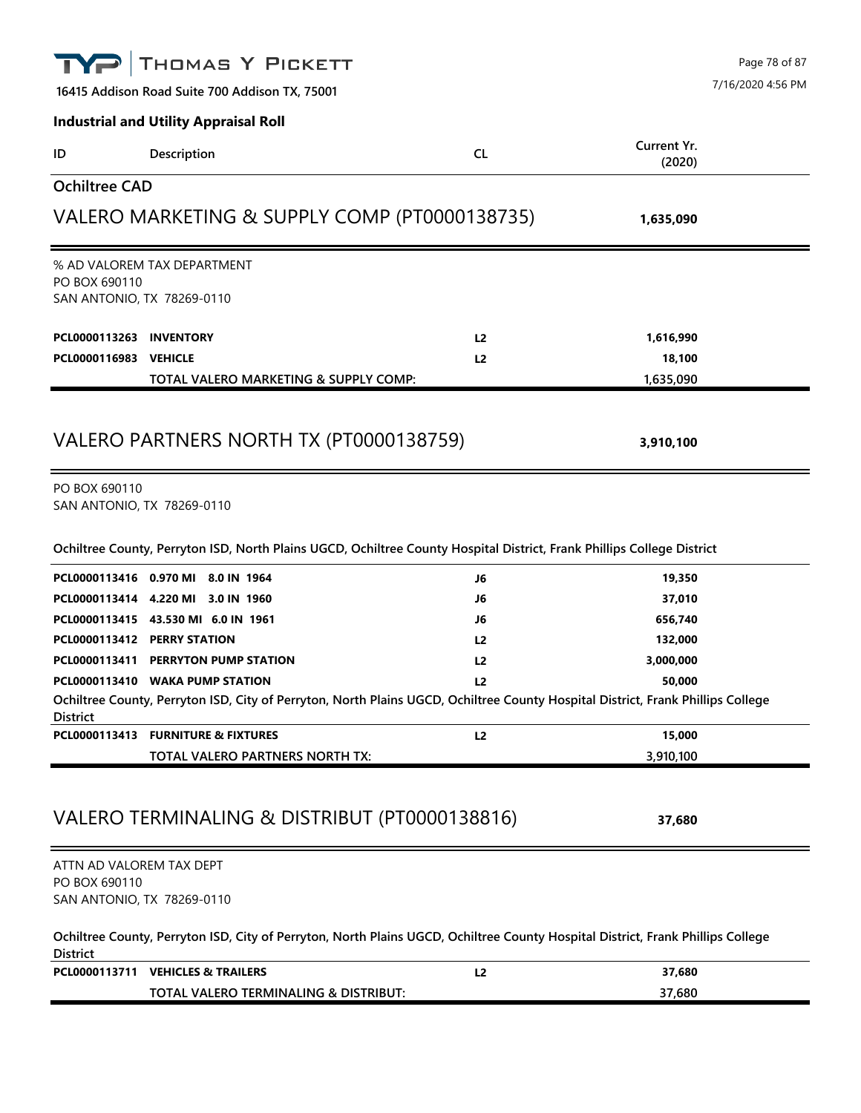|                                                                         | <b>THOMAS Y PICKETT</b>                                                                                                                                            |                |                       | Page 78 of 87     |
|-------------------------------------------------------------------------|--------------------------------------------------------------------------------------------------------------------------------------------------------------------|----------------|-----------------------|-------------------|
|                                                                         | 16415 Addison Road Suite 700 Addison TX, 75001                                                                                                                     |                |                       | 7/16/2020 4:56 PM |
|                                                                         | <b>Industrial and Utility Appraisal Roll</b>                                                                                                                       |                |                       |                   |
| ID                                                                      | Description                                                                                                                                                        | <b>CL</b>      | Current Yr.<br>(2020) |                   |
| <b>Ochiltree CAD</b>                                                    |                                                                                                                                                                    |                |                       |                   |
|                                                                         | VALERO MARKETING & SUPPLY COMP (PT0000138735)                                                                                                                      |                | 1,635,090             |                   |
| PO BOX 690110<br>SAN ANTONIO, TX 78269-0110                             | % AD VALOREM TAX DEPARTMENT                                                                                                                                        |                |                       |                   |
| PCL0000113263 INVENTORY                                                 |                                                                                                                                                                    | L <sub>2</sub> | 1,616,990             |                   |
| PCL0000116983                                                           | <b>VEHICLE</b>                                                                                                                                                     | L <sub>2</sub> | 18,100                |                   |
|                                                                         | TOTAL VALERO MARKETING & SUPPLY COMP:                                                                                                                              |                | 1,635,090             |                   |
| PO BOX 690110<br>SAN ANTONIO, TX 78269-0110                             | VALERO PARTNERS NORTH TX (PT0000138759)                                                                                                                            |                | 3,910,100             |                   |
|                                                                         | Ochiltree County, Perryton ISD, North Plains UGCD, Ochiltree County Hospital District, Frank Phillips College District                                             |                |                       |                   |
|                                                                         | PCL0000113416 0.970 MI 8.0 IN 1964                                                                                                                                 | J6             | 19,350                |                   |
|                                                                         | PCL0000113414 4.220 MI 3.0 IN 1960                                                                                                                                 | J6             | 37,010                |                   |
|                                                                         | PCL0000113415 43.530 MI 6.0 IN 1961                                                                                                                                | J6             | 656,740               |                   |
|                                                                         | PCL0000113412 PERRY STATION                                                                                                                                        | L <sub>2</sub> | 132,000               |                   |
|                                                                         | PCL0000113411 PERRYTON PUMP STATION                                                                                                                                | L2             | 3,000,000             |                   |
| <b>District</b>                                                         | PCL0000113410 WAKA PUMP STATION<br>Ochiltree County, Perryton ISD, City of Perryton, North Plains UGCD, Ochiltree County Hospital District, Frank Phillips College | 12             | 50.000                |                   |
|                                                                         | PCL0000113413 FURNITURE & FIXTURES                                                                                                                                 | L <sub>2</sub> | 15,000                |                   |
|                                                                         | TOTAL VALERO PARTNERS NORTH TX:                                                                                                                                    |                | 3,910,100             |                   |
|                                                                         | VALERO TERMINALING & DISTRIBUT (PT0000138816)                                                                                                                      |                | 37,680                |                   |
| ATTN AD VALOREM TAX DEPT<br>PO BOX 690110<br>SAN ANTONIO, TX 78269-0110 |                                                                                                                                                                    |                |                       |                   |
| <b>District</b>                                                         | Ochiltree County, Perryton ISD, City of Perryton, North Plains UGCD, Ochiltree County Hospital District, Frank Phillips College                                    |                |                       |                   |
|                                                                         | PCL0000113711 VEHICLES & TRAILERS                                                                                                                                  | L2             | 37,680                |                   |
|                                                                         | TOTAL VALERO TERMINALING & DISTRIBUT:                                                                                                                              |                | 37,680                |                   |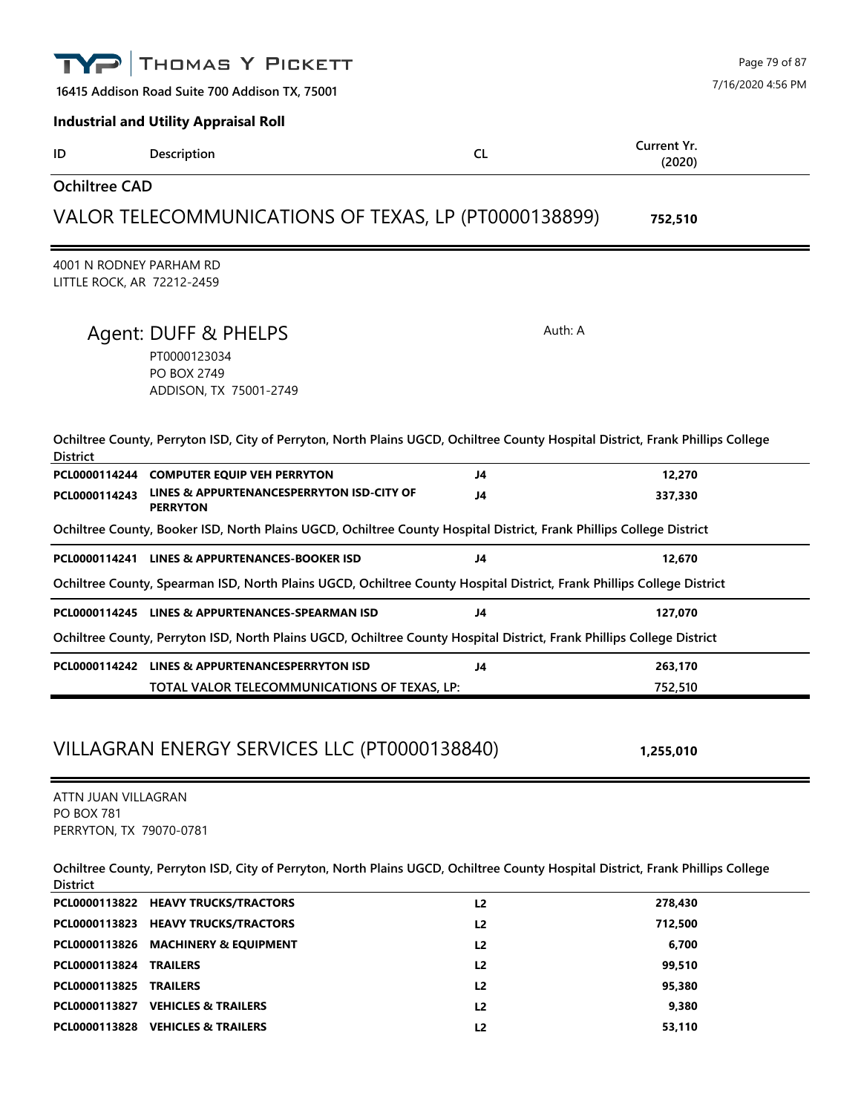|                                                                     | THOMAS Y PICKETT                                                                                                                |           |                       | Page 79 of 87     |
|---------------------------------------------------------------------|---------------------------------------------------------------------------------------------------------------------------------|-----------|-----------------------|-------------------|
|                                                                     | 16415 Addison Road Suite 700 Addison TX, 75001                                                                                  |           |                       | 7/16/2020 4:56 PM |
|                                                                     | <b>Industrial and Utility Appraisal Roll</b>                                                                                    |           |                       |                   |
| ID                                                                  | Description                                                                                                                     | <b>CL</b> | Current Yr.<br>(2020) |                   |
| <b>Ochiltree CAD</b>                                                |                                                                                                                                 |           |                       |                   |
|                                                                     | VALOR TELECOMMUNICATIONS OF TEXAS, LP (PT0000138899)                                                                            |           | 752,510               |                   |
| 4001 N RODNEY PARHAM RD<br>LITTLE ROCK, AR 72212-2459               |                                                                                                                                 |           |                       |                   |
|                                                                     | Agent: DUFF & PHELPS<br>PT0000123034<br>PO BOX 2749<br>ADDISON, TX 75001-2749                                                   | Auth: A   |                       |                   |
| <b>District</b>                                                     | Ochiltree County, Perryton ISD, City of Perryton, North Plains UGCD, Ochiltree County Hospital District, Frank Phillips College |           |                       |                   |
|                                                                     | PCL0000114244 COMPUTER EQUIP VEH PERRYTON                                                                                       | J4        | 12,270                |                   |
| PCL0000114243                                                       | LINES & APPURTENANCESPERRYTON ISD-CITY OF<br><b>PERRYTON</b>                                                                    | J4        | 337,330               |                   |
|                                                                     | Ochiltree County, Booker ISD, North Plains UGCD, Ochiltree County Hospital District, Frank Phillips College District            |           |                       |                   |
|                                                                     | PCL0000114241 LINES & APPURTENANCES-BOOKER ISD                                                                                  | J4        | 12,670                |                   |
|                                                                     | Ochiltree County, Spearman ISD, North Plains UGCD, Ochiltree County Hospital District, Frank Phillips College District          |           |                       |                   |
|                                                                     | PCL0000114245 LINES & APPURTENANCES-SPEARMAN ISD                                                                                | J4        | 127,070               |                   |
|                                                                     | Ochiltree County, Perryton ISD, North Plains UGCD, Ochiltree County Hospital District, Frank Phillips College District          |           |                       |                   |
|                                                                     | PCL0000114242 LINES & APPURTENANCESPERRYTON ISD                                                                                 | J4        | 263,170               |                   |
|                                                                     | TOTAL VALOR TELECOMMUNICATIONS OF TEXAS, LP:                                                                                    |           | 752,510               |                   |
|                                                                     | VILLAGRAN ENERGY SERVICES LLC (PT0000138840)                                                                                    |           | 1,255,010             |                   |
| ATTN JUAN VILLAGRAN<br><b>PO BOX 781</b><br>PERRYTON, TX 79070-0781 |                                                                                                                                 |           |                       |                   |

**Ochiltree County, Perryton ISD, City of Perryton, North Plains UGCD, Ochiltree County Hospital District, Frank Phillips College** 

| <b>District</b>               |                                     |                |         |
|-------------------------------|-------------------------------------|----------------|---------|
|                               | PCL0000113822 HEAVY TRUCKS/TRACTORS | L <sub>2</sub> | 278,430 |
|                               | PCL0000113823 HEAVY TRUCKS/TRACTORS | L2             | 712,500 |
|                               | PCL0000113826 MACHINERY & EQUIPMENT | L <sub>2</sub> | 6.700   |
| <b>PCL0000113824 TRAILERS</b> |                                     | L <sub>2</sub> | 99,510  |
| PCL0000113825                 | <b>TRAILERS</b>                     | L2             | 95,380  |
| PCL0000113827                 | <b>VEHICLES &amp; TRAILERS</b>      | L <sub>2</sub> | 9.380   |
|                               | PCL0000113828 VEHICLES & TRAILERS   | L2             | 53,110  |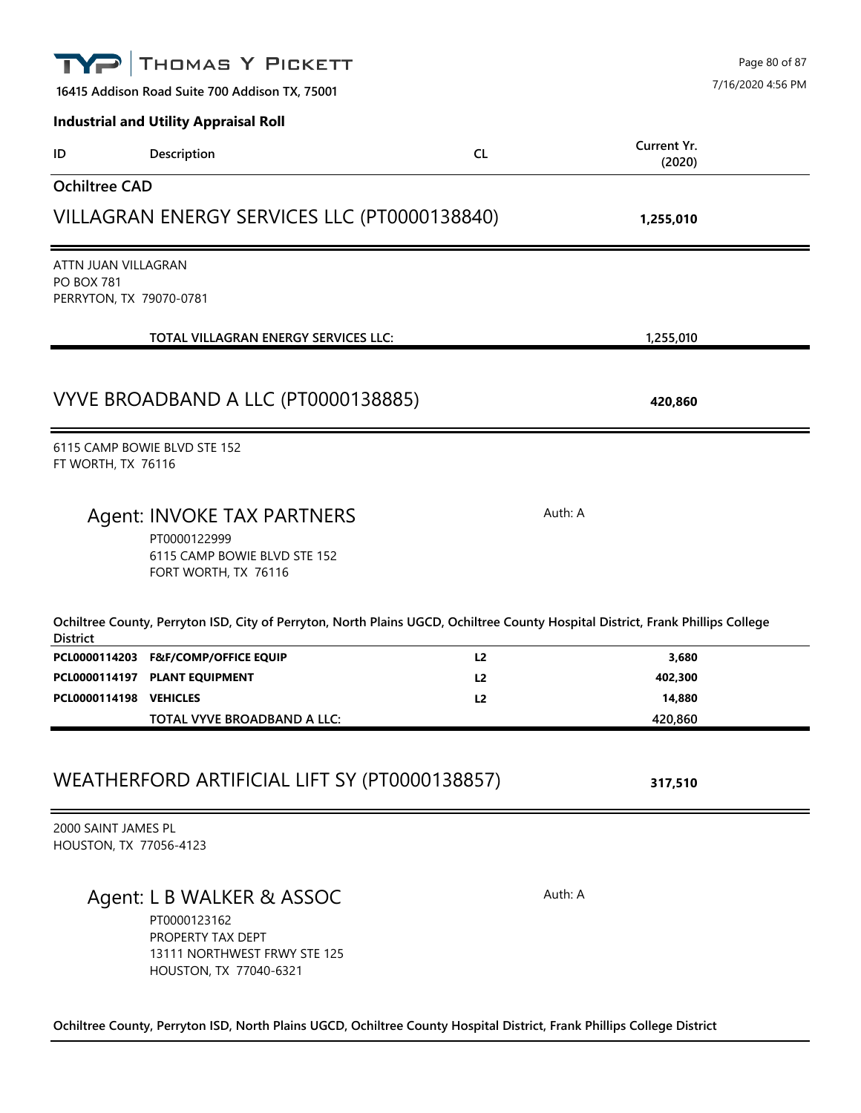|                                               | THOMAS Y PICKETT                                                                                                                |                | Page 80 of 87         |
|-----------------------------------------------|---------------------------------------------------------------------------------------------------------------------------------|----------------|-----------------------|
|                                               | 16415 Addison Road Suite 700 Addison TX, 75001                                                                                  |                | 7/16/2020 4:56 PM     |
|                                               | <b>Industrial and Utility Appraisal Roll</b>                                                                                    |                |                       |
| ID                                            | Description                                                                                                                     | <b>CL</b>      | Current Yr.<br>(2020) |
| <b>Ochiltree CAD</b>                          |                                                                                                                                 |                |                       |
|                                               | VILLAGRAN ENERGY SERVICES LLC (PT0000138840)                                                                                    |                | 1,255,010             |
| ATTN JUAN VILLAGRAN                           |                                                                                                                                 |                |                       |
| <b>PO BOX 781</b><br>PERRYTON, TX 79070-0781  |                                                                                                                                 |                |                       |
|                                               | TOTAL VILLAGRAN ENERGY SERVICES LLC:                                                                                            |                | 1,255,010             |
|                                               | VYVE BROADBAND A LLC (PT0000138885)                                                                                             |                | 420,860               |
| FT WORTH, TX 76116                            | 6115 CAMP BOWIE BLVD STE 152                                                                                                    |                |                       |
|                                               | Agent: INVOKE TAX PARTNERS                                                                                                      |                | Auth: A               |
|                                               | PT0000122999<br>6115 CAMP BOWIE BLVD STE 152<br>FORT WORTH, TX 76116                                                            |                |                       |
| <b>District</b>                               | Ochiltree County, Perryton ISD, City of Perryton, North Plains UGCD, Ochiltree County Hospital District, Frank Phillips College |                |                       |
|                                               | PCL0000114203 F&F/COMP/OFFICE EQUIP                                                                                             | L <sub>2</sub> | 3,680                 |
|                                               | PCL0000114197 PLANT EQUIPMENT                                                                                                   | L2             | 402,300               |
| PCL0000114198 VEHICLES                        | TOTAL VYVE BROADBAND A LLC:                                                                                                     | L2             | 14,880<br>420,860     |
|                                               | WEATHERFORD ARTIFICIAL LIFT SY (PT0000138857)                                                                                   |                | 317,510               |
| 2000 SAINT JAMES PL<br>HOUSTON, TX 77056-4123 |                                                                                                                                 |                |                       |
|                                               | Agent: L B WALKER & ASSOC<br>PT0000123162<br>PROPERTY TAX DEPT<br>13111 NORTHWEST FRWY STE 125                                  |                | Auth: A               |

**Ochiltree County, Perryton ISD, North Plains UGCD, Ochiltree County Hospital District, Frank Phillips College District**

HOUSTON, TX 77040-6321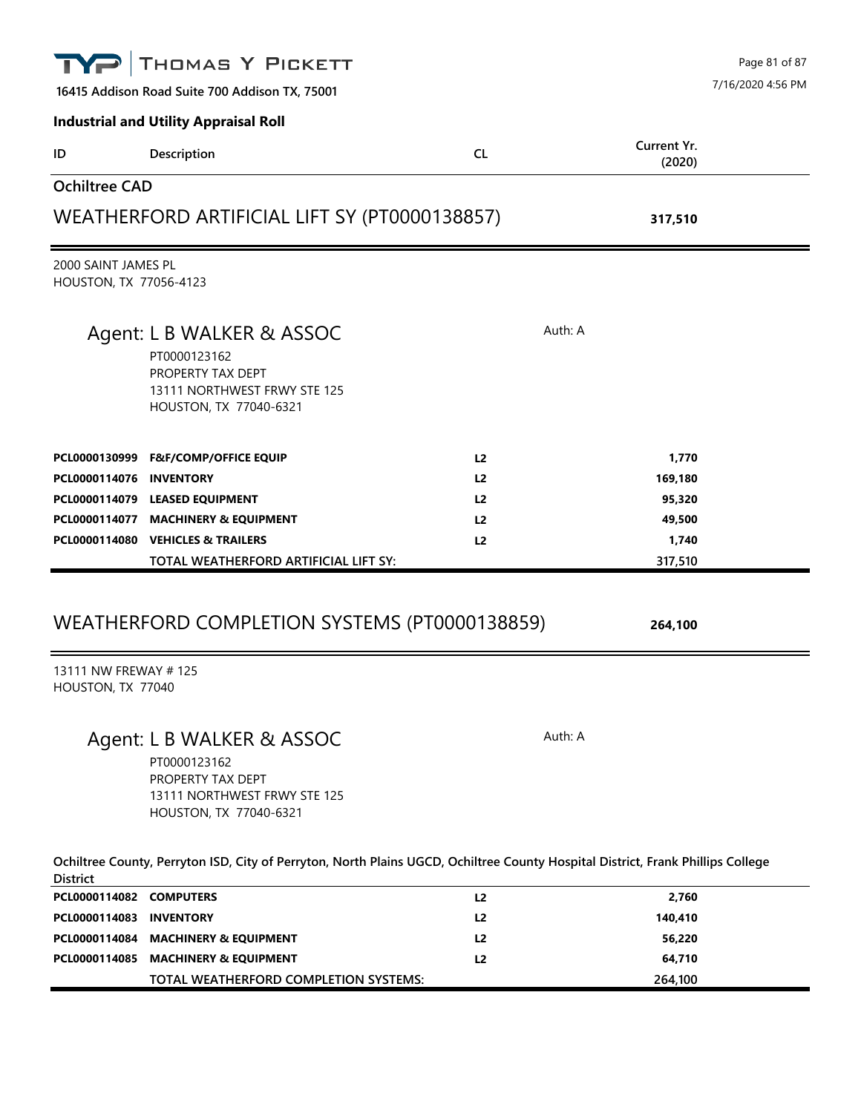|                                               | THOMAS Y PICKETT                                                                            |                |                       | Page 81 of 87     |
|-----------------------------------------------|---------------------------------------------------------------------------------------------|----------------|-----------------------|-------------------|
|                                               | 16415 Addison Road Suite 700 Addison TX, 75001                                              |                |                       | 7/16/2020 4:56 PM |
|                                               | <b>Industrial and Utility Appraisal Roll</b>                                                |                |                       |                   |
| ID                                            | Description                                                                                 | <b>CL</b>      | Current Yr.<br>(2020) |                   |
| <b>Ochiltree CAD</b>                          |                                                                                             |                |                       |                   |
|                                               | WEATHERFORD ARTIFICIAL LIFT SY (PT0000138857)                                               |                | 317,510               |                   |
| 2000 SAINT JAMES PL<br>HOUSTON, TX 77056-4123 |                                                                                             |                |                       |                   |
|                                               | Agent: L B WALKER & ASSOC                                                                   | Auth: A        |                       |                   |
|                                               | PT0000123162<br>PROPERTY TAX DEPT<br>13111 NORTHWEST FRWY STE 125<br>HOUSTON, TX 77040-6321 |                |                       |                   |
| PCL0000130999                                 | <b>F&amp;F/COMP/OFFICE EQUIP</b>                                                            | L <sub>2</sub> | 1,770                 |                   |
| PCL0000114076 INVENTORY                       |                                                                                             | L2             | 169,180               |                   |
|                                               | PCL0000114079 LEASED EQUIPMENT                                                              | L2             | 95,320                |                   |
|                                               | PCL0000114077 MACHINERY & EQUIPMENT                                                         | L <sub>2</sub> | 49,500                |                   |
|                                               | PCL0000114080 VEHICLES & TRAILERS                                                           | L <sub>2</sub> | 1,740                 |                   |
|                                               | TOTAL WEATHERFORD ARTIFICIAL LIFT SY:                                                       |                | 317,510               |                   |
|                                               | WEATHERFORD COMPLETION SYSTEMS (PT0000138859)                                               |                | 264,100               |                   |
| 13111 NW FREWAY #125<br>HOUSTON, TX 77040     |                                                                                             |                |                       |                   |
|                                               | Agent: L B WALKER & ASSOC<br>PT0000123162<br>PROPERTY TAX DEPT                              | Auth: A        |                       |                   |

**Ochiltree County, Perryton ISD, City of Perryton, North Plains UGCD, Ochiltree County Hospital District, Frank Phillips College District**

13111 NORTHWEST FRWY STE 125 HOUSTON, TX 77040-6321

| PCL0000114082 COMPUTERS |                                       | L2             | 2,760   |  |
|-------------------------|---------------------------------------|----------------|---------|--|
| PCL0000114083 INVENTORY |                                       | L <sub>2</sub> | 140.410 |  |
|                         | PCL0000114084 MACHINERY & EQUIPMENT   | L <sub>2</sub> | 56,220  |  |
|                         | PCL0000114085 MACHINERY & EQUIPMENT   | L <sub>2</sub> | 64.710  |  |
|                         | TOTAL WEATHERFORD COMPLETION SYSTEMS: |                | 264,100 |  |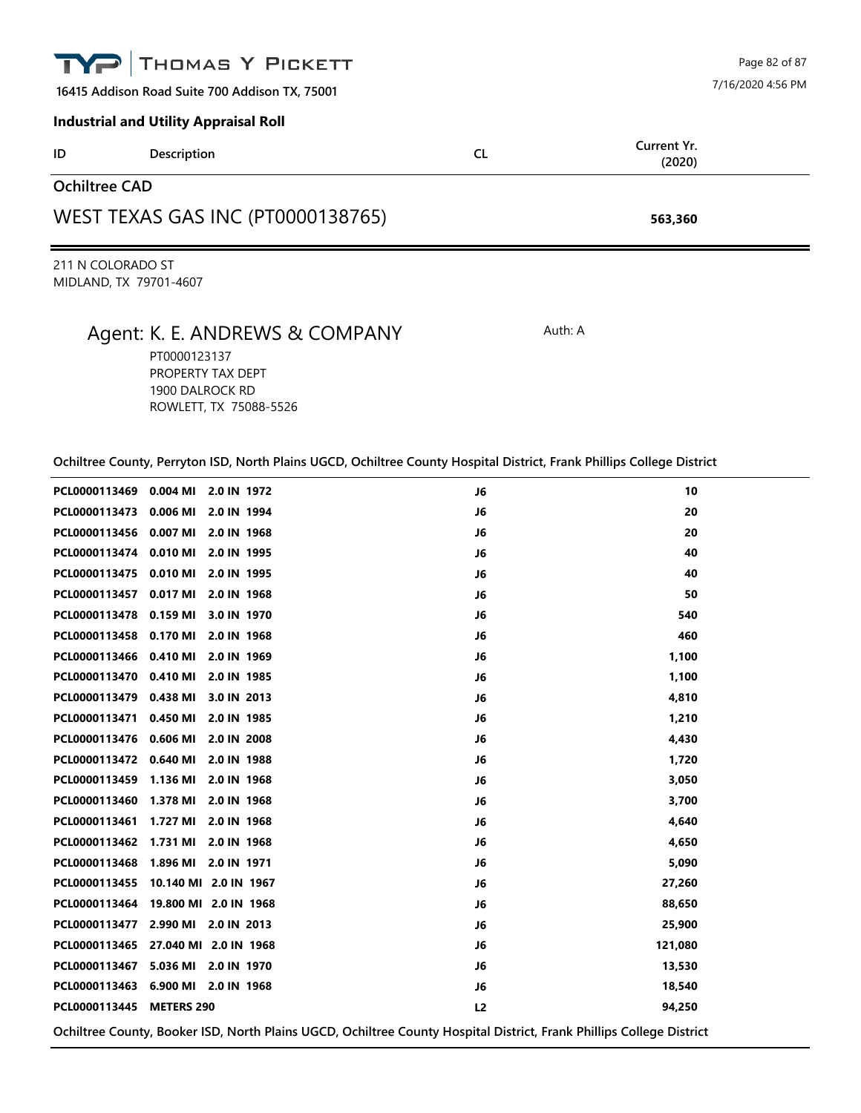|                                                | <b>TYP THOMAS Y PICKETT</b>                  |           | Page 82 of 87         |  |  |
|------------------------------------------------|----------------------------------------------|-----------|-----------------------|--|--|
| 16415 Addison Road Suite 700 Addison TX, 75001 |                                              |           | 7/16/2020 4:56 PM     |  |  |
|                                                | <b>Industrial and Utility Appraisal Roll</b> |           |                       |  |  |
| ID                                             | <b>Description</b>                           | <b>CL</b> | Current Yr.<br>(2020) |  |  |
| <b>Ochiltree CAD</b>                           |                                              |           |                       |  |  |
| WEST TEXAS GAS INC (PT0000138765)              |                                              |           | 563,360               |  |  |

211 N COLORADO ST MIDLAND, TX 79701-4607

## Agent: K. E. ANDREWS & COMPANY Auth: A

PT0000123137 PROPERTY TAX DEPT 1900 DALROCK RD ROWLETT, TX 75088-5526

| PCL0000113469 0.004 MI   | 2.0 IN 1972                                                                                                          | J6             | 10      |
|--------------------------|----------------------------------------------------------------------------------------------------------------------|----------------|---------|
| PCL0000113473 0.006 MI   | 2.0 IN 1994                                                                                                          | J6             | 20      |
| PCL0000113456 0.007 MI   | 2.0 IN 1968                                                                                                          | J6             | 20      |
|                          | PCL0000113474 0.010 MI 2.0 IN 1995                                                                                   | J6             | 40      |
|                          | PCL0000113475 0.010 MI 2.0 IN 1995                                                                                   | J6             | 40      |
| PCL0000113457 0.017 MI   | 2.0 IN 1968                                                                                                          | J6             | 50      |
| PCL0000113478 0.159 MI   | 3.0 IN 1970                                                                                                          | J6             | 540     |
|                          | PCL0000113458 0.170 MI 2.0 IN 1968                                                                                   | J6             | 460     |
| PCL0000113466 0.410 MI   | 2.0 IN 1969                                                                                                          | J6             | 1,100   |
| PCL0000113470 0.410 MI   | 2.0 IN 1985                                                                                                          | J6             | 1,100   |
| PCL0000113479 0.438 MI   | 3.0 IN 2013                                                                                                          | J6             | 4,810   |
| PCL0000113471 0.450 MI   | 2.0 IN 1985                                                                                                          | J6             | 1,210   |
| PCL0000113476 0.606 MI   | 2.0 IN 2008                                                                                                          | J6             | 4,430   |
| PCL0000113472 0.640 MI   | 2.0 IN 1988                                                                                                          | J6             | 1,720   |
|                          | PCL0000113459 1.136 MI 2.0 IN 1968                                                                                   | J6             | 3,050   |
|                          | PCL0000113460 1.378 MI 2.0 IN 1968                                                                                   | J6             | 3,700   |
| PCL0000113461 1.727 MI   | 2.0 IN 1968                                                                                                          | J6             | 4,640   |
| PCL0000113462 1.731 MI   | 2.0 IN 1968                                                                                                          | J6             | 4,650   |
|                          | PCL0000113468 1.896 MI 2.0 IN 1971                                                                                   | J6             | 5,090   |
| PCL0000113455            | 10.140 MI 2.0 IN 1967                                                                                                | J6             | 27,260  |
|                          | PCL0000113464 19.800 MI 2.0 IN 1968                                                                                  | J6             | 88,650  |
|                          | PCL0000113477 2.990 MI 2.0 IN 2013                                                                                   | J6             | 25,900  |
|                          | PCL0000113465 27.040 MI 2.0 IN 1968                                                                                  | J6             | 121,080 |
|                          | PCL0000113467 5.036 MI 2.0 IN 1970                                                                                   | J6             | 13,530  |
|                          | PCL0000113463 6.900 MI 2.0 IN 1968                                                                                   | J6             | 18,540  |
| PCL0000113445 METERS 290 |                                                                                                                      | L <sub>2</sub> | 94,250  |
|                          | Ochiltree County, Booker ISD, North Plains UGCD, Ochiltree County Hospital District, Frank Phillips College District |                |         |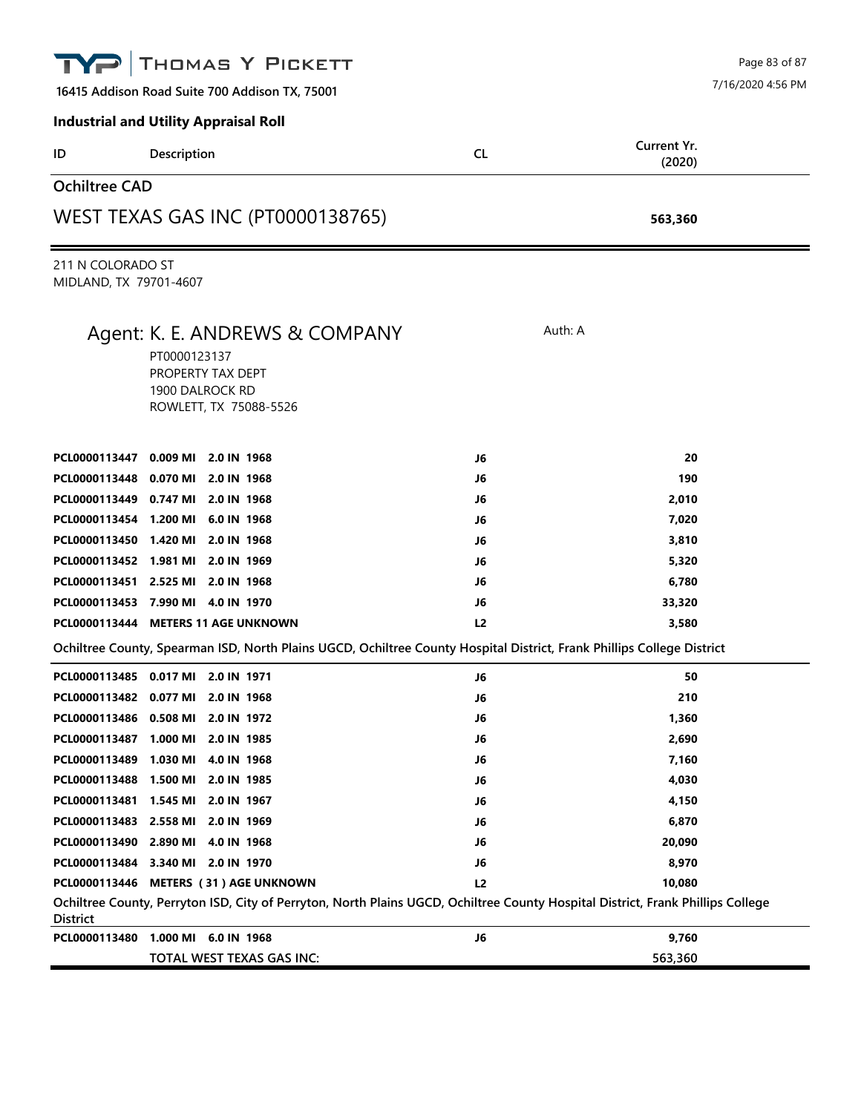|                                             | THOMAS Y PICKETT                                                                                                                |     | Page 83 of 87         |
|---------------------------------------------|---------------------------------------------------------------------------------------------------------------------------------|-----|-----------------------|
|                                             | 16415 Addison Road Suite 700 Addison TX, 75001                                                                                  |     | 7/16/2020 4:56 PM     |
|                                             | <b>Industrial and Utility Appraisal Roll</b>                                                                                    |     |                       |
| ID                                          | Description                                                                                                                     | CL. | Current Yr.<br>(2020) |
| <b>Ochiltree CAD</b>                        |                                                                                                                                 |     |                       |
|                                             | <b>WEST TEXAS GAS INC (PT0000138765)</b>                                                                                        |     | 563,360               |
| 211 N COLORADO ST<br>MIDLAND, TX 79701-4607 |                                                                                                                                 |     |                       |
|                                             | Agent: K. E. ANDREWS & COMPANY<br>PT0000123137<br>PROPERTY TAX DEPT<br>1900 DALROCK RD<br>ROWLETT, TX 75088-5526                |     | Auth: A               |
| PCL0000113447 0.009 MI                      | 2.0 IN 1968                                                                                                                     | J6  | 20                    |
| PCL0000113448 0.070 MI                      | 2.0 IN 1968                                                                                                                     | J6  | 190                   |
| PCL0000113449 0.747 MI                      | 2.0 IN 1968                                                                                                                     | J6  | 2,010                 |
| PCL0000113454 1.200 MI                      | 6.0 IN 1968                                                                                                                     | J6  | 7,020                 |
|                                             | PCL0000113450 1.420 MI 2.0 IN 1968                                                                                              | J6  | 3,810                 |
|                                             | PCL0000113452 1.981 MI 2.0 IN 1969                                                                                              | J6  | 5,320                 |
|                                             | PCL0000113451 2.525 MI 2.0 IN 1968                                                                                              | J6  | 6,780                 |
|                                             | PCL0000113453 7.990 MI 4.0 IN 1970                                                                                              | J6  | 33,320                |
|                                             | PCL0000113444 METERS 11 AGE UNKNOWN                                                                                             | L2  | 3,580                 |
|                                             | Ochiltree County, Spearman ISD, North Plains UGCD, Ochiltree County Hospital District, Frank Phillips College District          |     |                       |
|                                             | PCL0000113485 0.017 MI 2.0 IN 1971                                                                                              | J6  | 50                    |
|                                             | PCL0000113482 0.077 MI 2.0 IN 1968                                                                                              | J6  | 210                   |
| PCL0000113486 0.508 MI                      | 2.0 IN 1972                                                                                                                     | J6  | 1,360                 |
| PCL0000113487 1.000 MI                      | 2.0 IN 1985                                                                                                                     | J6  | 2,690                 |
|                                             | PCL0000113489 1.030 MI 4.0 IN 1968                                                                                              | J6  | 7,160                 |
| PCL0000113488 1.500 MI                      | 2.0 IN 1985                                                                                                                     | J6  | 4,030                 |
| PCL0000113481 1.545 MI                      | 2.0 IN 1967                                                                                                                     | J6  | 4,150                 |
| PCL0000113483 2.558 MI                      | 2.0 IN 1969                                                                                                                     | J6  | 6,870                 |
|                                             | PCL0000113490 2.890 MI 4.0 IN 1968                                                                                              | J6  | 20,090                |
|                                             | PCL0000113484 3.340 MI 2.0 IN 1970                                                                                              | J6  | 8,970                 |
|                                             | PCL0000113446 METERS (31) AGE UNKNOWN                                                                                           | L2  | 10,080                |
| District                                    | Ochiltree County, Perryton ISD, City of Perryton, North Plains UGCD, Ochiltree County Hospital District, Frank Phillips College |     |                       |
|                                             | PCL0000113480 1.000 MI 6.0 IN 1968                                                                                              | J6  | 9,760                 |
|                                             | TOTAL WEST TEXAS GAS INC:                                                                                                       |     | 563,360               |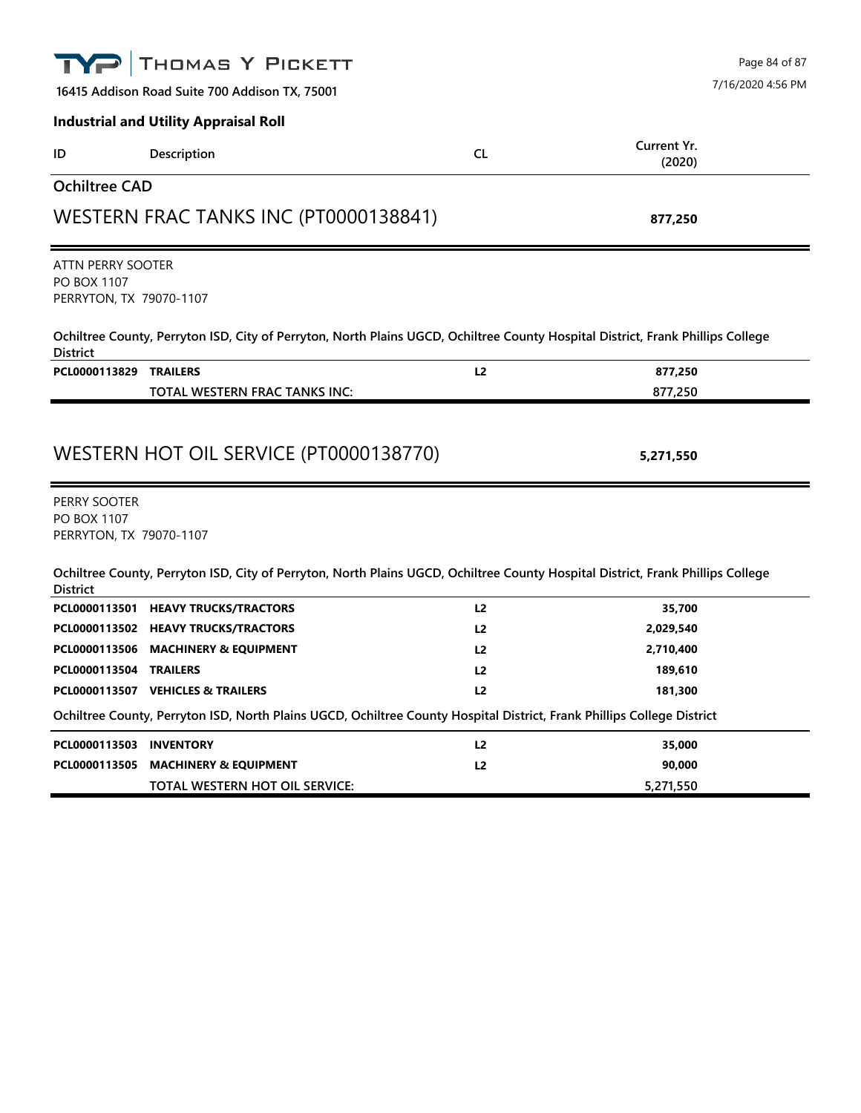|                                                             | THOMAS Y PICKETT                                                                                                                |                | Page 84 of 87         |
|-------------------------------------------------------------|---------------------------------------------------------------------------------------------------------------------------------|----------------|-----------------------|
|                                                             | 16415 Addison Road Suite 700 Addison TX, 75001                                                                                  |                | 7/16/2020 4:56 PM     |
|                                                             | <b>Industrial and Utility Appraisal Roll</b>                                                                                    |                |                       |
| ID                                                          | Description                                                                                                                     | <b>CL</b>      | Current Yr.<br>(2020) |
| <b>Ochiltree CAD</b>                                        |                                                                                                                                 |                |                       |
|                                                             | WESTERN FRAC TANKS INC (PT0000138841)                                                                                           |                | 877,250               |
| ATTN PERRY SOOTER<br>PO BOX 1107<br>PERRYTON, TX 79070-1107 | Ochiltree County, Perryton ISD, City of Perryton, North Plains UGCD, Ochiltree County Hospital District, Frank Phillips College |                |                       |
| <b>District</b>                                             |                                                                                                                                 |                |                       |
| PCL0000113829 TRAILERS                                      | TOTAL WESTERN FRAC TANKS INC:                                                                                                   | L2             | 877,250<br>877,250    |
|                                                             | WESTERN HOT OIL SERVICE (PT0000138770)                                                                                          |                | 5,271,550             |
| PERRY SOOTER<br>PO BOX 1107<br>PERRYTON, TX 79070-1107      |                                                                                                                                 |                |                       |
| <b>District</b>                                             | Ochiltree County, Perryton ISD, City of Perryton, North Plains UGCD, Ochiltree County Hospital District, Frank Phillips College |                |                       |
|                                                             | PCL0000113501 HEAVY TRUCKS/TRACTORS                                                                                             | L2             | 35,700                |
|                                                             | PCL0000113502 HEAVY TRUCKS/TRACTORS                                                                                             | L <sub>2</sub> | 2,029,540             |
| PCL0000113506                                               | <b>MACHINERY &amp; EQUIPMENT</b>                                                                                                | L <sub>2</sub> | 2,710,400             |
| <b>PCL0000113504 TRAILERS</b>                               | PCL0000113507 VEHICLES & TRAILERS                                                                                               | L <sub>2</sub> | 189,610<br>181,300    |
|                                                             | Ochiltree County, Perryton ISD, North Plains UGCD, Ochiltree County Hospital District, Frank Phillips College District          | L <sub>2</sub> |                       |
| PCL0000113503 INVENTORY                                     |                                                                                                                                 | L2             | 35,000                |
| PCL0000113505                                               | <b>MACHINERY &amp; EQUIPMENT</b>                                                                                                | L2             | 90,000                |
|                                                             |                                                                                                                                 |                |                       |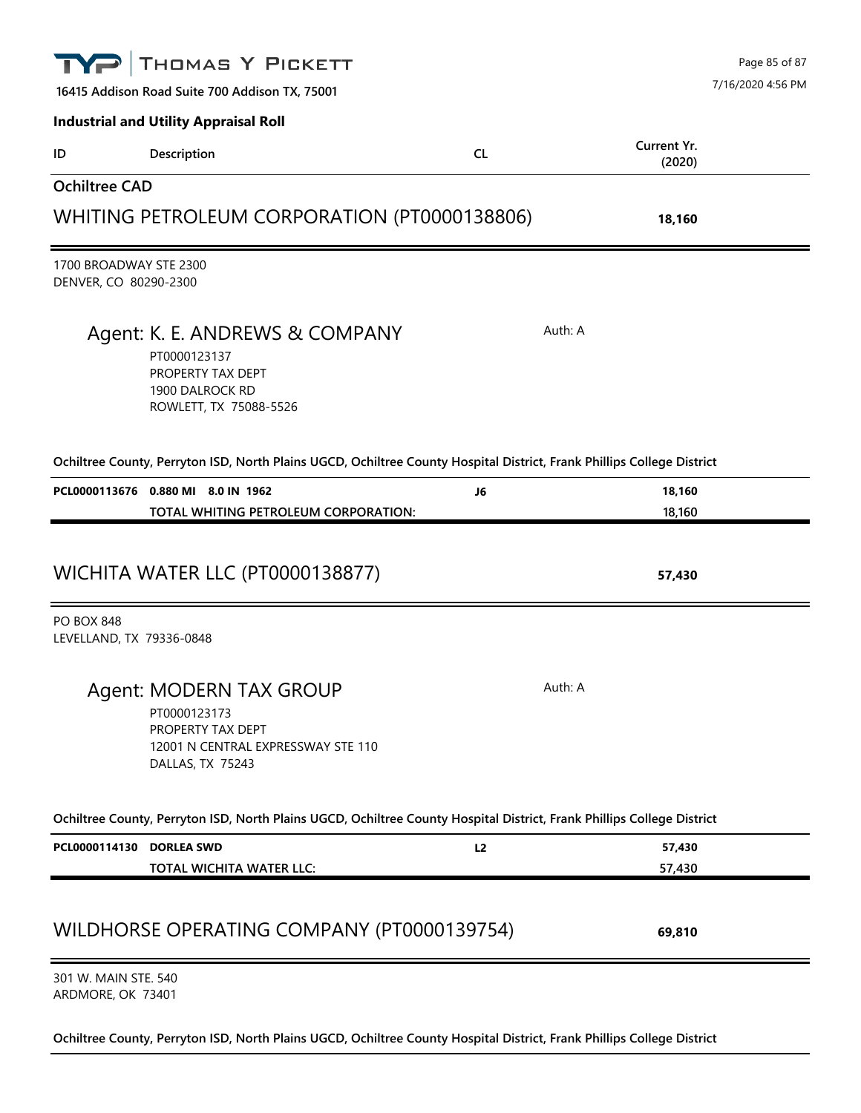|                                                 | THOMAS Y PICKETT                                                                                                       |           |                       | Page 85 of 87     |
|-------------------------------------------------|------------------------------------------------------------------------------------------------------------------------|-----------|-----------------------|-------------------|
|                                                 | 16415 Addison Road Suite 700 Addison TX, 75001                                                                         |           |                       | 7/16/2020 4:56 PM |
|                                                 | <b>Industrial and Utility Appraisal Roll</b>                                                                           |           |                       |                   |
| ID                                              | Description                                                                                                            | <b>CL</b> | Current Yr.<br>(2020) |                   |
| <b>Ochiltree CAD</b>                            |                                                                                                                        |           |                       |                   |
|                                                 | WHITING PETROLEUM CORPORATION (PT0000138806)                                                                           |           | 18,160                |                   |
| 1700 BROADWAY STE 2300<br>DENVER, CO 80290-2300 |                                                                                                                        |           |                       |                   |
|                                                 | Agent: K. E. ANDREWS & COMPANY<br>PT0000123137<br>PROPERTY TAX DEPT<br>1900 DALROCK RD<br>ROWLETT, TX 75088-5526       | Auth: A   |                       |                   |
|                                                 | Ochiltree County, Perryton ISD, North Plains UGCD, Ochiltree County Hospital District, Frank Phillips College District |           |                       |                   |
|                                                 | PCL0000113676 0.880 MI 8.0 IN 1962                                                                                     | J6        | 18,160<br>18,160      |                   |
| <b>PO BOX 848</b>                               | WICHITA WATER LLC (PT0000138877)                                                                                       |           | 57,430                |                   |
| LEVELLAND, TX 79336-0848                        |                                                                                                                        |           |                       |                   |
|                                                 | Agent: MODERN TAX GROUP<br>PT0000123173<br>PROPERTY TAX DEPT<br>12001 N CENTRAL EXPRESSWAY STE 110<br>DALLAS, TX 75243 | Auth: A   |                       |                   |
|                                                 | Ochiltree County, Perryton ISD, North Plains UGCD, Ochiltree County Hospital District, Frank Phillips College District |           |                       |                   |
| PCL0000114130 DORLEA SWD                        | TOTAL WICHITA WATER LLC:                                                                                               | L2        | 57,430<br>57,430      |                   |
|                                                 | WILDHORSE OPERATING COMPANY (PT0000139754)                                                                             |           | 69,810                |                   |
| 301 W. MAIN STE. 540                            |                                                                                                                        |           |                       |                   |

ARDMORE, OK 73401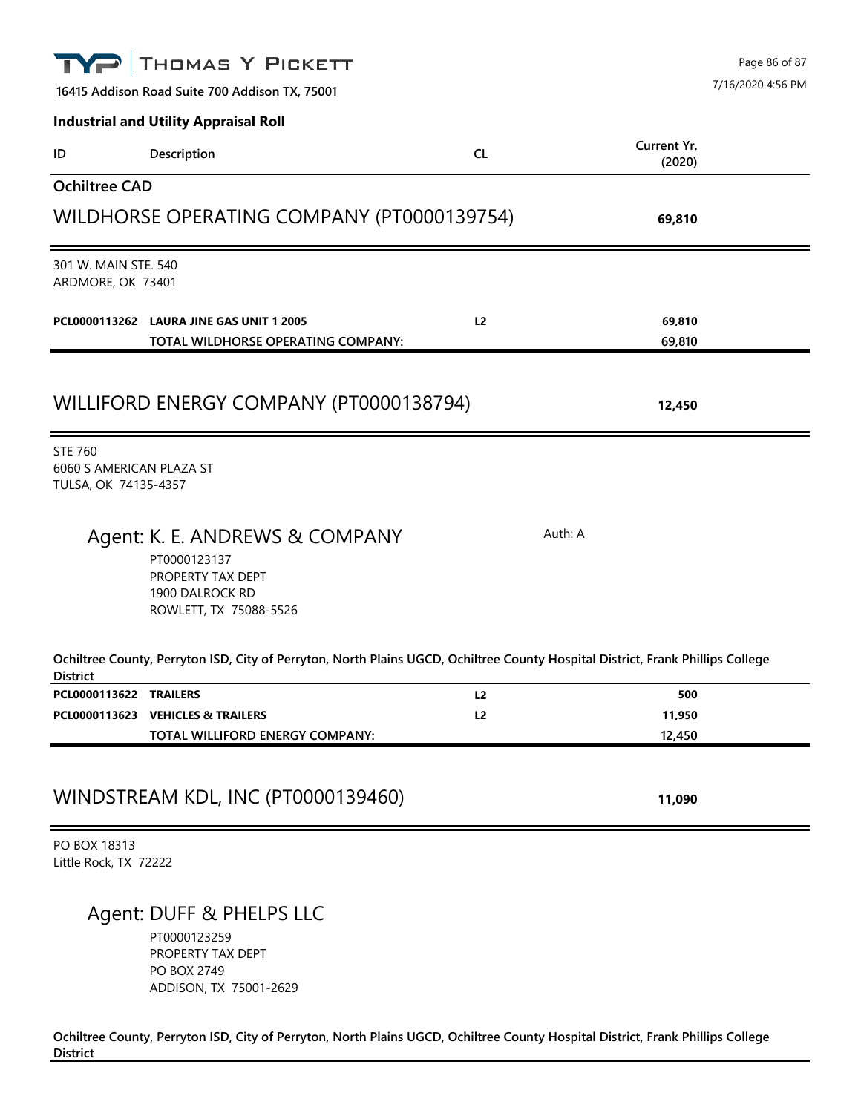|                                                                    | THOMAS Y PICKETT                                                                                                                |                      |                         | Page 86 of 87     |
|--------------------------------------------------------------------|---------------------------------------------------------------------------------------------------------------------------------|----------------------|-------------------------|-------------------|
|                                                                    | 16415 Addison Road Suite 700 Addison TX, 75001                                                                                  |                      |                         | 7/16/2020 4:56 PM |
|                                                                    | <b>Industrial and Utility Appraisal Roll</b>                                                                                    |                      |                         |                   |
| ID                                                                 | Description                                                                                                                     | <b>CL</b>            | Current Yr.<br>(2020)   |                   |
| <b>Ochiltree CAD</b>                                               |                                                                                                                                 |                      |                         |                   |
|                                                                    | WILDHORSE OPERATING COMPANY (PT0000139754)                                                                                      |                      | 69,810                  |                   |
| 301 W. MAIN STE. 540<br>ARDMORE, OK 73401                          |                                                                                                                                 |                      |                         |                   |
|                                                                    | PCL0000113262 LAURA JINE GAS UNIT 1 2005<br>TOTAL WILDHORSE OPERATING COMPANY:                                                  | L <sub>2</sub>       | 69,810<br>69,810        |                   |
|                                                                    | WILLIFORD ENERGY COMPANY (PT0000138794)                                                                                         |                      | 12,450                  |                   |
| <b>STE 760</b><br>6060 S AMERICAN PLAZA ST<br>TULSA, OK 74135-4357 |                                                                                                                                 |                      |                         |                   |
|                                                                    | Agent: K. E. ANDREWS & COMPANY<br>PT0000123137<br>PROPERTY TAX DEPT<br>1900 DALROCK RD<br>ROWLETT, TX 75088-5526                |                      | Auth: A                 |                   |
| <b>District</b>                                                    | Ochiltree County, Perryton ISD, City of Perryton, North Plains UGCD, Ochiltree County Hospital District, Frank Phillips College |                      |                         |                   |
| PCL0000113622 TRAILERS                                             | PCL0000113623 VEHICLES & TRAILERS<br>TOTAL WILLIFORD ENERGY COMPANY:                                                            | L <sub>2</sub><br>L2 | 500<br>11,950<br>12,450 |                   |
|                                                                    | WINDSTREAM KDL, INC (PT0000139460)                                                                                              |                      | 11,090                  |                   |
| PO BOX 18313<br>Little Rock, TX 72222                              |                                                                                                                                 |                      |                         |                   |
|                                                                    | Agent: DUFF & PHELPS LLC<br>PT0000123259<br>PROPERTY TAX DEPT<br>PO BOX 2749<br>ADDISON, TX 75001-2629                          |                      |                         |                   |